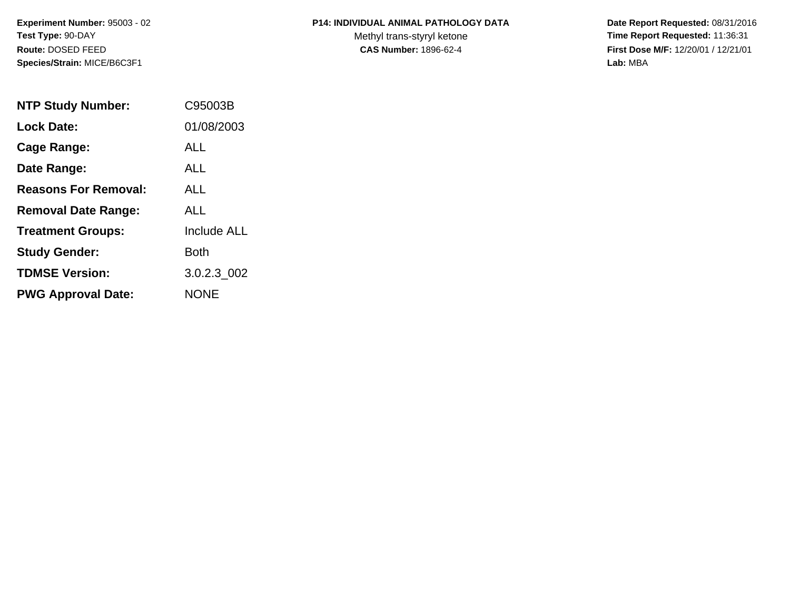**Experiment Number:** 95003 - 02**Test Type:** 90-DAY**Route:** DOSED FEED**Species/Strain:** MICE/B6C3F1

## **P14: INDIVIDUAL ANIMAL PATHOLOGY DATA**

Methyl trans-styryl ketone<br>CAS Number: 1896-62-4

 **Date Report Requested:** 08/31/2016 **Time Report Requested:** 11:36:31 **First Dose M/F:** 12/20/01 / 12/21/01<br>Lab: MBA **Lab:** MBA

| <b>NTP Study Number:</b>    | C95003B            |
|-----------------------------|--------------------|
| <b>Lock Date:</b>           | 01/08/2003         |
| Cage Range:                 | AI I               |
| Date Range:                 | <b>ALL</b>         |
| <b>Reasons For Removal:</b> | ALL                |
| <b>Removal Date Range:</b>  | AI I               |
| <b>Treatment Groups:</b>    | <b>Include ALL</b> |
| <b>Study Gender:</b>        | Both               |
| <b>TDMSE Version:</b>       | 3.0.2.3 002        |
| <b>PWG Approval Date:</b>   | <b>NONE</b>        |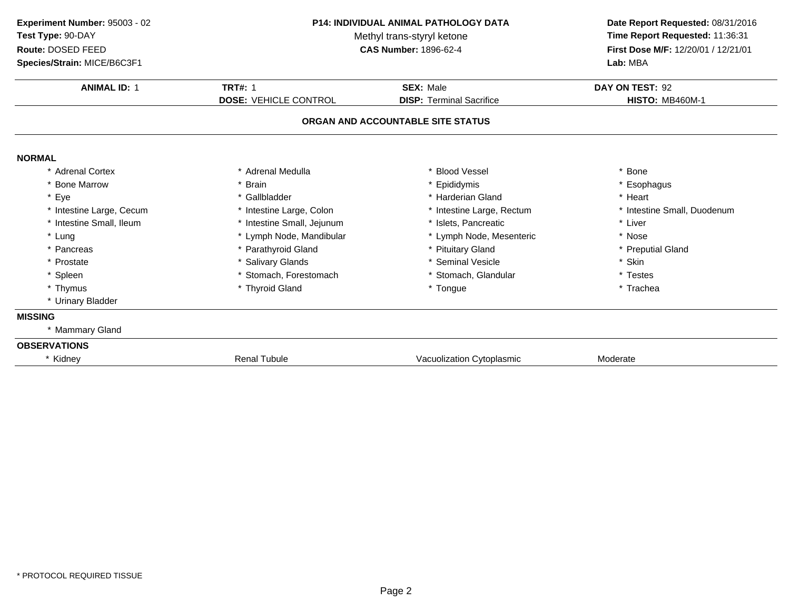| Experiment Number: 95003 - 02 | <b>P14: INDIVIDUAL ANIMAL PATHOLOGY DATA</b><br>Methyl trans-styryl ketone |                                   | Date Report Requested: 08/31/2016<br>Time Report Requested: 11:36:31 |
|-------------------------------|----------------------------------------------------------------------------|-----------------------------------|----------------------------------------------------------------------|
| Test Type: 90-DAY             |                                                                            |                                   |                                                                      |
| Route: DOSED FEED             |                                                                            | <b>CAS Number: 1896-62-4</b>      | First Dose M/F: 12/20/01 / 12/21/01                                  |
| Species/Strain: MICE/B6C3F1   |                                                                            |                                   | Lab: MBA                                                             |
| <b>ANIMAL ID: 1</b>           | <b>TRT#: 1</b>                                                             | <b>SEX: Male</b>                  | DAY ON TEST: 92                                                      |
|                               | <b>DOSE: VEHICLE CONTROL</b>                                               | <b>DISP: Terminal Sacrifice</b>   | <b>HISTO: MB460M-1</b>                                               |
|                               |                                                                            | ORGAN AND ACCOUNTABLE SITE STATUS |                                                                      |
| <b>NORMAL</b>                 |                                                                            |                                   |                                                                      |
| * Adrenal Cortex              | * Adrenal Medulla                                                          | * Blood Vessel                    | * Bone                                                               |
| * Bone Marrow                 | * Brain                                                                    | * Epididymis                      | * Esophagus                                                          |
| * Eye                         | * Gallbladder                                                              | * Harderian Gland                 | * Heart                                                              |
| * Intestine Large, Cecum      | * Intestine Large, Colon                                                   | * Intestine Large, Rectum         | * Intestine Small, Duodenum                                          |
| * Intestine Small, Ileum      | * Intestine Small, Jejunum                                                 | * Islets, Pancreatic              | * Liver                                                              |
| * Lung                        | * Lymph Node, Mandibular                                                   | * Lymph Node, Mesenteric          | * Nose                                                               |
| * Pancreas                    | * Parathyroid Gland                                                        | * Pituitary Gland                 | * Preputial Gland                                                    |
| * Prostate                    | * Salivary Glands                                                          | * Seminal Vesicle                 | * Skin                                                               |
| * Spleen                      | * Stomach, Forestomach                                                     | * Stomach, Glandular              | * Testes                                                             |
| * Thymus                      | * Thyroid Gland                                                            | * Tongue                          | * Trachea                                                            |
| * Urinary Bladder             |                                                                            |                                   |                                                                      |
| <b>MISSING</b>                |                                                                            |                                   |                                                                      |
| * Mammary Gland               |                                                                            |                                   |                                                                      |
| <b>OBSERVATIONS</b>           |                                                                            |                                   |                                                                      |
| Kidney                        | <b>Renal Tubule</b>                                                        | Vacuolization Cytoplasmic         | Moderate                                                             |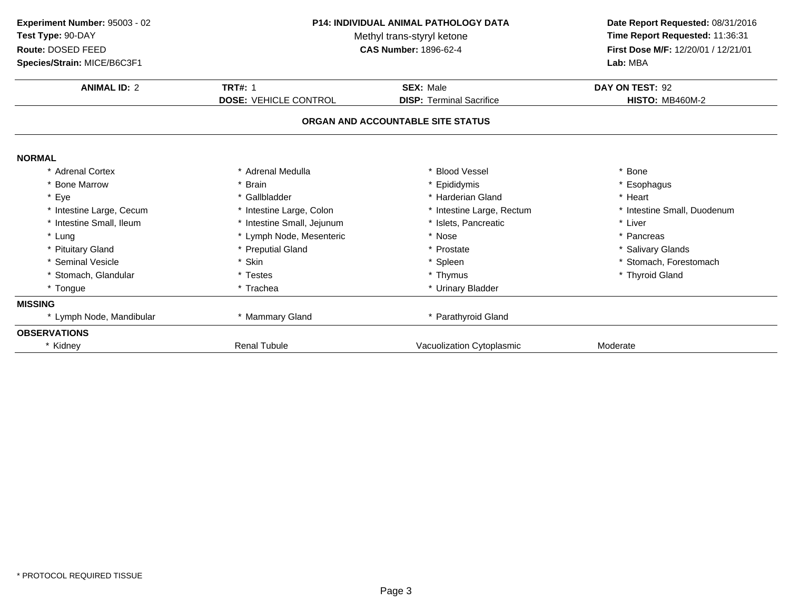| Experiment Number: 95003 - 02<br>Test Type: 90-DAY<br>Route: DOSED FEED<br>Species/Strain: MICE/B6C3F1 | <b>P14: INDIVIDUAL ANIMAL PATHOLOGY DATA</b><br>Methyl trans-styryl ketone<br><b>CAS Number: 1896-62-4</b> |                                   | Date Report Requested: 08/31/2016<br>Time Report Requested: 11:36:31<br>First Dose M/F: 12/20/01 / 12/21/01<br>Lab: MBA |
|--------------------------------------------------------------------------------------------------------|------------------------------------------------------------------------------------------------------------|-----------------------------------|-------------------------------------------------------------------------------------------------------------------------|
| <b>ANIMAL ID: 2</b>                                                                                    | <b>TRT#: 1</b>                                                                                             | <b>SEX: Male</b>                  | DAY ON TEST: 92                                                                                                         |
|                                                                                                        | <b>DOSE: VEHICLE CONTROL</b>                                                                               | <b>DISP:</b> Terminal Sacrifice   | <b>HISTO: MB460M-2</b>                                                                                                  |
|                                                                                                        |                                                                                                            | ORGAN AND ACCOUNTABLE SITE STATUS |                                                                                                                         |
| <b>NORMAL</b>                                                                                          |                                                                                                            |                                   |                                                                                                                         |
| * Adrenal Cortex                                                                                       | * Adrenal Medulla                                                                                          | * Blood Vessel                    | * Bone                                                                                                                  |
| * Bone Marrow                                                                                          | * Brain                                                                                                    | * Epididymis                      | * Esophagus                                                                                                             |
| * Eye                                                                                                  | * Gallbladder                                                                                              | * Harderian Gland                 | * Heart                                                                                                                 |
| * Intestine Large, Cecum                                                                               | * Intestine Large, Colon                                                                                   | * Intestine Large, Rectum         | * Intestine Small, Duodenum                                                                                             |
| * Intestine Small, Ileum                                                                               | * Intestine Small, Jejunum                                                                                 | * Islets. Pancreatic              | * Liver                                                                                                                 |
| * Lung                                                                                                 | * Lymph Node, Mesenteric                                                                                   | * Nose                            | * Pancreas                                                                                                              |
| * Pituitary Gland                                                                                      | * Preputial Gland                                                                                          | * Prostate                        | * Salivary Glands                                                                                                       |
| * Seminal Vesicle                                                                                      | * Skin                                                                                                     | * Spleen                          | * Stomach, Forestomach                                                                                                  |
| * Stomach, Glandular                                                                                   | * Testes                                                                                                   | * Thymus                          | * Thyroid Gland                                                                                                         |
| * Tongue                                                                                               | * Trachea                                                                                                  | * Urinary Bladder                 |                                                                                                                         |
| <b>MISSING</b>                                                                                         |                                                                                                            |                                   |                                                                                                                         |
| * Lymph Node, Mandibular                                                                               | * Mammary Gland                                                                                            | * Parathyroid Gland               |                                                                                                                         |
| <b>OBSERVATIONS</b>                                                                                    |                                                                                                            |                                   |                                                                                                                         |
| * Kidney                                                                                               | <b>Renal Tubule</b>                                                                                        | Vacuolization Cytoplasmic         | Moderate                                                                                                                |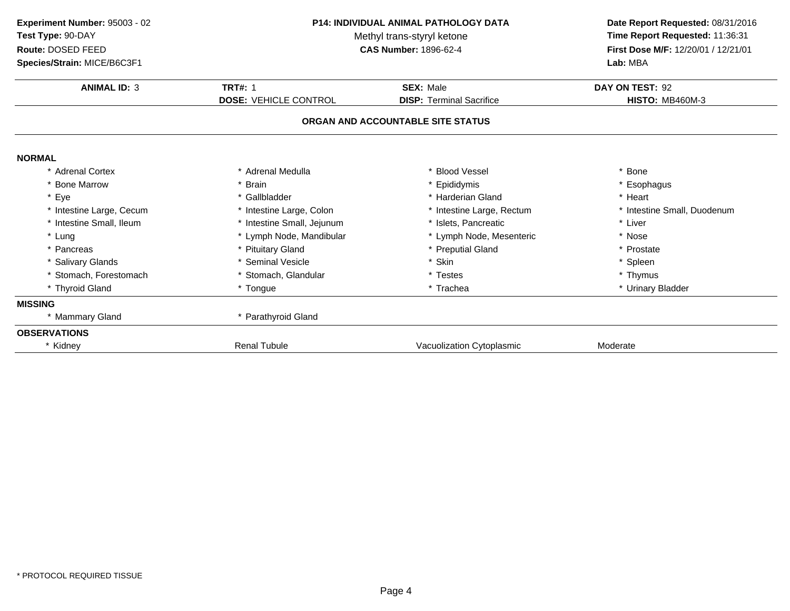| Experiment Number: 95003 - 02<br>Test Type: 90-DAY<br>Route: DOSED FEED<br>Species/Strain: MICE/B6C3F1 | P14: INDIVIDUAL ANIMAL PATHOLOGY DATA<br>Methyl trans-styryl ketone<br><b>CAS Number: 1896-62-4</b> |                                                                      | Date Report Requested: 08/31/2016<br>Time Report Requested: 11:36:31<br>First Dose M/F: 12/20/01 / 12/21/01<br>Lab: MBA |
|--------------------------------------------------------------------------------------------------------|-----------------------------------------------------------------------------------------------------|----------------------------------------------------------------------|-------------------------------------------------------------------------------------------------------------------------|
| <b>ANIMAL ID: 3</b>                                                                                    | <b>TRT#: 1</b>                                                                                      | <b>SEX: Male</b>                                                     | DAY ON TEST: 92                                                                                                         |
|                                                                                                        | <b>DOSE: VEHICLE CONTROL</b>                                                                        | <b>DISP:</b> Terminal Sacrifice<br>ORGAN AND ACCOUNTABLE SITE STATUS | <b>HISTO: MB460M-3</b>                                                                                                  |
| <b>NORMAL</b>                                                                                          |                                                                                                     |                                                                      |                                                                                                                         |
| * Adrenal Cortex                                                                                       | * Adrenal Medulla                                                                                   | * Blood Vessel                                                       | * Bone                                                                                                                  |
| * Bone Marrow                                                                                          | * Brain                                                                                             | * Epididymis                                                         | * Esophagus                                                                                                             |
| * Eye                                                                                                  | * Gallbladder                                                                                       | * Harderian Gland                                                    | * Heart                                                                                                                 |
| * Intestine Large, Cecum                                                                               | * Intestine Large, Colon                                                                            | * Intestine Large, Rectum                                            | * Intestine Small, Duodenum                                                                                             |
| * Intestine Small, Ileum                                                                               | * Intestine Small, Jejunum                                                                          | * Islets, Pancreatic                                                 | * Liver                                                                                                                 |
| * Lung                                                                                                 | * Lymph Node, Mandibular                                                                            | * Lymph Node, Mesenteric                                             | * Nose                                                                                                                  |
| * Pancreas                                                                                             | * Pituitary Gland                                                                                   | * Preputial Gland                                                    | * Prostate                                                                                                              |
| * Salivary Glands                                                                                      | * Seminal Vesicle                                                                                   | * Skin                                                               | * Spleen                                                                                                                |
| * Stomach, Forestomach                                                                                 | * Stomach, Glandular                                                                                | * Testes                                                             | * Thymus                                                                                                                |
| * Thyroid Gland                                                                                        | * Tongue                                                                                            | * Trachea                                                            | * Urinary Bladder                                                                                                       |
| <b>MISSING</b>                                                                                         |                                                                                                     |                                                                      |                                                                                                                         |
| * Mammary Gland                                                                                        | * Parathyroid Gland                                                                                 |                                                                      |                                                                                                                         |
| <b>OBSERVATIONS</b>                                                                                    |                                                                                                     |                                                                      |                                                                                                                         |
| * Kidney                                                                                               | <b>Renal Tubule</b>                                                                                 | Vacuolization Cytoplasmic                                            | Moderate                                                                                                                |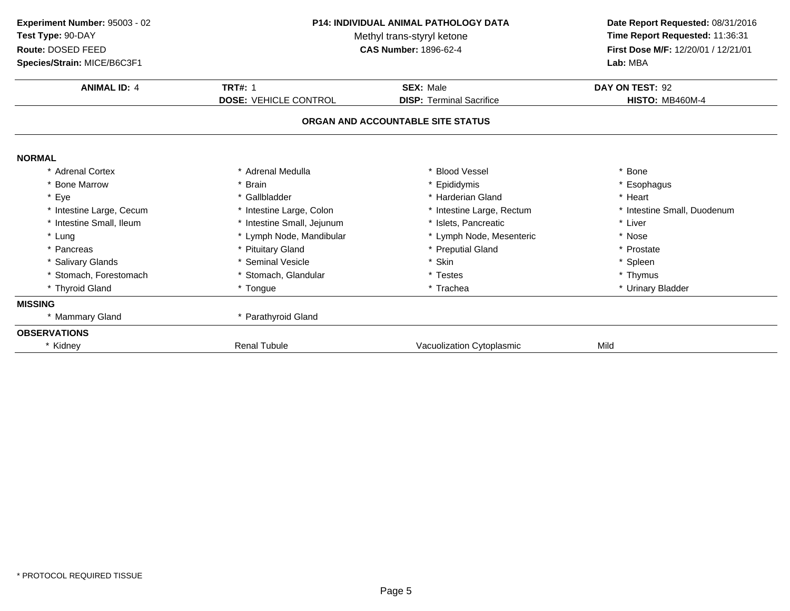| Experiment Number: 95003 - 02<br>Test Type: 90-DAY<br>Route: DOSED FEED<br>Species/Strain: MICE/B6C3F1 | P14: INDIVIDUAL ANIMAL PATHOLOGY DATA<br>Methyl trans-styryl ketone<br><b>CAS Number: 1896-62-4</b> |                                   | Date Report Requested: 08/31/2016<br>Time Report Requested: 11:36:31<br>First Dose M/F: 12/20/01 / 12/21/01<br>Lab: MBA |
|--------------------------------------------------------------------------------------------------------|-----------------------------------------------------------------------------------------------------|-----------------------------------|-------------------------------------------------------------------------------------------------------------------------|
| <b>ANIMAL ID: 4</b>                                                                                    | <b>TRT#: 1</b>                                                                                      | <b>SEX: Male</b>                  | DAY ON TEST: 92                                                                                                         |
|                                                                                                        | <b>DOSE: VEHICLE CONTROL</b>                                                                        | <b>DISP:</b> Terminal Sacrifice   | <b>HISTO: MB460M-4</b>                                                                                                  |
|                                                                                                        |                                                                                                     | ORGAN AND ACCOUNTABLE SITE STATUS |                                                                                                                         |
| <b>NORMAL</b>                                                                                          |                                                                                                     |                                   |                                                                                                                         |
| * Adrenal Cortex                                                                                       | * Adrenal Medulla                                                                                   | <b>Blood Vessel</b>               | * Bone                                                                                                                  |
| * Bone Marrow                                                                                          | * Brain                                                                                             | Epididymis                        | * Esophagus                                                                                                             |
| * Eye                                                                                                  | * Gallbladder                                                                                       | * Harderian Gland                 | * Heart                                                                                                                 |
| * Intestine Large, Cecum                                                                               | * Intestine Large, Colon                                                                            | * Intestine Large, Rectum         | * Intestine Small, Duodenum                                                                                             |
| * Intestine Small, Ileum                                                                               | * Intestine Small, Jejunum                                                                          | * Islets, Pancreatic              | * Liver                                                                                                                 |
| * Lung                                                                                                 | * Lymph Node, Mandibular                                                                            | * Lymph Node, Mesenteric          | * Nose                                                                                                                  |
| * Pancreas                                                                                             | * Pituitary Gland                                                                                   | * Preputial Gland                 | * Prostate                                                                                                              |
| * Salivary Glands                                                                                      | * Seminal Vesicle                                                                                   | * Skin                            | * Spleen                                                                                                                |
| * Stomach, Forestomach                                                                                 | * Stomach, Glandular                                                                                | * Testes                          | * Thymus                                                                                                                |
| * Thyroid Gland                                                                                        | * Tongue                                                                                            | * Trachea                         | * Urinary Bladder                                                                                                       |
| <b>MISSING</b>                                                                                         |                                                                                                     |                                   |                                                                                                                         |
| * Mammary Gland                                                                                        | * Parathyroid Gland                                                                                 |                                   |                                                                                                                         |
| <b>OBSERVATIONS</b>                                                                                    |                                                                                                     |                                   |                                                                                                                         |
| * Kidney                                                                                               | <b>Renal Tubule</b>                                                                                 | Vacuolization Cytoplasmic         | Mild                                                                                                                    |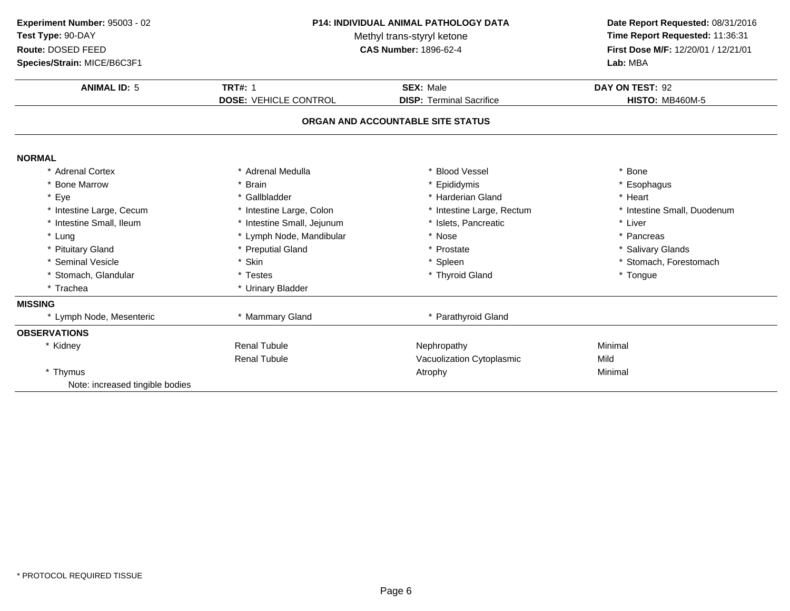| Experiment Number: 95003 - 02<br>Test Type: 90-DAY<br>Route: DOSED FEED<br>Species/Strain: MICE/B6C3F1 | P14: INDIVIDUAL ANIMAL PATHOLOGY DATA<br>Methyl trans-styryl ketone<br><b>CAS Number: 1896-62-4</b> |                                   | Date Report Requested: 08/31/2016<br>Time Report Requested: 11:36:31<br>First Dose M/F: 12/20/01 / 12/21/01<br>Lab: MBA |  |
|--------------------------------------------------------------------------------------------------------|-----------------------------------------------------------------------------------------------------|-----------------------------------|-------------------------------------------------------------------------------------------------------------------------|--|
| <b>ANIMAL ID: 5</b>                                                                                    | <b>TRT#: 1</b>                                                                                      | <b>SEX: Male</b>                  | DAY ON TEST: 92                                                                                                         |  |
|                                                                                                        | <b>DOSE: VEHICLE CONTROL</b>                                                                        | <b>DISP: Terminal Sacrifice</b>   | <b>HISTO: MB460M-5</b>                                                                                                  |  |
|                                                                                                        |                                                                                                     | ORGAN AND ACCOUNTABLE SITE STATUS |                                                                                                                         |  |
| <b>NORMAL</b>                                                                                          |                                                                                                     |                                   |                                                                                                                         |  |
| * Adrenal Cortex                                                                                       | * Adrenal Medulla                                                                                   | <b>Blood Vessel</b>               | * Bone                                                                                                                  |  |
| * Bone Marrow                                                                                          | * Brain                                                                                             | Epididymis                        | * Esophagus                                                                                                             |  |
| * Eye                                                                                                  | * Gallbladder                                                                                       | * Harderian Gland                 | * Heart                                                                                                                 |  |
| * Intestine Large, Cecum                                                                               | * Intestine Large, Colon                                                                            | * Intestine Large, Rectum         | * Intestine Small, Duodenum                                                                                             |  |
| * Intestine Small, Ileum                                                                               | * Intestine Small, Jejunum                                                                          | * Islets, Pancreatic              | * Liver                                                                                                                 |  |
| * Lung                                                                                                 | * Lymph Node, Mandibular                                                                            | * Nose                            | * Pancreas                                                                                                              |  |
| * Pituitary Gland                                                                                      | * Preputial Gland                                                                                   | * Prostate                        | * Salivary Glands                                                                                                       |  |
| * Seminal Vesicle                                                                                      | * Skin                                                                                              | * Spleen                          | * Stomach, Forestomach                                                                                                  |  |
| * Stomach, Glandular                                                                                   | * Testes                                                                                            | * Thyroid Gland                   | * Tongue                                                                                                                |  |
| * Trachea                                                                                              | * Urinary Bladder                                                                                   |                                   |                                                                                                                         |  |
| <b>MISSING</b>                                                                                         |                                                                                                     |                                   |                                                                                                                         |  |
| * Lymph Node, Mesenteric                                                                               | * Mammary Gland                                                                                     | * Parathyroid Gland               |                                                                                                                         |  |
| <b>OBSERVATIONS</b>                                                                                    |                                                                                                     |                                   |                                                                                                                         |  |
| * Kidney                                                                                               | <b>Renal Tubule</b>                                                                                 | Nephropathy                       | Minimal                                                                                                                 |  |
|                                                                                                        | <b>Renal Tubule</b>                                                                                 | Vacuolization Cytoplasmic         | Mild                                                                                                                    |  |
| * Thymus                                                                                               |                                                                                                     | Atrophy                           | Minimal                                                                                                                 |  |
| Note: increased tingible bodies                                                                        |                                                                                                     |                                   |                                                                                                                         |  |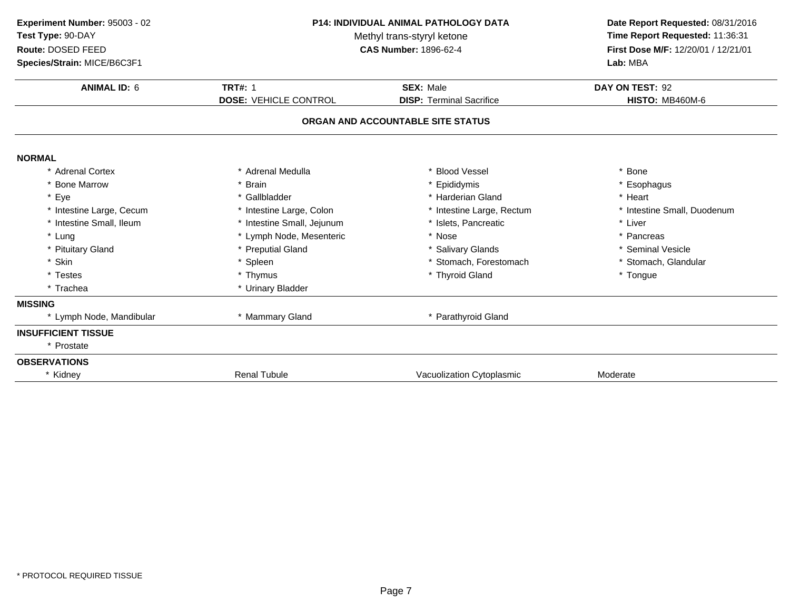| Experiment Number: 95003 - 02<br>Test Type: 90-DAY<br>Route: DOSED FEED<br>Species/Strain: MICE/B6C3F1 | <b>P14: INDIVIDUAL ANIMAL PATHOLOGY DATA</b><br>Methyl trans-styryl ketone<br><b>CAS Number: 1896-62-4</b> |                                   | Date Report Requested: 08/31/2016<br>Time Report Requested: 11:36:31<br>First Dose M/F: 12/20/01 / 12/21/01<br>Lab: MBA |
|--------------------------------------------------------------------------------------------------------|------------------------------------------------------------------------------------------------------------|-----------------------------------|-------------------------------------------------------------------------------------------------------------------------|
| <b>ANIMAL ID: 6</b>                                                                                    | <b>TRT#: 1</b>                                                                                             | <b>SEX: Male</b>                  | DAY ON TEST: 92                                                                                                         |
|                                                                                                        | <b>DOSE: VEHICLE CONTROL</b>                                                                               | <b>DISP: Terminal Sacrifice</b>   | <b>HISTO: MB460M-6</b>                                                                                                  |
|                                                                                                        |                                                                                                            | ORGAN AND ACCOUNTABLE SITE STATUS |                                                                                                                         |
| <b>NORMAL</b>                                                                                          |                                                                                                            |                                   |                                                                                                                         |
| * Adrenal Cortex                                                                                       | * Adrenal Medulla                                                                                          | <b>Blood Vessel</b>               | * Bone                                                                                                                  |
| * Bone Marrow                                                                                          | * Brain                                                                                                    | * Epididymis                      | * Esophagus                                                                                                             |
| * Eye                                                                                                  | * Gallbladder                                                                                              | * Harderian Gland                 | * Heart                                                                                                                 |
| * Intestine Large, Cecum                                                                               | * Intestine Large, Colon                                                                                   | * Intestine Large, Rectum         | * Intestine Small, Duodenum                                                                                             |
| * Intestine Small, Ileum                                                                               | * Intestine Small, Jejunum                                                                                 | * Islets, Pancreatic              | * Liver                                                                                                                 |
| * Lung                                                                                                 | * Lymph Node, Mesenteric                                                                                   | * Nose                            | * Pancreas                                                                                                              |
| * Pituitary Gland                                                                                      | * Preputial Gland                                                                                          | * Salivary Glands                 | * Seminal Vesicle                                                                                                       |
| * Skin                                                                                                 | * Spleen                                                                                                   | * Stomach, Forestomach            | * Stomach, Glandular                                                                                                    |
| * Testes                                                                                               | * Thymus                                                                                                   | * Thyroid Gland                   | * Tongue                                                                                                                |
| * Trachea                                                                                              | * Urinary Bladder                                                                                          |                                   |                                                                                                                         |
| <b>MISSING</b>                                                                                         |                                                                                                            |                                   |                                                                                                                         |
| * Lymph Node, Mandibular                                                                               | * Mammary Gland                                                                                            | * Parathyroid Gland               |                                                                                                                         |
| <b>INSUFFICIENT TISSUE</b>                                                                             |                                                                                                            |                                   |                                                                                                                         |
| * Prostate                                                                                             |                                                                                                            |                                   |                                                                                                                         |
| <b>OBSERVATIONS</b>                                                                                    |                                                                                                            |                                   |                                                                                                                         |
| * Kidney                                                                                               | <b>Renal Tubule</b>                                                                                        | Vacuolization Cytoplasmic         | Moderate                                                                                                                |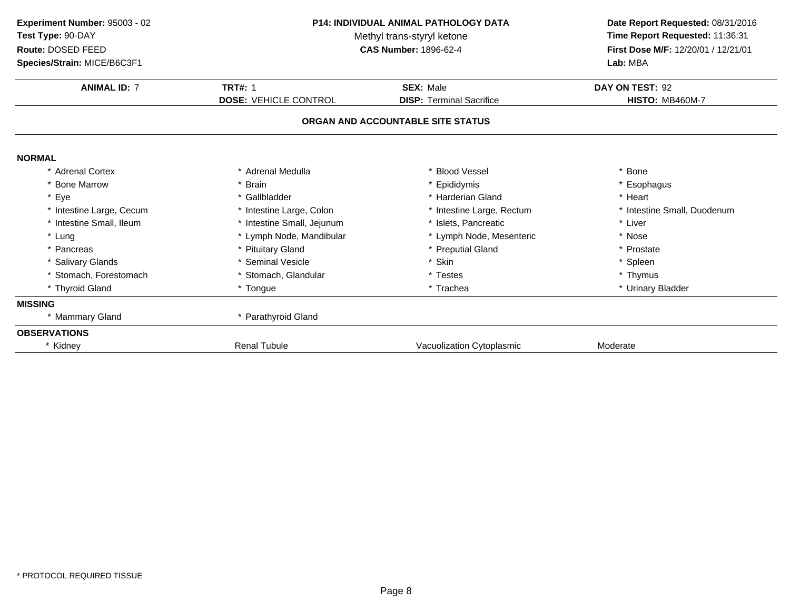| Experiment Number: 95003 - 02<br>Test Type: 90-DAY<br>Route: DOSED FEED<br>Species/Strain: MICE/B6C3F1 | <b>P14: INDIVIDUAL ANIMAL PATHOLOGY DATA</b><br>Methyl trans-styryl ketone<br><b>CAS Number: 1896-62-4</b> |                                                                      | Date Report Requested: 08/31/2016<br>Time Report Requested: 11:36:31<br>First Dose M/F: 12/20/01 / 12/21/01<br>Lab: MBA |
|--------------------------------------------------------------------------------------------------------|------------------------------------------------------------------------------------------------------------|----------------------------------------------------------------------|-------------------------------------------------------------------------------------------------------------------------|
| <b>ANIMAL ID: 7</b>                                                                                    | <b>TRT#: 1</b>                                                                                             | <b>SEX: Male</b>                                                     | DAY ON TEST: 92                                                                                                         |
|                                                                                                        | <b>DOSE: VEHICLE CONTROL</b>                                                                               | <b>DISP: Terminal Sacrifice</b><br>ORGAN AND ACCOUNTABLE SITE STATUS | <b>HISTO: MB460M-7</b>                                                                                                  |
| <b>NORMAL</b>                                                                                          |                                                                                                            |                                                                      |                                                                                                                         |
| * Adrenal Cortex                                                                                       | * Adrenal Medulla                                                                                          | * Blood Vessel                                                       | Bone                                                                                                                    |
| * Bone Marrow                                                                                          | * Brain                                                                                                    | * Epididymis                                                         | * Esophagus                                                                                                             |
| * Eye                                                                                                  | * Gallbladder                                                                                              | * Harderian Gland                                                    | * Heart                                                                                                                 |
| * Intestine Large, Cecum                                                                               | * Intestine Large, Colon                                                                                   | * Intestine Large, Rectum                                            | * Intestine Small, Duodenum                                                                                             |
| * Intestine Small, Ileum                                                                               | * Intestine Small, Jejunum                                                                                 | * Islets, Pancreatic                                                 | * Liver                                                                                                                 |
| * Lung                                                                                                 | * Lymph Node, Mandibular                                                                                   | * Lymph Node, Mesenteric                                             | * Nose                                                                                                                  |
| * Pancreas                                                                                             | * Pituitary Gland                                                                                          | * Preputial Gland                                                    | * Prostate                                                                                                              |
| * Salivary Glands                                                                                      | * Seminal Vesicle                                                                                          | * Skin                                                               | * Spleen                                                                                                                |
| * Stomach, Forestomach                                                                                 | * Stomach, Glandular                                                                                       | * Testes                                                             | * Thymus                                                                                                                |
| * Thyroid Gland                                                                                        | * Tongue                                                                                                   | * Trachea                                                            | * Urinary Bladder                                                                                                       |
| <b>MISSING</b>                                                                                         |                                                                                                            |                                                                      |                                                                                                                         |
| * Mammary Gland                                                                                        | * Parathyroid Gland                                                                                        |                                                                      |                                                                                                                         |
| <b>OBSERVATIONS</b>                                                                                    |                                                                                                            |                                                                      |                                                                                                                         |
| * Kidney                                                                                               | <b>Renal Tubule</b>                                                                                        | Vacuolization Cytoplasmic                                            | Moderate                                                                                                                |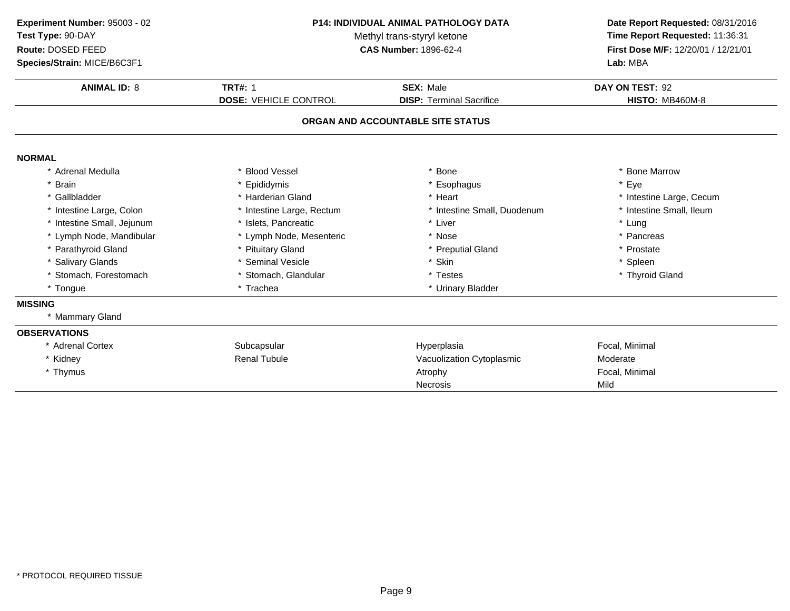| Experiment Number: 95003 - 02<br>Test Type: 90-DAY<br>Route: DOSED FEED<br>Species/Strain: MICE/B6C3F1 | <b>P14: INDIVIDUAL ANIMAL PATHOLOGY DATA</b><br>Methyl trans-styryl ketone<br><b>CAS Number: 1896-62-4</b> |                                                     | Date Report Requested: 08/31/2016<br>Time Report Requested: 11:36:31<br>First Dose M/F: 12/20/01 / 12/21/01<br>Lab: MBA |
|--------------------------------------------------------------------------------------------------------|------------------------------------------------------------------------------------------------------------|-----------------------------------------------------|-------------------------------------------------------------------------------------------------------------------------|
| <b>ANIMAL ID: 8</b>                                                                                    | <b>TRT#: 1</b><br><b>DOSE: VEHICLE CONTROL</b>                                                             | <b>SEX: Male</b><br><b>DISP: Terminal Sacrifice</b> | DAY ON TEST: 92<br><b>HISTO: MB460M-8</b>                                                                               |
|                                                                                                        |                                                                                                            | ORGAN AND ACCOUNTABLE SITE STATUS                   |                                                                                                                         |
| <b>NORMAL</b>                                                                                          |                                                                                                            |                                                     |                                                                                                                         |
| Adrenal Medulla                                                                                        | <b>Blood Vessel</b>                                                                                        | * Bone                                              | <b>Bone Marrow</b>                                                                                                      |
| <b>Brain</b>                                                                                           | * Epididymis                                                                                               | * Esophagus                                         | * Eye                                                                                                                   |
| Gallbladder                                                                                            | * Harderian Gland                                                                                          | * Heart                                             | * Intestine Large, Cecum                                                                                                |
| * Intestine Large, Colon                                                                               | * Intestine Large, Rectum                                                                                  | * Intestine Small, Duodenum                         | * Intestine Small, Ileum                                                                                                |
| Intestine Small, Jejunum                                                                               | * Islets, Pancreatic                                                                                       | * Liver                                             | * Lung                                                                                                                  |
| * Lymph Node, Mandibular                                                                               | * Lymph Node, Mesenteric                                                                                   | * Nose                                              | * Pancreas                                                                                                              |
| * Parathyroid Gland                                                                                    | * Pituitary Gland                                                                                          | * Preputial Gland                                   | * Prostate                                                                                                              |
| * Salivary Glands                                                                                      | * Seminal Vesicle                                                                                          | * Skin                                              | * Spleen                                                                                                                |
| * Stomach, Forestomach                                                                                 | * Stomach, Glandular                                                                                       | * Testes                                            | * Thyroid Gland                                                                                                         |
| * Tongue                                                                                               | * Trachea                                                                                                  | * Urinary Bladder                                   |                                                                                                                         |
| <b>MISSING</b>                                                                                         |                                                                                                            |                                                     |                                                                                                                         |
| * Mammary Gland                                                                                        |                                                                                                            |                                                     |                                                                                                                         |
| <b>OBSERVATIONS</b>                                                                                    |                                                                                                            |                                                     |                                                                                                                         |
| * Adrenal Cortex                                                                                       | Subcapsular                                                                                                | Hyperplasia                                         | Focal, Minimal                                                                                                          |
| * Kidney                                                                                               | <b>Renal Tubule</b>                                                                                        | Vacuolization Cytoplasmic                           | Moderate                                                                                                                |
| * Thymus                                                                                               |                                                                                                            | Atrophy                                             | Focal, Minimal                                                                                                          |
|                                                                                                        |                                                                                                            | <b>Necrosis</b>                                     | Mild                                                                                                                    |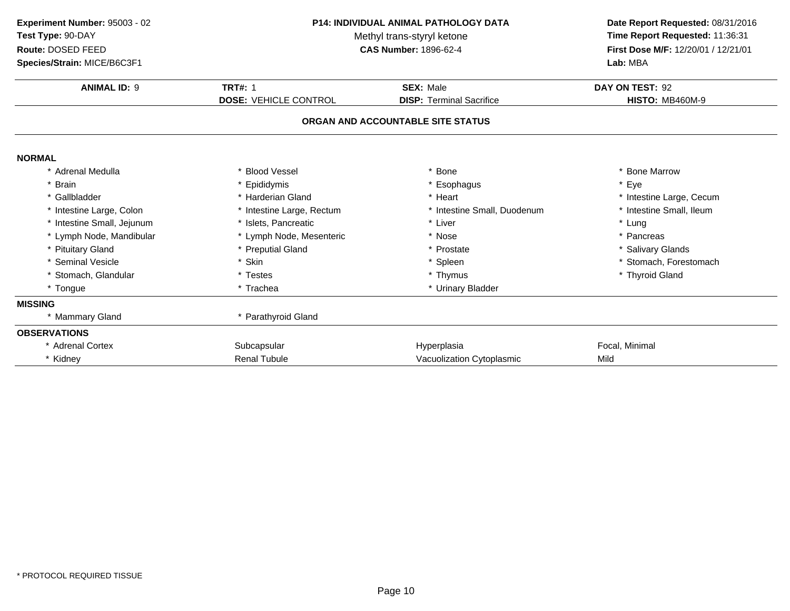| Experiment Number: 95003 - 02<br>Test Type: 90-DAY<br>Route: DOSED FEED<br>Species/Strain: MICE/B6C3F1 | <b>P14: INDIVIDUAL ANIMAL PATHOLOGY DATA</b><br>Methyl trans-styryl ketone<br><b>CAS Number: 1896-62-4</b> |                                   | Date Report Requested: 08/31/2016<br>Time Report Requested: 11:36:31<br>First Dose M/F: 12/20/01 / 12/21/01<br>Lab: MBA |
|--------------------------------------------------------------------------------------------------------|------------------------------------------------------------------------------------------------------------|-----------------------------------|-------------------------------------------------------------------------------------------------------------------------|
| <b>ANIMAL ID: 9</b>                                                                                    | <b>TRT#: 1</b>                                                                                             | <b>SEX: Male</b>                  | DAY ON TEST: 92                                                                                                         |
|                                                                                                        | <b>DOSE: VEHICLE CONTROL</b>                                                                               | <b>DISP: Terminal Sacrifice</b>   | <b>HISTO: MB460M-9</b>                                                                                                  |
|                                                                                                        |                                                                                                            | ORGAN AND ACCOUNTABLE SITE STATUS |                                                                                                                         |
| <b>NORMAL</b>                                                                                          |                                                                                                            |                                   |                                                                                                                         |
| * Adrenal Medulla                                                                                      | <b>Blood Vessel</b>                                                                                        | <b>Bone</b>                       | * Bone Marrow                                                                                                           |
| * Brain                                                                                                | Epididymis                                                                                                 | * Esophagus                       | * Eye                                                                                                                   |
| * Gallbladder                                                                                          | * Harderian Gland                                                                                          | * Heart                           | * Intestine Large, Cecum                                                                                                |
| * Intestine Large, Colon                                                                               | * Intestine Large, Rectum                                                                                  | * Intestine Small, Duodenum       | * Intestine Small, Ileum                                                                                                |
| * Intestine Small, Jejunum                                                                             | * Islets, Pancreatic                                                                                       | * Liver                           | * Lung                                                                                                                  |
| * Lymph Node, Mandibular                                                                               | * Lymph Node, Mesenteric                                                                                   | * Nose                            | * Pancreas                                                                                                              |
| * Pituitary Gland                                                                                      | * Preputial Gland                                                                                          | * Prostate                        | * Salivary Glands                                                                                                       |
| * Seminal Vesicle                                                                                      | * Skin                                                                                                     | * Spleen                          | * Stomach, Forestomach                                                                                                  |
| * Stomach, Glandular                                                                                   | * Testes                                                                                                   | * Thymus                          | * Thyroid Gland                                                                                                         |
| * Tongue                                                                                               | * Trachea                                                                                                  | * Urinary Bladder                 |                                                                                                                         |
| <b>MISSING</b>                                                                                         |                                                                                                            |                                   |                                                                                                                         |
| * Mammary Gland                                                                                        | * Parathyroid Gland                                                                                        |                                   |                                                                                                                         |
| <b>OBSERVATIONS</b>                                                                                    |                                                                                                            |                                   |                                                                                                                         |
| * Adrenal Cortex                                                                                       | Subcapsular                                                                                                | Hyperplasia                       | Focal, Minimal                                                                                                          |
| * Kidney                                                                                               | <b>Renal Tubule</b>                                                                                        | Vacuolization Cytoplasmic         | Mild                                                                                                                    |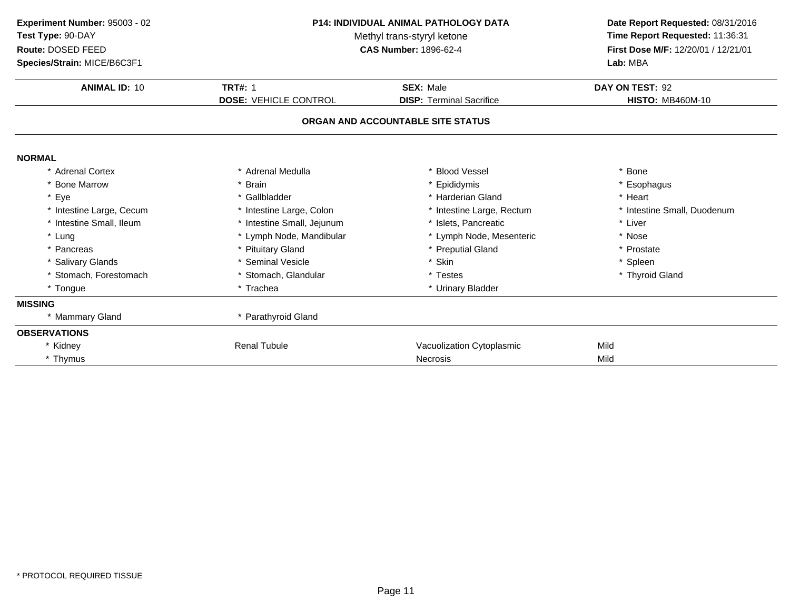| Experiment Number: 95003 - 02<br>Test Type: 90-DAY<br>Route: DOSED FEED<br>Species/Strain: MICE/B6C3F1 | <b>P14: INDIVIDUAL ANIMAL PATHOLOGY DATA</b><br>Methyl trans-styryl ketone<br><b>CAS Number: 1896-62-4</b> |                                   | Date Report Requested: 08/31/2016<br>Time Report Requested: 11:36:31<br>First Dose M/F: 12/20/01 / 12/21/01<br>Lab: MBA |
|--------------------------------------------------------------------------------------------------------|------------------------------------------------------------------------------------------------------------|-----------------------------------|-------------------------------------------------------------------------------------------------------------------------|
| <b>ANIMAL ID: 10</b>                                                                                   | <b>TRT#: 1</b>                                                                                             | <b>SEX: Male</b>                  | DAY ON TEST: 92                                                                                                         |
|                                                                                                        | <b>DOSE: VEHICLE CONTROL</b>                                                                               | <b>DISP: Terminal Sacrifice</b>   | <b>HISTO: MB460M-10</b>                                                                                                 |
|                                                                                                        |                                                                                                            | ORGAN AND ACCOUNTABLE SITE STATUS |                                                                                                                         |
| <b>NORMAL</b>                                                                                          |                                                                                                            |                                   |                                                                                                                         |
| * Adrenal Cortex                                                                                       | * Adrenal Medulla                                                                                          | * Blood Vessel                    | * Bone                                                                                                                  |
| * Bone Marrow                                                                                          | <b>Brain</b>                                                                                               | * Epididymis                      | * Esophagus                                                                                                             |
| * Eye                                                                                                  | * Gallbladder                                                                                              | * Harderian Gland                 | * Heart                                                                                                                 |
| * Intestine Large, Cecum                                                                               | * Intestine Large, Colon                                                                                   | * Intestine Large, Rectum         | * Intestine Small, Duodenum                                                                                             |
| * Intestine Small, Ileum                                                                               | * Intestine Small, Jejunum                                                                                 | * Islets. Pancreatic              | * Liver                                                                                                                 |
| * Lung                                                                                                 | * Lymph Node, Mandibular                                                                                   | * Lymph Node, Mesenteric          | * Nose                                                                                                                  |
| * Pancreas                                                                                             | * Pituitary Gland                                                                                          | * Preputial Gland                 | * Prostate                                                                                                              |
| * Salivary Glands                                                                                      | Seminal Vesicle                                                                                            | * Skin                            | * Spleen                                                                                                                |
| * Stomach, Forestomach                                                                                 | * Stomach, Glandular                                                                                       | * Testes                          | * Thyroid Gland                                                                                                         |
| * Tongue                                                                                               | * Trachea                                                                                                  | * Urinary Bladder                 |                                                                                                                         |
| <b>MISSING</b>                                                                                         |                                                                                                            |                                   |                                                                                                                         |
| * Mammary Gland                                                                                        | * Parathyroid Gland                                                                                        |                                   |                                                                                                                         |
| <b>OBSERVATIONS</b>                                                                                    |                                                                                                            |                                   |                                                                                                                         |
| * Kidney                                                                                               | <b>Renal Tubule</b>                                                                                        | Vacuolization Cytoplasmic         | Mild                                                                                                                    |
| * Thymus                                                                                               |                                                                                                            | <b>Necrosis</b>                   | Mild                                                                                                                    |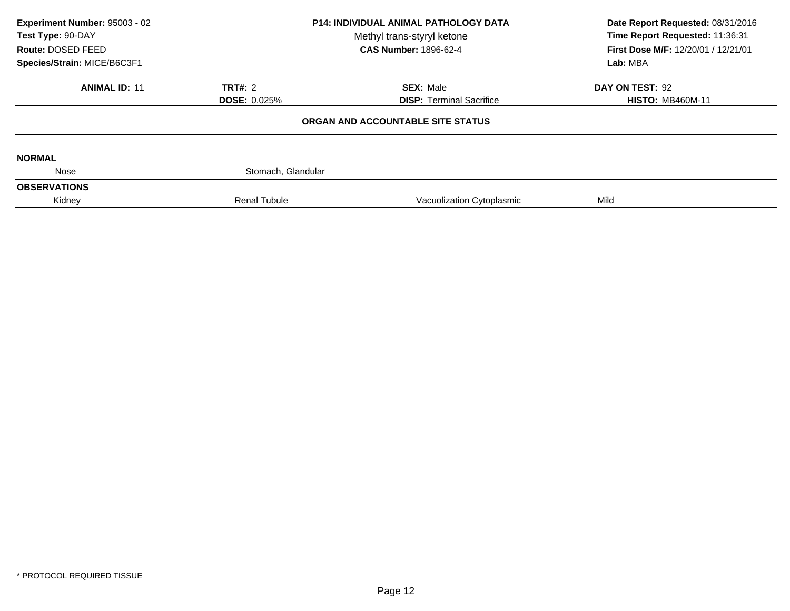| Experiment Number: 95003 - 02<br>Test Type: 90-DAY<br>Route: DOSED FEED<br>Species/Strain: MICE/B6C3F1 | <b>P14: INDIVIDUAL ANIMAL PATHOLOGY DATA</b><br>Methyl trans-styryl ketone<br><b>CAS Number: 1896-62-4</b> |                                   | Date Report Requested: 08/31/2016<br>Time Report Requested: 11:36:31<br>First Dose M/F: 12/20/01 / 12/21/01<br>Lab: MBA |
|--------------------------------------------------------------------------------------------------------|------------------------------------------------------------------------------------------------------------|-----------------------------------|-------------------------------------------------------------------------------------------------------------------------|
| <b>ANIMAL ID: 11</b>                                                                                   | TRT#: 2                                                                                                    | <b>SEX: Male</b>                  | DAY ON TEST: 92                                                                                                         |
|                                                                                                        | <b>DOSE: 0.025%</b>                                                                                        | <b>DISP: Terminal Sacrifice</b>   | <b>HISTO: MB460M-11</b>                                                                                                 |
|                                                                                                        |                                                                                                            | ORGAN AND ACCOUNTABLE SITE STATUS |                                                                                                                         |
| <b>NORMAL</b>                                                                                          |                                                                                                            |                                   |                                                                                                                         |
| Nose                                                                                                   | Stomach, Glandular                                                                                         |                                   |                                                                                                                         |
| <b>OBSERVATIONS</b>                                                                                    |                                                                                                            |                                   |                                                                                                                         |
| Kidney                                                                                                 | <b>Renal Tubule</b>                                                                                        | Vacuolization Cytoplasmic         | Mild                                                                                                                    |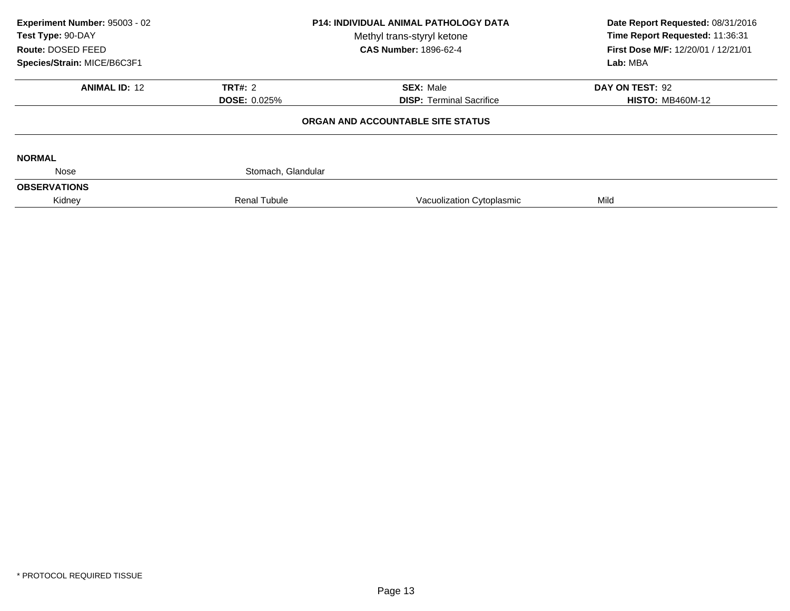| Experiment Number: 95003 - 02<br>Test Type: 90-DAY<br>Route: DOSED FEED | <b>P14: INDIVIDUAL ANIMAL PATHOLOGY DATA</b><br>Methyl trans-styryl ketone<br><b>CAS Number: 1896-62-4</b> |                                   | Date Report Requested: 08/31/2016<br>Time Report Requested: 11:36:31<br>First Dose M/F: 12/20/01 / 12/21/01 |  |
|-------------------------------------------------------------------------|------------------------------------------------------------------------------------------------------------|-----------------------------------|-------------------------------------------------------------------------------------------------------------|--|
| Species/Strain: MICE/B6C3F1                                             |                                                                                                            |                                   | Lab: MBA                                                                                                    |  |
| <b>ANIMAL ID: 12</b>                                                    | <b>TRT#: 2</b>                                                                                             | <b>SEX: Male</b>                  | DAY ON TEST: 92                                                                                             |  |
|                                                                         | <b>DOSE: 0.025%</b>                                                                                        | <b>DISP:</b> Terminal Sacrifice   | <b>HISTO: MB460M-12</b>                                                                                     |  |
|                                                                         |                                                                                                            | ORGAN AND ACCOUNTABLE SITE STATUS |                                                                                                             |  |
| <b>NORMAL</b>                                                           |                                                                                                            |                                   |                                                                                                             |  |
| Nose                                                                    | Stomach, Glandular                                                                                         |                                   |                                                                                                             |  |
| <b>OBSERVATIONS</b>                                                     |                                                                                                            |                                   |                                                                                                             |  |
| Kidney                                                                  | <b>Renal Tubule</b>                                                                                        | Vacuolization Cytoplasmic         | Mild                                                                                                        |  |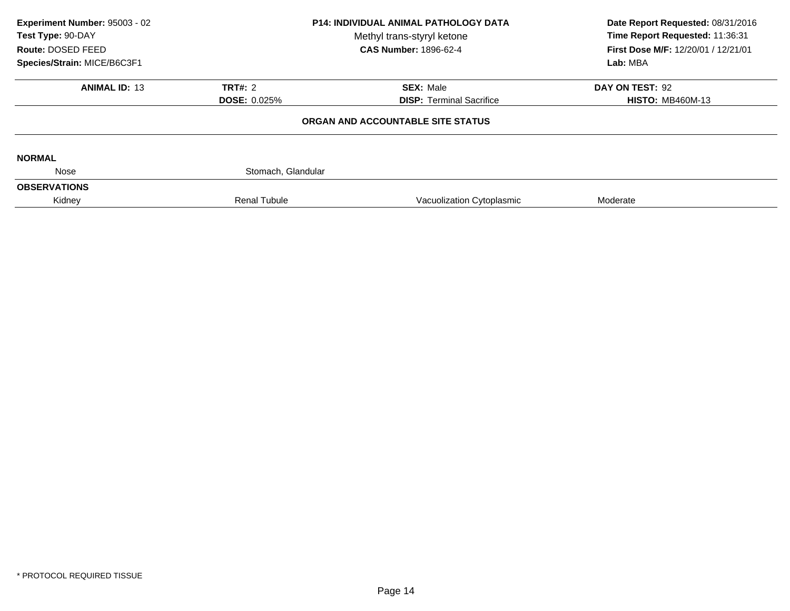| Experiment Number: 95003 - 02<br>Test Type: 90-DAY<br>Route: DOSED FEED | <b>P14: INDIVIDUAL ANIMAL PATHOLOGY DATA</b><br>Methyl trans-styryl ketone<br><b>CAS Number: 1896-62-4</b> |                                   | Date Report Requested: 08/31/2016<br>Time Report Requested: 11:36:31<br>First Dose M/F: 12/20/01 / 12/21/01 |  |
|-------------------------------------------------------------------------|------------------------------------------------------------------------------------------------------------|-----------------------------------|-------------------------------------------------------------------------------------------------------------|--|
| Species/Strain: MICE/B6C3F1                                             |                                                                                                            |                                   | Lab: MBA                                                                                                    |  |
| <b>ANIMAL ID: 13</b>                                                    | <b>TRT#: 2</b>                                                                                             | <b>SEX: Male</b>                  | DAY ON TEST: 92                                                                                             |  |
|                                                                         | <b>DOSE: 0.025%</b>                                                                                        | <b>DISP:</b> Terminal Sacrifice   | <b>HISTO: MB460M-13</b>                                                                                     |  |
|                                                                         |                                                                                                            | ORGAN AND ACCOUNTABLE SITE STATUS |                                                                                                             |  |
| <b>NORMAL</b>                                                           |                                                                                                            |                                   |                                                                                                             |  |
| Nose                                                                    | Stomach, Glandular                                                                                         |                                   |                                                                                                             |  |
| <b>OBSERVATIONS</b>                                                     |                                                                                                            |                                   |                                                                                                             |  |
| Kidney                                                                  | <b>Renal Tubule</b>                                                                                        | Vacuolization Cytoplasmic         | Moderate                                                                                                    |  |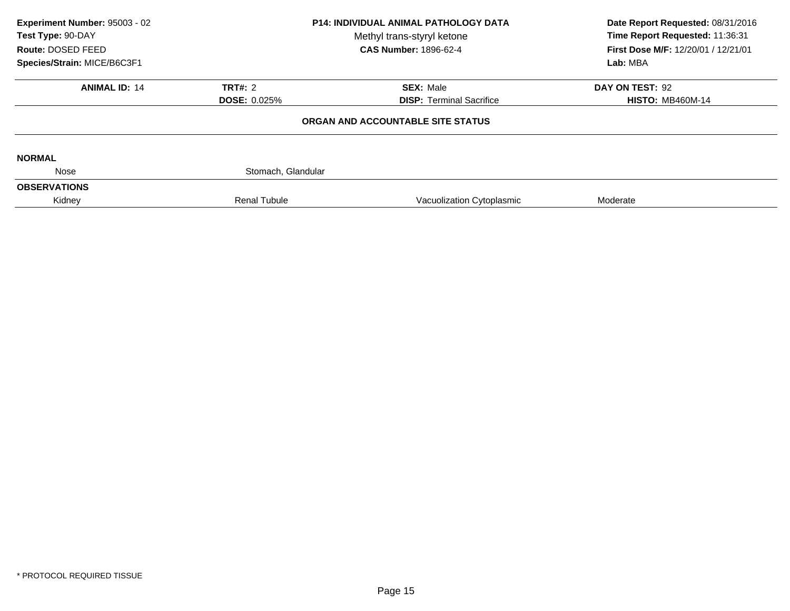| Experiment Number: 95003 - 02<br>Test Type: 90-DAY<br>Route: DOSED FEED | <b>P14: INDIVIDUAL ANIMAL PATHOLOGY DATA</b><br>Methyl trans-styryl ketone<br><b>CAS Number: 1896-62-4</b> |                                   | Date Report Requested: 08/31/2016<br>Time Report Requested: 11:36:31<br>First Dose M/F: 12/20/01 / 12/21/01 |  |
|-------------------------------------------------------------------------|------------------------------------------------------------------------------------------------------------|-----------------------------------|-------------------------------------------------------------------------------------------------------------|--|
| Species/Strain: MICE/B6C3F1                                             |                                                                                                            |                                   | Lab: MBA                                                                                                    |  |
| <b>ANIMAL ID: 14</b>                                                    | <b>TRT#: 2</b>                                                                                             | <b>SEX: Male</b>                  | DAY ON TEST: 92                                                                                             |  |
|                                                                         | <b>DOSE: 0.025%</b>                                                                                        | <b>DISP:</b> Terminal Sacrifice   | <b>HISTO: MB460M-14</b>                                                                                     |  |
|                                                                         |                                                                                                            | ORGAN AND ACCOUNTABLE SITE STATUS |                                                                                                             |  |
| <b>NORMAL</b>                                                           |                                                                                                            |                                   |                                                                                                             |  |
| Nose                                                                    | Stomach, Glandular                                                                                         |                                   |                                                                                                             |  |
| <b>OBSERVATIONS</b>                                                     |                                                                                                            |                                   |                                                                                                             |  |
| Kidney                                                                  | <b>Renal Tubule</b>                                                                                        | Vacuolization Cytoplasmic         | Moderate                                                                                                    |  |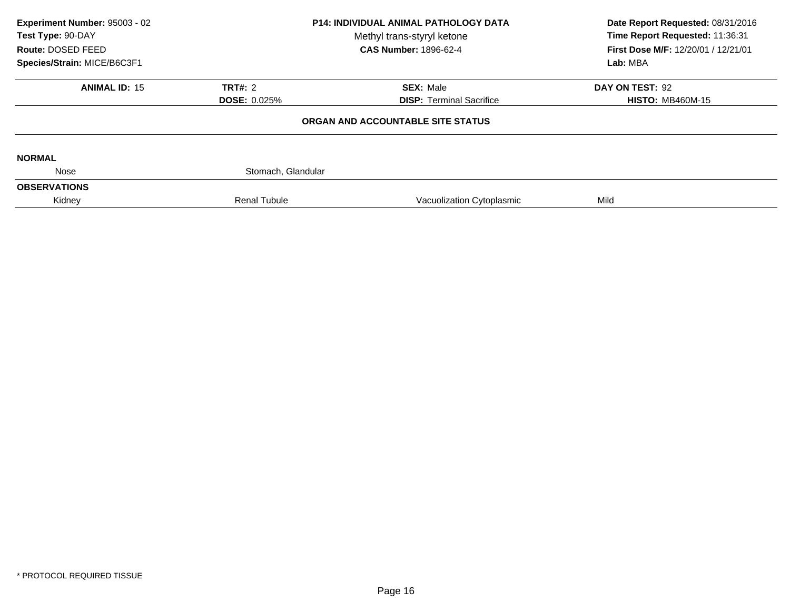| Experiment Number: 95003 - 02<br>Test Type: 90-DAY<br>Route: DOSED FEED | <b>P14: INDIVIDUAL ANIMAL PATHOLOGY DATA</b><br>Methyl trans-styryl ketone<br><b>CAS Number: 1896-62-4</b> |                                   | Date Report Requested: 08/31/2016<br>Time Report Requested: 11:36:31<br>First Dose M/F: 12/20/01 / 12/21/01 |  |
|-------------------------------------------------------------------------|------------------------------------------------------------------------------------------------------------|-----------------------------------|-------------------------------------------------------------------------------------------------------------|--|
| Species/Strain: MICE/B6C3F1                                             |                                                                                                            |                                   | Lab: MBA                                                                                                    |  |
| <b>ANIMAL ID: 15</b>                                                    | <b>TRT#: 2</b>                                                                                             | <b>SEX: Male</b>                  | DAY ON TEST: 92                                                                                             |  |
|                                                                         | <b>DOSE: 0.025%</b>                                                                                        | <b>DISP:</b> Terminal Sacrifice   | <b>HISTO: MB460M-15</b>                                                                                     |  |
|                                                                         |                                                                                                            | ORGAN AND ACCOUNTABLE SITE STATUS |                                                                                                             |  |
| <b>NORMAL</b>                                                           |                                                                                                            |                                   |                                                                                                             |  |
| Nose                                                                    | Stomach, Glandular                                                                                         |                                   |                                                                                                             |  |
| <b>OBSERVATIONS</b>                                                     |                                                                                                            |                                   |                                                                                                             |  |
| Kidney                                                                  | <b>Renal Tubule</b>                                                                                        | Vacuolization Cytoplasmic         | Mild                                                                                                        |  |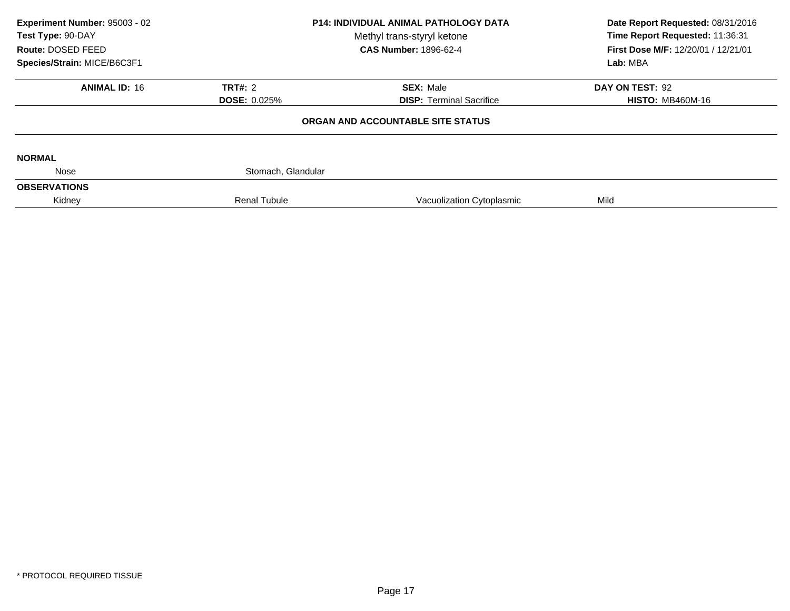| Experiment Number: 95003 - 02<br>Test Type: 90-DAY<br>Route: DOSED FEED | <b>P14: INDIVIDUAL ANIMAL PATHOLOGY DATA</b><br>Methyl trans-styryl ketone<br><b>CAS Number: 1896-62-4</b> |                                   | Date Report Requested: 08/31/2016<br>Time Report Requested: 11:36:31<br>First Dose M/F: 12/20/01 / 12/21/01 |  |
|-------------------------------------------------------------------------|------------------------------------------------------------------------------------------------------------|-----------------------------------|-------------------------------------------------------------------------------------------------------------|--|
| Species/Strain: MICE/B6C3F1                                             |                                                                                                            |                                   | Lab: MBA                                                                                                    |  |
| <b>ANIMAL ID: 16</b>                                                    | <b>TRT#: 2</b>                                                                                             | <b>SEX: Male</b>                  | DAY ON TEST: 92                                                                                             |  |
|                                                                         | <b>DOSE: 0.025%</b>                                                                                        | <b>DISP:</b> Terminal Sacrifice   | <b>HISTO: MB460M-16</b>                                                                                     |  |
|                                                                         |                                                                                                            | ORGAN AND ACCOUNTABLE SITE STATUS |                                                                                                             |  |
| <b>NORMAL</b>                                                           |                                                                                                            |                                   |                                                                                                             |  |
| Nose                                                                    | Stomach, Glandular                                                                                         |                                   |                                                                                                             |  |
| <b>OBSERVATIONS</b>                                                     |                                                                                                            |                                   |                                                                                                             |  |
| Kidney                                                                  | <b>Renal Tubule</b>                                                                                        | Vacuolization Cytoplasmic         | Mild                                                                                                        |  |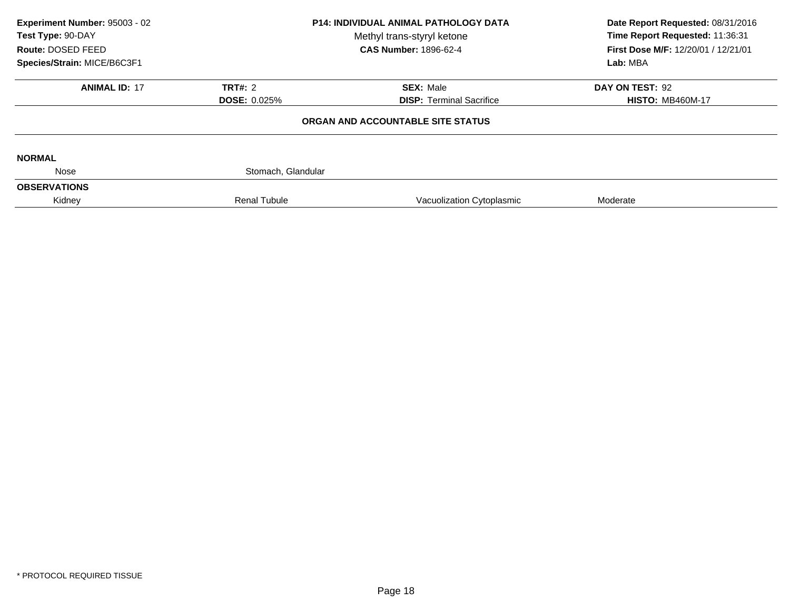| Experiment Number: 95003 - 02<br>Test Type: 90-DAY<br>Route: DOSED FEED | <b>P14: INDIVIDUAL ANIMAL PATHOLOGY DATA</b><br>Methyl trans-styryl ketone<br><b>CAS Number: 1896-62-4</b> |                                   | Date Report Requested: 08/31/2016<br>Time Report Requested: 11:36:31<br>First Dose M/F: 12/20/01 / 12/21/01 |  |
|-------------------------------------------------------------------------|------------------------------------------------------------------------------------------------------------|-----------------------------------|-------------------------------------------------------------------------------------------------------------|--|
| Species/Strain: MICE/B6C3F1                                             |                                                                                                            |                                   | Lab: MBA                                                                                                    |  |
| <b>ANIMAL ID: 17</b>                                                    | <b>TRT#: 2</b>                                                                                             | <b>SEX: Male</b>                  | DAY ON TEST: 92                                                                                             |  |
|                                                                         | <b>DOSE: 0.025%</b>                                                                                        | <b>DISP:</b> Terminal Sacrifice   | <b>HISTO: MB460M-17</b>                                                                                     |  |
|                                                                         |                                                                                                            | ORGAN AND ACCOUNTABLE SITE STATUS |                                                                                                             |  |
| <b>NORMAL</b>                                                           |                                                                                                            |                                   |                                                                                                             |  |
| Nose                                                                    | Stomach, Glandular                                                                                         |                                   |                                                                                                             |  |
| <b>OBSERVATIONS</b>                                                     |                                                                                                            |                                   |                                                                                                             |  |
| Kidney                                                                  | <b>Renal Tubule</b>                                                                                        | Vacuolization Cytoplasmic         | Moderate                                                                                                    |  |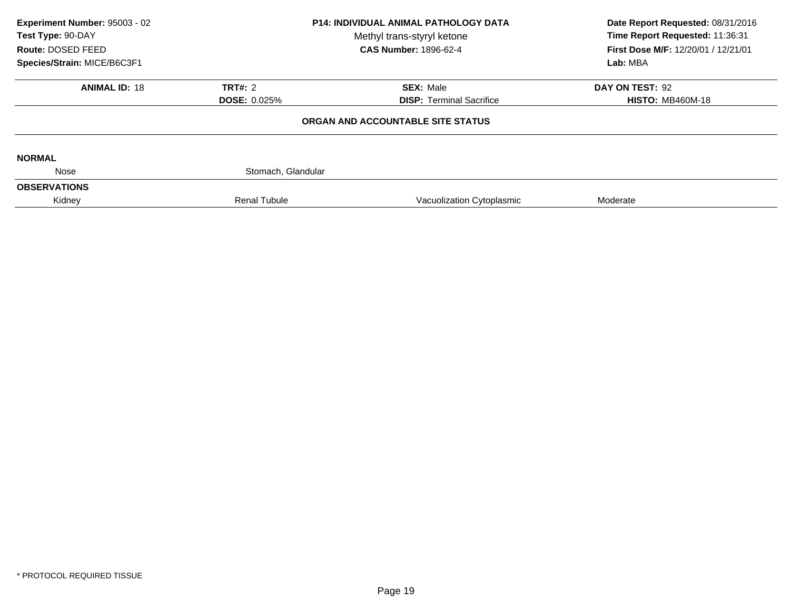| Experiment Number: 95003 - 02<br>Test Type: 90-DAY<br>Route: DOSED FEED | <b>P14: INDIVIDUAL ANIMAL PATHOLOGY DATA</b><br>Methyl trans-styryl ketone<br><b>CAS Number: 1896-62-4</b> |                                   | Date Report Requested: 08/31/2016<br>Time Report Requested: 11:36:31<br>First Dose M/F: 12/20/01 / 12/21/01 |  |
|-------------------------------------------------------------------------|------------------------------------------------------------------------------------------------------------|-----------------------------------|-------------------------------------------------------------------------------------------------------------|--|
| Species/Strain: MICE/B6C3F1                                             |                                                                                                            |                                   | Lab: MBA                                                                                                    |  |
| <b>ANIMAL ID: 18</b>                                                    | <b>TRT#: 2</b>                                                                                             | <b>SEX: Male</b>                  | DAY ON TEST: 92                                                                                             |  |
|                                                                         | <b>DOSE: 0.025%</b>                                                                                        | <b>DISP:</b> Terminal Sacrifice   | <b>HISTO: MB460M-18</b>                                                                                     |  |
|                                                                         |                                                                                                            | ORGAN AND ACCOUNTABLE SITE STATUS |                                                                                                             |  |
| <b>NORMAL</b>                                                           |                                                                                                            |                                   |                                                                                                             |  |
| Nose                                                                    | Stomach, Glandular                                                                                         |                                   |                                                                                                             |  |
| <b>OBSERVATIONS</b>                                                     |                                                                                                            |                                   |                                                                                                             |  |
| Kidney                                                                  | <b>Renal Tubule</b>                                                                                        | Vacuolization Cytoplasmic         | Moderate                                                                                                    |  |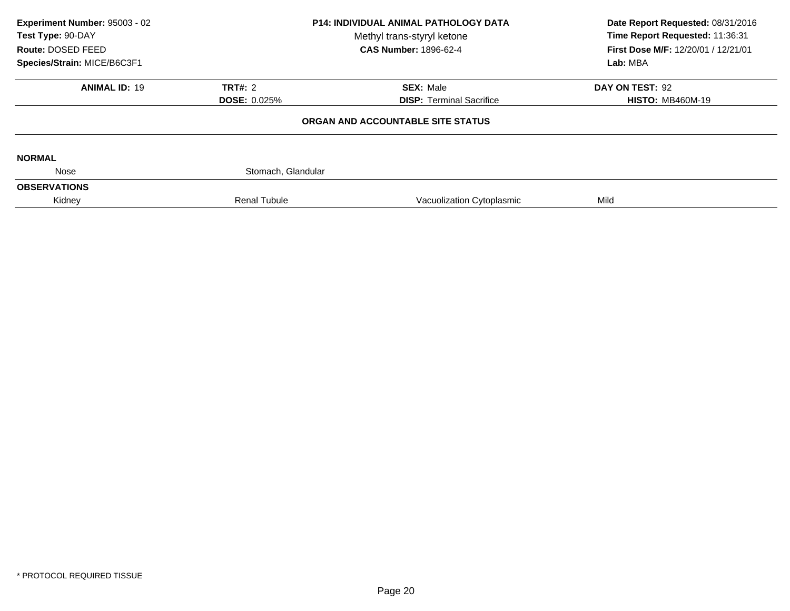| Experiment Number: 95003 - 02<br>Test Type: 90-DAY<br>Route: DOSED FEED | <b>P14: INDIVIDUAL ANIMAL PATHOLOGY DATA</b><br>Methyl trans-styryl ketone<br><b>CAS Number: 1896-62-4</b> |                                   | Date Report Requested: 08/31/2016<br>Time Report Requested: 11:36:31<br>First Dose M/F: 12/20/01 / 12/21/01 |  |
|-------------------------------------------------------------------------|------------------------------------------------------------------------------------------------------------|-----------------------------------|-------------------------------------------------------------------------------------------------------------|--|
| Species/Strain: MICE/B6C3F1                                             |                                                                                                            |                                   | Lab: MBA                                                                                                    |  |
| <b>ANIMAL ID: 19</b>                                                    | <b>TRT#: 2</b>                                                                                             | <b>SEX: Male</b>                  | DAY ON TEST: 92                                                                                             |  |
|                                                                         | <b>DOSE: 0.025%</b>                                                                                        | <b>DISP:</b> Terminal Sacrifice   | <b>HISTO: MB460M-19</b>                                                                                     |  |
|                                                                         |                                                                                                            | ORGAN AND ACCOUNTABLE SITE STATUS |                                                                                                             |  |
| <b>NORMAL</b>                                                           |                                                                                                            |                                   |                                                                                                             |  |
| Nose                                                                    | Stomach, Glandular                                                                                         |                                   |                                                                                                             |  |
| <b>OBSERVATIONS</b>                                                     |                                                                                                            |                                   |                                                                                                             |  |
| Kidney                                                                  | <b>Renal Tubule</b>                                                                                        | Vacuolization Cytoplasmic         | Mild                                                                                                        |  |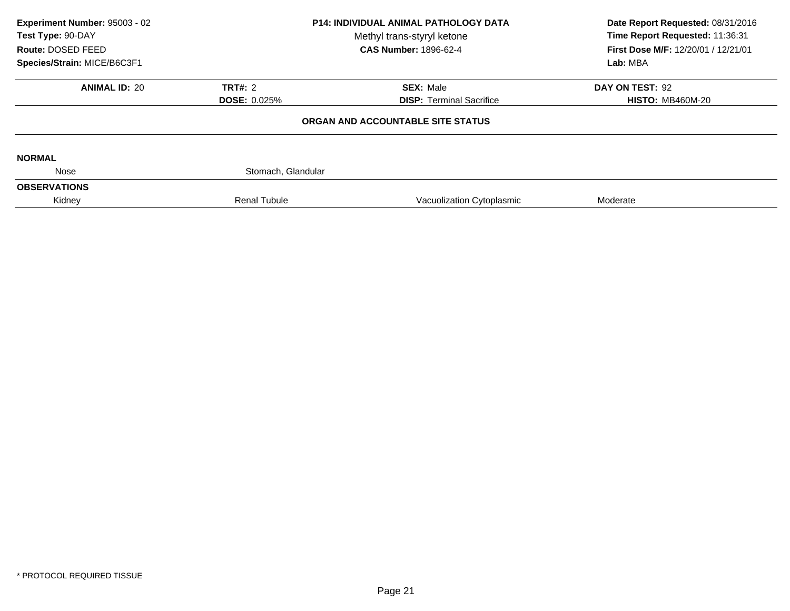| Experiment Number: 95003 - 02<br>Test Type: 90-DAY<br>Route: DOSED FEED | <b>P14: INDIVIDUAL ANIMAL PATHOLOGY DATA</b><br>Methyl trans-styryl ketone<br><b>CAS Number: 1896-62-4</b> |                                   | Date Report Requested: 08/31/2016<br>Time Report Requested: 11:36:31<br>First Dose M/F: 12/20/01 / 12/21/01 |  |
|-------------------------------------------------------------------------|------------------------------------------------------------------------------------------------------------|-----------------------------------|-------------------------------------------------------------------------------------------------------------|--|
| Species/Strain: MICE/B6C3F1                                             |                                                                                                            |                                   | Lab: MBA                                                                                                    |  |
| <b>ANIMAL ID: 20</b>                                                    | <b>TRT#: 2</b>                                                                                             | <b>SEX: Male</b>                  | DAY ON TEST: 92                                                                                             |  |
|                                                                         | <b>DOSE: 0.025%</b>                                                                                        | <b>DISP:</b> Terminal Sacrifice   | <b>HISTO: MB460M-20</b>                                                                                     |  |
|                                                                         |                                                                                                            | ORGAN AND ACCOUNTABLE SITE STATUS |                                                                                                             |  |
| <b>NORMAL</b>                                                           |                                                                                                            |                                   |                                                                                                             |  |
| Nose                                                                    | Stomach, Glandular                                                                                         |                                   |                                                                                                             |  |
| <b>OBSERVATIONS</b>                                                     |                                                                                                            |                                   |                                                                                                             |  |
| Kidney                                                                  | <b>Renal Tubule</b>                                                                                        | Vacuolization Cytoplasmic         | Moderate                                                                                                    |  |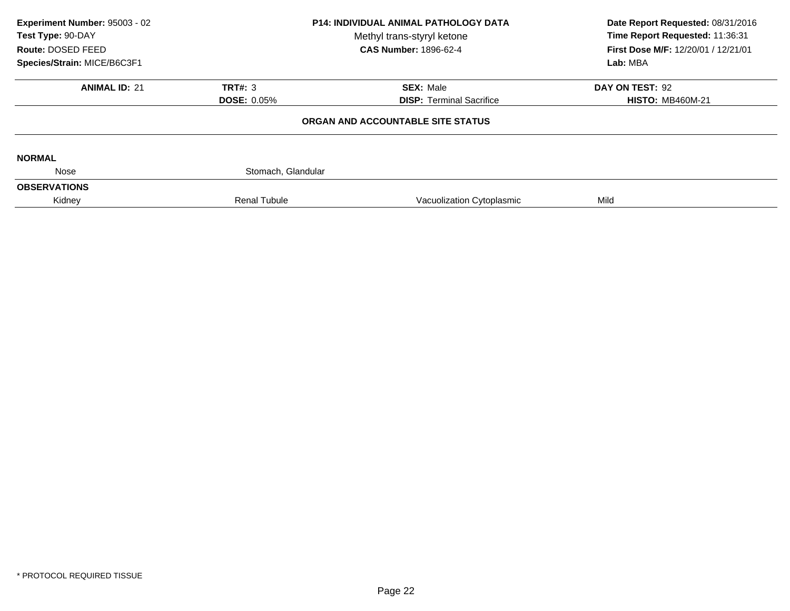| Experiment Number: 95003 - 02<br>Test Type: 90-DAY<br>Route: DOSED FEED<br>Species/Strain: MICE/B6C3F1 | <b>P14: INDIVIDUAL ANIMAL PATHOLOGY DATA</b><br>Methyl trans-styryl ketone<br><b>CAS Number: 1896-62-4</b> |                                                     | Date Report Requested: 08/31/2016<br>Time Report Requested: 11:36:31<br>First Dose M/F: 12/20/01 / 12/21/01<br>Lab: MBA |  |
|--------------------------------------------------------------------------------------------------------|------------------------------------------------------------------------------------------------------------|-----------------------------------------------------|-------------------------------------------------------------------------------------------------------------------------|--|
| <b>ANIMAL ID: 21</b>                                                                                   | TRT#: $3$<br><b>DOSE: 0.05%</b>                                                                            | <b>SEX: Male</b><br><b>DISP:</b> Terminal Sacrifice | DAY ON TEST: 92<br><b>HISTO: MB460M-21</b>                                                                              |  |
|                                                                                                        |                                                                                                            | ORGAN AND ACCOUNTABLE SITE STATUS                   |                                                                                                                         |  |
| <b>NORMAL</b>                                                                                          |                                                                                                            |                                                     |                                                                                                                         |  |
| Nose                                                                                                   | Stomach, Glandular                                                                                         |                                                     |                                                                                                                         |  |
| <b>OBSERVATIONS</b>                                                                                    |                                                                                                            |                                                     |                                                                                                                         |  |
| Kidney                                                                                                 | <b>Renal Tubule</b>                                                                                        | Vacuolization Cytoplasmic                           | Mild                                                                                                                    |  |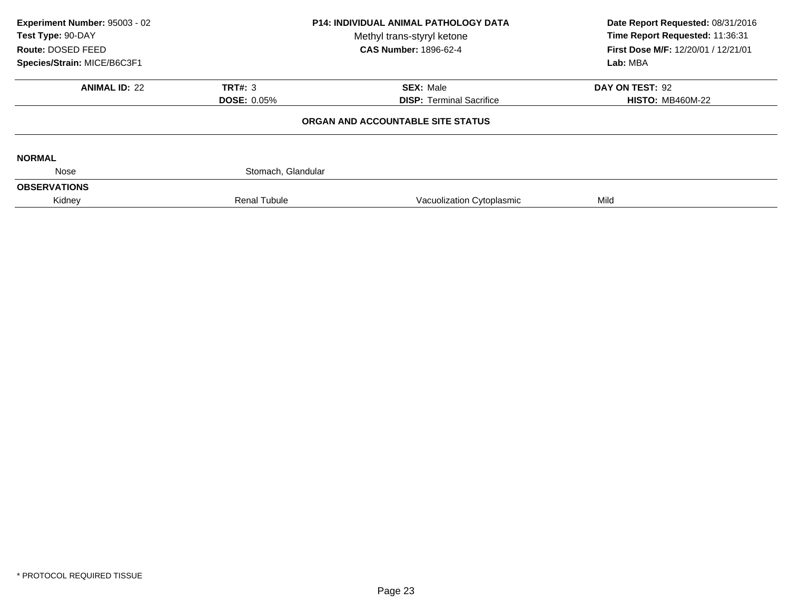| Experiment Number: 95003 - 02<br>Test Type: 90-DAY<br>Route: DOSED FEED | <b>P14: INDIVIDUAL ANIMAL PATHOLOGY DATA</b><br>Methyl trans-styryl ketone<br><b>CAS Number: 1896-62-4</b> |                                   | Date Report Requested: 08/31/2016<br>Time Report Requested: 11:36:31<br>First Dose M/F: 12/20/01 / 12/21/01 |  |
|-------------------------------------------------------------------------|------------------------------------------------------------------------------------------------------------|-----------------------------------|-------------------------------------------------------------------------------------------------------------|--|
| Species/Strain: MICE/B6C3F1                                             |                                                                                                            |                                   | Lab: MBA                                                                                                    |  |
| <b>ANIMAL ID: 22</b>                                                    | TRT#: 3                                                                                                    | <b>SEX: Male</b>                  | DAY ON TEST: 92                                                                                             |  |
|                                                                         | <b>DOSE: 0.05%</b>                                                                                         | <b>DISP:</b> Terminal Sacrifice   | <b>HISTO: MB460M-22</b>                                                                                     |  |
|                                                                         |                                                                                                            | ORGAN AND ACCOUNTABLE SITE STATUS |                                                                                                             |  |
| <b>NORMAL</b>                                                           |                                                                                                            |                                   |                                                                                                             |  |
| Nose                                                                    | Stomach, Glandular                                                                                         |                                   |                                                                                                             |  |
| <b>OBSERVATIONS</b>                                                     |                                                                                                            |                                   |                                                                                                             |  |
| Kidney                                                                  | <b>Renal Tubule</b>                                                                                        | Vacuolization Cytoplasmic         | Mild                                                                                                        |  |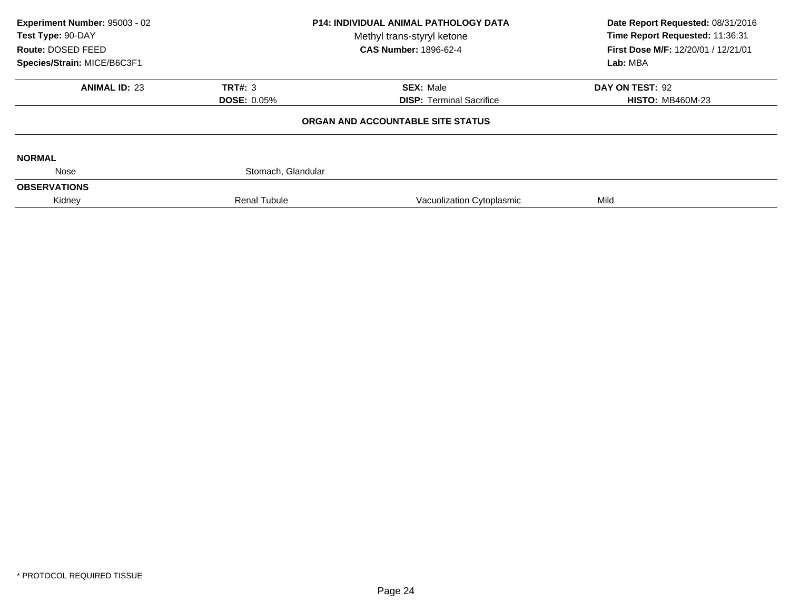| Experiment Number: 95003 - 02<br>Test Type: 90-DAY<br>Route: DOSED FEED | <b>P14: INDIVIDUAL ANIMAL PATHOLOGY DATA</b><br>Methyl trans-styryl ketone<br><b>CAS Number: 1896-62-4</b> |                                   | Date Report Requested: 08/31/2016<br>Time Report Requested: 11:36:31<br>First Dose M/F: 12/20/01 / 12/21/01<br>Lab: MBA |  |
|-------------------------------------------------------------------------|------------------------------------------------------------------------------------------------------------|-----------------------------------|-------------------------------------------------------------------------------------------------------------------------|--|
| Species/Strain: MICE/B6C3F1                                             |                                                                                                            |                                   |                                                                                                                         |  |
| <b>ANIMAL ID: 23</b>                                                    | TRT#: 3                                                                                                    | <b>SEX: Male</b>                  | DAY ON TEST: 92                                                                                                         |  |
|                                                                         | <b>DOSE: 0.05%</b>                                                                                         | <b>DISP:</b> Terminal Sacrifice   | <b>HISTO: MB460M-23</b>                                                                                                 |  |
|                                                                         |                                                                                                            | ORGAN AND ACCOUNTABLE SITE STATUS |                                                                                                                         |  |
| <b>NORMAL</b>                                                           |                                                                                                            |                                   |                                                                                                                         |  |
| Nose                                                                    | Stomach, Glandular                                                                                         |                                   |                                                                                                                         |  |
| <b>OBSERVATIONS</b>                                                     |                                                                                                            |                                   |                                                                                                                         |  |
| Kidney                                                                  | <b>Renal Tubule</b>                                                                                        | Vacuolization Cytoplasmic         | Mild                                                                                                                    |  |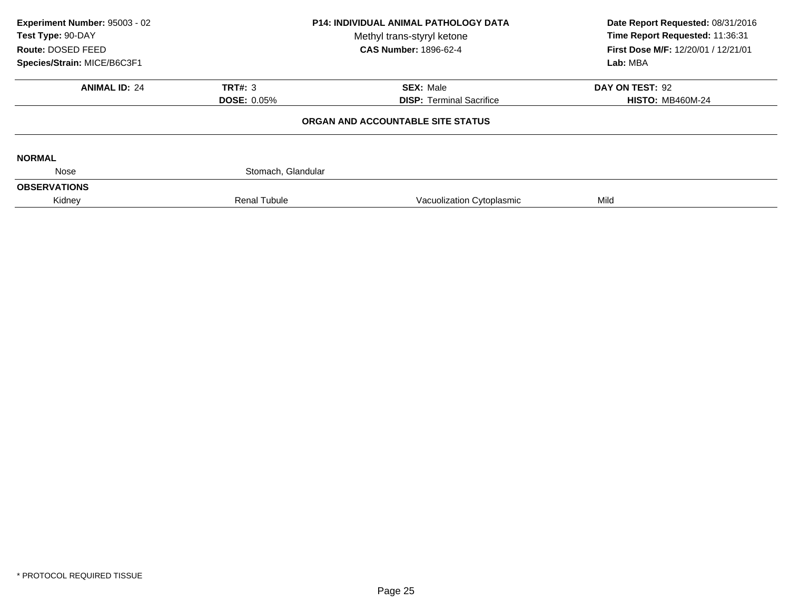| Experiment Number: 95003 - 02<br>Test Type: 90-DAY<br>Route: DOSED FEED | <b>P14: INDIVIDUAL ANIMAL PATHOLOGY DATA</b><br>Methyl trans-styryl ketone<br><b>CAS Number: 1896-62-4</b> |                                   | Date Report Requested: 08/31/2016<br>Time Report Requested: 11:36:31<br>First Dose M/F: 12/20/01 / 12/21/01 |  |
|-------------------------------------------------------------------------|------------------------------------------------------------------------------------------------------------|-----------------------------------|-------------------------------------------------------------------------------------------------------------|--|
| Species/Strain: MICE/B6C3F1                                             |                                                                                                            |                                   | Lab: MBA                                                                                                    |  |
| <b>ANIMAL ID: 24</b>                                                    | TRT#: 3                                                                                                    | <b>SEX: Male</b>                  | DAY ON TEST: 92                                                                                             |  |
|                                                                         | <b>DOSE: 0.05%</b>                                                                                         | <b>DISP:</b> Terminal Sacrifice   | <b>HISTO: MB460M-24</b>                                                                                     |  |
|                                                                         |                                                                                                            | ORGAN AND ACCOUNTABLE SITE STATUS |                                                                                                             |  |
| <b>NORMAL</b>                                                           |                                                                                                            |                                   |                                                                                                             |  |
| Nose                                                                    | Stomach, Glandular                                                                                         |                                   |                                                                                                             |  |
| <b>OBSERVATIONS</b>                                                     |                                                                                                            |                                   |                                                                                                             |  |
| Kidney                                                                  | <b>Renal Tubule</b>                                                                                        | Vacuolization Cytoplasmic         | Mild                                                                                                        |  |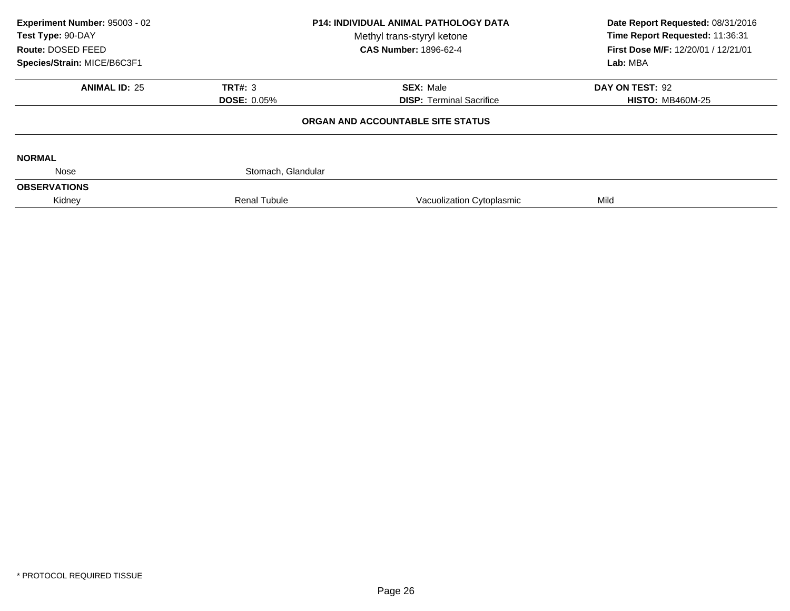| Experiment Number: 95003 - 02<br>Test Type: 90-DAY<br>Route: DOSED FEED | <b>P14: INDIVIDUAL ANIMAL PATHOLOGY DATA</b><br>Methyl trans-styryl ketone<br><b>CAS Number: 1896-62-4</b> |                                   | Date Report Requested: 08/31/2016<br>Time Report Requested: 11:36:31<br>First Dose M/F: 12/20/01 / 12/21/01 |  |
|-------------------------------------------------------------------------|------------------------------------------------------------------------------------------------------------|-----------------------------------|-------------------------------------------------------------------------------------------------------------|--|
| Species/Strain: MICE/B6C3F1                                             |                                                                                                            |                                   | Lab: MBA                                                                                                    |  |
| <b>ANIMAL ID: 25</b>                                                    | TRT#: 3                                                                                                    | <b>SEX: Male</b>                  | DAY ON TEST: 92                                                                                             |  |
|                                                                         | <b>DOSE: 0.05%</b>                                                                                         | <b>DISP:</b> Terminal Sacrifice   | <b>HISTO: MB460M-25</b>                                                                                     |  |
|                                                                         |                                                                                                            | ORGAN AND ACCOUNTABLE SITE STATUS |                                                                                                             |  |
| <b>NORMAL</b>                                                           |                                                                                                            |                                   |                                                                                                             |  |
| Nose                                                                    | Stomach, Glandular                                                                                         |                                   |                                                                                                             |  |
| <b>OBSERVATIONS</b>                                                     |                                                                                                            |                                   |                                                                                                             |  |
| Kidney                                                                  | <b>Renal Tubule</b>                                                                                        | Vacuolization Cytoplasmic         | Mild                                                                                                        |  |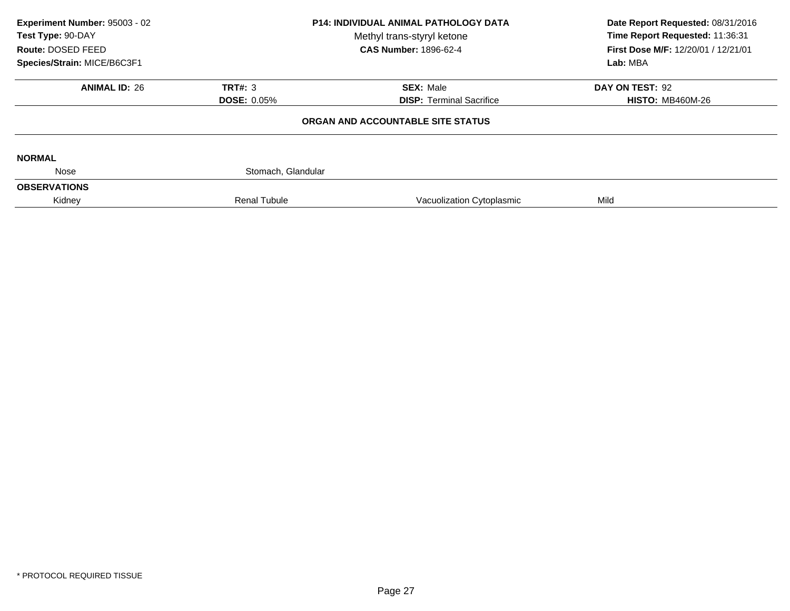| Experiment Number: 95003 - 02<br><b>P14: INDIVIDUAL ANIMAL PATHOLOGY DATA</b><br>Test Type: 90-DAY<br>Methyl trans-styryl ketone<br>Route: DOSED FEED<br><b>CAS Number: 1896-62-4</b> |                     | Date Report Requested: 08/31/2016<br>Time Report Requested: 11:36:31<br>First Dose M/F: 12/20/01 / 12/21/01 |                         |
|---------------------------------------------------------------------------------------------------------------------------------------------------------------------------------------|---------------------|-------------------------------------------------------------------------------------------------------------|-------------------------|
| Species/Strain: MICE/B6C3F1                                                                                                                                                           |                     |                                                                                                             | Lab: MBA                |
| <b>ANIMAL ID: 26</b>                                                                                                                                                                  | TRT#: 3             | <b>SEX: Male</b>                                                                                            | DAY ON TEST: 92         |
|                                                                                                                                                                                       | <b>DOSE: 0.05%</b>  | <b>DISP:</b> Terminal Sacrifice                                                                             | <b>HISTO: MB460M-26</b> |
|                                                                                                                                                                                       |                     | ORGAN AND ACCOUNTABLE SITE STATUS                                                                           |                         |
| <b>NORMAL</b>                                                                                                                                                                         |                     |                                                                                                             |                         |
| Nose                                                                                                                                                                                  | Stomach, Glandular  |                                                                                                             |                         |
| <b>OBSERVATIONS</b>                                                                                                                                                                   |                     |                                                                                                             |                         |
| Kidney                                                                                                                                                                                | <b>Renal Tubule</b> | Vacuolization Cytoplasmic                                                                                   | Mild                    |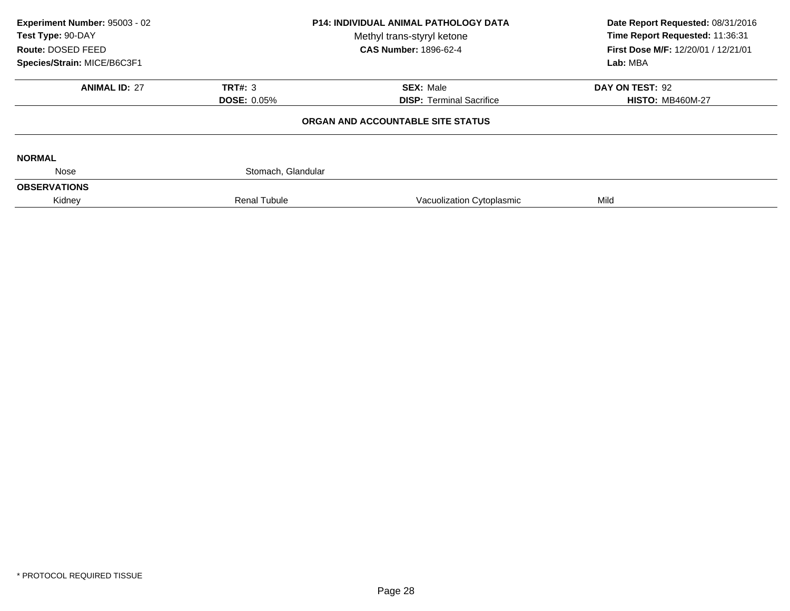| Experiment Number: 95003 - 02<br>Test Type: 90-DAY<br>Route: DOSED FEED<br>Species/Strain: MICE/B6C3F1 | <b>P14: INDIVIDUAL ANIMAL PATHOLOGY DATA</b><br>Methyl trans-styryl ketone<br><b>CAS Number: 1896-62-4</b> |                                                     | Date Report Requested: 08/31/2016<br>Time Report Requested: 11:36:31<br>First Dose M/F: 12/20/01 / 12/21/01<br>Lab: MBA |  |
|--------------------------------------------------------------------------------------------------------|------------------------------------------------------------------------------------------------------------|-----------------------------------------------------|-------------------------------------------------------------------------------------------------------------------------|--|
| <b>ANIMAL ID: 27</b>                                                                                   | TRT#: $3$<br><b>DOSE: 0.05%</b>                                                                            | <b>SEX: Male</b><br><b>DISP:</b> Terminal Sacrifice | DAY ON TEST: 92<br><b>HISTO: MB460M-27</b>                                                                              |  |
|                                                                                                        |                                                                                                            | ORGAN AND ACCOUNTABLE SITE STATUS                   |                                                                                                                         |  |
| <b>NORMAL</b>                                                                                          |                                                                                                            |                                                     |                                                                                                                         |  |
| Nose                                                                                                   | Stomach, Glandular                                                                                         |                                                     |                                                                                                                         |  |
| <b>OBSERVATIONS</b>                                                                                    |                                                                                                            |                                                     |                                                                                                                         |  |
| Kidney                                                                                                 | <b>Renal Tubule</b>                                                                                        | Vacuolization Cytoplasmic                           | Mild                                                                                                                    |  |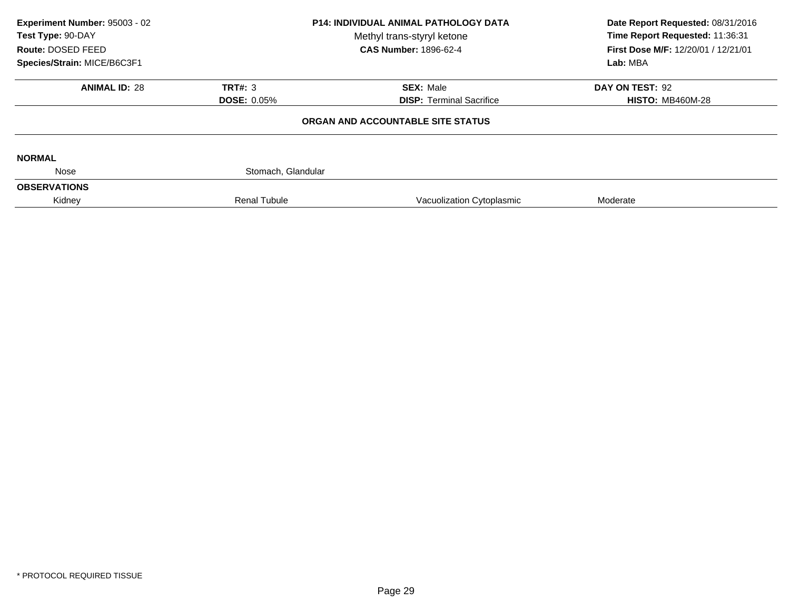| Experiment Number: 95003 - 02<br>Test Type: 90-DAY<br>Route: DOSED FEED<br>Species/Strain: MICE/B6C3F1 | <b>P14: INDIVIDUAL ANIMAL PATHOLOGY DATA</b><br>Methyl trans-styryl ketone<br><b>CAS Number: 1896-62-4</b> |                                                     | Date Report Requested: 08/31/2016<br>Time Report Requested: 11:36:31<br>First Dose M/F: 12/20/01 / 12/21/01<br>Lab: MBA |  |
|--------------------------------------------------------------------------------------------------------|------------------------------------------------------------------------------------------------------------|-----------------------------------------------------|-------------------------------------------------------------------------------------------------------------------------|--|
| <b>ANIMAL ID: 28</b>                                                                                   | TRT#: 3                                                                                                    |                                                     |                                                                                                                         |  |
|                                                                                                        | <b>DOSE: 0.05%</b>                                                                                         | <b>SEX: Male</b><br><b>DISP:</b> Terminal Sacrifice | DAY ON TEST: 92<br><b>HISTO: MB460M-28</b>                                                                              |  |
|                                                                                                        |                                                                                                            | ORGAN AND ACCOUNTABLE SITE STATUS                   |                                                                                                                         |  |
| <b>NORMAL</b>                                                                                          |                                                                                                            |                                                     |                                                                                                                         |  |
| Nose                                                                                                   | Stomach, Glandular                                                                                         |                                                     |                                                                                                                         |  |
| <b>OBSERVATIONS</b>                                                                                    |                                                                                                            |                                                     |                                                                                                                         |  |
| Kidney                                                                                                 | <b>Renal Tubule</b>                                                                                        | Vacuolization Cytoplasmic                           | Moderate                                                                                                                |  |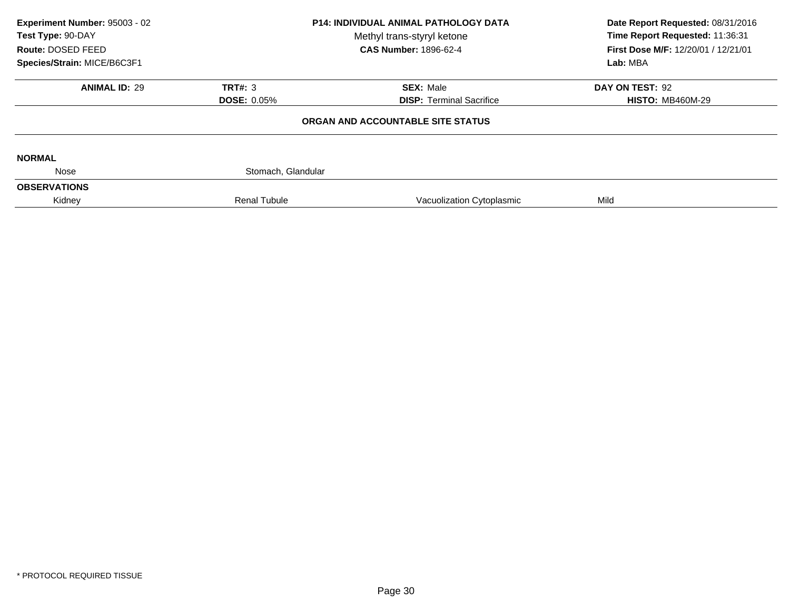| Experiment Number: 95003 - 02<br>Test Type: 90-DAY |                     | <b>P14: INDIVIDUAL ANIMAL PATHOLOGY DATA</b><br>Methyl trans-styryl ketone<br><b>CAS Number: 1896-62-4</b> | Date Report Requested: 08/31/2016<br>Time Report Requested: 11:36:31 |
|----------------------------------------------------|---------------------|------------------------------------------------------------------------------------------------------------|----------------------------------------------------------------------|
| Route: DOSED FEED<br>Species/Strain: MICE/B6C3F1   |                     |                                                                                                            | First Dose M/F: 12/20/01 / 12/21/01<br>Lab: MBA                      |
|                                                    |                     |                                                                                                            |                                                                      |
| <b>ANIMAL ID: 29</b>                               | TRT#: 3             | <b>SEX: Male</b>                                                                                           | DAY ON TEST: 92                                                      |
|                                                    | <b>DOSE: 0.05%</b>  | <b>DISP: Terminal Sacrifice</b>                                                                            | <b>HISTO: MB460M-29</b>                                              |
|                                                    |                     | ORGAN AND ACCOUNTABLE SITE STATUS                                                                          |                                                                      |
| <b>NORMAL</b>                                      |                     |                                                                                                            |                                                                      |
| Nose                                               | Stomach, Glandular  |                                                                                                            |                                                                      |
| <b>OBSERVATIONS</b>                                |                     |                                                                                                            |                                                                      |
| Kidney                                             | <b>Renal Tubule</b> | Vacuolization Cytoplasmic                                                                                  | Mild                                                                 |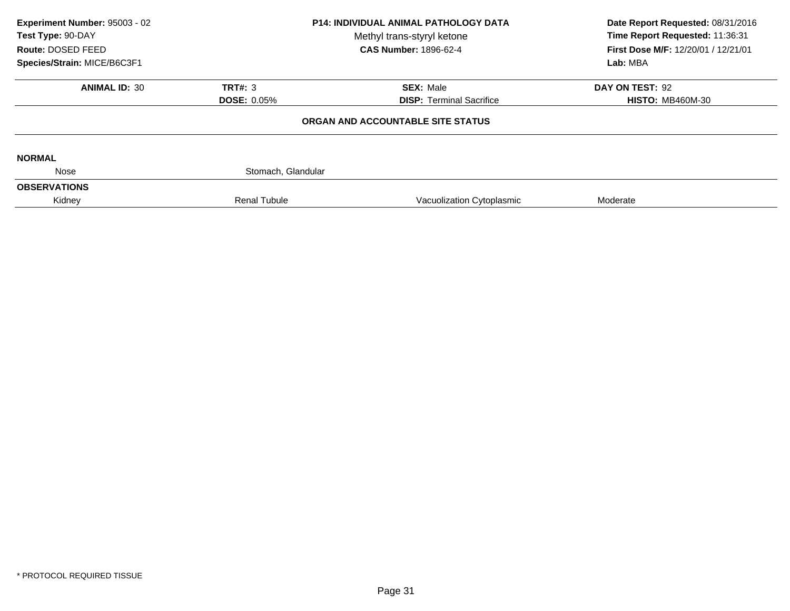| Experiment Number: 95003 - 02<br>Test Type: 90-DAY<br>Route: DOSED FEED<br>Species/Strain: MICE/B6C3F1 | <b>P14: INDIVIDUAL ANIMAL PATHOLOGY DATA</b><br>Methyl trans-styryl ketone<br><b>CAS Number: 1896-62-4</b> |                                                     | Date Report Requested: 08/31/2016<br>Time Report Requested: 11:36:31<br>First Dose M/F: 12/20/01 / 12/21/01<br>Lab: MBA |  |
|--------------------------------------------------------------------------------------------------------|------------------------------------------------------------------------------------------------------------|-----------------------------------------------------|-------------------------------------------------------------------------------------------------------------------------|--|
| <b>ANIMAL ID: 30</b>                                                                                   | TRT#: 3<br><b>DOSE: 0.05%</b>                                                                              | <b>SEX: Male</b><br><b>DISP:</b> Terminal Sacrifice | DAY ON TEST: 92<br><b>HISTO: MB460M-30</b>                                                                              |  |
|                                                                                                        |                                                                                                            | ORGAN AND ACCOUNTABLE SITE STATUS                   |                                                                                                                         |  |
| <b>NORMAL</b>                                                                                          |                                                                                                            |                                                     |                                                                                                                         |  |
| Nose<br><b>OBSERVATIONS</b>                                                                            | Stomach, Glandular                                                                                         |                                                     |                                                                                                                         |  |
| Kidney                                                                                                 | <b>Renal Tubule</b>                                                                                        | Vacuolization Cytoplasmic                           | Moderate                                                                                                                |  |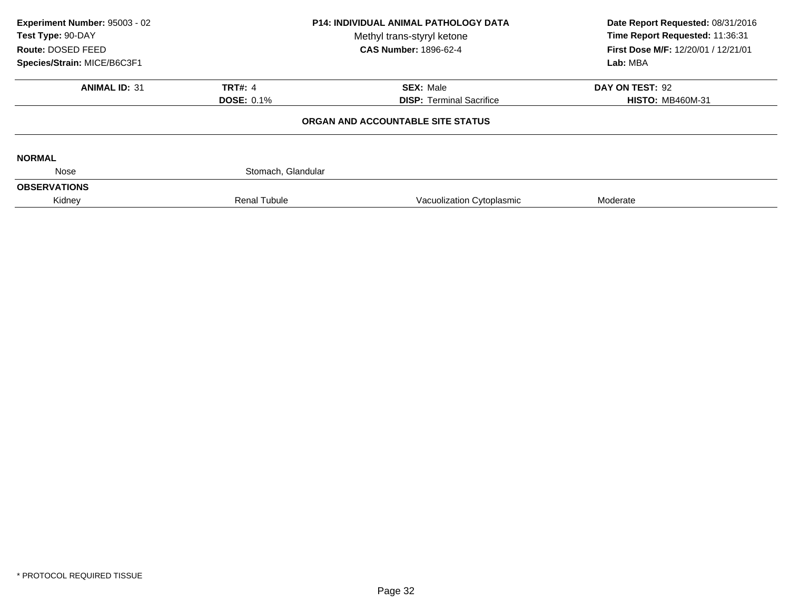| Experiment Number: 95003 - 02<br>Test Type: 90-DAY<br>Route: DOSED FEED | <b>P14: INDIVIDUAL ANIMAL PATHOLOGY DATA</b><br>Methyl trans-styryl ketone<br><b>CAS Number: 1896-62-4</b> |                                   | Date Report Requested: 08/31/2016<br>Time Report Requested: 11:36:31<br>First Dose M/F: 12/20/01 / 12/21/01<br>Lab: MBA |  |
|-------------------------------------------------------------------------|------------------------------------------------------------------------------------------------------------|-----------------------------------|-------------------------------------------------------------------------------------------------------------------------|--|
| Species/Strain: MICE/B6C3F1                                             |                                                                                                            |                                   |                                                                                                                         |  |
| <b>ANIMAL ID: 31</b>                                                    | <b>TRT#: 4</b>                                                                                             | <b>SEX: Male</b>                  | DAY ON TEST: 92                                                                                                         |  |
|                                                                         | <b>DOSE: 0.1%</b>                                                                                          | <b>DISP:</b> Terminal Sacrifice   | <b>HISTO: MB460M-31</b>                                                                                                 |  |
|                                                                         |                                                                                                            | ORGAN AND ACCOUNTABLE SITE STATUS |                                                                                                                         |  |
| <b>NORMAL</b>                                                           |                                                                                                            |                                   |                                                                                                                         |  |
| Nose                                                                    | Stomach, Glandular                                                                                         |                                   |                                                                                                                         |  |
| <b>OBSERVATIONS</b>                                                     |                                                                                                            |                                   |                                                                                                                         |  |
| Kidney                                                                  | <b>Renal Tubule</b>                                                                                        | Vacuolization Cytoplasmic         | Moderate                                                                                                                |  |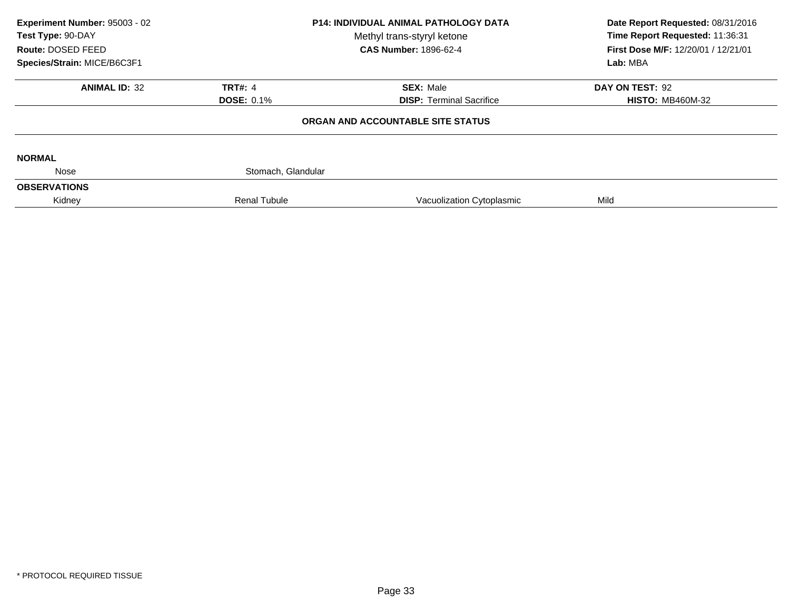| Experiment Number: 95003 - 02<br>Test Type: 90-DAY |                     | <b>P14: INDIVIDUAL ANIMAL PATHOLOGY DATA</b><br>Methyl trans-styryl ketone | Date Report Requested: 08/31/2016<br>Time Report Requested: 11:36:31 |  |
|----------------------------------------------------|---------------------|----------------------------------------------------------------------------|----------------------------------------------------------------------|--|
| Route: DOSED FEED                                  |                     | <b>CAS Number: 1896-62-4</b>                                               | First Dose M/F: 12/20/01 / 12/21/01                                  |  |
| Species/Strain: MICE/B6C3F1                        |                     |                                                                            | Lab: MBA                                                             |  |
| <b>ANIMAL ID: 32</b>                               | <b>TRT#: 4</b>      | <b>SEX: Male</b>                                                           | DAY ON TEST: 92                                                      |  |
|                                                    | <b>DOSE: 0.1%</b>   | <b>DISP: Terminal Sacrifice</b>                                            | <b>HISTO: MB460M-32</b>                                              |  |
|                                                    |                     | ORGAN AND ACCOUNTABLE SITE STATUS                                          |                                                                      |  |
| <b>NORMAL</b>                                      |                     |                                                                            |                                                                      |  |
| Nose                                               | Stomach, Glandular  |                                                                            |                                                                      |  |
| <b>OBSERVATIONS</b>                                |                     |                                                                            |                                                                      |  |
| Kidney                                             | <b>Renal Tubule</b> | Vacuolization Cytoplasmic                                                  | Mild                                                                 |  |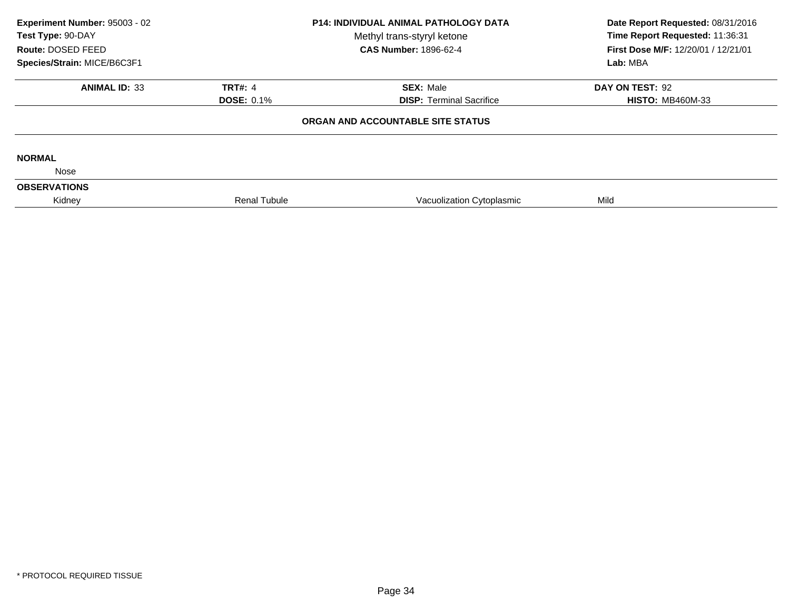| Experiment Number: 95003 - 02<br>Test Type: 90-DAY |                     | P14: INDIVIDUAL ANIMAL PATHOLOGY DATA<br>Methyl trans-styryl ketone | Date Report Requested: 08/31/2016<br>Time Report Requested: 11:36:31 |  |
|----------------------------------------------------|---------------------|---------------------------------------------------------------------|----------------------------------------------------------------------|--|
| Route: DOSED FEED                                  |                     | <b>CAS Number: 1896-62-4</b>                                        | First Dose M/F: 12/20/01 / 12/21/01                                  |  |
| Species/Strain: MICE/B6C3F1                        |                     |                                                                     | Lab: MBA                                                             |  |
| <b>ANIMAL ID: 33</b>                               | <b>TRT#: 4</b>      | <b>SEX: Male</b>                                                    | DAY ON TEST: 92                                                      |  |
|                                                    | <b>DOSE: 0.1%</b>   | <b>DISP: Terminal Sacrifice</b>                                     | <b>HISTO: MB460M-33</b>                                              |  |
|                                                    |                     | ORGAN AND ACCOUNTABLE SITE STATUS                                   |                                                                      |  |
| <b>NORMAL</b>                                      |                     |                                                                     |                                                                      |  |
| Nose                                               |                     |                                                                     |                                                                      |  |
| <b>OBSERVATIONS</b>                                |                     |                                                                     |                                                                      |  |
| Kidney                                             | <b>Renal Tubule</b> | Vacuolization Cytoplasmic                                           | Mild                                                                 |  |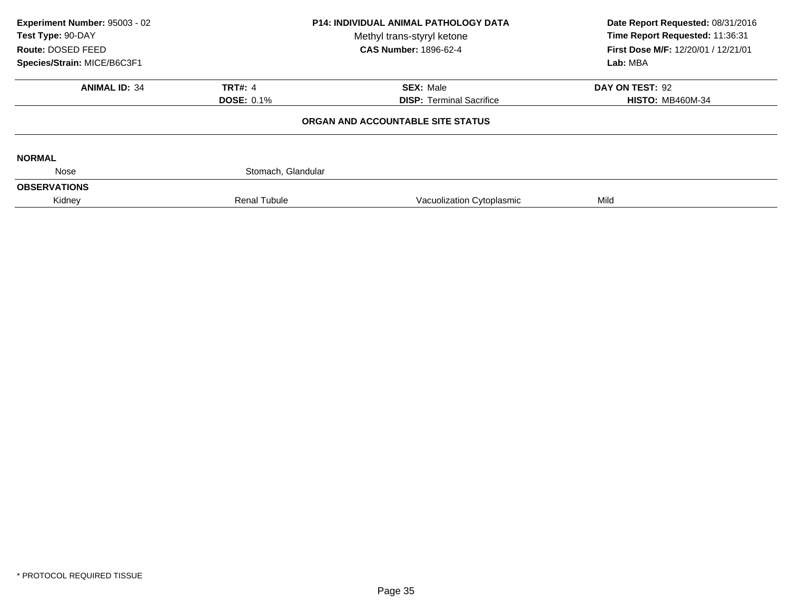| Experiment Number: 95003 - 02<br><b>P14: INDIVIDUAL ANIMAL PATHOLOGY DATA</b><br>Test Type: 90-DAY<br>Methyl trans-styryl ketone<br>Route: DOSED FEED<br><b>CAS Number: 1896-62-4</b><br>Species/Strain: MICE/B6C3F1 |                     | Date Report Requested: 08/31/2016<br>Time Report Requested: 11:36:31<br>First Dose M/F: 12/20/01 / 12/21/01 |                         |
|----------------------------------------------------------------------------------------------------------------------------------------------------------------------------------------------------------------------|---------------------|-------------------------------------------------------------------------------------------------------------|-------------------------|
|                                                                                                                                                                                                                      |                     |                                                                                                             | Lab: MBA                |
| <b>ANIMAL ID: 34</b>                                                                                                                                                                                                 | <b>TRT#: 4</b>      | <b>SEX: Male</b>                                                                                            | DAY ON TEST: 92         |
|                                                                                                                                                                                                                      | <b>DOSE: 0.1%</b>   | <b>DISP:</b> Terminal Sacrifice                                                                             | <b>HISTO: MB460M-34</b> |
|                                                                                                                                                                                                                      |                     | ORGAN AND ACCOUNTABLE SITE STATUS                                                                           |                         |
| <b>NORMAL</b>                                                                                                                                                                                                        |                     |                                                                                                             |                         |
| Nose                                                                                                                                                                                                                 | Stomach, Glandular  |                                                                                                             |                         |
| <b>OBSERVATIONS</b>                                                                                                                                                                                                  |                     |                                                                                                             |                         |
| Kidney                                                                                                                                                                                                               | <b>Renal Tubule</b> | Vacuolization Cytoplasmic                                                                                   | Mild                    |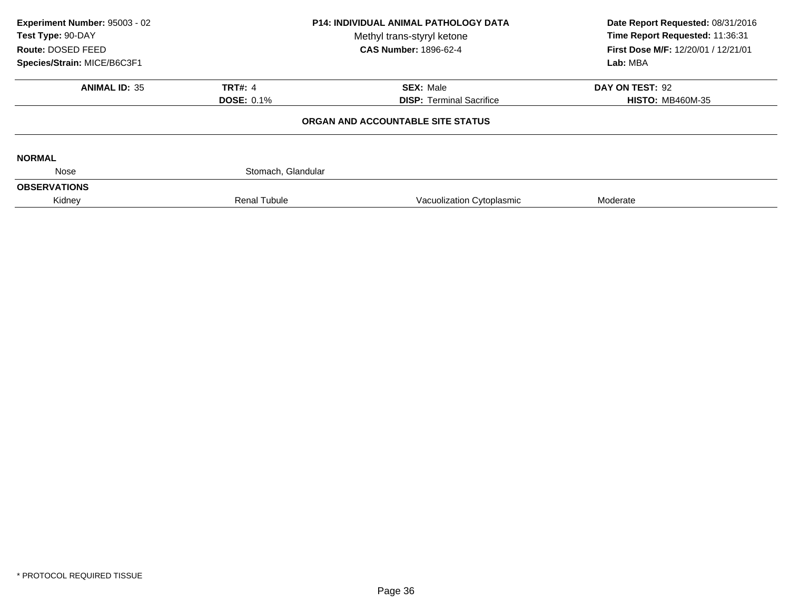| Experiment Number: 95003 - 02<br>Test Type: 90-DAY<br>Route: DOSED FEED | <b>P14: INDIVIDUAL ANIMAL PATHOLOGY DATA</b><br>Methyl trans-styryl ketone<br><b>CAS Number: 1896-62-4</b> |                                   | Date Report Requested: 08/31/2016<br>Time Report Requested: 11:36:31<br>First Dose M/F: 12/20/01 / 12/21/01<br>Lab: MBA |  |
|-------------------------------------------------------------------------|------------------------------------------------------------------------------------------------------------|-----------------------------------|-------------------------------------------------------------------------------------------------------------------------|--|
| Species/Strain: MICE/B6C3F1                                             |                                                                                                            |                                   |                                                                                                                         |  |
| <b>ANIMAL ID: 35</b>                                                    | <b>TRT#: 4</b>                                                                                             | <b>SEX: Male</b>                  | DAY ON TEST: 92                                                                                                         |  |
|                                                                         | <b>DOSE: 0.1%</b>                                                                                          | <b>DISP:</b> Terminal Sacrifice   | <b>HISTO: MB460M-35</b>                                                                                                 |  |
|                                                                         |                                                                                                            | ORGAN AND ACCOUNTABLE SITE STATUS |                                                                                                                         |  |
| <b>NORMAL</b>                                                           |                                                                                                            |                                   |                                                                                                                         |  |
| Nose                                                                    | Stomach, Glandular                                                                                         |                                   |                                                                                                                         |  |
| <b>OBSERVATIONS</b>                                                     |                                                                                                            |                                   |                                                                                                                         |  |
| Kidney                                                                  | <b>Renal Tubule</b>                                                                                        | Vacuolization Cytoplasmic         | Moderate                                                                                                                |  |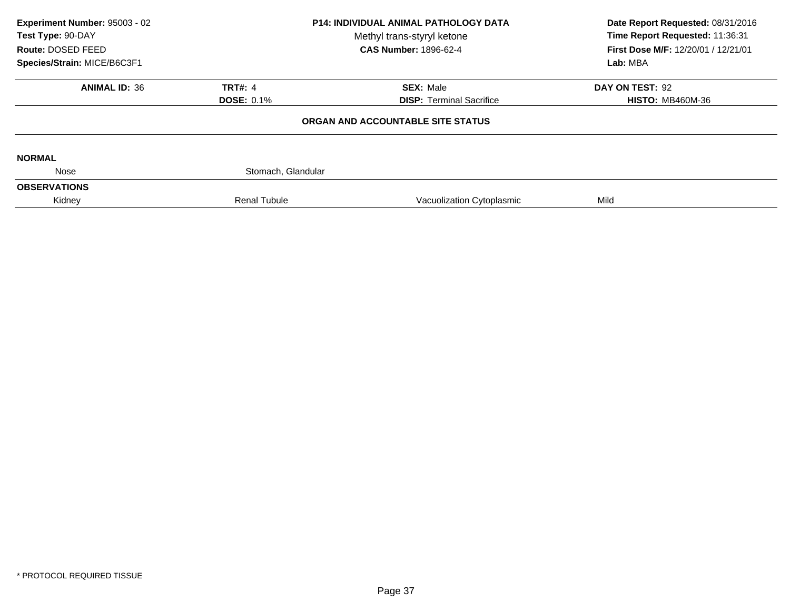| Experiment Number: 95003 - 02<br>Test Type: 90-DAY |                     | <b>P14: INDIVIDUAL ANIMAL PATHOLOGY DATA</b><br>Methyl trans-styryl ketone | Date Report Requested: 08/31/2016<br>Time Report Requested: 11:36:31 |
|----------------------------------------------------|---------------------|----------------------------------------------------------------------------|----------------------------------------------------------------------|
| Route: DOSED FEED                                  |                     | <b>CAS Number: 1896-62-4</b>                                               | First Dose M/F: 12/20/01 / 12/21/01                                  |
| Species/Strain: MICE/B6C3F1                        |                     |                                                                            | Lab: MBA                                                             |
| <b>ANIMAL ID: 36</b>                               | <b>TRT#: 4</b>      | <b>SEX: Male</b>                                                           | DAY ON TEST: 92                                                      |
|                                                    | <b>DOSE: 0.1%</b>   | <b>DISP: Terminal Sacrifice</b>                                            | <b>HISTO: MB460M-36</b>                                              |
|                                                    |                     | ORGAN AND ACCOUNTABLE SITE STATUS                                          |                                                                      |
| <b>NORMAL</b>                                      |                     |                                                                            |                                                                      |
| Nose                                               | Stomach, Glandular  |                                                                            |                                                                      |
| <b>OBSERVATIONS</b>                                |                     |                                                                            |                                                                      |
| Kidney                                             | <b>Renal Tubule</b> | Vacuolization Cytoplasmic                                                  | Mild                                                                 |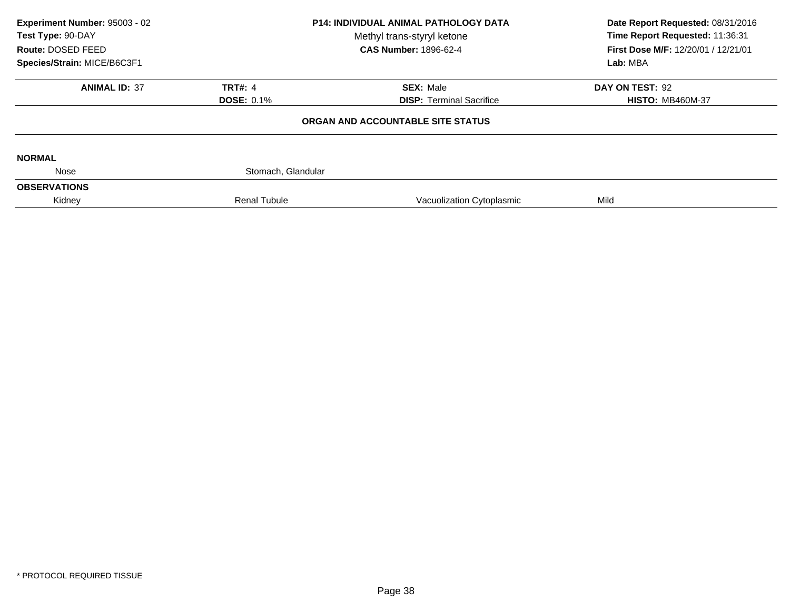| Experiment Number: 95003 - 02<br>Test Type: 90-DAY<br>Route: DOSED FEED<br>Species/Strain: MICE/B6C3F1 | <b>P14: INDIVIDUAL ANIMAL PATHOLOGY DATA</b><br>Methyl trans-styryl ketone<br><b>CAS Number: 1896-62-4</b> |                                                     | Date Report Requested: 08/31/2016<br>Time Report Requested: 11:36:31<br>First Dose M/F: 12/20/01 / 12/21/01<br>Lab: MBA |  |
|--------------------------------------------------------------------------------------------------------|------------------------------------------------------------------------------------------------------------|-----------------------------------------------------|-------------------------------------------------------------------------------------------------------------------------|--|
| <b>ANIMAL ID: 37</b>                                                                                   | <b>TRT#: 4</b><br><b>DOSE: 0.1%</b>                                                                        | <b>SEX: Male</b><br><b>DISP: Terminal Sacrifice</b> | DAY ON TEST: 92<br><b>HISTO: MB460M-37</b>                                                                              |  |
|                                                                                                        |                                                                                                            | ORGAN AND ACCOUNTABLE SITE STATUS                   |                                                                                                                         |  |
| <b>NORMAL</b>                                                                                          |                                                                                                            |                                                     |                                                                                                                         |  |
| Nose                                                                                                   | Stomach, Glandular                                                                                         |                                                     |                                                                                                                         |  |
| <b>OBSERVATIONS</b>                                                                                    |                                                                                                            |                                                     |                                                                                                                         |  |
| Kidney                                                                                                 | <b>Renal Tubule</b>                                                                                        | Vacuolization Cytoplasmic                           | Mild                                                                                                                    |  |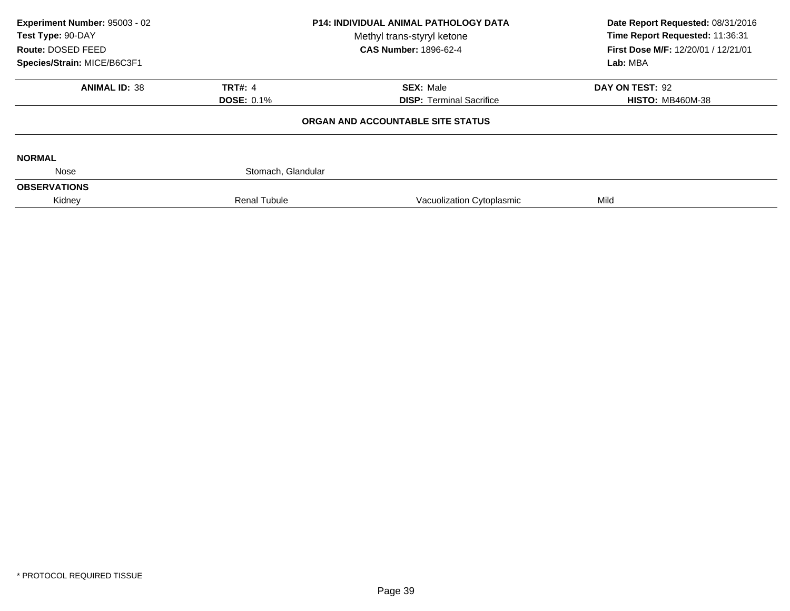| Experiment Number: 95003 - 02<br>Test Type: 90-DAY | <b>P14: INDIVIDUAL ANIMAL PATHOLOGY DATA</b><br>Methyl trans-styryl ketone |                                   | Date Report Requested: 08/31/2016<br>Time Report Requested: 11:36:31 |
|----------------------------------------------------|----------------------------------------------------------------------------|-----------------------------------|----------------------------------------------------------------------|
| Route: DOSED FEED                                  |                                                                            | <b>CAS Number: 1896-62-4</b>      | First Dose M/F: 12/20/01 / 12/21/01<br>Lab: MBA                      |
| Species/Strain: MICE/B6C3F1                        |                                                                            |                                   |                                                                      |
| <b>ANIMAL ID: 38</b>                               | <b>TRT#: 4</b>                                                             | <b>SEX: Male</b>                  | DAY ON TEST: 92                                                      |
|                                                    | <b>DOSE: 0.1%</b>                                                          | <b>DISP: Terminal Sacrifice</b>   | <b>HISTO: MB460M-38</b>                                              |
|                                                    |                                                                            | ORGAN AND ACCOUNTABLE SITE STATUS |                                                                      |
| <b>NORMAL</b>                                      |                                                                            |                                   |                                                                      |
| Nose                                               | Stomach, Glandular                                                         |                                   |                                                                      |
| <b>OBSERVATIONS</b>                                |                                                                            |                                   |                                                                      |
| Kidney                                             | <b>Renal Tubule</b>                                                        | Vacuolization Cytoplasmic         | Mild                                                                 |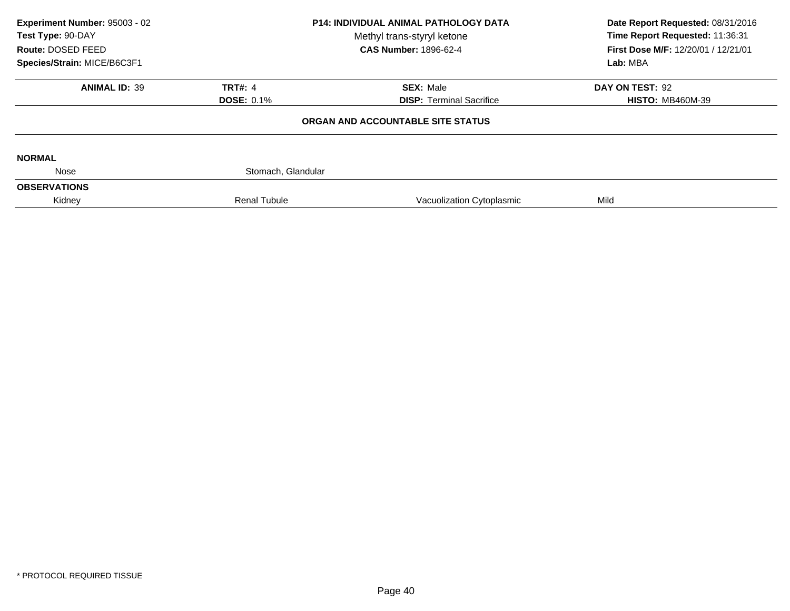| Experiment Number: 95003 - 02<br>Test Type: 90-DAY<br>Route: DOSED FEED | <b>P14: INDIVIDUAL ANIMAL PATHOLOGY DATA</b><br>Methyl trans-styryl ketone<br><b>CAS Number: 1896-62-4</b> |                                   | Date Report Requested: 08/31/2016<br>Time Report Requested: 11:36:31<br>First Dose M/F: 12/20/01 / 12/21/01 |  |
|-------------------------------------------------------------------------|------------------------------------------------------------------------------------------------------------|-----------------------------------|-------------------------------------------------------------------------------------------------------------|--|
| Species/Strain: MICE/B6C3F1                                             |                                                                                                            |                                   | Lab: MBA                                                                                                    |  |
| <b>ANIMAL ID: 39</b>                                                    | <b>TRT#: 4</b>                                                                                             | <b>SEX: Male</b>                  | DAY ON TEST: 92                                                                                             |  |
|                                                                         | <b>DOSE: 0.1%</b>                                                                                          | <b>DISP:</b> Terminal Sacrifice   | <b>HISTO: MB460M-39</b>                                                                                     |  |
|                                                                         |                                                                                                            | ORGAN AND ACCOUNTABLE SITE STATUS |                                                                                                             |  |
| <b>NORMAL</b>                                                           |                                                                                                            |                                   |                                                                                                             |  |
| Nose                                                                    | Stomach, Glandular                                                                                         |                                   |                                                                                                             |  |
| <b>OBSERVATIONS</b>                                                     |                                                                                                            |                                   |                                                                                                             |  |
| Kidney                                                                  | <b>Renal Tubule</b>                                                                                        | Vacuolization Cytoplasmic         | Mild                                                                                                        |  |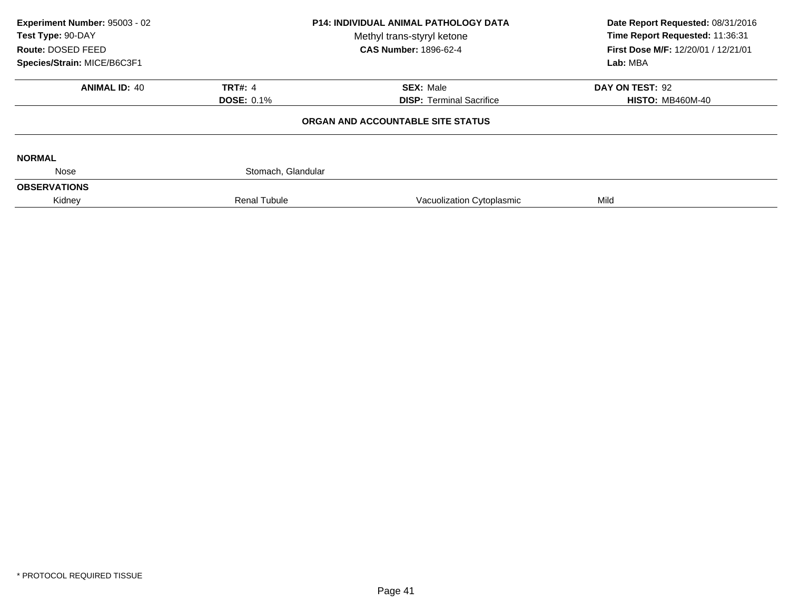| Experiment Number: 95003 - 02<br>Test Type: 90-DAY<br>Route: DOSED FEED | <b>P14: INDIVIDUAL ANIMAL PATHOLOGY DATA</b><br>Methyl trans-styryl ketone<br><b>CAS Number: 1896-62-4</b> |                                   | Date Report Requested: 08/31/2016<br>Time Report Requested: 11:36:31<br>First Dose M/F: 12/20/01 / 12/21/01 |  |
|-------------------------------------------------------------------------|------------------------------------------------------------------------------------------------------------|-----------------------------------|-------------------------------------------------------------------------------------------------------------|--|
| Species/Strain: MICE/B6C3F1                                             |                                                                                                            |                                   | Lab: MBA                                                                                                    |  |
| <b>ANIMAL ID: 40</b>                                                    | <b>TRT#: 4</b>                                                                                             | <b>SEX: Male</b>                  | DAY ON TEST: 92                                                                                             |  |
|                                                                         | <b>DOSE: 0.1%</b>                                                                                          | <b>DISP: Terminal Sacrifice</b>   | <b>HISTO: MB460M-40</b>                                                                                     |  |
|                                                                         |                                                                                                            | ORGAN AND ACCOUNTABLE SITE STATUS |                                                                                                             |  |
| <b>NORMAL</b>                                                           |                                                                                                            |                                   |                                                                                                             |  |
| Nose                                                                    | Stomach, Glandular                                                                                         |                                   |                                                                                                             |  |
| <b>OBSERVATIONS</b>                                                     |                                                                                                            |                                   |                                                                                                             |  |
| Kidney                                                                  | <b>Renal Tubule</b>                                                                                        | Vacuolization Cytoplasmic         | Mild                                                                                                        |  |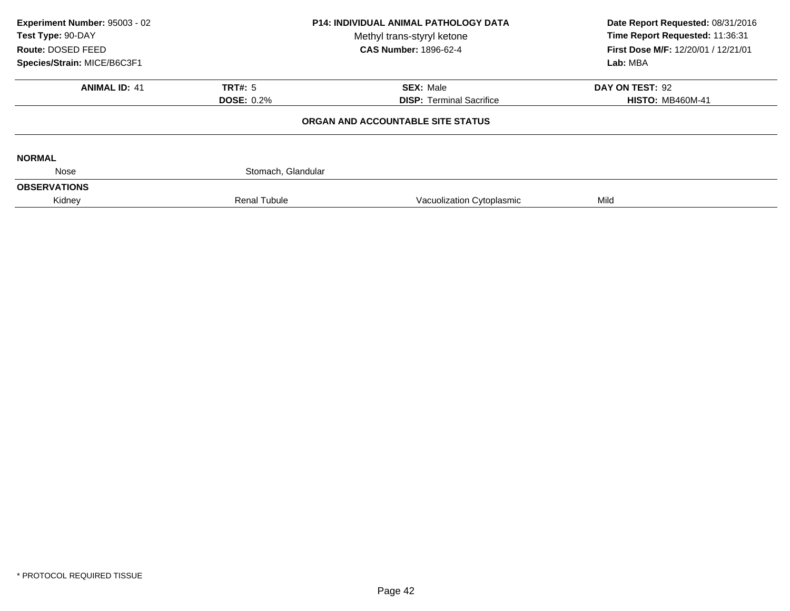| Experiment Number: 95003 - 02 | <b>P14: INDIVIDUAL ANIMAL PATHOLOGY DATA</b> |                                   | Date Report Requested: 08/31/2016   |
|-------------------------------|----------------------------------------------|-----------------------------------|-------------------------------------|
| Test Type: 90-DAY             |                                              | Methyl trans-styryl ketone        | Time Report Requested: 11:36:31     |
| Route: DOSED FEED             |                                              | <b>CAS Number: 1896-62-4</b>      | First Dose M/F: 12/20/01 / 12/21/01 |
| Species/Strain: MICE/B6C3F1   |                                              |                                   | Lab: MBA                            |
| <b>ANIMAL ID: 41</b>          | TRT#: 5                                      | <b>SEX: Male</b>                  | DAY ON TEST: 92                     |
|                               | <b>DOSE: 0.2%</b>                            | <b>DISP: Terminal Sacrifice</b>   | <b>HISTO: MB460M-41</b>             |
|                               |                                              | ORGAN AND ACCOUNTABLE SITE STATUS |                                     |
| <b>NORMAL</b>                 |                                              |                                   |                                     |
| Nose                          | Stomach, Glandular                           |                                   |                                     |
| <b>OBSERVATIONS</b>           |                                              |                                   |                                     |
| Kidney                        | <b>Renal Tubule</b>                          | Vacuolization Cytoplasmic         | Mild                                |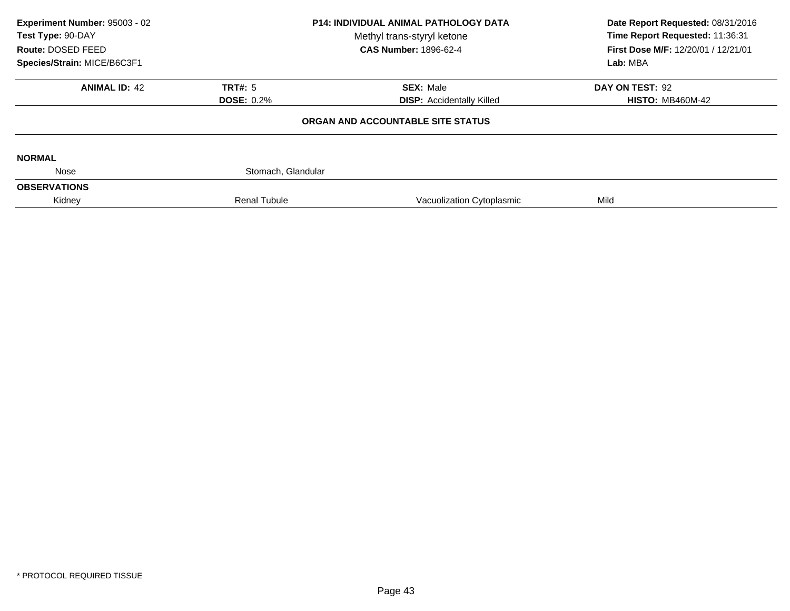| Experiment Number: 95003 - 02<br>Test Type: 90-DAY<br>Route: DOSED FEED | <b>P14: INDIVIDUAL ANIMAL PATHOLOGY DATA</b><br>Methyl trans-styryl ketone<br><b>CAS Number: 1896-62-4</b> |                                   | Date Report Requested: 08/31/2016<br>Time Report Requested: 11:36:31<br>First Dose M/F: 12/20/01 / 12/21/01 |  |
|-------------------------------------------------------------------------|------------------------------------------------------------------------------------------------------------|-----------------------------------|-------------------------------------------------------------------------------------------------------------|--|
| Species/Strain: MICE/B6C3F1                                             |                                                                                                            |                                   | Lab: MBA                                                                                                    |  |
| <b>ANIMAL ID: 42</b>                                                    | TRT#: 5                                                                                                    | <b>SEX: Male</b>                  | DAY ON TEST: 92                                                                                             |  |
|                                                                         | <b>DOSE: 0.2%</b>                                                                                          | <b>DISP:</b> Accidentally Killed  | <b>HISTO: MB460M-42</b>                                                                                     |  |
|                                                                         |                                                                                                            | ORGAN AND ACCOUNTABLE SITE STATUS |                                                                                                             |  |
| <b>NORMAL</b>                                                           |                                                                                                            |                                   |                                                                                                             |  |
| Nose                                                                    | Stomach, Glandular                                                                                         |                                   |                                                                                                             |  |
| <b>OBSERVATIONS</b>                                                     |                                                                                                            |                                   |                                                                                                             |  |
| Kidney                                                                  | <b>Renal Tubule</b>                                                                                        | Vacuolization Cytoplasmic         | Mild                                                                                                        |  |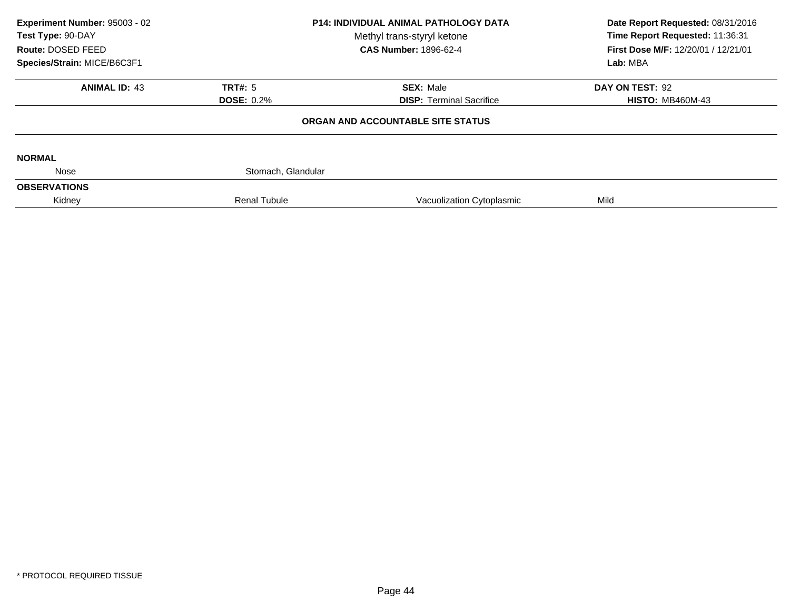| Experiment Number: 95003 - 02 | <b>P14: INDIVIDUAL ANIMAL PATHOLOGY DATA</b> |                                   | Date Report Requested: 08/31/2016                                                  |
|-------------------------------|----------------------------------------------|-----------------------------------|------------------------------------------------------------------------------------|
| Test Type: 90-DAY             |                                              | Methyl trans-styryl ketone        | Time Report Requested: 11:36:31<br>First Dose M/F: 12/20/01 / 12/21/01<br>Lab: MBA |
| Route: DOSED FEED             |                                              | <b>CAS Number: 1896-62-4</b>      |                                                                                    |
| Species/Strain: MICE/B6C3F1   |                                              |                                   |                                                                                    |
| <b>ANIMAL ID: 43</b>          | TRT#: 5                                      | <b>SEX: Male</b>                  | DAY ON TEST: 92                                                                    |
|                               | <b>DOSE: 0.2%</b>                            | <b>DISP: Terminal Sacrifice</b>   | <b>HISTO: MB460M-43</b>                                                            |
|                               |                                              | ORGAN AND ACCOUNTABLE SITE STATUS |                                                                                    |
| <b>NORMAL</b>                 |                                              |                                   |                                                                                    |
| Nose                          | Stomach, Glandular                           |                                   |                                                                                    |
| <b>OBSERVATIONS</b>           |                                              |                                   |                                                                                    |
| Kidney                        | <b>Renal Tubule</b>                          | Vacuolization Cytoplasmic         | Mild                                                                               |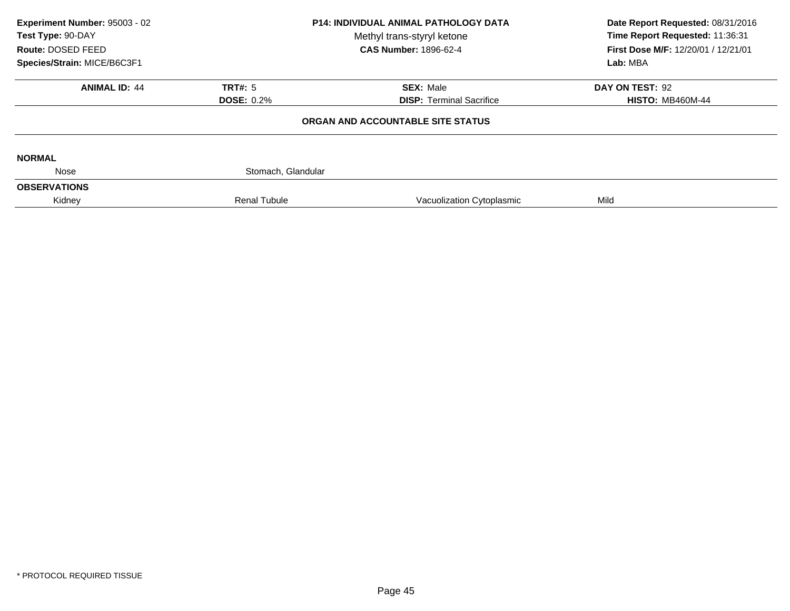| Experiment Number: 95003 - 02<br><b>P14: INDIVIDUAL ANIMAL PATHOLOGY DATA</b><br>Test Type: 90-DAY<br>Methyl trans-styryl ketone<br>Route: DOSED FEED |                     | <b>CAS Number: 1896-62-4</b>      | Date Report Requested: 08/31/2016<br>Time Report Requested: 11:36:31<br>First Dose M/F: 12/20/01 / 12/21/01 |  |
|-------------------------------------------------------------------------------------------------------------------------------------------------------|---------------------|-----------------------------------|-------------------------------------------------------------------------------------------------------------|--|
| Species/Strain: MICE/B6C3F1                                                                                                                           |                     |                                   | Lab: MBA                                                                                                    |  |
| <b>ANIMAL ID: 44</b>                                                                                                                                  | TRT#: 5             | <b>SEX: Male</b>                  | DAY ON TEST: 92                                                                                             |  |
|                                                                                                                                                       | <b>DOSE: 0.2%</b>   | <b>DISP:</b> Terminal Sacrifice   | <b>HISTO: MB460M-44</b>                                                                                     |  |
|                                                                                                                                                       |                     | ORGAN AND ACCOUNTABLE SITE STATUS |                                                                                                             |  |
| <b>NORMAL</b>                                                                                                                                         |                     |                                   |                                                                                                             |  |
| Nose                                                                                                                                                  | Stomach, Glandular  |                                   |                                                                                                             |  |
| <b>OBSERVATIONS</b>                                                                                                                                   |                     |                                   |                                                                                                             |  |
| Kidney                                                                                                                                                | <b>Renal Tubule</b> | Vacuolization Cytoplasmic         | Mild                                                                                                        |  |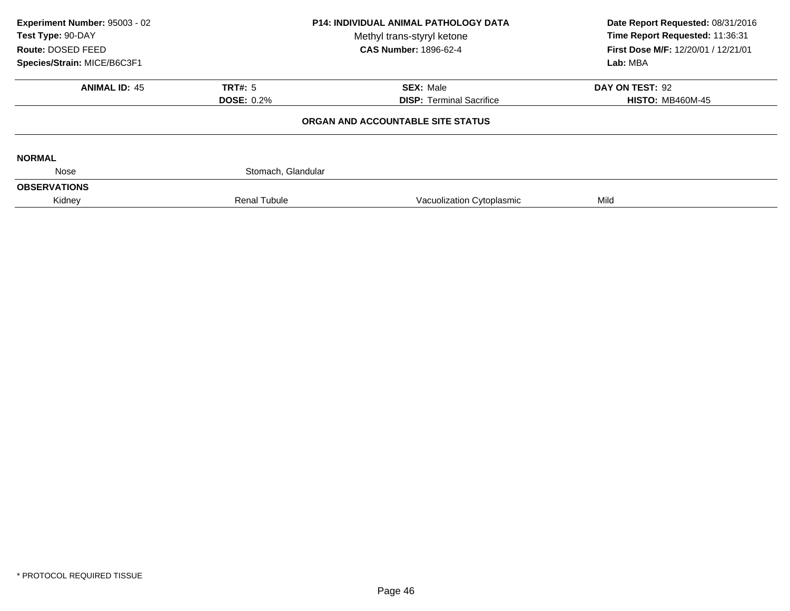| Experiment Number: 95003 - 02<br>Test Type: 90-DAY<br>Route: DOSED FEED |                     | <b>P14: INDIVIDUAL ANIMAL PATHOLOGY DATA</b><br>Methyl trans-styryl ketone<br><b>CAS Number: 1896-62-4</b> | Date Report Requested: 08/31/2016<br>Time Report Requested: 11:36:31<br>First Dose M/F: 12/20/01 / 12/21/01 |  |
|-------------------------------------------------------------------------|---------------------|------------------------------------------------------------------------------------------------------------|-------------------------------------------------------------------------------------------------------------|--|
| Species/Strain: MICE/B6C3F1                                             |                     |                                                                                                            | Lab: MBA                                                                                                    |  |
| <b>ANIMAL ID: 45</b>                                                    | TRT#: 5             | <b>SEX: Male</b>                                                                                           | DAY ON TEST: 92                                                                                             |  |
|                                                                         | <b>DOSE: 0.2%</b>   | <b>DISP: Terminal Sacrifice</b>                                                                            | <b>HISTO: MB460M-45</b>                                                                                     |  |
|                                                                         |                     | ORGAN AND ACCOUNTABLE SITE STATUS                                                                          |                                                                                                             |  |
| <b>NORMAL</b>                                                           |                     |                                                                                                            |                                                                                                             |  |
| Nose                                                                    | Stomach, Glandular  |                                                                                                            |                                                                                                             |  |
| <b>OBSERVATIONS</b>                                                     |                     |                                                                                                            |                                                                                                             |  |
| Kidney                                                                  | <b>Renal Tubule</b> | Vacuolization Cytoplasmic                                                                                  | Mild                                                                                                        |  |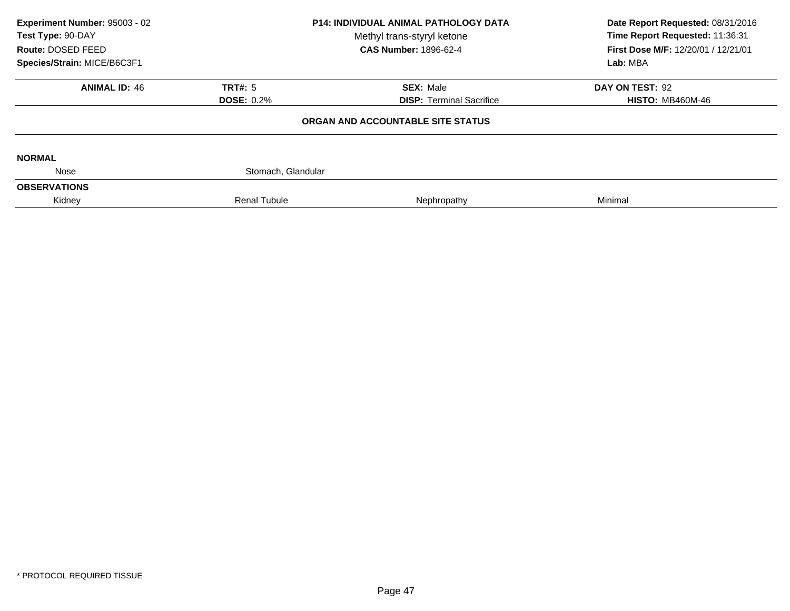| Experiment Number: 95003 - 02<br><b>P14: INDIVIDUAL ANIMAL PATHOLOGY DATA</b><br>Test Type: 90-DAY<br>Methyl trans-styryl ketone<br>Route: DOSED FEED |                                     | <b>CAS Number: 1896-62-4</b>                        | Date Report Requested: 08/31/2016<br>Time Report Requested: 11:36:31<br>First Dose M/F: 12/20/01 / 12/21/01 |
|-------------------------------------------------------------------------------------------------------------------------------------------------------|-------------------------------------|-----------------------------------------------------|-------------------------------------------------------------------------------------------------------------|
| Species/Strain: MICE/B6C3F1                                                                                                                           |                                     |                                                     | Lab: MBA                                                                                                    |
| <b>ANIMAL ID: 46</b>                                                                                                                                  | <b>TRT#: 5</b><br><b>DOSE: 0.2%</b> | <b>SEX: Male</b><br><b>DISP: Terminal Sacrifice</b> | DAY ON TEST: 92<br><b>HISTO: MB460M-46</b>                                                                  |
|                                                                                                                                                       |                                     | ORGAN AND ACCOUNTABLE SITE STATUS                   |                                                                                                             |
| <b>NORMAL</b>                                                                                                                                         |                                     |                                                     |                                                                                                             |
| Nose                                                                                                                                                  | Stomach, Glandular                  |                                                     |                                                                                                             |
| <b>OBSERVATIONS</b>                                                                                                                                   |                                     |                                                     |                                                                                                             |
| Kidney                                                                                                                                                | <b>Renal Tubule</b>                 | Nephropathy                                         | Minimal                                                                                                     |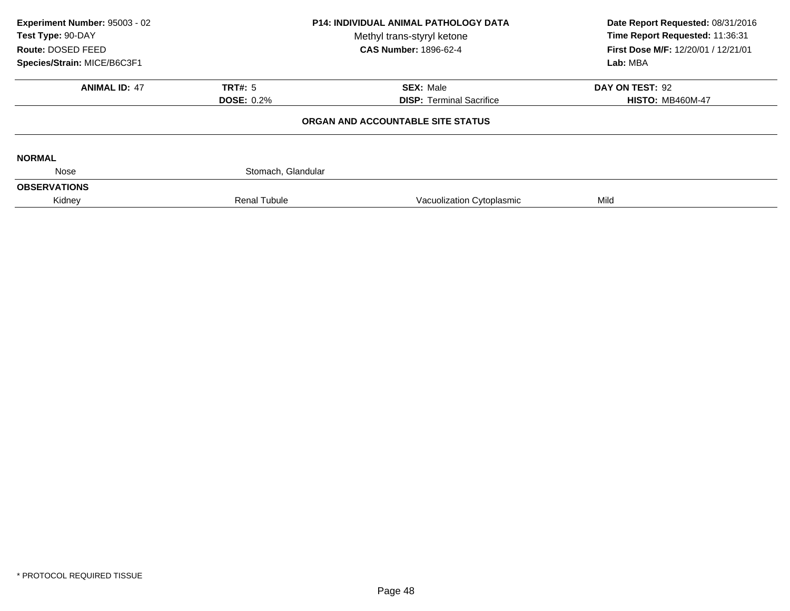| Experiment Number: 95003 - 02 |                     | <b>P14: INDIVIDUAL ANIMAL PATHOLOGY DATA</b> | Date Report Requested: 08/31/2016<br>Time Report Requested: 11:36:31 |
|-------------------------------|---------------------|----------------------------------------------|----------------------------------------------------------------------|
| Test Type: 90-DAY             |                     | Methyl trans-styryl ketone                   |                                                                      |
| Route: DOSED FEED             |                     | <b>CAS Number: 1896-62-4</b>                 | First Dose M/F: 12/20/01 / 12/21/01                                  |
| Species/Strain: MICE/B6C3F1   |                     |                                              | Lab: MBA                                                             |
| <b>ANIMAL ID: 47</b>          | TRT#: 5             | <b>SEX: Male</b>                             | DAY ON TEST: 92                                                      |
|                               | <b>DOSE: 0.2%</b>   | <b>DISP: Terminal Sacrifice</b>              | <b>HISTO: MB460M-47</b>                                              |
|                               |                     | ORGAN AND ACCOUNTABLE SITE STATUS            |                                                                      |
| <b>NORMAL</b>                 |                     |                                              |                                                                      |
| Nose                          | Stomach, Glandular  |                                              |                                                                      |
| <b>OBSERVATIONS</b>           |                     |                                              |                                                                      |
| Kidney                        | <b>Renal Tubule</b> | Vacuolization Cytoplasmic                    | Mild                                                                 |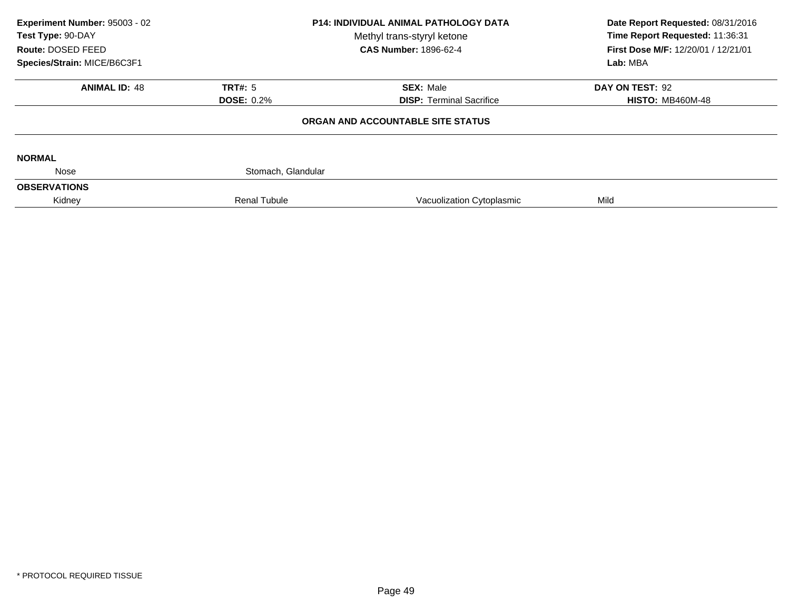| Experiment Number: 95003 - 02<br>Test Type: 90-DAY<br>Route: DOSED FEED | <b>P14: INDIVIDUAL ANIMAL PATHOLOGY DATA</b><br>Methyl trans-styryl ketone<br><b>CAS Number: 1896-62-4</b> |                                   | Date Report Requested: 08/31/2016<br>Time Report Requested: 11:36:31<br>First Dose M/F: 12/20/01 / 12/21/01 |  |
|-------------------------------------------------------------------------|------------------------------------------------------------------------------------------------------------|-----------------------------------|-------------------------------------------------------------------------------------------------------------|--|
| Species/Strain: MICE/B6C3F1                                             |                                                                                                            |                                   | Lab: MBA                                                                                                    |  |
| <b>ANIMAL ID: 48</b>                                                    | TRT#: 5                                                                                                    | <b>SEX: Male</b>                  | DAY ON TEST: 92                                                                                             |  |
|                                                                         | <b>DOSE: 0.2%</b>                                                                                          | <b>DISP:</b> Terminal Sacrifice   | <b>HISTO: MB460M-48</b>                                                                                     |  |
|                                                                         |                                                                                                            | ORGAN AND ACCOUNTABLE SITE STATUS |                                                                                                             |  |
| <b>NORMAL</b>                                                           |                                                                                                            |                                   |                                                                                                             |  |
| Nose                                                                    | Stomach, Glandular                                                                                         |                                   |                                                                                                             |  |
| <b>OBSERVATIONS</b>                                                     |                                                                                                            |                                   |                                                                                                             |  |
| Kidney                                                                  | <b>Renal Tubule</b>                                                                                        | Vacuolization Cytoplasmic         | Mild                                                                                                        |  |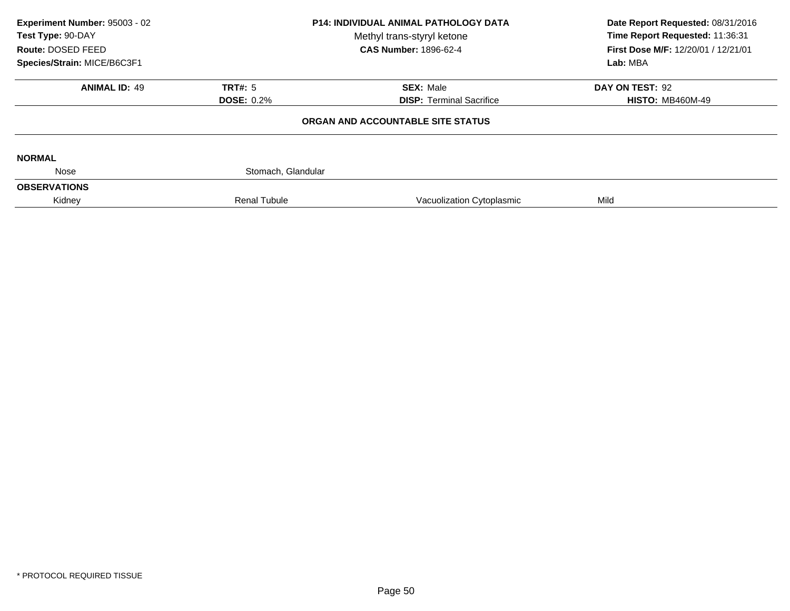| Experiment Number: 95003 - 02<br>Test Type: 90-DAY<br>Route: DOSED FEED | <b>P14: INDIVIDUAL ANIMAL PATHOLOGY DATA</b><br>Methyl trans-styryl ketone<br><b>CAS Number: 1896-62-4</b> |                                   | Date Report Requested: 08/31/2016<br>Time Report Requested: 11:36:31<br>First Dose M/F: 12/20/01 / 12/21/01 |  |
|-------------------------------------------------------------------------|------------------------------------------------------------------------------------------------------------|-----------------------------------|-------------------------------------------------------------------------------------------------------------|--|
| Species/Strain: MICE/B6C3F1                                             |                                                                                                            |                                   | Lab: MBA                                                                                                    |  |
| <b>ANIMAL ID: 49</b>                                                    | TRT#: 5                                                                                                    | <b>SEX: Male</b>                  | DAY ON TEST: 92                                                                                             |  |
|                                                                         | <b>DOSE: 0.2%</b>                                                                                          | <b>DISP:</b> Terminal Sacrifice   | <b>HISTO: MB460M-49</b>                                                                                     |  |
|                                                                         |                                                                                                            | ORGAN AND ACCOUNTABLE SITE STATUS |                                                                                                             |  |
| <b>NORMAL</b>                                                           |                                                                                                            |                                   |                                                                                                             |  |
| Nose                                                                    | Stomach, Glandular                                                                                         |                                   |                                                                                                             |  |
| <b>OBSERVATIONS</b>                                                     |                                                                                                            |                                   |                                                                                                             |  |
| Kidney                                                                  | <b>Renal Tubule</b>                                                                                        | Vacuolization Cytoplasmic         | Mild                                                                                                        |  |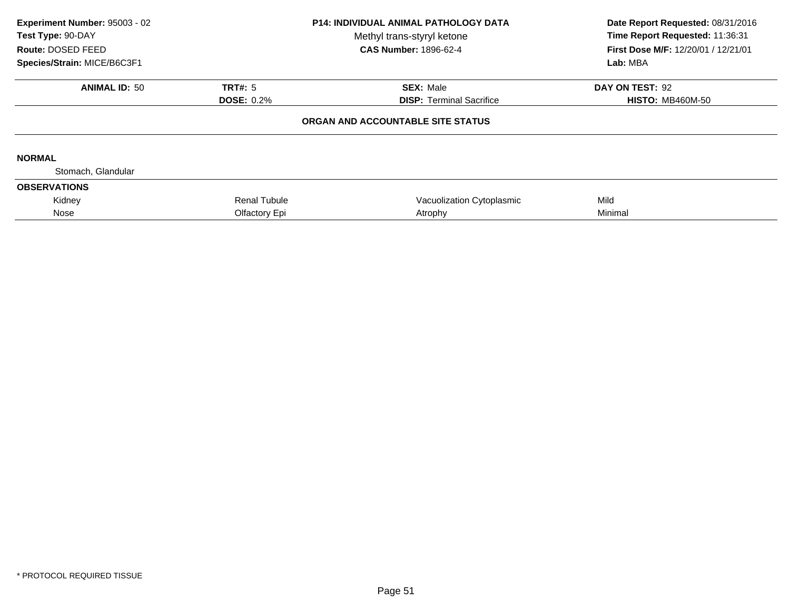| Experiment Number: 95003 - 02<br>Test Type: 90-DAY |                     | <b>P14: INDIVIDUAL ANIMAL PATHOLOGY DATA</b><br>Methyl trans-styryl ketone | Date Report Requested: 08/31/2016<br>Time Report Requested: 11:36:31 |  |
|----------------------------------------------------|---------------------|----------------------------------------------------------------------------|----------------------------------------------------------------------|--|
| Route: DOSED FEED                                  |                     | <b>CAS Number: 1896-62-4</b>                                               | First Dose M/F: 12/20/01 / 12/21/01                                  |  |
| Species/Strain: MICE/B6C3F1                        |                     |                                                                            | Lab: MBA                                                             |  |
| <b>ANIMAL ID: 50</b>                               | <b>TRT#: 5</b>      | <b>SEX: Male</b>                                                           | DAY ON TEST: 92                                                      |  |
|                                                    | <b>DOSE: 0.2%</b>   | <b>DISP: Terminal Sacrifice</b>                                            | <b>HISTO: MB460M-50</b>                                              |  |
|                                                    |                     | ORGAN AND ACCOUNTABLE SITE STATUS                                          |                                                                      |  |
| <b>NORMAL</b>                                      |                     |                                                                            |                                                                      |  |
| Stomach, Glandular                                 |                     |                                                                            |                                                                      |  |
| <b>OBSERVATIONS</b>                                |                     |                                                                            |                                                                      |  |
| Kidney                                             | <b>Renal Tubule</b> | Vacuolization Cytoplasmic                                                  | Mild                                                                 |  |
| Nose                                               | Olfactory Epi       | Atrophy                                                                    | Minimal                                                              |  |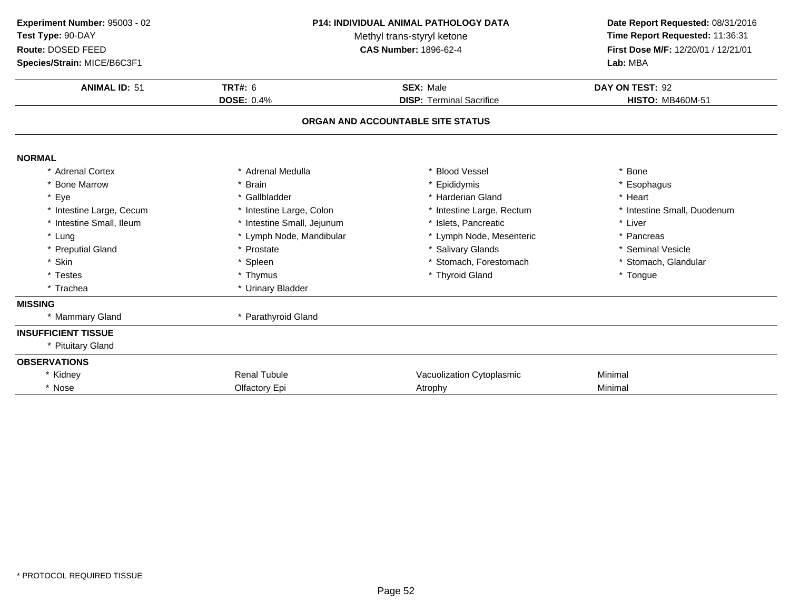| Experiment Number: 95003 - 02<br>Test Type: 90-DAY<br>Route: DOSED FEED<br>Species/Strain: MICE/B6C3F1 | <b>P14: INDIVIDUAL ANIMAL PATHOLOGY DATA</b><br>Methyl trans-styryl ketone<br><b>CAS Number: 1896-62-4</b> |                                                     | Date Report Requested: 08/31/2016<br>Time Report Requested: 11:36:31<br>First Dose M/F: 12/20/01 / 12/21/01<br>Lab: MBA |  |
|--------------------------------------------------------------------------------------------------------|------------------------------------------------------------------------------------------------------------|-----------------------------------------------------|-------------------------------------------------------------------------------------------------------------------------|--|
| <b>ANIMAL ID: 51</b>                                                                                   | <b>TRT#: 6</b><br><b>DOSE: 0.4%</b>                                                                        | <b>SEX: Male</b><br><b>DISP: Terminal Sacrifice</b> |                                                                                                                         |  |
|                                                                                                        |                                                                                                            | ORGAN AND ACCOUNTABLE SITE STATUS                   |                                                                                                                         |  |
| <b>NORMAL</b>                                                                                          |                                                                                                            |                                                     |                                                                                                                         |  |
| * Adrenal Cortex                                                                                       | * Adrenal Medulla                                                                                          | <b>Blood Vessel</b>                                 | * Bone                                                                                                                  |  |
| * Bone Marrow                                                                                          | * Brain                                                                                                    | * Epididymis                                        | * Esophagus                                                                                                             |  |
| * Eye                                                                                                  | * Gallbladder                                                                                              | * Harderian Gland                                   | * Heart                                                                                                                 |  |
| * Intestine Large, Cecum                                                                               | * Intestine Large, Colon                                                                                   | * Intestine Large, Rectum                           | * Intestine Small, Duodenum                                                                                             |  |
| * Intestine Small, Ileum                                                                               | * Intestine Small, Jejunum                                                                                 | * Islets, Pancreatic                                | * Liver                                                                                                                 |  |
| * Lung                                                                                                 | * Lymph Node, Mandibular                                                                                   | * Lymph Node, Mesenteric                            | * Pancreas                                                                                                              |  |
| * Preputial Gland                                                                                      | * Prostate                                                                                                 | * Salivary Glands                                   | * Seminal Vesicle                                                                                                       |  |
| * Skin                                                                                                 | * Spleen                                                                                                   | * Stomach, Forestomach                              | * Stomach, Glandular                                                                                                    |  |
| * Testes                                                                                               | * Thymus                                                                                                   | * Thyroid Gland                                     | * Tongue                                                                                                                |  |
| * Trachea                                                                                              | * Urinary Bladder                                                                                          |                                                     |                                                                                                                         |  |
| <b>MISSING</b>                                                                                         |                                                                                                            |                                                     |                                                                                                                         |  |
| * Mammary Gland                                                                                        | * Parathyroid Gland                                                                                        |                                                     |                                                                                                                         |  |
| <b>INSUFFICIENT TISSUE</b>                                                                             |                                                                                                            |                                                     |                                                                                                                         |  |
| * Pituitary Gland                                                                                      |                                                                                                            |                                                     |                                                                                                                         |  |
| <b>OBSERVATIONS</b>                                                                                    |                                                                                                            |                                                     |                                                                                                                         |  |
| * Kidney                                                                                               | <b>Renal Tubule</b>                                                                                        | Vacuolization Cytoplasmic                           | Minimal                                                                                                                 |  |
| * Nose                                                                                                 | Olfactory Epi                                                                                              | Atrophy                                             | Minimal                                                                                                                 |  |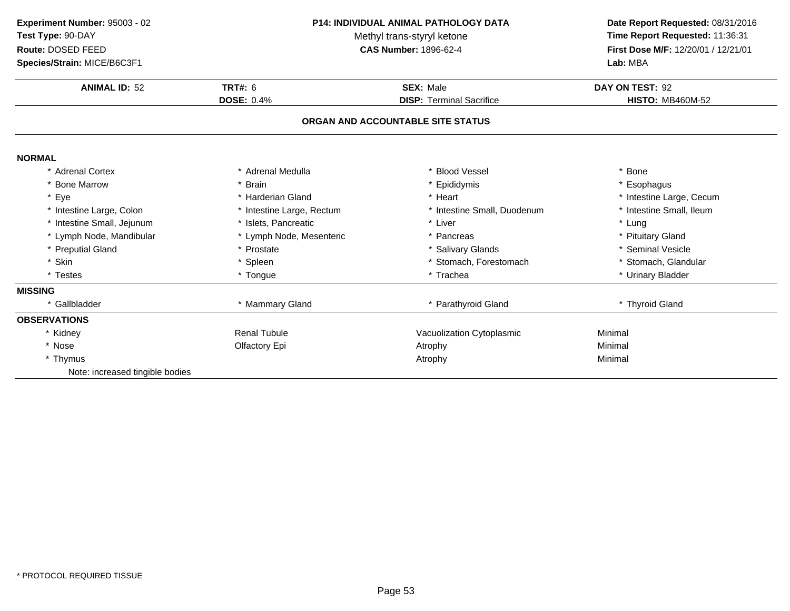| Experiment Number: 95003 - 02<br>Test Type: 90-DAY<br>Route: DOSED FEED<br>Species/Strain: MICE/B6C3F1<br><b>ANIMAL ID: 52</b> | <b>P14: INDIVIDUAL ANIMAL PATHOLOGY DATA</b><br>Methyl trans-styryl ketone<br><b>CAS Number: 1896-62-4</b><br><b>TRT#: 6</b><br><b>SEX: Male</b> |                                   | Date Report Requested: 08/31/2016<br>Time Report Requested: 11:36:31<br>First Dose M/F: 12/20/01 / 12/21/01<br>Lab: MBA<br>DAY ON TEST: 92 |
|--------------------------------------------------------------------------------------------------------------------------------|--------------------------------------------------------------------------------------------------------------------------------------------------|-----------------------------------|--------------------------------------------------------------------------------------------------------------------------------------------|
|                                                                                                                                | <b>DOSE: 0.4%</b>                                                                                                                                | <b>DISP: Terminal Sacrifice</b>   | <b>HISTO: MB460M-52</b>                                                                                                                    |
|                                                                                                                                |                                                                                                                                                  | ORGAN AND ACCOUNTABLE SITE STATUS |                                                                                                                                            |
| <b>NORMAL</b>                                                                                                                  |                                                                                                                                                  |                                   |                                                                                                                                            |
| * Adrenal Cortex                                                                                                               | Adrenal Medulla                                                                                                                                  | <b>Blood Vessel</b>               | * Bone                                                                                                                                     |
| * Bone Marrow                                                                                                                  | <b>Brain</b>                                                                                                                                     | Epididymis                        | * Esophagus                                                                                                                                |
| * Eye                                                                                                                          | * Harderian Gland                                                                                                                                | * Heart                           | * Intestine Large, Cecum                                                                                                                   |
| * Intestine Large, Colon                                                                                                       | * Intestine Large, Rectum                                                                                                                        | * Intestine Small, Duodenum       | * Intestine Small, Ileum                                                                                                                   |
| * Intestine Small, Jejunum                                                                                                     | * Islets, Pancreatic                                                                                                                             | * Liver                           | * Lung                                                                                                                                     |
| * Lymph Node, Mandibular                                                                                                       | * Lymph Node, Mesenteric                                                                                                                         | * Pancreas                        | * Pituitary Gland                                                                                                                          |
| * Preputial Gland                                                                                                              | * Prostate                                                                                                                                       | * Salivary Glands                 | * Seminal Vesicle                                                                                                                          |
| * Skin                                                                                                                         | * Spleen                                                                                                                                         | * Stomach, Forestomach            | * Stomach, Glandular                                                                                                                       |
| * Testes                                                                                                                       | * Tongue                                                                                                                                         | * Trachea                         | * Urinary Bladder                                                                                                                          |
| <b>MISSING</b>                                                                                                                 |                                                                                                                                                  |                                   |                                                                                                                                            |
| * Gallbladder                                                                                                                  | * Mammary Gland                                                                                                                                  | * Parathyroid Gland               | * Thyroid Gland                                                                                                                            |
| <b>OBSERVATIONS</b>                                                                                                            |                                                                                                                                                  |                                   |                                                                                                                                            |
| * Kidney                                                                                                                       | <b>Renal Tubule</b>                                                                                                                              | Vacuolization Cytoplasmic         | Minimal                                                                                                                                    |
| * Nose                                                                                                                         | Olfactory Epi                                                                                                                                    | Atrophy                           | Minimal                                                                                                                                    |
| * Thymus                                                                                                                       |                                                                                                                                                  | Atrophy                           | Minimal                                                                                                                                    |
| Note: increased tingible bodies                                                                                                |                                                                                                                                                  |                                   |                                                                                                                                            |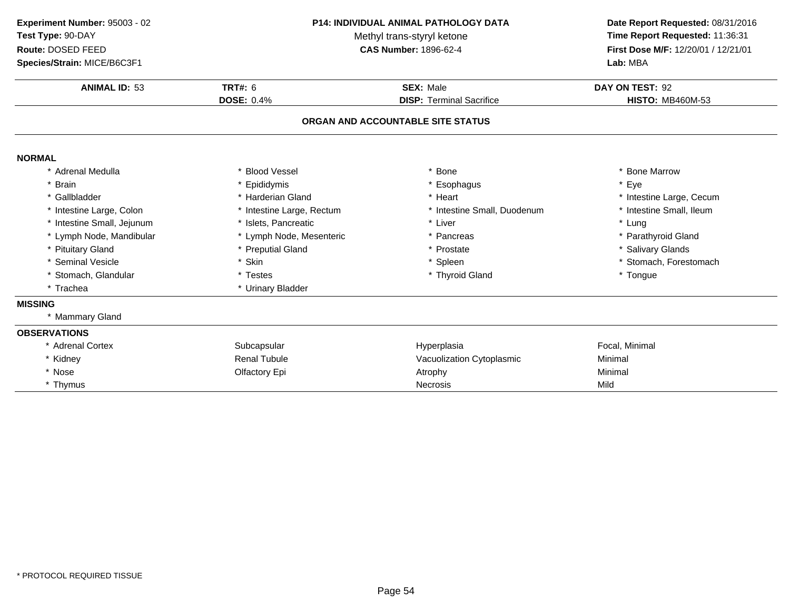| Experiment Number: 95003 - 02<br>Test Type: 90-DAY<br>Route: DOSED FEED<br>Species/Strain: MICE/B6C3F1<br><b>ANIMAL ID: 53</b> | <b>P14: INDIVIDUAL ANIMAL PATHOLOGY DATA</b><br>Methyl trans-styryl ketone<br><b>CAS Number: 1896-62-4</b><br><b>TRT#: 6</b><br><b>SEX: Male</b> |                                                                      | Date Report Requested: 08/31/2016<br>Time Report Requested: 11:36:31<br>First Dose M/F: 12/20/01 / 12/21/01<br>Lab: MBA<br>DAY ON TEST: 92<br><b>HISTO: MB460M-53</b> |
|--------------------------------------------------------------------------------------------------------------------------------|--------------------------------------------------------------------------------------------------------------------------------------------------|----------------------------------------------------------------------|-----------------------------------------------------------------------------------------------------------------------------------------------------------------------|
|                                                                                                                                | <b>DOSE: 0.4%</b>                                                                                                                                | <b>DISP: Terminal Sacrifice</b><br>ORGAN AND ACCOUNTABLE SITE STATUS |                                                                                                                                                                       |
| <b>NORMAL</b>                                                                                                                  |                                                                                                                                                  |                                                                      |                                                                                                                                                                       |
| * Adrenal Medulla                                                                                                              | * Blood Vessel                                                                                                                                   | * Bone                                                               | * Bone Marrow                                                                                                                                                         |
| * Brain                                                                                                                        | Epididymis                                                                                                                                       | * Esophagus                                                          | * Eye                                                                                                                                                                 |
| * Gallbladder                                                                                                                  | * Harderian Gland                                                                                                                                | * Heart                                                              | * Intestine Large, Cecum                                                                                                                                              |
| * Intestine Large, Colon                                                                                                       | * Intestine Large, Rectum                                                                                                                        | * Intestine Small, Duodenum                                          | * Intestine Small, Ileum                                                                                                                                              |
| * Intestine Small, Jejunum                                                                                                     | * Islets, Pancreatic                                                                                                                             | * Liver                                                              | * Lung                                                                                                                                                                |
| * Lymph Node, Mandibular                                                                                                       | * Lymph Node, Mesenteric                                                                                                                         | * Pancreas                                                           | * Parathyroid Gland                                                                                                                                                   |
| * Pituitary Gland                                                                                                              | * Preputial Gland                                                                                                                                | * Prostate                                                           | * Salivary Glands                                                                                                                                                     |
| * Seminal Vesicle                                                                                                              | * Skin                                                                                                                                           | * Spleen                                                             | * Stomach, Forestomach                                                                                                                                                |
| * Stomach, Glandular                                                                                                           | * Testes                                                                                                                                         | * Thyroid Gland                                                      | * Tongue                                                                                                                                                              |
| * Trachea                                                                                                                      | * Urinary Bladder                                                                                                                                |                                                                      |                                                                                                                                                                       |
| <b>MISSING</b>                                                                                                                 |                                                                                                                                                  |                                                                      |                                                                                                                                                                       |
| * Mammary Gland                                                                                                                |                                                                                                                                                  |                                                                      |                                                                                                                                                                       |
| <b>OBSERVATIONS</b>                                                                                                            |                                                                                                                                                  |                                                                      |                                                                                                                                                                       |
| * Adrenal Cortex                                                                                                               | Subcapsular                                                                                                                                      | Hyperplasia                                                          | Focal, Minimal                                                                                                                                                        |
| * Kidney                                                                                                                       | <b>Renal Tubule</b>                                                                                                                              | Vacuolization Cytoplasmic                                            | Minimal                                                                                                                                                               |
| * Nose                                                                                                                         | Olfactory Epi                                                                                                                                    | Atrophy                                                              | Minimal                                                                                                                                                               |
| * Thymus                                                                                                                       |                                                                                                                                                  | <b>Necrosis</b>                                                      | Mild                                                                                                                                                                  |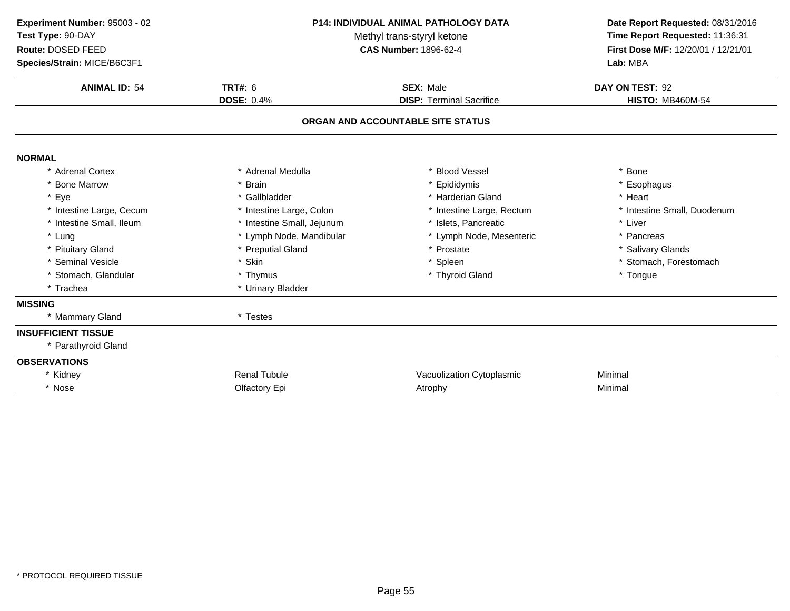| Experiment Number: 95003 - 02<br>Test Type: 90-DAY<br>Route: DOSED FEED<br>Species/Strain: MICE/B6C3F1 | <b>P14: INDIVIDUAL ANIMAL PATHOLOGY DATA</b><br>Methyl trans-styryl ketone<br><b>CAS Number: 1896-62-4</b> |                                                     | Date Report Requested: 08/31/2016<br>Time Report Requested: 11:36:31<br>First Dose M/F: 12/20/01 / 12/21/01<br>Lab: MBA |  |
|--------------------------------------------------------------------------------------------------------|------------------------------------------------------------------------------------------------------------|-----------------------------------------------------|-------------------------------------------------------------------------------------------------------------------------|--|
| <b>ANIMAL ID: 54</b>                                                                                   | <b>TRT#: 6</b><br><b>DOSE: 0.4%</b>                                                                        | <b>SEX: Male</b><br><b>DISP: Terminal Sacrifice</b> |                                                                                                                         |  |
|                                                                                                        |                                                                                                            | ORGAN AND ACCOUNTABLE SITE STATUS                   |                                                                                                                         |  |
| <b>NORMAL</b>                                                                                          |                                                                                                            |                                                     |                                                                                                                         |  |
| * Adrenal Cortex                                                                                       | * Adrenal Medulla                                                                                          | * Blood Vessel                                      | * Bone                                                                                                                  |  |
| * Bone Marrow                                                                                          | * Brain                                                                                                    | * Epididymis                                        | * Esophagus                                                                                                             |  |
| * Eye                                                                                                  | * Gallbladder                                                                                              | * Harderian Gland                                   | * Heart                                                                                                                 |  |
| * Intestine Large, Cecum                                                                               | * Intestine Large, Colon                                                                                   | * Intestine Large, Rectum                           | * Intestine Small, Duodenum                                                                                             |  |
| * Intestine Small, Ileum                                                                               | * Intestine Small, Jejunum                                                                                 | * Islets, Pancreatic                                | * Liver                                                                                                                 |  |
| * Lung                                                                                                 | * Lymph Node, Mandibular                                                                                   | * Lymph Node, Mesenteric                            | * Pancreas                                                                                                              |  |
| * Pituitary Gland                                                                                      | * Preputial Gland                                                                                          | * Prostate                                          | * Salivary Glands                                                                                                       |  |
| * Seminal Vesicle                                                                                      | * Skin                                                                                                     | * Spleen                                            | * Stomach, Forestomach                                                                                                  |  |
| * Stomach, Glandular                                                                                   | * Thymus                                                                                                   | * Thyroid Gland                                     | * Tongue                                                                                                                |  |
| * Trachea                                                                                              | * Urinary Bladder                                                                                          |                                                     |                                                                                                                         |  |
| <b>MISSING</b>                                                                                         |                                                                                                            |                                                     |                                                                                                                         |  |
| * Mammary Gland                                                                                        | * Testes                                                                                                   |                                                     |                                                                                                                         |  |
| <b>INSUFFICIENT TISSUE</b>                                                                             |                                                                                                            |                                                     |                                                                                                                         |  |
| * Parathyroid Gland                                                                                    |                                                                                                            |                                                     |                                                                                                                         |  |
| <b>OBSERVATIONS</b>                                                                                    |                                                                                                            |                                                     |                                                                                                                         |  |
| * Kidney                                                                                               | <b>Renal Tubule</b>                                                                                        | Vacuolization Cytoplasmic                           | Minimal                                                                                                                 |  |
| * Nose                                                                                                 | Olfactory Epi                                                                                              | Atrophy                                             | Minimal                                                                                                                 |  |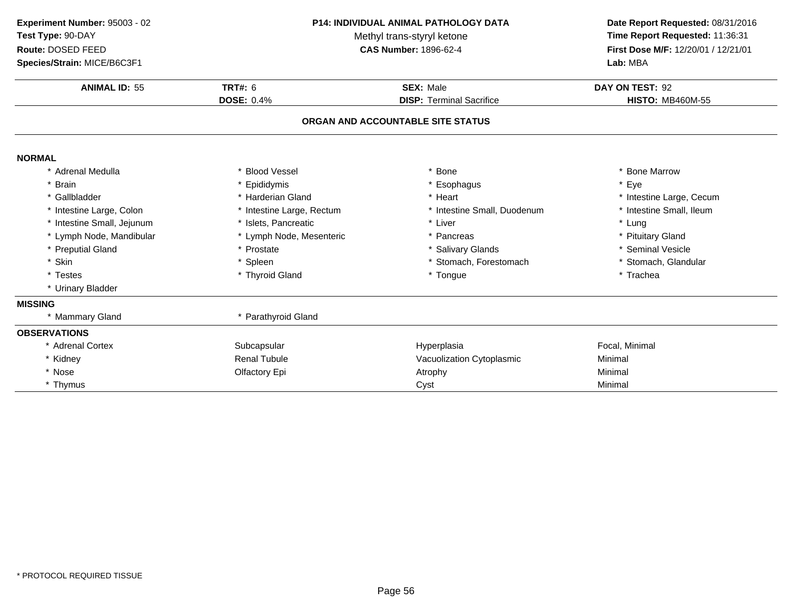| Experiment Number: 95003 - 02<br>Test Type: 90-DAY |                           | <b>P14: INDIVIDUAL ANIMAL PATHOLOGY DATA</b><br>Methyl trans-styryl ketone |                                     |
|----------------------------------------------------|---------------------------|----------------------------------------------------------------------------|-------------------------------------|
| Route: DOSED FEED                                  |                           | <b>CAS Number: 1896-62-4</b>                                               | First Dose M/F: 12/20/01 / 12/21/01 |
| Species/Strain: MICE/B6C3F1                        |                           |                                                                            | Lab: MBA                            |
| <b>ANIMAL ID: 55</b>                               | <b>TRT#: 6</b>            | <b>SEX: Male</b>                                                           | DAY ON TEST: 92                     |
|                                                    | <b>DOSE: 0.4%</b>         | <b>DISP: Terminal Sacrifice</b>                                            | <b>HISTO: MB460M-55</b>             |
|                                                    |                           | ORGAN AND ACCOUNTABLE SITE STATUS                                          |                                     |
| <b>NORMAL</b>                                      |                           |                                                                            |                                     |
| * Adrenal Medulla                                  | * Blood Vessel            | Bone                                                                       | * Bone Marrow                       |
| * Brain                                            | * Epididymis              | Esophagus                                                                  | * Eye                               |
| * Gallbladder                                      | * Harderian Gland         | Heart                                                                      | * Intestine Large, Cecum            |
| * Intestine Large, Colon                           | * Intestine Large, Rectum | * Intestine Small, Duodenum                                                | * Intestine Small, Ileum            |
| * Intestine Small, Jejunum                         | * Islets, Pancreatic      | * Liver                                                                    | * Lung                              |
| * Lymph Node, Mandibular                           | * Lymph Node, Mesenteric  | * Pancreas                                                                 | * Pituitary Gland                   |
| * Preputial Gland                                  | * Prostate                | * Salivary Glands                                                          | * Seminal Vesicle                   |
| * Skin                                             | * Spleen                  | * Stomach, Forestomach                                                     | * Stomach, Glandular                |
| * Testes                                           | * Thyroid Gland           | * Tongue                                                                   | * Trachea                           |
| * Urinary Bladder                                  |                           |                                                                            |                                     |
| <b>MISSING</b>                                     |                           |                                                                            |                                     |
| * Mammary Gland                                    | * Parathyroid Gland       |                                                                            |                                     |
| <b>OBSERVATIONS</b>                                |                           |                                                                            |                                     |
| * Adrenal Cortex                                   | Subcapsular               | Hyperplasia                                                                | Focal, Minimal                      |
| * Kidney                                           | <b>Renal Tubule</b>       | Vacuolization Cytoplasmic                                                  | Minimal                             |
| * Nose                                             | Olfactory Epi             | Atrophy                                                                    | Minimal                             |
| * Thymus                                           |                           | Cyst                                                                       | Minimal                             |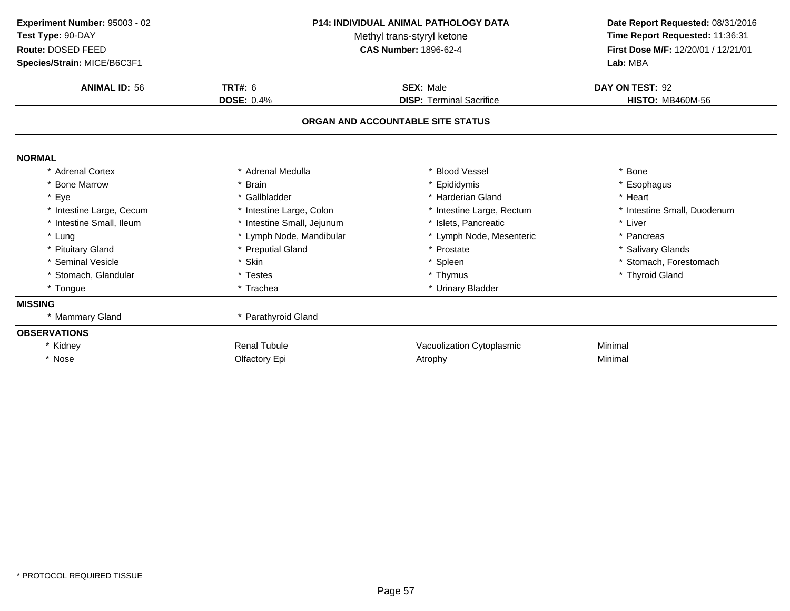| Experiment Number: 95003 - 02<br>Test Type: 90-DAY<br>Route: DOSED FEED<br>Species/Strain: MICE/B6C3F1 |                            | <b>P14: INDIVIDUAL ANIMAL PATHOLOGY DATA</b><br>Methyl trans-styryl ketone<br><b>CAS Number: 1896-62-4</b> |                             |
|--------------------------------------------------------------------------------------------------------|----------------------------|------------------------------------------------------------------------------------------------------------|-----------------------------|
| <b>ANIMAL ID: 56</b>                                                                                   | <b>TRT#: 6</b>             | <b>SEX: Male</b>                                                                                           | DAY ON TEST: 92             |
|                                                                                                        | <b>DOSE: 0.4%</b>          | <b>DISP: Terminal Sacrifice</b>                                                                            | <b>HISTO: MB460M-56</b>     |
|                                                                                                        |                            | ORGAN AND ACCOUNTABLE SITE STATUS                                                                          |                             |
| <b>NORMAL</b>                                                                                          |                            |                                                                                                            |                             |
| * Adrenal Cortex                                                                                       | * Adrenal Medulla          | * Blood Vessel                                                                                             | * Bone                      |
| * Bone Marrow                                                                                          | * Brain                    | * Epididymis                                                                                               | * Esophagus                 |
| * Eye                                                                                                  | * Gallbladder              | * Harderian Gland                                                                                          | * Heart                     |
| * Intestine Large, Cecum                                                                               | * Intestine Large, Colon   | * Intestine Large, Rectum                                                                                  | * Intestine Small, Duodenum |
| * Intestine Small, Ileum                                                                               | * Intestine Small, Jejunum | * Islets, Pancreatic                                                                                       | * Liver                     |
| * Lung                                                                                                 | * Lymph Node, Mandibular   | * Lymph Node, Mesenteric                                                                                   | * Pancreas                  |
| * Pituitary Gland                                                                                      | * Preputial Gland          | * Prostate                                                                                                 | * Salivary Glands           |
| * Seminal Vesicle                                                                                      | * Skin                     | * Spleen                                                                                                   | * Stomach, Forestomach      |
| * Stomach, Glandular                                                                                   | * Testes                   | * Thymus                                                                                                   | * Thyroid Gland             |
| * Tongue                                                                                               | * Trachea                  | * Urinary Bladder                                                                                          |                             |
| <b>MISSING</b>                                                                                         |                            |                                                                                                            |                             |
| * Mammary Gland                                                                                        | * Parathyroid Gland        |                                                                                                            |                             |
| <b>OBSERVATIONS</b>                                                                                    |                            |                                                                                                            |                             |
| * Kidney                                                                                               | <b>Renal Tubule</b>        | Vacuolization Cytoplasmic                                                                                  | Minimal                     |
| * Nose                                                                                                 | Olfactory Epi              | Atrophy                                                                                                    | Minimal                     |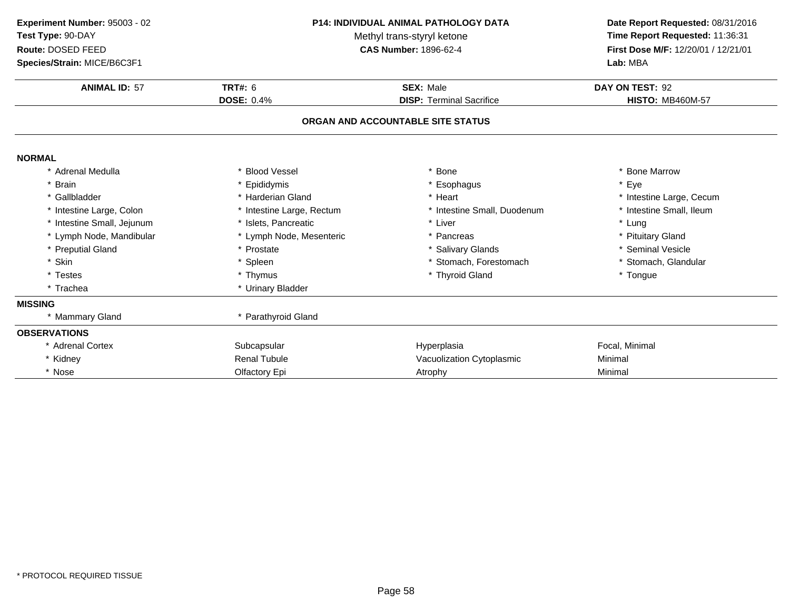| Experiment Number: 95003 - 02<br>Test Type: 90-DAY<br>Route: DOSED FEED<br>Species/Strain: MICE/B6C3F1<br><b>ANIMAL ID: 57</b> | P14: INDIVIDUAL ANIMAL PATHOLOGY DATA<br>Methyl trans-styryl ketone<br><b>CAS Number: 1896-62-4</b><br><b>TRT#: 6</b><br><b>SEX: Male</b> |                                   | Date Report Requested: 08/31/2016<br>Time Report Requested: 11:36:31<br>First Dose M/F: 12/20/01 / 12/21/01<br>Lab: MBA<br>DAY ON TEST: 92 |
|--------------------------------------------------------------------------------------------------------------------------------|-------------------------------------------------------------------------------------------------------------------------------------------|-----------------------------------|--------------------------------------------------------------------------------------------------------------------------------------------|
|                                                                                                                                | <b>DOSE: 0.4%</b>                                                                                                                         | <b>DISP: Terminal Sacrifice</b>   | <b>HISTO: MB460M-57</b>                                                                                                                    |
|                                                                                                                                |                                                                                                                                           | ORGAN AND ACCOUNTABLE SITE STATUS |                                                                                                                                            |
| <b>NORMAL</b>                                                                                                                  |                                                                                                                                           |                                   |                                                                                                                                            |
| * Adrenal Medulla                                                                                                              | <b>Blood Vessel</b>                                                                                                                       | <b>Bone</b>                       | * Bone Marrow                                                                                                                              |
| * Brain                                                                                                                        | Epididymis                                                                                                                                | * Esophagus                       | * Eye                                                                                                                                      |
| * Gallbladder                                                                                                                  | * Harderian Gland                                                                                                                         | * Heart                           | * Intestine Large, Cecum                                                                                                                   |
| * Intestine Large, Colon                                                                                                       | * Intestine Large, Rectum                                                                                                                 | * Intestine Small, Duodenum       | * Intestine Small, Ileum                                                                                                                   |
| * Intestine Small, Jejunum                                                                                                     | * Islets, Pancreatic                                                                                                                      | * Liver                           | * Lung                                                                                                                                     |
| * Lymph Node, Mandibular                                                                                                       | * Lymph Node, Mesenteric                                                                                                                  | * Pancreas                        | * Pituitary Gland                                                                                                                          |
| * Preputial Gland                                                                                                              | * Prostate                                                                                                                                | * Salivary Glands                 | * Seminal Vesicle                                                                                                                          |
| * Skin                                                                                                                         | * Spleen                                                                                                                                  | * Stomach, Forestomach            | * Stomach, Glandular                                                                                                                       |
| * Testes                                                                                                                       | * Thymus                                                                                                                                  | * Thyroid Gland                   | * Tongue                                                                                                                                   |
| * Trachea                                                                                                                      | * Urinary Bladder                                                                                                                         |                                   |                                                                                                                                            |
| <b>MISSING</b>                                                                                                                 |                                                                                                                                           |                                   |                                                                                                                                            |
| * Mammary Gland                                                                                                                | * Parathyroid Gland                                                                                                                       |                                   |                                                                                                                                            |
| <b>OBSERVATIONS</b>                                                                                                            |                                                                                                                                           |                                   |                                                                                                                                            |
| * Adrenal Cortex                                                                                                               | Subcapsular                                                                                                                               | Hyperplasia                       | Focal, Minimal                                                                                                                             |
| * Kidney                                                                                                                       | <b>Renal Tubule</b>                                                                                                                       | Vacuolization Cytoplasmic         | Minimal                                                                                                                                    |
| * Nose                                                                                                                         | Olfactory Epi                                                                                                                             | Atrophy                           | Minimal                                                                                                                                    |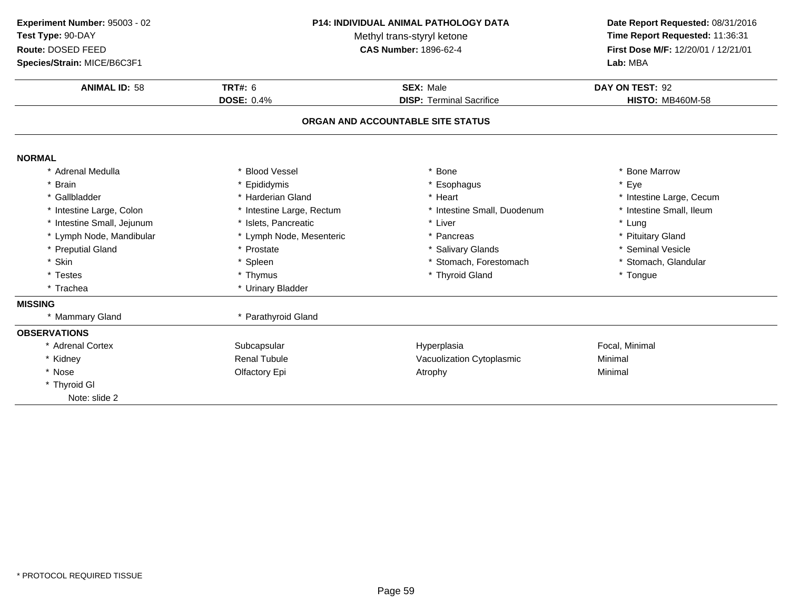| Experiment Number: 95003 - 02<br>Test Type: 90-DAY<br>Route: DOSED FEED<br>Species/Strain: MICE/B6C3F1<br><b>ANIMAL ID: 58</b> | TRT#: $6$<br><b>DOSE: 0.4%</b> | <b>P14: INDIVIDUAL ANIMAL PATHOLOGY DATA</b><br>Methyl trans-styryl ketone<br>CAS Number: 1896-62-4<br><b>SEX: Male</b><br><b>DISP: Terminal Sacrifice</b> | Date Report Requested: 08/31/2016<br>Time Report Requested: 11:36:31<br>First Dose M/F: 12/20/01 / 12/21/01<br>Lab: MBA<br>DAY ON TEST: 92<br><b>HISTO: MB460M-58</b> |
|--------------------------------------------------------------------------------------------------------------------------------|--------------------------------|------------------------------------------------------------------------------------------------------------------------------------------------------------|-----------------------------------------------------------------------------------------------------------------------------------------------------------------------|
|                                                                                                                                |                                | ORGAN AND ACCOUNTABLE SITE STATUS                                                                                                                          |                                                                                                                                                                       |
| <b>NORMAL</b>                                                                                                                  |                                |                                                                                                                                                            |                                                                                                                                                                       |
| * Adrenal Medulla                                                                                                              | * Blood Vessel                 | Bone                                                                                                                                                       | * Bone Marrow                                                                                                                                                         |
| * Brain                                                                                                                        | * Epididymis                   | * Esophagus                                                                                                                                                | * Eye                                                                                                                                                                 |
| * Gallbladder                                                                                                                  | * Harderian Gland              | * Heart                                                                                                                                                    | * Intestine Large, Cecum                                                                                                                                              |
| * Intestine Large, Colon                                                                                                       | * Intestine Large, Rectum      | * Intestine Small, Duodenum                                                                                                                                | * Intestine Small, Ileum                                                                                                                                              |
| * Intestine Small, Jejunum                                                                                                     | * Islets, Pancreatic           | * Liver                                                                                                                                                    | * Lung                                                                                                                                                                |
| * Lymph Node, Mandibular                                                                                                       | * Lymph Node, Mesenteric       | * Pancreas                                                                                                                                                 | * Pituitary Gland                                                                                                                                                     |
| * Preputial Gland                                                                                                              | * Prostate                     | * Salivary Glands                                                                                                                                          | * Seminal Vesicle                                                                                                                                                     |
| * Skin                                                                                                                         | * Spleen                       | * Stomach, Forestomach                                                                                                                                     | * Stomach, Glandular                                                                                                                                                  |
| * Testes                                                                                                                       | * Thymus                       | * Thyroid Gland                                                                                                                                            | * Tongue                                                                                                                                                              |
| * Trachea                                                                                                                      | * Urinary Bladder              |                                                                                                                                                            |                                                                                                                                                                       |
| <b>MISSING</b>                                                                                                                 |                                |                                                                                                                                                            |                                                                                                                                                                       |
| * Mammary Gland                                                                                                                | * Parathyroid Gland            |                                                                                                                                                            |                                                                                                                                                                       |
| <b>OBSERVATIONS</b>                                                                                                            |                                |                                                                                                                                                            |                                                                                                                                                                       |
| * Adrenal Cortex                                                                                                               | Subcapsular                    | Hyperplasia                                                                                                                                                | Focal, Minimal                                                                                                                                                        |
| * Kidney                                                                                                                       | <b>Renal Tubule</b>            | Vacuolization Cytoplasmic                                                                                                                                  | Minimal                                                                                                                                                               |
| * Nose                                                                                                                         | Olfactory Epi                  | Atrophy                                                                                                                                                    | Minimal                                                                                                                                                               |
| * Thyroid Gl                                                                                                                   |                                |                                                                                                                                                            |                                                                                                                                                                       |
| Note: slide 2                                                                                                                  |                                |                                                                                                                                                            |                                                                                                                                                                       |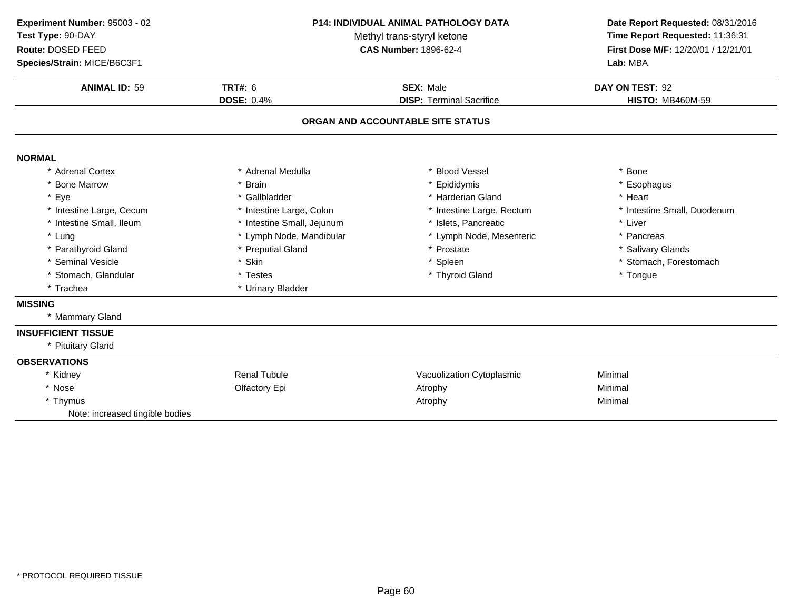| Experiment Number: 95003 - 02   | <b>P14: INDIVIDUAL ANIMAL PATHOLOGY DATA</b> |                                   | Date Report Requested: 08/31/2016<br>Time Report Requested: 11:36:31 |  |
|---------------------------------|----------------------------------------------|-----------------------------------|----------------------------------------------------------------------|--|
| Test Type: 90-DAY               | Methyl trans-styryl ketone                   |                                   |                                                                      |  |
| Route: DOSED FEED               |                                              | <b>CAS Number: 1896-62-4</b>      | First Dose M/F: 12/20/01 / 12/21/01                                  |  |
| Species/Strain: MICE/B6C3F1     |                                              |                                   | Lab: MBA                                                             |  |
| <b>ANIMAL ID: 59</b>            | <b>TRT#: 6</b>                               | <b>SEX: Male</b>                  | DAY ON TEST: 92                                                      |  |
|                                 | <b>DOSE: 0.4%</b>                            | <b>DISP: Terminal Sacrifice</b>   | <b>HISTO: MB460M-59</b>                                              |  |
|                                 |                                              | ORGAN AND ACCOUNTABLE SITE STATUS |                                                                      |  |
| <b>NORMAL</b>                   |                                              |                                   |                                                                      |  |
| * Adrenal Cortex                | * Adrenal Medulla                            | <b>Blood Vessel</b>               | * Bone                                                               |  |
| * Bone Marrow                   | * Brain                                      | * Epididymis                      | * Esophagus                                                          |  |
| * Eye                           | * Gallbladder                                | * Harderian Gland                 | * Heart                                                              |  |
| * Intestine Large, Cecum        | * Intestine Large, Colon                     | * Intestine Large, Rectum         | * Intestine Small, Duodenum                                          |  |
| * Intestine Small, Ileum        | * Intestine Small, Jejunum                   | * Islets, Pancreatic              | * Liver                                                              |  |
| * Lung                          | * Lymph Node, Mandibular                     | * Lymph Node, Mesenteric          | * Pancreas                                                           |  |
| * Parathyroid Gland             | * Preputial Gland                            | * Prostate                        | * Salivary Glands                                                    |  |
| * Seminal Vesicle               | * Skin                                       | * Spleen                          | * Stomach, Forestomach                                               |  |
| * Stomach, Glandular            | * Testes                                     | * Thyroid Gland                   | * Tongue                                                             |  |
| * Trachea                       | * Urinary Bladder                            |                                   |                                                                      |  |
| <b>MISSING</b>                  |                                              |                                   |                                                                      |  |
| * Mammary Gland                 |                                              |                                   |                                                                      |  |
| <b>INSUFFICIENT TISSUE</b>      |                                              |                                   |                                                                      |  |
| * Pituitary Gland               |                                              |                                   |                                                                      |  |
| <b>OBSERVATIONS</b>             |                                              |                                   |                                                                      |  |
| * Kidney                        | <b>Renal Tubule</b>                          | Vacuolization Cytoplasmic         | Minimal                                                              |  |
| * Nose                          | Olfactory Epi                                | Atrophy                           | Minimal                                                              |  |
| * Thymus                        |                                              | Atrophy                           | Minimal                                                              |  |
| Note: increased tingible bodies |                                              |                                   |                                                                      |  |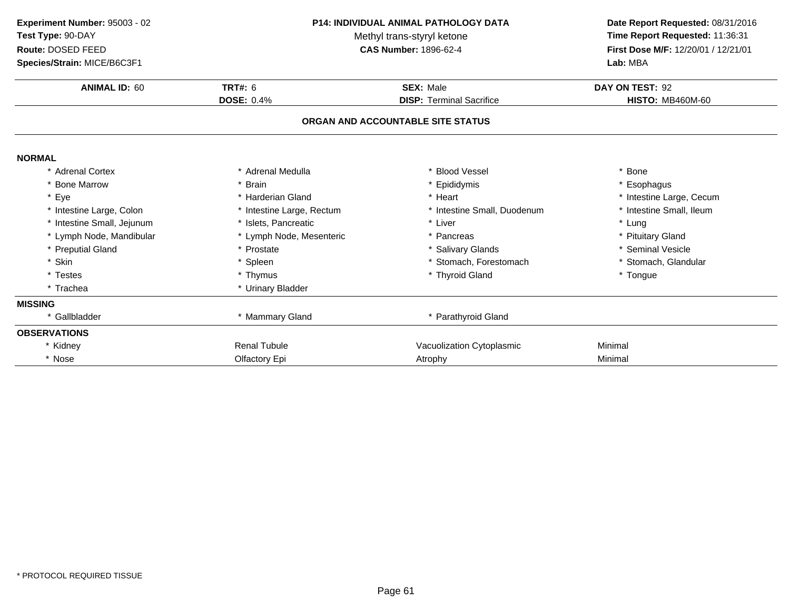| Experiment Number: 95003 - 02<br>Test Type: 90-DAY<br>Route: DOSED FEED<br>Species/Strain: MICE/B6C3F1 | <b>P14: INDIVIDUAL ANIMAL PATHOLOGY DATA</b><br>Methyl trans-styryl ketone<br><b>CAS Number: 1896-62-4</b> |                                   | Date Report Requested: 08/31/2016<br>Time Report Requested: 11:36:31<br>First Dose M/F: 12/20/01 / 12/21/01<br>Lab: MBA |
|--------------------------------------------------------------------------------------------------------|------------------------------------------------------------------------------------------------------------|-----------------------------------|-------------------------------------------------------------------------------------------------------------------------|
| <b>ANIMAL ID: 60</b>                                                                                   | <b>TRT#: 6</b>                                                                                             | <b>SEX: Male</b>                  | DAY ON TEST: 92                                                                                                         |
|                                                                                                        | <b>DOSE: 0.4%</b>                                                                                          | <b>DISP: Terminal Sacrifice</b>   | <b>HISTO: MB460M-60</b>                                                                                                 |
|                                                                                                        |                                                                                                            | ORGAN AND ACCOUNTABLE SITE STATUS |                                                                                                                         |
| <b>NORMAL</b>                                                                                          |                                                                                                            |                                   |                                                                                                                         |
| * Adrenal Cortex                                                                                       | * Adrenal Medulla                                                                                          | * Blood Vessel                    | * Bone                                                                                                                  |
| * Bone Marrow                                                                                          | * Brain                                                                                                    | Epididymis                        | * Esophagus                                                                                                             |
| * Eye                                                                                                  | * Harderian Gland                                                                                          | * Heart                           | * Intestine Large, Cecum                                                                                                |
| * Intestine Large, Colon                                                                               | * Intestine Large, Rectum                                                                                  | * Intestine Small, Duodenum       | * Intestine Small, Ileum                                                                                                |
| * Intestine Small, Jejunum                                                                             | * Islets. Pancreatic                                                                                       | * Liver                           | * Lung                                                                                                                  |
| * Lymph Node, Mandibular                                                                               | * Lymph Node, Mesenteric                                                                                   | * Pancreas                        | * Pituitary Gland                                                                                                       |
| * Preputial Gland                                                                                      | * Prostate                                                                                                 | * Salivary Glands                 | * Seminal Vesicle                                                                                                       |
| * Skin                                                                                                 | * Spleen                                                                                                   | * Stomach, Forestomach            | * Stomach, Glandular                                                                                                    |
| * Testes                                                                                               | * Thymus                                                                                                   | * Thyroid Gland                   | * Tongue                                                                                                                |
| * Trachea                                                                                              | * Urinary Bladder                                                                                          |                                   |                                                                                                                         |
| <b>MISSING</b>                                                                                         |                                                                                                            |                                   |                                                                                                                         |
| * Gallbladder                                                                                          | * Mammary Gland                                                                                            | * Parathyroid Gland               |                                                                                                                         |
| <b>OBSERVATIONS</b>                                                                                    |                                                                                                            |                                   |                                                                                                                         |
| * Kidney                                                                                               | <b>Renal Tubule</b>                                                                                        | Vacuolization Cytoplasmic         | Minimal                                                                                                                 |
| * Nose                                                                                                 | Olfactory Epi                                                                                              | Atrophy                           | Minimal                                                                                                                 |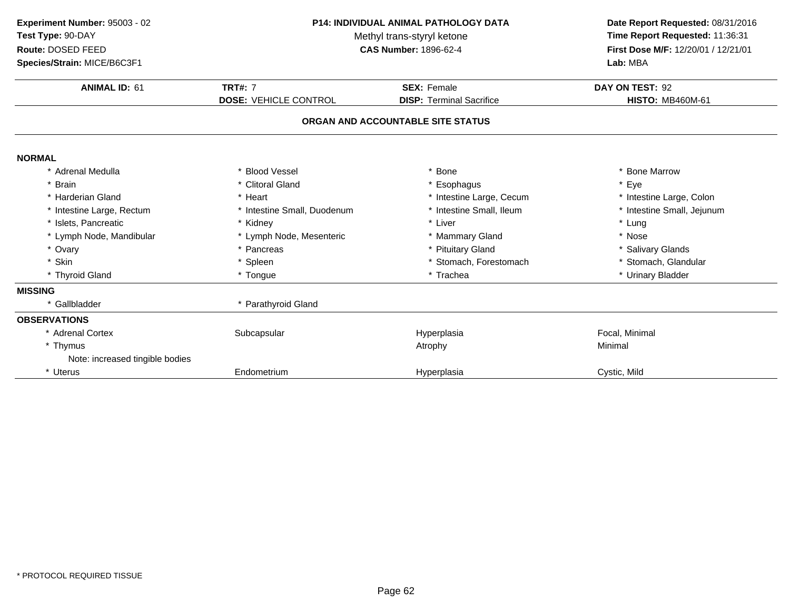| Experiment Number: 95003 - 02<br>Test Type: 90-DAY<br>Route: DOSED FEED | <b>P14: INDIVIDUAL ANIMAL PATHOLOGY DATA</b><br>Methyl trans-styryl ketone<br><b>CAS Number: 1896-62-4</b> |                                   | Date Report Requested: 08/31/2016<br>Time Report Requested: 11:36:31<br>First Dose M/F: 12/20/01 / 12/21/01<br>Lab: MBA |  |
|-------------------------------------------------------------------------|------------------------------------------------------------------------------------------------------------|-----------------------------------|-------------------------------------------------------------------------------------------------------------------------|--|
| Species/Strain: MICE/B6C3F1                                             |                                                                                                            |                                   |                                                                                                                         |  |
| <b>ANIMAL ID: 61</b>                                                    | <b>TRT#: 7</b>                                                                                             | <b>SEX: Female</b>                | DAY ON TEST: 92                                                                                                         |  |
|                                                                         | <b>DOSE: VEHICLE CONTROL</b>                                                                               | <b>DISP: Terminal Sacrifice</b>   | <b>HISTO: MB460M-61</b>                                                                                                 |  |
|                                                                         |                                                                                                            | ORGAN AND ACCOUNTABLE SITE STATUS |                                                                                                                         |  |
| <b>NORMAL</b>                                                           |                                                                                                            |                                   |                                                                                                                         |  |
| * Adrenal Medulla                                                       | * Blood Vessel                                                                                             | <b>Bone</b>                       | * Bone Marrow                                                                                                           |  |
| * Brain                                                                 | * Clitoral Gland                                                                                           | * Esophagus                       | * Eye                                                                                                                   |  |
| * Harderian Gland                                                       | * Heart                                                                                                    | * Intestine Large, Cecum          | * Intestine Large, Colon                                                                                                |  |
| * Intestine Large, Rectum                                               | * Intestine Small, Duodenum                                                                                | * Intestine Small, Ileum          | * Intestine Small, Jejunum                                                                                              |  |
| * Islets, Pancreatic                                                    | * Kidney                                                                                                   | * Liver                           | * Lung                                                                                                                  |  |
| * Lymph Node, Mandibular                                                | * Lymph Node, Mesenteric                                                                                   | * Mammary Gland                   | * Nose                                                                                                                  |  |
| * Ovary                                                                 | * Pancreas                                                                                                 | * Pituitary Gland                 | * Salivary Glands                                                                                                       |  |
| * Skin                                                                  | * Spleen                                                                                                   | Stomach, Forestomach              | * Stomach, Glandular                                                                                                    |  |
| * Thyroid Gland                                                         | * Tongue                                                                                                   | * Trachea                         | * Urinary Bladder                                                                                                       |  |
| <b>MISSING</b>                                                          |                                                                                                            |                                   |                                                                                                                         |  |
| * Gallbladder                                                           | * Parathyroid Gland                                                                                        |                                   |                                                                                                                         |  |
| <b>OBSERVATIONS</b>                                                     |                                                                                                            |                                   |                                                                                                                         |  |
| * Adrenal Cortex                                                        | Subcapsular                                                                                                | Hyperplasia                       | Focal, Minimal                                                                                                          |  |
| * Thymus                                                                |                                                                                                            | Atrophy                           | Minimal                                                                                                                 |  |
| Note: increased tingible bodies                                         |                                                                                                            |                                   |                                                                                                                         |  |
| * Uterus                                                                | Endometrium                                                                                                | Hyperplasia                       | Cystic, Mild                                                                                                            |  |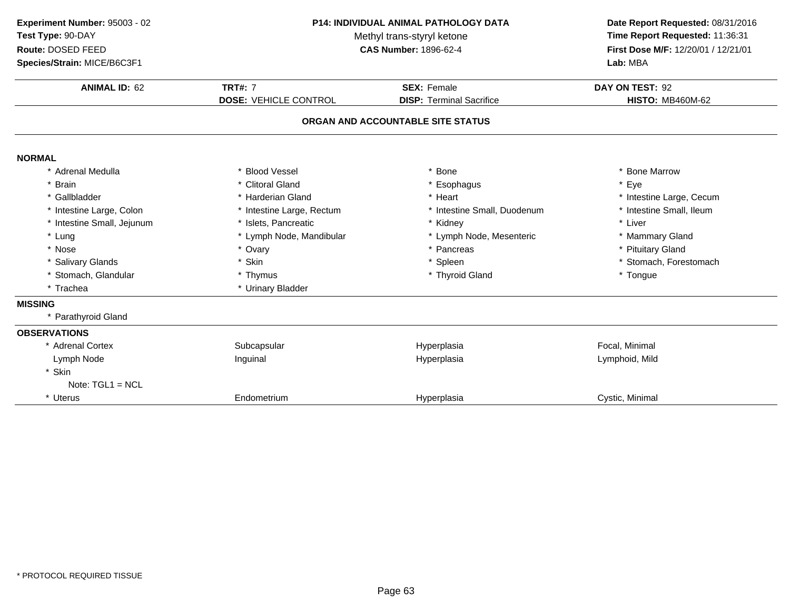| Experiment Number: 95003 - 02<br>Test Type: 90-DAY<br>Route: DOSED FEED<br>Species/Strain: MICE/B6C3F1 | P14: INDIVIDUAL ANIMAL PATHOLOGY DATA<br>Methyl trans-styryl ketone<br><b>CAS Number: 1896-62-4</b> |                                                       | Date Report Requested: 08/31/2016<br>Time Report Requested: 11:36:31<br>First Dose M/F: 12/20/01 / 12/21/01<br>Lab: MBA |
|--------------------------------------------------------------------------------------------------------|-----------------------------------------------------------------------------------------------------|-------------------------------------------------------|-------------------------------------------------------------------------------------------------------------------------|
| <b>ANIMAL ID: 62</b>                                                                                   | <b>TRT#: 7</b><br><b>DOSE: VEHICLE CONTROL</b>                                                      | <b>SEX: Female</b><br><b>DISP: Terminal Sacrifice</b> | DAY ON TEST: 92<br><b>HISTO: MB460M-62</b>                                                                              |
|                                                                                                        |                                                                                                     |                                                       |                                                                                                                         |
|                                                                                                        |                                                                                                     | ORGAN AND ACCOUNTABLE SITE STATUS                     |                                                                                                                         |
| <b>NORMAL</b>                                                                                          |                                                                                                     |                                                       |                                                                                                                         |
| * Adrenal Medulla                                                                                      | * Blood Vessel                                                                                      | <b>Bone</b>                                           | * Bone Marrow                                                                                                           |
| <b>Brain</b>                                                                                           | * Clitoral Gland                                                                                    | Esophagus                                             | Eye                                                                                                                     |
| * Gallbladder                                                                                          | * Harderian Gland                                                                                   | * Heart                                               | * Intestine Large, Cecum                                                                                                |
| * Intestine Large, Colon                                                                               | * Intestine Large, Rectum                                                                           | * Intestine Small, Duodenum                           | * Intestine Small, Ileum                                                                                                |
| * Intestine Small, Jejunum                                                                             | * Islets, Pancreatic                                                                                | * Kidney                                              | * Liver                                                                                                                 |
| * Lung                                                                                                 | * Lymph Node, Mandibular                                                                            | * Lymph Node, Mesenteric                              | * Mammary Gland                                                                                                         |
| * Nose                                                                                                 | * Ovary                                                                                             | * Pancreas                                            | * Pituitary Gland                                                                                                       |
| * Salivary Glands                                                                                      | * Skin                                                                                              | * Spleen                                              | * Stomach, Forestomach                                                                                                  |
| * Stomach, Glandular                                                                                   | * Thymus                                                                                            | * Thyroid Gland                                       | * Tongue                                                                                                                |
| * Trachea                                                                                              | * Urinary Bladder                                                                                   |                                                       |                                                                                                                         |
| <b>MISSING</b>                                                                                         |                                                                                                     |                                                       |                                                                                                                         |
| * Parathyroid Gland                                                                                    |                                                                                                     |                                                       |                                                                                                                         |
| <b>OBSERVATIONS</b>                                                                                    |                                                                                                     |                                                       |                                                                                                                         |
| * Adrenal Cortex                                                                                       | Subcapsular                                                                                         | Hyperplasia                                           | Focal, Minimal                                                                                                          |
| Lymph Node                                                                                             | Inguinal                                                                                            | Hyperplasia                                           | Lymphoid, Mild                                                                                                          |
| * Skin                                                                                                 |                                                                                                     |                                                       |                                                                                                                         |
| Note: $TGL1 = NCL$                                                                                     |                                                                                                     |                                                       |                                                                                                                         |
| * Uterus                                                                                               | Endometrium                                                                                         | Hyperplasia                                           | Cystic, Minimal                                                                                                         |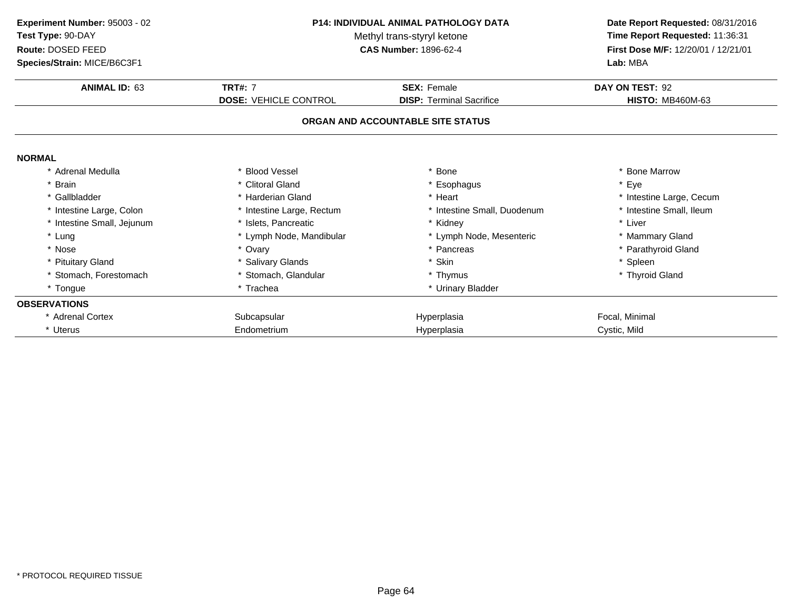| Experiment Number: 95003 - 02 | <b>P14: INDIVIDUAL ANIMAL PATHOLOGY DATA</b><br>Methyl trans-styryl ketone |                                   | Date Report Requested: 08/31/2016   |
|-------------------------------|----------------------------------------------------------------------------|-----------------------------------|-------------------------------------|
| Test Type: 90-DAY             |                                                                            |                                   | Time Report Requested: 11:36:31     |
| Route: DOSED FEED             |                                                                            | <b>CAS Number: 1896-62-4</b>      | First Dose M/F: 12/20/01 / 12/21/01 |
| Species/Strain: MICE/B6C3F1   |                                                                            |                                   | Lab: MBA                            |
| <b>ANIMAL ID: 63</b>          | <b>TRT#: 7</b>                                                             | <b>SEX: Female</b>                | DAY ON TEST: 92                     |
|                               | <b>DOSE: VEHICLE CONTROL</b>                                               | <b>DISP: Terminal Sacrifice</b>   | <b>HISTO: MB460M-63</b>             |
|                               |                                                                            | ORGAN AND ACCOUNTABLE SITE STATUS |                                     |
| <b>NORMAL</b>                 |                                                                            |                                   |                                     |
| * Adrenal Medulla             | * Blood Vessel                                                             | Bone                              | * Bone Marrow                       |
| * Brain                       | * Clitoral Gland                                                           | * Esophagus                       | * Eye                               |
| * Gallbladder                 | * Harderian Gland                                                          | * Heart                           | * Intestine Large, Cecum            |
| * Intestine Large, Colon      | * Intestine Large, Rectum                                                  | * Intestine Small, Duodenum       | * Intestine Small, Ileum            |
| * Intestine Small, Jejunum    | * Islets. Pancreatic                                                       | * Kidney                          | * Liver                             |
| * Lung                        | * Lymph Node, Mandibular                                                   | * Lymph Node, Mesenteric          | * Mammary Gland                     |
| * Nose                        | * Ovary                                                                    | * Pancreas                        | * Parathyroid Gland                 |
| * Pituitary Gland             | * Salivary Glands                                                          | <sup>Skin</sup>                   | * Spleen                            |
| * Stomach, Forestomach        | * Stomach, Glandular                                                       | * Thymus                          | * Thyroid Gland                     |
| * Tongue                      | * Trachea                                                                  | * Urinary Bladder                 |                                     |
| <b>OBSERVATIONS</b>           |                                                                            |                                   |                                     |
| * Adrenal Cortex              | Subcapsular                                                                | Hyperplasia                       | Focal, Minimal                      |
| * Uterus                      | Endometrium                                                                | Hyperplasia                       | Cystic, Mild                        |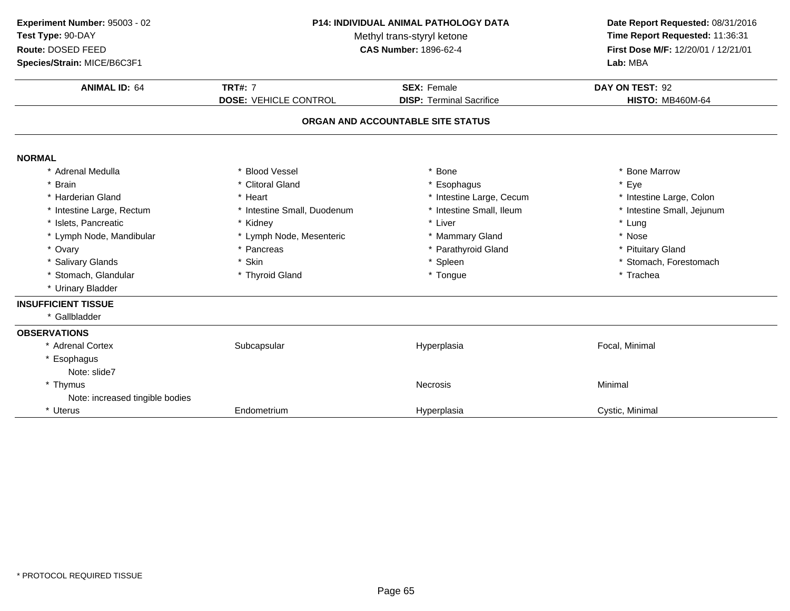| Experiment Number: 95003 - 02<br>Test Type: 90-DAY<br>Route: DOSED FEED<br>Species/Strain: MICE/B6C3F1 |                                                | P14: INDIVIDUAL ANIMAL PATHOLOGY DATA<br>Methyl trans-styryl ketone<br><b>CAS Number: 1896-62-4</b> | Date Report Requested: 08/31/2016<br>Time Report Requested: 11:36:31<br>First Dose M/F: 12/20/01 / 12/21/01<br>Lab: MBA |
|--------------------------------------------------------------------------------------------------------|------------------------------------------------|-----------------------------------------------------------------------------------------------------|-------------------------------------------------------------------------------------------------------------------------|
| <b>ANIMAL ID: 64</b>                                                                                   | <b>TRT#: 7</b><br><b>DOSE: VEHICLE CONTROL</b> | <b>SEX: Female</b><br><b>DISP: Terminal Sacrifice</b>                                               | DAY ON TEST: 92<br><b>HISTO: MB460M-64</b>                                                                              |
|                                                                                                        |                                                | ORGAN AND ACCOUNTABLE SITE STATUS                                                                   |                                                                                                                         |
| <b>NORMAL</b>                                                                                          |                                                |                                                                                                     |                                                                                                                         |
| * Adrenal Medulla                                                                                      | * Blood Vessel                                 | * Bone                                                                                              | <b>Bone Marrow</b>                                                                                                      |
| * Brain                                                                                                | * Clitoral Gland                               | * Esophagus                                                                                         | Eye                                                                                                                     |
| * Harderian Gland                                                                                      | * Heart                                        | * Intestine Large, Cecum                                                                            | * Intestine Large, Colon                                                                                                |
| * Intestine Large, Rectum                                                                              | * Intestine Small, Duodenum                    | * Intestine Small, Ileum                                                                            | * Intestine Small, Jejunum                                                                                              |
| * Islets, Pancreatic                                                                                   | * Kidney                                       | * Liver                                                                                             | * Lung                                                                                                                  |
| * Lymph Node, Mandibular                                                                               | * Lymph Node, Mesenteric                       | * Mammary Gland                                                                                     | * Nose                                                                                                                  |
| * Ovary                                                                                                | * Pancreas                                     | * Parathyroid Gland                                                                                 | * Pituitary Gland                                                                                                       |
| * Salivary Glands                                                                                      | * Skin                                         | * Spleen                                                                                            | * Stomach, Forestomach                                                                                                  |
| * Stomach, Glandular                                                                                   | * Thyroid Gland                                | * Tongue                                                                                            | * Trachea                                                                                                               |
| * Urinary Bladder                                                                                      |                                                |                                                                                                     |                                                                                                                         |
| <b>INSUFFICIENT TISSUE</b>                                                                             |                                                |                                                                                                     |                                                                                                                         |
| * Gallbladder                                                                                          |                                                |                                                                                                     |                                                                                                                         |
| <b>OBSERVATIONS</b>                                                                                    |                                                |                                                                                                     |                                                                                                                         |
| * Adrenal Cortex                                                                                       | Subcapsular                                    | Hyperplasia                                                                                         | Focal, Minimal                                                                                                          |
| * Esophagus                                                                                            |                                                |                                                                                                     |                                                                                                                         |
| Note: slide7                                                                                           |                                                |                                                                                                     |                                                                                                                         |
| * Thymus                                                                                               |                                                | Necrosis                                                                                            | Minimal                                                                                                                 |
| Note: increased tingible bodies                                                                        |                                                |                                                                                                     |                                                                                                                         |
| * Uterus                                                                                               | Endometrium                                    | Hyperplasia                                                                                         | Cystic, Minimal                                                                                                         |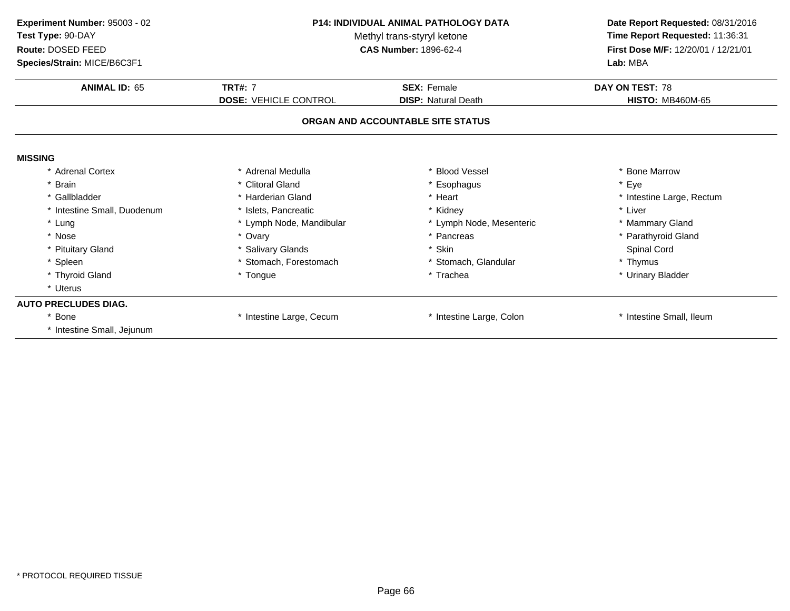| Experiment Number: 95003 - 02 | <b>P14: INDIVIDUAL ANIMAL PATHOLOGY DATA</b> |                                   | Date Report Requested: 08/31/2016   |  |
|-------------------------------|----------------------------------------------|-----------------------------------|-------------------------------------|--|
| Test Type: 90-DAY             |                                              | Methyl trans-styryl ketone        | Time Report Requested: 11:36:31     |  |
| Route: DOSED FEED             |                                              | <b>CAS Number: 1896-62-4</b>      | First Dose M/F: 12/20/01 / 12/21/01 |  |
| Species/Strain: MICE/B6C3F1   |                                              |                                   | Lab: MBA                            |  |
| <b>ANIMAL ID: 65</b>          | <b>TRT#: 7</b>                               | <b>SEX: Female</b>                | DAY ON TEST: 78                     |  |
|                               | <b>DOSE: VEHICLE CONTROL</b>                 | <b>DISP: Natural Death</b>        | <b>HISTO: MB460M-65</b>             |  |
|                               |                                              | ORGAN AND ACCOUNTABLE SITE STATUS |                                     |  |
| <b>MISSING</b>                |                                              |                                   |                                     |  |
| * Adrenal Cortex              | * Adrenal Medulla                            | * Blood Vessel                    | * Bone Marrow                       |  |
| * Brain                       | * Clitoral Gland                             | * Esophagus                       | * Eye                               |  |
| * Gallbladder                 | * Harderian Gland                            | * Heart                           | * Intestine Large, Rectum           |  |
| * Intestine Small, Duodenum   | * Islets, Pancreatic                         | * Kidney                          | * Liver                             |  |
| * Lung                        | * Lymph Node, Mandibular                     | * Lymph Node, Mesenteric          | * Mammary Gland                     |  |
| * Nose                        | * Ovary                                      | * Pancreas                        | * Parathyroid Gland                 |  |
| * Pituitary Gland             | * Salivary Glands                            | * Skin                            | Spinal Cord                         |  |
| * Spleen                      | * Stomach, Forestomach                       | * Stomach, Glandular              | * Thymus                            |  |
| * Thyroid Gland               | * Tongue                                     | * Trachea                         | * Urinary Bladder                   |  |
| * Uterus                      |                                              |                                   |                                     |  |
| <b>AUTO PRECLUDES DIAG.</b>   |                                              |                                   |                                     |  |
| * Bone                        | Intestine Large, Cecum                       | * Intestine Large, Colon          | * Intestine Small, Ileum            |  |
| * Intestine Small, Jejunum    |                                              |                                   |                                     |  |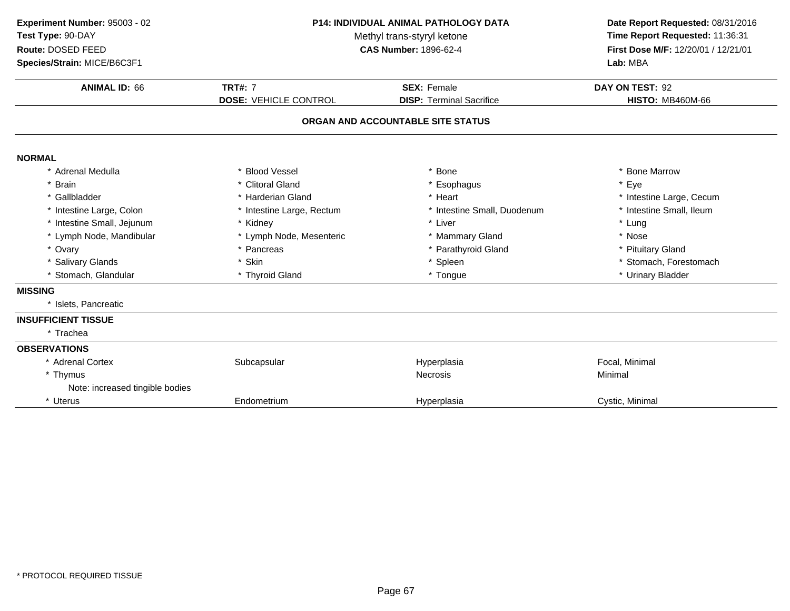| Experiment Number: 95003 - 02<br><b>P14: INDIVIDUAL ANIMAL PATHOLOGY DATA</b><br>Test Type: 90-DAY<br>Methyl trans-styryl ketone<br>Route: DOSED FEED<br><b>CAS Number: 1896-62-4</b><br>Species/Strain: MICE/B6C3F1 |                                                | Date Report Requested: 08/31/2016<br>Time Report Requested: 11:36:31<br>First Dose M/F: 12/20/01 / 12/21/01<br>Lab: MBA |                                            |
|----------------------------------------------------------------------------------------------------------------------------------------------------------------------------------------------------------------------|------------------------------------------------|-------------------------------------------------------------------------------------------------------------------------|--------------------------------------------|
| <b>ANIMAL ID: 66</b>                                                                                                                                                                                                 | <b>TRT#: 7</b><br><b>DOSE: VEHICLE CONTROL</b> | <b>SEX: Female</b><br><b>DISP: Terminal Sacrifice</b>                                                                   | DAY ON TEST: 92<br><b>HISTO: MB460M-66</b> |
|                                                                                                                                                                                                                      |                                                | ORGAN AND ACCOUNTABLE SITE STATUS                                                                                       |                                            |
| <b>NORMAL</b>                                                                                                                                                                                                        |                                                |                                                                                                                         |                                            |
| * Adrenal Medulla                                                                                                                                                                                                    | * Blood Vessel                                 | * Bone                                                                                                                  | * Bone Marrow                              |
| <b>Brain</b>                                                                                                                                                                                                         | * Clitoral Gland                               | * Esophagus                                                                                                             | * Eye                                      |
| * Gallbladder                                                                                                                                                                                                        | * Harderian Gland                              | * Heart                                                                                                                 | * Intestine Large, Cecum                   |
| * Intestine Large, Colon                                                                                                                                                                                             | * Intestine Large, Rectum                      | * Intestine Small, Duodenum                                                                                             | * Intestine Small, Ileum                   |
| * Intestine Small, Jejunum                                                                                                                                                                                           | * Kidney                                       | * Liver                                                                                                                 | * Lung                                     |
| * Lymph Node, Mandibular                                                                                                                                                                                             | * Lymph Node, Mesenteric                       | * Mammary Gland                                                                                                         | * Nose                                     |
| * Ovary                                                                                                                                                                                                              | * Pancreas                                     | * Parathyroid Gland                                                                                                     | * Pituitary Gland                          |
| * Salivary Glands                                                                                                                                                                                                    | * Skin                                         | * Spleen                                                                                                                | * Stomach, Forestomach                     |
| * Stomach, Glandular                                                                                                                                                                                                 | * Thyroid Gland                                | * Tongue                                                                                                                | * Urinary Bladder                          |
| <b>MISSING</b>                                                                                                                                                                                                       |                                                |                                                                                                                         |                                            |
| * Islets, Pancreatic                                                                                                                                                                                                 |                                                |                                                                                                                         |                                            |
| <b>INSUFFICIENT TISSUE</b>                                                                                                                                                                                           |                                                |                                                                                                                         |                                            |
| * Trachea                                                                                                                                                                                                            |                                                |                                                                                                                         |                                            |
| <b>OBSERVATIONS</b>                                                                                                                                                                                                  |                                                |                                                                                                                         |                                            |
| * Adrenal Cortex                                                                                                                                                                                                     | Subcapsular                                    | Hyperplasia                                                                                                             | Focal, Minimal                             |
| * Thymus                                                                                                                                                                                                             |                                                | <b>Necrosis</b>                                                                                                         | Minimal                                    |
| Note: increased tingible bodies                                                                                                                                                                                      |                                                |                                                                                                                         |                                            |
| * Uterus                                                                                                                                                                                                             | Endometrium                                    | Hyperplasia                                                                                                             | Cystic, Minimal                            |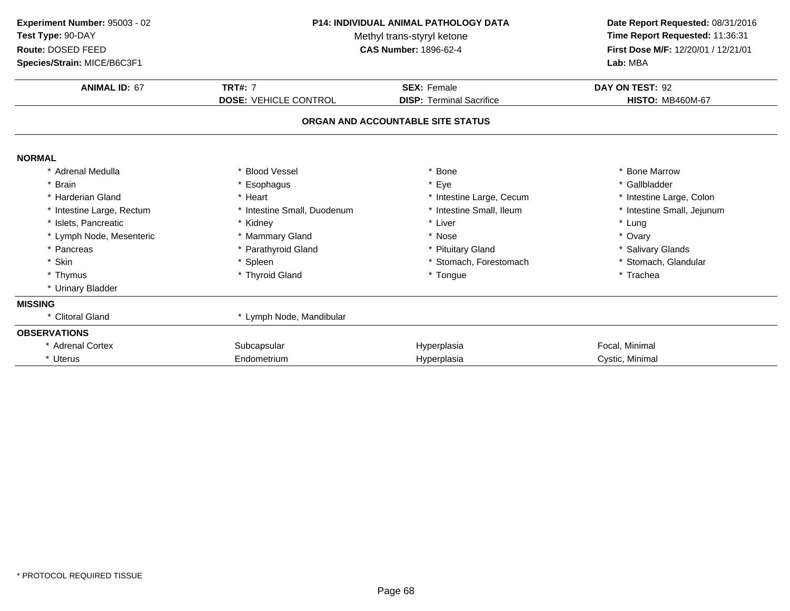| Experiment Number: 95003 - 02<br>Test Type: 90-DAY<br>Route: DOSED FEED<br>Species/Strain: MICE/B6C3F1 | <b>P14: INDIVIDUAL ANIMAL PATHOLOGY DATA</b><br>Methyl trans-styryl ketone<br><b>CAS Number: 1896-62-4</b> |                                                                      | Date Report Requested: 08/31/2016<br>Time Report Requested: 11:36:31<br>First Dose M/F: 12/20/01 / 12/21/01<br>Lab: MBA |
|--------------------------------------------------------------------------------------------------------|------------------------------------------------------------------------------------------------------------|----------------------------------------------------------------------|-------------------------------------------------------------------------------------------------------------------------|
| <b>ANIMAL ID: 67</b>                                                                                   | <b>TRT#: 7</b>                                                                                             | <b>SEX: Female</b>                                                   | DAY ON TEST: 92                                                                                                         |
|                                                                                                        | <b>DOSE: VEHICLE CONTROL</b>                                                                               | <b>DISP: Terminal Sacrifice</b><br>ORGAN AND ACCOUNTABLE SITE STATUS | <b>HISTO: MB460M-67</b>                                                                                                 |
| <b>NORMAL</b>                                                                                          |                                                                                                            |                                                                      |                                                                                                                         |
| * Adrenal Medulla                                                                                      | * Blood Vessel                                                                                             | * Bone                                                               | * Bone Marrow                                                                                                           |
| * Brain                                                                                                | * Esophagus                                                                                                | * Eye                                                                | * Gallbladder                                                                                                           |
| * Harderian Gland                                                                                      | * Heart                                                                                                    | * Intestine Large, Cecum                                             | * Intestine Large, Colon                                                                                                |
| * Intestine Large, Rectum                                                                              | * Intestine Small, Duodenum                                                                                | * Intestine Small, Ileum                                             | * Intestine Small, Jejunum                                                                                              |
| * Islets, Pancreatic                                                                                   | * Kidney                                                                                                   | * Liver                                                              | * Lung                                                                                                                  |
| * Lymph Node, Mesenteric                                                                               | * Mammary Gland                                                                                            | * Nose                                                               | * Ovary                                                                                                                 |
| * Pancreas                                                                                             | * Parathyroid Gland                                                                                        | * Pituitary Gland                                                    | * Salivary Glands                                                                                                       |
| * Skin                                                                                                 | * Spleen                                                                                                   | * Stomach, Forestomach                                               | * Stomach, Glandular                                                                                                    |
| * Thymus                                                                                               | * Thyroid Gland                                                                                            | * Tongue                                                             | * Trachea                                                                                                               |
| * Urinary Bladder                                                                                      |                                                                                                            |                                                                      |                                                                                                                         |
| <b>MISSING</b>                                                                                         |                                                                                                            |                                                                      |                                                                                                                         |
| * Clitoral Gland                                                                                       | * Lymph Node, Mandibular                                                                                   |                                                                      |                                                                                                                         |
| <b>OBSERVATIONS</b>                                                                                    |                                                                                                            |                                                                      |                                                                                                                         |
| * Adrenal Cortex                                                                                       | Subcapsular                                                                                                | Hyperplasia                                                          | Focal, Minimal                                                                                                          |
| * Uterus                                                                                               | Endometrium                                                                                                | Hyperplasia                                                          | Cystic, Minimal                                                                                                         |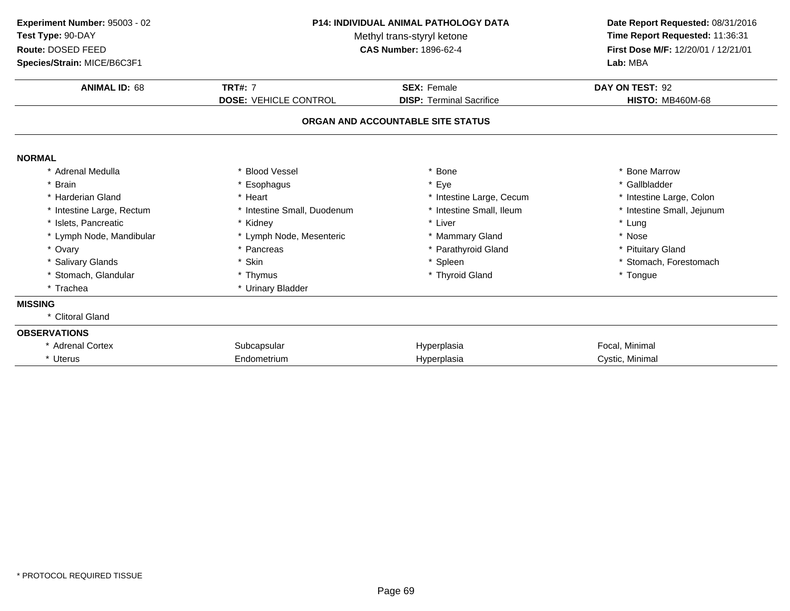| Experiment Number: 95003 - 02<br>Test Type: 90-DAY<br>Route: DOSED FEED<br>Species/Strain: MICE/B6C3F1 | <b>P14: INDIVIDUAL ANIMAL PATHOLOGY DATA</b><br>Methyl trans-styryl ketone<br><b>CAS Number: 1896-62-4</b> |                                   | Date Report Requested: 08/31/2016<br>Time Report Requested: 11:36:31<br>First Dose M/F: 12/20/01 / 12/21/01<br>Lab: MBA |
|--------------------------------------------------------------------------------------------------------|------------------------------------------------------------------------------------------------------------|-----------------------------------|-------------------------------------------------------------------------------------------------------------------------|
| <b>ANIMAL ID: 68</b>                                                                                   | <b>TRT#: 7</b>                                                                                             | <b>SEX: Female</b>                | DAY ON TEST: 92                                                                                                         |
|                                                                                                        | <b>DOSE: VEHICLE CONTROL</b>                                                                               | <b>DISP: Terminal Sacrifice</b>   | <b>HISTO: MB460M-68</b>                                                                                                 |
|                                                                                                        |                                                                                                            | ORGAN AND ACCOUNTABLE SITE STATUS |                                                                                                                         |
| <b>NORMAL</b>                                                                                          |                                                                                                            |                                   |                                                                                                                         |
| * Adrenal Medulla                                                                                      | * Blood Vessel                                                                                             | * Bone                            | * Bone Marrow                                                                                                           |
| * Brain                                                                                                | * Esophagus                                                                                                | Eye                               | * Gallbladder                                                                                                           |
| * Harderian Gland                                                                                      | * Heart                                                                                                    | * Intestine Large, Cecum          | * Intestine Large, Colon                                                                                                |
| * Intestine Large, Rectum                                                                              | * Intestine Small, Duodenum                                                                                | Intestine Small, Ileum            | * Intestine Small, Jejunum                                                                                              |
| * Islets, Pancreatic                                                                                   | * Kidney                                                                                                   | * Liver                           | * Lung                                                                                                                  |
| * Lymph Node, Mandibular                                                                               | * Lymph Node, Mesenteric                                                                                   | * Mammary Gland                   | * Nose                                                                                                                  |
| * Ovary                                                                                                | * Pancreas                                                                                                 | * Parathyroid Gland               | * Pituitary Gland                                                                                                       |
| * Salivary Glands                                                                                      | * Skin                                                                                                     | * Spleen                          | * Stomach, Forestomach                                                                                                  |
| * Stomach, Glandular                                                                                   | * Thymus                                                                                                   | * Thyroid Gland                   | * Tongue                                                                                                                |
| * Trachea                                                                                              | * Urinary Bladder                                                                                          |                                   |                                                                                                                         |
| <b>MISSING</b>                                                                                         |                                                                                                            |                                   |                                                                                                                         |
| * Clitoral Gland                                                                                       |                                                                                                            |                                   |                                                                                                                         |
| <b>OBSERVATIONS</b>                                                                                    |                                                                                                            |                                   |                                                                                                                         |
| * Adrenal Cortex                                                                                       | Subcapsular                                                                                                | Hyperplasia                       | Focal, Minimal                                                                                                          |
| * Uterus                                                                                               | Endometrium                                                                                                | Hyperplasia                       | Cystic, Minimal                                                                                                         |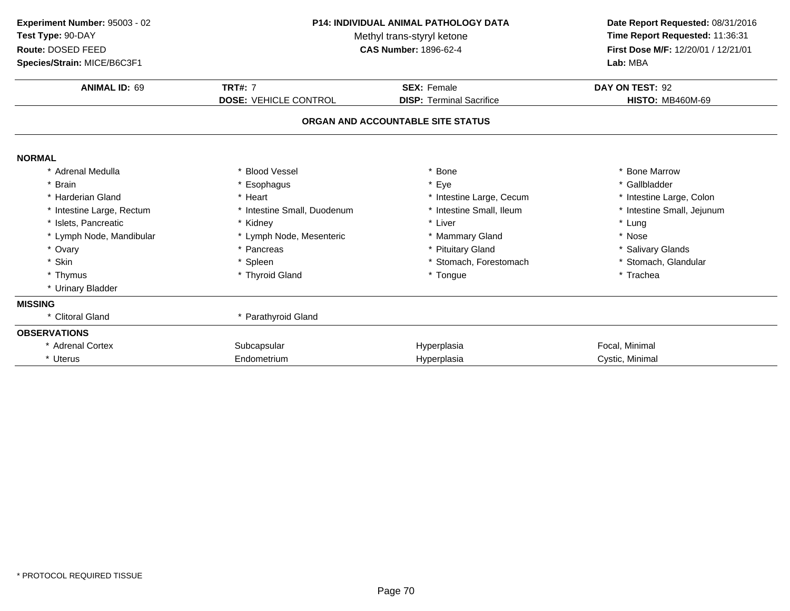| Experiment Number: 95003 - 02<br>Test Type: 90-DAY<br>Route: DOSED FEED<br>Species/Strain: MICE/B6C3F1 | <b>P14: INDIVIDUAL ANIMAL PATHOLOGY DATA</b><br>Methyl trans-styryl ketone<br><b>CAS Number: 1896-62-4</b> |                                   | Date Report Requested: 08/31/2016<br>Time Report Requested: 11:36:31<br>First Dose M/F: 12/20/01 / 12/21/01<br>Lab: MBA |
|--------------------------------------------------------------------------------------------------------|------------------------------------------------------------------------------------------------------------|-----------------------------------|-------------------------------------------------------------------------------------------------------------------------|
| <b>ANIMAL ID: 69</b>                                                                                   | <b>TRT#: 7</b>                                                                                             | <b>SEX: Female</b>                | DAY ON TEST: 92                                                                                                         |
|                                                                                                        | <b>DOSE: VEHICLE CONTROL</b>                                                                               | <b>DISP: Terminal Sacrifice</b>   | <b>HISTO: MB460M-69</b>                                                                                                 |
|                                                                                                        |                                                                                                            | ORGAN AND ACCOUNTABLE SITE STATUS |                                                                                                                         |
| <b>NORMAL</b>                                                                                          |                                                                                                            |                                   |                                                                                                                         |
| * Adrenal Medulla                                                                                      | * Blood Vessel                                                                                             | Bone                              | * Bone Marrow                                                                                                           |
| * Brain                                                                                                | * Esophagus                                                                                                | Eye                               | * Gallbladder                                                                                                           |
| * Harderian Gland                                                                                      | * Heart                                                                                                    | * Intestine Large, Cecum          | * Intestine Large, Colon                                                                                                |
| * Intestine Large, Rectum                                                                              | * Intestine Small, Duodenum                                                                                | * Intestine Small, Ileum          | * Intestine Small, Jejunum                                                                                              |
| * Islets, Pancreatic                                                                                   | * Kidney                                                                                                   | * Liver                           | * Lung                                                                                                                  |
| * Lymph Node, Mandibular                                                                               | * Lymph Node, Mesenteric                                                                                   | * Mammary Gland                   | * Nose                                                                                                                  |
| * Ovary                                                                                                | * Pancreas                                                                                                 | * Pituitary Gland                 | * Salivary Glands                                                                                                       |
| * Skin                                                                                                 | * Spleen                                                                                                   | * Stomach, Forestomach            | * Stomach, Glandular                                                                                                    |
| * Thymus                                                                                               | * Thyroid Gland                                                                                            | * Tongue                          | * Trachea                                                                                                               |
| * Urinary Bladder                                                                                      |                                                                                                            |                                   |                                                                                                                         |
| <b>MISSING</b>                                                                                         |                                                                                                            |                                   |                                                                                                                         |
| * Clitoral Gland                                                                                       | * Parathyroid Gland                                                                                        |                                   |                                                                                                                         |
| <b>OBSERVATIONS</b>                                                                                    |                                                                                                            |                                   |                                                                                                                         |
| * Adrenal Cortex                                                                                       | Subcapsular                                                                                                | Hyperplasia                       | Focal, Minimal                                                                                                          |
| * Uterus                                                                                               | Endometrium                                                                                                | Hyperplasia                       | Cystic, Minimal                                                                                                         |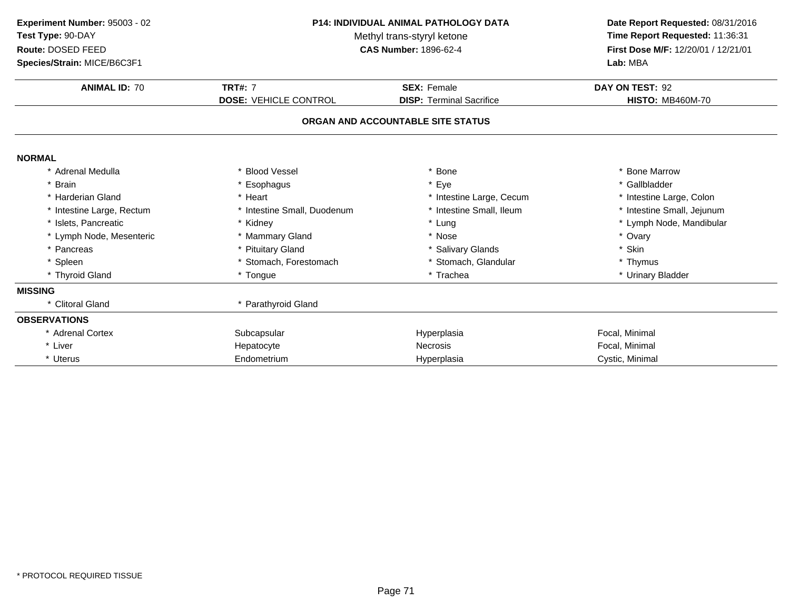| Experiment Number: 95003 - 02 | <b>P14: INDIVIDUAL ANIMAL PATHOLOGY DATA</b><br>Methyl trans-styryl ketone |                                   | Date Report Requested: 08/31/2016   |
|-------------------------------|----------------------------------------------------------------------------|-----------------------------------|-------------------------------------|
| Test Type: 90-DAY             |                                                                            |                                   | Time Report Requested: 11:36:31     |
| Route: DOSED FEED             |                                                                            | <b>CAS Number: 1896-62-4</b>      | First Dose M/F: 12/20/01 / 12/21/01 |
| Species/Strain: MICE/B6C3F1   |                                                                            |                                   | Lab: MBA                            |
| <b>ANIMAL ID: 70</b>          | <b>TRT#: 7</b>                                                             | <b>SEX: Female</b>                | DAY ON TEST: 92                     |
|                               | <b>DOSE: VEHICLE CONTROL</b>                                               | <b>DISP: Terminal Sacrifice</b>   | <b>HISTO: MB460M-70</b>             |
|                               |                                                                            | ORGAN AND ACCOUNTABLE SITE STATUS |                                     |
| <b>NORMAL</b>                 |                                                                            |                                   |                                     |
| * Adrenal Medulla             | * Blood Vessel                                                             | Bone                              | * Bone Marrow                       |
| * Brain                       | * Esophagus                                                                | * Eye                             | * Gallbladder                       |
| * Harderian Gland             | * Heart                                                                    | * Intestine Large, Cecum          | * Intestine Large, Colon            |
| * Intestine Large, Rectum     | * Intestine Small, Duodenum                                                | * Intestine Small, Ileum          | * Intestine Small, Jejunum          |
| * Islets, Pancreatic          | * Kidney                                                                   | * Lung                            | * Lymph Node, Mandibular            |
| * Lymph Node, Mesenteric      | * Mammary Gland                                                            | * Nose                            | * Ovary                             |
| * Pancreas                    | * Pituitary Gland                                                          | * Salivary Glands                 | * Skin                              |
| * Spleen                      | * Stomach, Forestomach                                                     | * Stomach, Glandular              | * Thymus                            |
| * Thyroid Gland               | * Tongue                                                                   | * Trachea                         | * Urinary Bladder                   |
| <b>MISSING</b>                |                                                                            |                                   |                                     |
| * Clitoral Gland              | * Parathyroid Gland                                                        |                                   |                                     |
| <b>OBSERVATIONS</b>           |                                                                            |                                   |                                     |
| * Adrenal Cortex              | Subcapsular                                                                | Hyperplasia                       | Focal, Minimal                      |
| * Liver                       | Hepatocyte                                                                 | <b>Necrosis</b>                   | Focal, Minimal                      |
| * Uterus                      | Endometrium                                                                | Hyperplasia                       | Cystic, Minimal                     |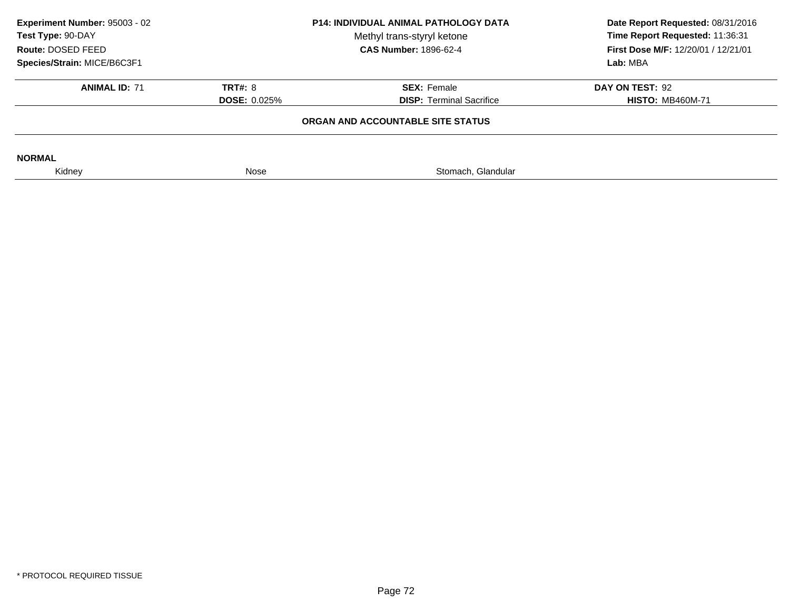| Experiment Number: 95003 - 02<br>Test Type: 90-DAY<br>Route: DOSED FEED | <b>P14: INDIVIDUAL ANIMAL PATHOLOGY DATA</b><br>Methyl trans-styryl ketone<br><b>CAS Number: 1896-62-4</b> |                                   | Date Report Requested: 08/31/2016<br>Time Report Requested: 11:36:31<br><b>First Dose M/F: 12/20/01 / 12/21/01</b> |
|-------------------------------------------------------------------------|------------------------------------------------------------------------------------------------------------|-----------------------------------|--------------------------------------------------------------------------------------------------------------------|
| Species/Strain: MICE/B6C3F1                                             |                                                                                                            |                                   | Lab: MBA                                                                                                           |
| <b>ANIMAL ID: 71</b>                                                    | <b>TRT#: 8</b>                                                                                             | <b>SEX: Female</b>                | DAY ON TEST: 92                                                                                                    |
|                                                                         | <b>DOSE: 0.025%</b>                                                                                        | <b>DISP:</b> Terminal Sacrifice   | <b>HISTO: MB460M-71</b>                                                                                            |
|                                                                         |                                                                                                            | ORGAN AND ACCOUNTABLE SITE STATUS |                                                                                                                    |
| <b>NORMAL</b>                                                           |                                                                                                            |                                   |                                                                                                                    |
| Kidney                                                                  | Nose                                                                                                       | Stomach, Glandular                |                                                                                                                    |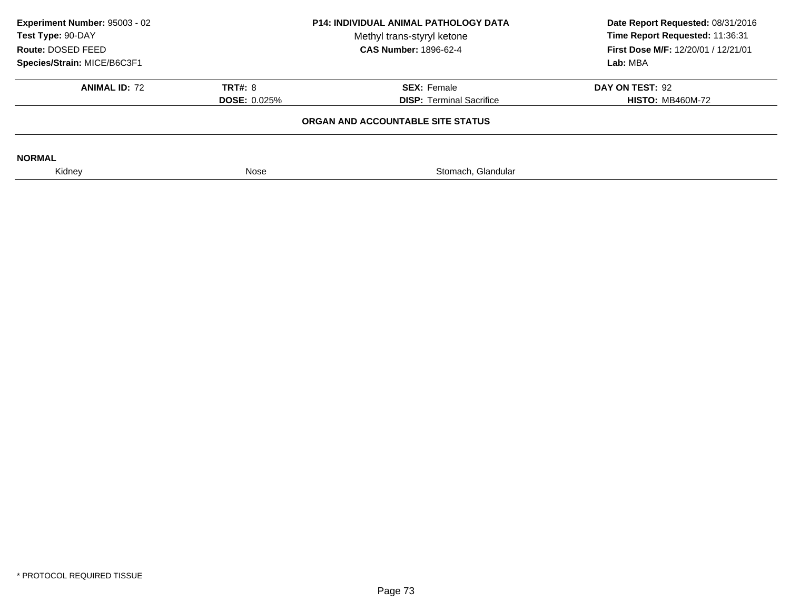| <b>P14: INDIVIDUAL ANIMAL PATHOLOGY DATA</b><br>Methyl trans-styryl ketone<br><b>CAS Number: 1896-62-4</b> |                                                       | Date Report Requested: 08/31/2016<br>Time Report Requested: 11:36:31<br>First Dose M/F: 12/20/01 / 12/21/01<br>Lab: MBA |
|------------------------------------------------------------------------------------------------------------|-------------------------------------------------------|-------------------------------------------------------------------------------------------------------------------------|
| <b>TRT#: 8</b><br><b>DOSE: 0.025%</b>                                                                      | <b>SEX: Female</b><br><b>DISP:</b> Terminal Sacrifice | DAY ON TEST: 92<br><b>HISTO: MB460M-72</b>                                                                              |
|                                                                                                            |                                                       |                                                                                                                         |
| Nose                                                                                                       | Stomach, Glandular                                    |                                                                                                                         |
|                                                                                                            |                                                       | ORGAN AND ACCOUNTABLE SITE STATUS                                                                                       |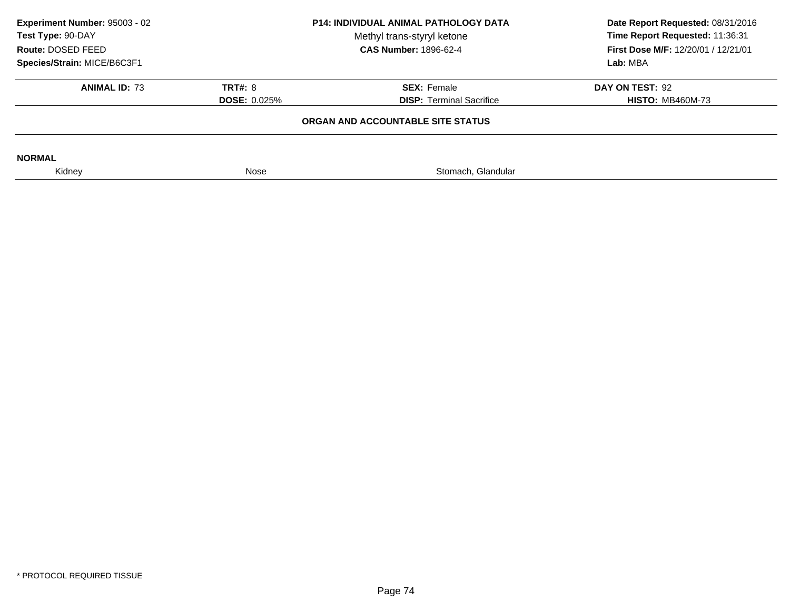| <b>P14: INDIVIDUAL ANIMAL PATHOLOGY DATA</b><br>Methyl trans-styryl ketone<br><b>CAS Number: 1896-62-4</b> |                                                       | Experiment Number: 95003 - 02<br>Test Type: 90-DAY<br>Route: DOSED FEED<br>Species/Strain: MICE/B6C3F1 |  | Date Report Requested: 08/31/2016<br>Time Report Requested: 11:36:31<br>First Dose M/F: 12/20/01 / 12/21/01<br>Lab: MBA |
|------------------------------------------------------------------------------------------------------------|-------------------------------------------------------|--------------------------------------------------------------------------------------------------------|--|-------------------------------------------------------------------------------------------------------------------------|
| <b>TRT#: 8</b><br><b>DOSE: 0.025%</b>                                                                      | <b>SEX: Female</b><br><b>DISP: Terminal Sacrifice</b> | DAY ON TEST: 92<br><b>HISTO: MB460M-73</b>                                                             |  |                                                                                                                         |
|                                                                                                            |                                                       |                                                                                                        |  |                                                                                                                         |
| Nose                                                                                                       | Stomach, Glandular                                    |                                                                                                        |  |                                                                                                                         |
|                                                                                                            |                                                       | ORGAN AND ACCOUNTABLE SITE STATUS                                                                      |  |                                                                                                                         |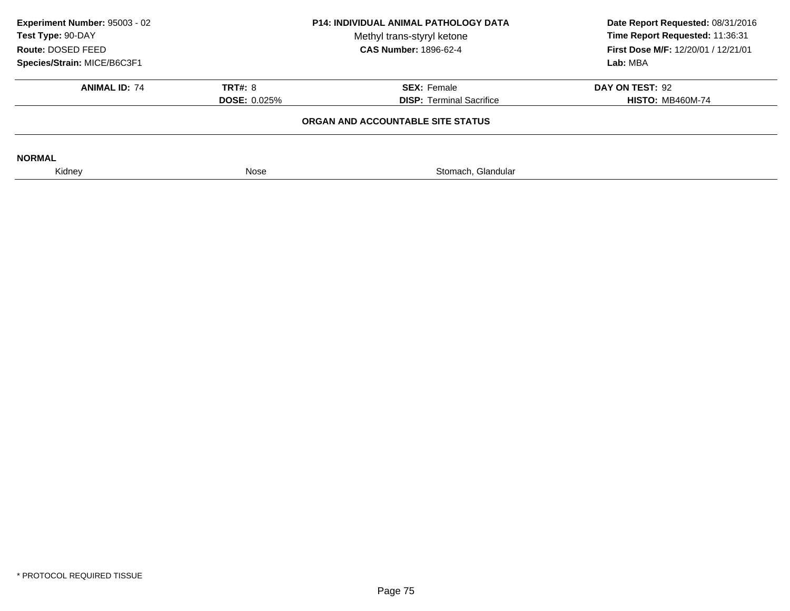| Experiment Number: 95003 - 02<br>Test Type: 90-DAY<br>Route: DOSED FEED<br>Species/Strain: MICE/B6C3F1 | <b>P14: INDIVIDUAL ANIMAL PATHOLOGY DATA</b><br>Methyl trans-styryl ketone<br><b>CAS Number: 1896-62-4</b> |                                                       | Date Report Requested: 08/31/2016<br>Time Report Requested: 11:36:31<br>First Dose M/F: 12/20/01 / 12/21/01<br>Lab: MBA |
|--------------------------------------------------------------------------------------------------------|------------------------------------------------------------------------------------------------------------|-------------------------------------------------------|-------------------------------------------------------------------------------------------------------------------------|
| <b>ANIMAL ID: 74</b>                                                                                   | <b>TRT#: 8</b><br><b>DOSE: 0.025%</b>                                                                      | <b>SEX: Female</b><br><b>DISP:</b> Terminal Sacrifice | DAY ON TEST: 92<br><b>HISTO: MB460M-74</b>                                                                              |
|                                                                                                        |                                                                                                            | ORGAN AND ACCOUNTABLE SITE STATUS                     |                                                                                                                         |
| <b>NORMAL</b>                                                                                          |                                                                                                            |                                                       |                                                                                                                         |
| Kidney                                                                                                 | Nose                                                                                                       | Stomach, Glandular                                    |                                                                                                                         |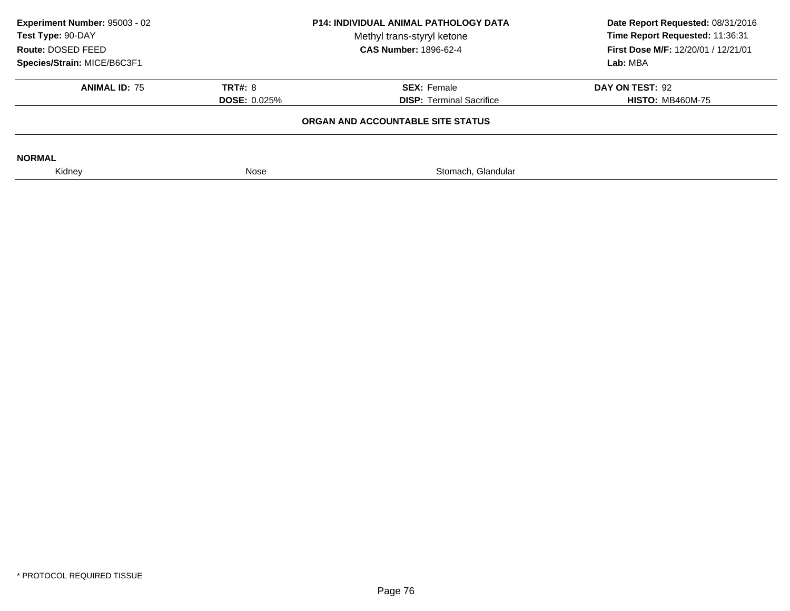| Experiment Number: 95003 - 02<br>Test Type: 90-DAY<br>Route: DOSED FEED | <b>P14: INDIVIDUAL ANIMAL PATHOLOGY DATA</b><br>Methyl trans-styryl ketone<br><b>CAS Number: 1896-62-4</b> |                                   | Date Report Requested: 08/31/2016<br>Time Report Requested: 11:36:31<br>First Dose M/F: 12/20/01 / 12/21/01 |  |
|-------------------------------------------------------------------------|------------------------------------------------------------------------------------------------------------|-----------------------------------|-------------------------------------------------------------------------------------------------------------|--|
| Species/Strain: MICE/B6C3F1                                             |                                                                                                            |                                   | Lab: MBA                                                                                                    |  |
| <b>ANIMAL ID: 75</b>                                                    | <b>TRT#: 8</b>                                                                                             | <b>SEX: Female</b>                | DAY ON TEST: 92                                                                                             |  |
|                                                                         | <b>DOSE: 0.025%</b>                                                                                        | <b>DISP:</b> Terminal Sacrifice   | <b>HISTO: MB460M-75</b>                                                                                     |  |
|                                                                         |                                                                                                            | ORGAN AND ACCOUNTABLE SITE STATUS |                                                                                                             |  |
| <b>NORMAL</b>                                                           |                                                                                                            |                                   |                                                                                                             |  |
| Kidney                                                                  | Nose                                                                                                       | Stomach, Glandular                |                                                                                                             |  |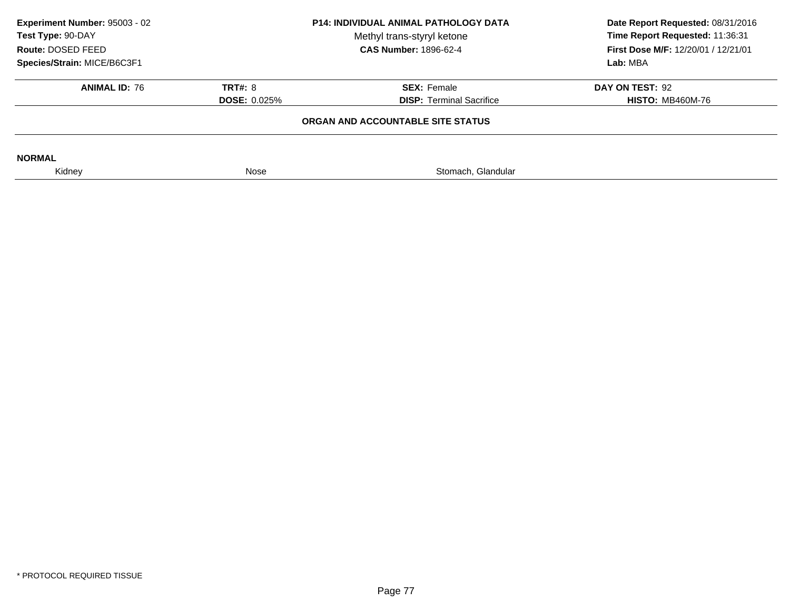| Experiment Number: 95003 - 02<br>Test Type: 90-DAY<br>Route: DOSED FEED<br>Species/Strain: MICE/B6C3F1 | <b>P14: INDIVIDUAL ANIMAL PATHOLOGY DATA</b><br>Methyl trans-styryl ketone<br><b>CAS Number: 1896-62-4</b> |                                                                                                                                          | Date Report Requested: 08/31/2016<br>Time Report Requested: 11:36:31<br>First Dose M/F: 12/20/01 / 12/21/01<br>Lab: MBA |
|--------------------------------------------------------------------------------------------------------|------------------------------------------------------------------------------------------------------------|------------------------------------------------------------------------------------------------------------------------------------------|-------------------------------------------------------------------------------------------------------------------------|
| <b>ANIMAL ID: 76</b>                                                                                   | <b>TRT#: 8</b><br><b>DOSE: 0.025%</b>                                                                      | <b>SEX: Female</b><br>DAY ON TEST: 92<br><b>DISP: Terminal Sacrifice</b><br><b>HISTO: MB460M-76</b><br>ORGAN AND ACCOUNTABLE SITE STATUS |                                                                                                                         |
| <b>NORMAL</b><br>Kidney                                                                                | Nose                                                                                                       | Stomach, Glandular                                                                                                                       |                                                                                                                         |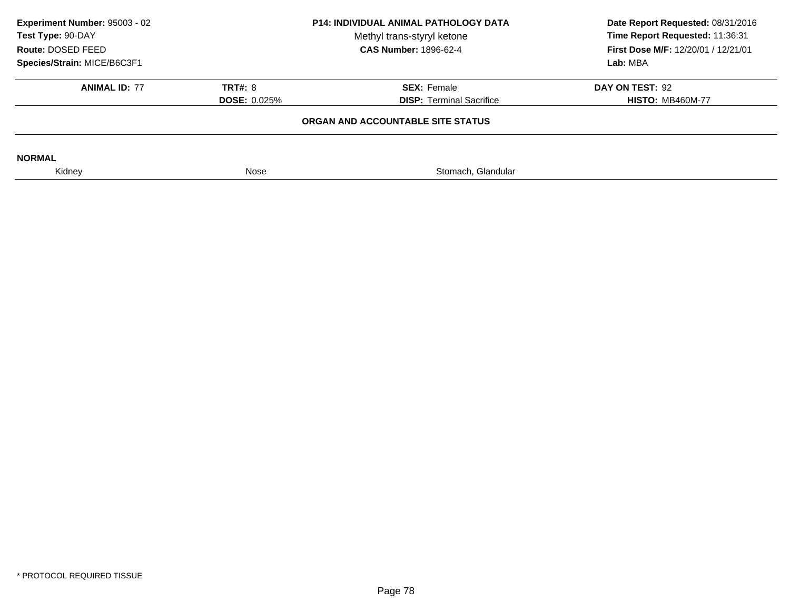| <b>P14: INDIVIDUAL ANIMAL PATHOLOGY DATA</b><br>Methyl trans-styryl ketone<br><b>CAS Number: 1896-62-4</b> |                                                       | Date Report Requested: 08/31/2016<br>Time Report Requested: 11:36:31<br>First Dose M/F: 12/20/01 / 12/21/01<br>Lab: MBA |
|------------------------------------------------------------------------------------------------------------|-------------------------------------------------------|-------------------------------------------------------------------------------------------------------------------------|
| <b>TRT#: 8</b><br><b>DOSE: 0.025%</b>                                                                      | <b>SEX: Female</b><br><b>DISP: Terminal Sacrifice</b> | DAY ON TEST: 92<br><b>HISTO: MB460M-77</b>                                                                              |
|                                                                                                            |                                                       |                                                                                                                         |
| Nose                                                                                                       | Stomach, Glandular                                    |                                                                                                                         |
|                                                                                                            |                                                       | ORGAN AND ACCOUNTABLE SITE STATUS                                                                                       |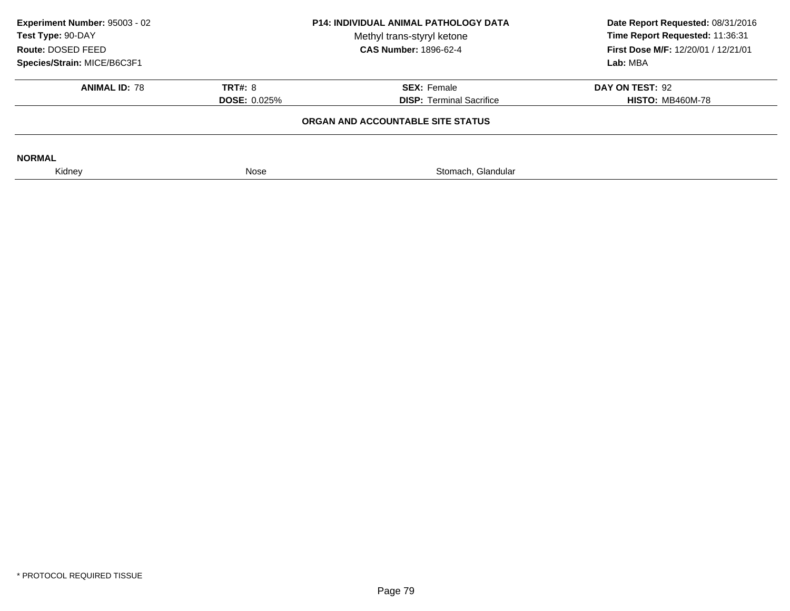| Experiment Number: 95003 - 02<br>Test Type: 90-DAY<br>Route: DOSED FEED<br>Species/Strain: MICE/B6C3F1 | <b>P14: INDIVIDUAL ANIMAL PATHOLOGY DATA</b><br>Methyl trans-styryl ketone<br><b>CAS Number: 1896-62-4</b> |                                                       | Date Report Requested: 08/31/2016<br>Time Report Requested: 11:36:31<br>First Dose M/F: 12/20/01 / 12/21/01<br>Lab: MBA |
|--------------------------------------------------------------------------------------------------------|------------------------------------------------------------------------------------------------------------|-------------------------------------------------------|-------------------------------------------------------------------------------------------------------------------------|
| <b>ANIMAL ID: 78</b>                                                                                   | <b>TRT#: 8</b><br><b>DOSE: 0.025%</b>                                                                      | <b>SEX: Female</b><br><b>DISP: Terminal Sacrifice</b> | DAY ON TEST: 92<br><b>HISTO: MB460M-78</b>                                                                              |
|                                                                                                        |                                                                                                            | ORGAN AND ACCOUNTABLE SITE STATUS                     |                                                                                                                         |
| <b>NORMAL</b>                                                                                          |                                                                                                            |                                                       |                                                                                                                         |
| Kidney                                                                                                 | Nose                                                                                                       | Stomach, Glandular                                    |                                                                                                                         |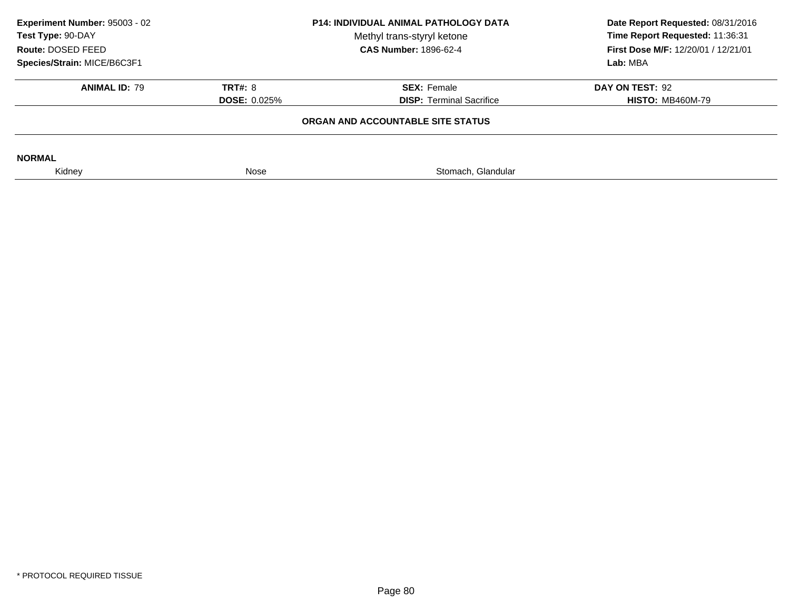| Experiment Number: 95003 - 02<br>Test Type: 90-DAY<br>Route: DOSED FEED | <b>P14: INDIVIDUAL ANIMAL PATHOLOGY DATA</b><br>Methyl trans-styryl ketone<br><b>CAS Number: 1896-62-4</b> |                                   | Date Report Requested: 08/31/2016<br>Time Report Requested: 11:36:31<br>First Dose M/F: 12/20/01 / 12/21/01 |  |
|-------------------------------------------------------------------------|------------------------------------------------------------------------------------------------------------|-----------------------------------|-------------------------------------------------------------------------------------------------------------|--|
| Species/Strain: MICE/B6C3F1                                             |                                                                                                            |                                   | Lab: MBA                                                                                                    |  |
| <b>ANIMAL ID: 79</b>                                                    | <b>TRT#: 8</b>                                                                                             | <b>SEX: Female</b>                | DAY ON TEST: 92                                                                                             |  |
|                                                                         | <b>DOSE: 0.025%</b>                                                                                        | <b>DISP:</b> Terminal Sacrifice   | <b>HISTO: MB460M-79</b>                                                                                     |  |
|                                                                         |                                                                                                            | ORGAN AND ACCOUNTABLE SITE STATUS |                                                                                                             |  |
| <b>NORMAL</b>                                                           |                                                                                                            |                                   |                                                                                                             |  |
| Kidney                                                                  | Nose                                                                                                       | Stomach, Glandular                |                                                                                                             |  |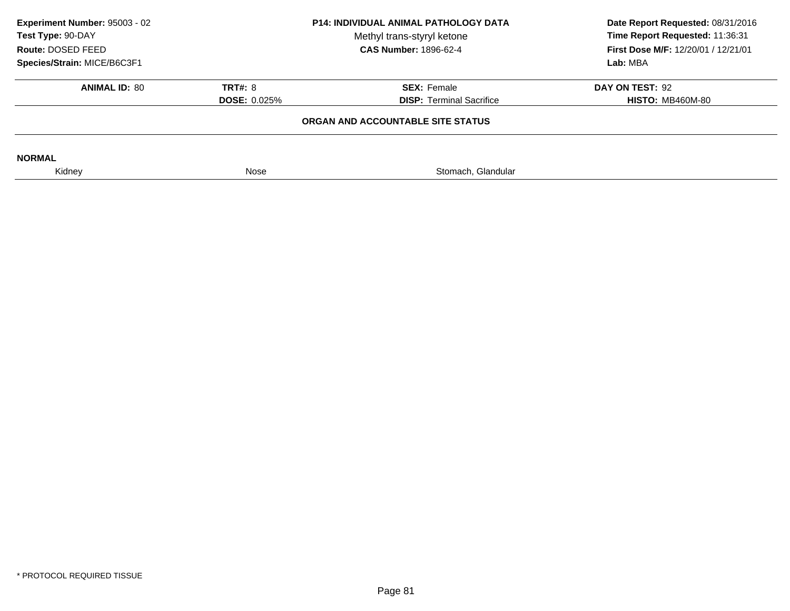| Experiment Number: 95003 - 02<br>P14: INDIVIDUAL ANIMAL PATHOLOGY DATA<br>Test Type: 90-DAY<br>Methyl trans-styryl ketone<br><b>CAS Number: 1896-62-4</b><br>Route: DOSED FEED |                     | Date Report Requested: 08/31/2016<br>Time Report Requested: 11:36:31<br>First Dose M/F: 12/20/01 / 12/21/01 |                         |
|--------------------------------------------------------------------------------------------------------------------------------------------------------------------------------|---------------------|-------------------------------------------------------------------------------------------------------------|-------------------------|
| Species/Strain: MICE/B6C3F1                                                                                                                                                    |                     |                                                                                                             | Lab: MBA                |
| <b>ANIMAL ID: 80</b>                                                                                                                                                           | <b>TRT#: 8</b>      | <b>SEX: Female</b>                                                                                          | DAY ON TEST: 92         |
|                                                                                                                                                                                | <b>DOSE: 0.025%</b> | <b>DISP:</b> Terminal Sacrifice                                                                             | <b>HISTO: MB460M-80</b> |
|                                                                                                                                                                                |                     | ORGAN AND ACCOUNTABLE SITE STATUS                                                                           |                         |
| <b>NORMAL</b>                                                                                                                                                                  |                     |                                                                                                             |                         |
| Kidney                                                                                                                                                                         | Nose                | Stomach, Glandular                                                                                          |                         |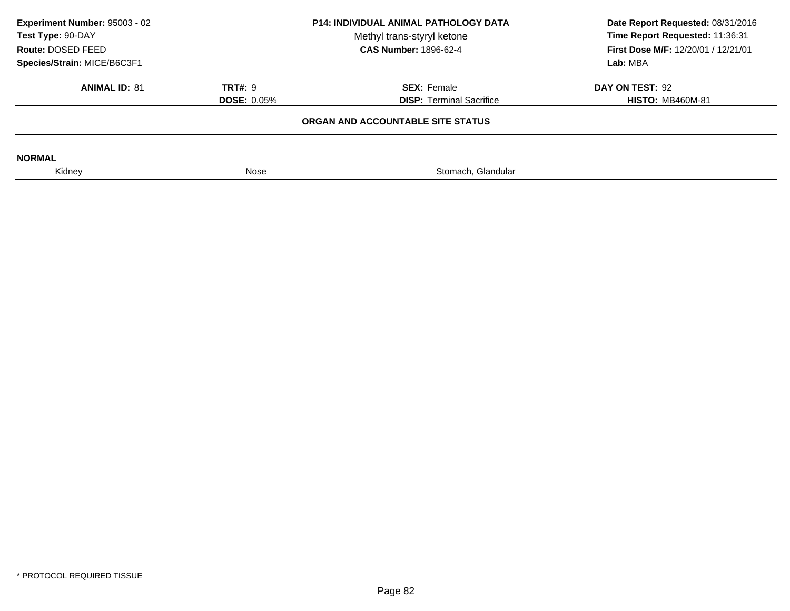| Experiment Number: 95003 - 02<br>Test Type: 90-DAY<br>Route: DOSED FEED | <b>P14: INDIVIDUAL ANIMAL PATHOLOGY DATA</b><br>Methyl trans-styryl ketone<br><b>CAS Number: 1896-62-4</b> |                                   | Date Report Requested: 08/31/2016<br>Time Report Requested: 11:36:31<br>First Dose M/F: 12/20/01 / 12/21/01 |  |
|-------------------------------------------------------------------------|------------------------------------------------------------------------------------------------------------|-----------------------------------|-------------------------------------------------------------------------------------------------------------|--|
| Species/Strain: MICE/B6C3F1                                             |                                                                                                            |                                   | Lab: MBA                                                                                                    |  |
| <b>ANIMAL ID: 81</b>                                                    | <b>TRT#: 9</b>                                                                                             | <b>SEX:</b> Female                | DAY ON TEST: 92                                                                                             |  |
|                                                                         | <b>DOSE: 0.05%</b>                                                                                         | <b>DISP: Terminal Sacrifice</b>   | <b>HISTO: MB460M-81</b>                                                                                     |  |
|                                                                         |                                                                                                            | ORGAN AND ACCOUNTABLE SITE STATUS |                                                                                                             |  |
| <b>NORMAL</b>                                                           |                                                                                                            |                                   |                                                                                                             |  |
| Kidney                                                                  | Nose                                                                                                       | Stomach, Glandular                |                                                                                                             |  |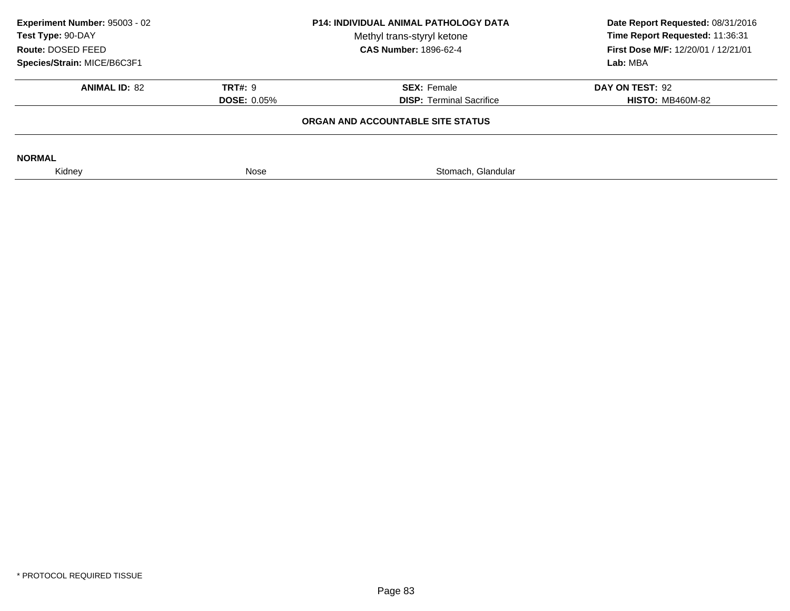| Experiment Number: 95003 - 02<br>P14: INDIVIDUAL ANIMAL PATHOLOGY DATA<br>Test Type: 90-DAY<br>Methyl trans-styryl ketone<br><b>CAS Number: 1896-62-4</b><br>Route: DOSED FEED |                    | Date Report Requested: 08/31/2016<br>Time Report Requested: 11:36:31<br>First Dose M/F: 12/20/01 / 12/21/01 |                         |
|--------------------------------------------------------------------------------------------------------------------------------------------------------------------------------|--------------------|-------------------------------------------------------------------------------------------------------------|-------------------------|
| Species/Strain: MICE/B6C3F1                                                                                                                                                    |                    |                                                                                                             | Lab: MBA                |
| <b>ANIMAL ID: 82</b>                                                                                                                                                           | <b>TRT#: 9</b>     | <b>SEX: Female</b>                                                                                          | DAY ON TEST: 92         |
|                                                                                                                                                                                | <b>DOSE: 0.05%</b> | <b>DISP:</b> Terminal Sacrifice                                                                             | <b>HISTO: MB460M-82</b> |
|                                                                                                                                                                                |                    | ORGAN AND ACCOUNTABLE SITE STATUS                                                                           |                         |
| <b>NORMAL</b>                                                                                                                                                                  |                    |                                                                                                             |                         |
| Kidney                                                                                                                                                                         | Nose               | Stomach, Glandular                                                                                          |                         |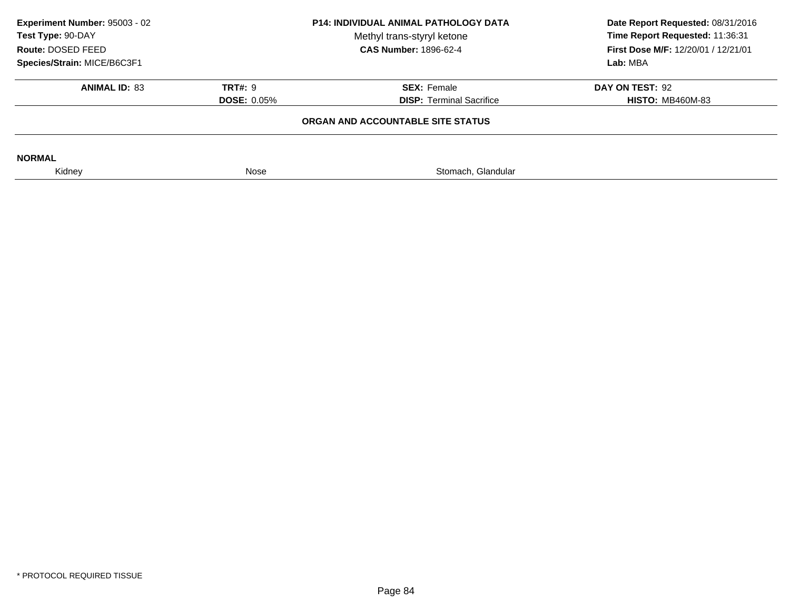| Experiment Number: 95003 - 02<br>Test Type: 90-DAY<br>Route: DOSED FEED | <b>P14: INDIVIDUAL ANIMAL PATHOLOGY DATA</b><br>Methyl trans-styryl ketone<br><b>CAS Number: 1896-62-4</b> |                                   | Date Report Requested: 08/31/2016<br>Time Report Requested: 11:36:31<br>First Dose M/F: 12/20/01 / 12/21/01 |  |
|-------------------------------------------------------------------------|------------------------------------------------------------------------------------------------------------|-----------------------------------|-------------------------------------------------------------------------------------------------------------|--|
| Species/Strain: MICE/B6C3F1                                             |                                                                                                            |                                   | Lab: MBA                                                                                                    |  |
| <b>ANIMAL ID: 83</b>                                                    | <b>TRT#: 9</b>                                                                                             | <b>SEX: Female</b>                | DAY ON TEST: 92                                                                                             |  |
|                                                                         | <b>DOSE: 0.05%</b>                                                                                         | <b>DISP: Terminal Sacrifice</b>   | <b>HISTO: MB460M-83</b>                                                                                     |  |
|                                                                         |                                                                                                            | ORGAN AND ACCOUNTABLE SITE STATUS |                                                                                                             |  |
| <b>NORMAL</b>                                                           |                                                                                                            |                                   |                                                                                                             |  |
| Kidney                                                                  | Nose                                                                                                       | Stomach, Glandular                |                                                                                                             |  |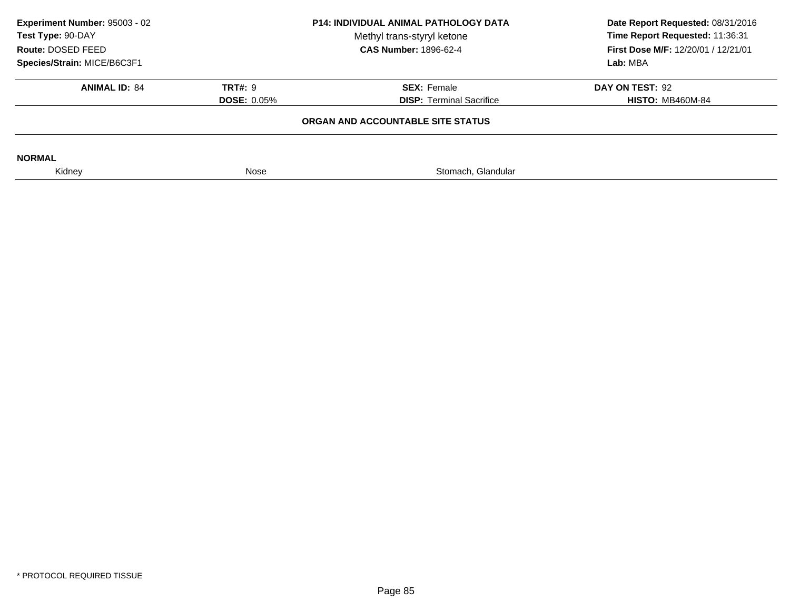| Experiment Number: 95003 - 02<br><b>P14: INDIVIDUAL ANIMAL PATHOLOGY DATA</b><br>Test Type: 90-DAY<br>Methyl trans-styryl ketone<br><b>CAS Number: 1896-62-4</b><br>Route: DOSED FEED |                    | Date Report Requested: 08/31/2016<br>Time Report Requested: 11:36:31<br>First Dose M/F: 12/20/01 / 12/21/01 |                         |
|---------------------------------------------------------------------------------------------------------------------------------------------------------------------------------------|--------------------|-------------------------------------------------------------------------------------------------------------|-------------------------|
| Species/Strain: MICE/B6C3F1                                                                                                                                                           |                    |                                                                                                             | Lab: MBA                |
| <b>ANIMAL ID: 84</b>                                                                                                                                                                  | <b>TRT#: 9</b>     | <b>SEX: Female</b>                                                                                          | DAY ON TEST: 92         |
|                                                                                                                                                                                       | <b>DOSE: 0.05%</b> | <b>DISP:</b> Terminal Sacrifice                                                                             | <b>HISTO: MB460M-84</b> |
|                                                                                                                                                                                       |                    | ORGAN AND ACCOUNTABLE SITE STATUS                                                                           |                         |
| <b>NORMAL</b>                                                                                                                                                                         |                    |                                                                                                             |                         |
| Kidney                                                                                                                                                                                | Nose               | Stomach, Glandular                                                                                          |                         |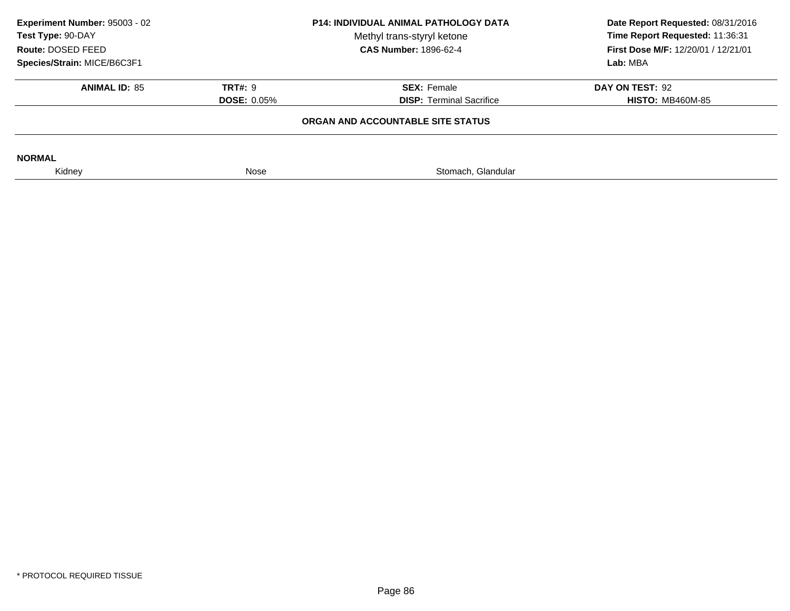| Experiment Number: 95003 - 02<br><b>P14: INDIVIDUAL ANIMAL PATHOLOGY DATA</b><br>Test Type: 90-DAY<br>Methyl trans-styryl ketone<br><b>CAS Number: 1896-62-4</b><br>Route: DOSED FEED |                    | Date Report Requested: 08/31/2016<br>Time Report Requested: 11:36:31<br>First Dose M/F: 12/20/01 / 12/21/01 |                         |
|---------------------------------------------------------------------------------------------------------------------------------------------------------------------------------------|--------------------|-------------------------------------------------------------------------------------------------------------|-------------------------|
| Species/Strain: MICE/B6C3F1                                                                                                                                                           |                    |                                                                                                             | Lab: MBA                |
| <b>ANIMAL ID: 85</b>                                                                                                                                                                  | <b>TRT#: 9</b>     | <b>SEX: Female</b>                                                                                          | DAY ON TEST: 92         |
|                                                                                                                                                                                       | <b>DOSE: 0.05%</b> | <b>DISP:</b> Terminal Sacrifice                                                                             | <b>HISTO: MB460M-85</b> |
|                                                                                                                                                                                       |                    | ORGAN AND ACCOUNTABLE SITE STATUS                                                                           |                         |
| <b>NORMAL</b>                                                                                                                                                                         |                    |                                                                                                             |                         |
| Kidney                                                                                                                                                                                | Nose               | Stomach, Glandular                                                                                          |                         |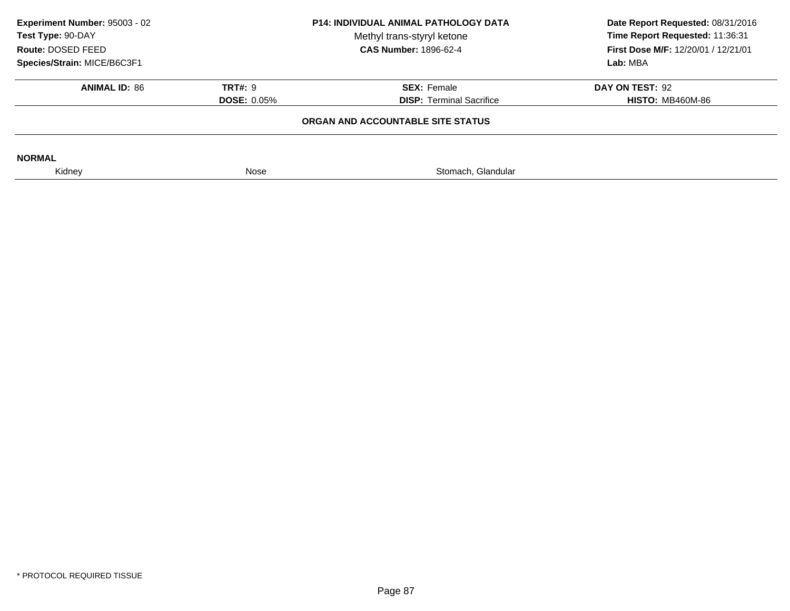| Experiment Number: 95003 - 02<br><b>P14: INDIVIDUAL ANIMAL PATHOLOGY DATA</b><br>Test Type: 90-DAY<br>Methyl trans-styryl ketone<br><b>CAS Number: 1896-62-4</b><br>Route: DOSED FEED |                    | Date Report Requested: 08/31/2016<br>Time Report Requested: 11:36:31<br>First Dose M/F: 12/20/01 / 12/21/01 |                         |
|---------------------------------------------------------------------------------------------------------------------------------------------------------------------------------------|--------------------|-------------------------------------------------------------------------------------------------------------|-------------------------|
| Species/Strain: MICE/B6C3F1                                                                                                                                                           |                    |                                                                                                             | Lab: MBA                |
| <b>ANIMAL ID: 86</b>                                                                                                                                                                  | <b>TRT#: 9</b>     | <b>SEX: Female</b>                                                                                          | DAY ON TEST: 92         |
|                                                                                                                                                                                       | <b>DOSE: 0.05%</b> | <b>DISP:</b> Terminal Sacrifice                                                                             | <b>HISTO: MB460M-86</b> |
|                                                                                                                                                                                       |                    | ORGAN AND ACCOUNTABLE SITE STATUS                                                                           |                         |
| <b>NORMAL</b>                                                                                                                                                                         |                    |                                                                                                             |                         |
| Kidney                                                                                                                                                                                | Nose               | Stomach, Glandular                                                                                          |                         |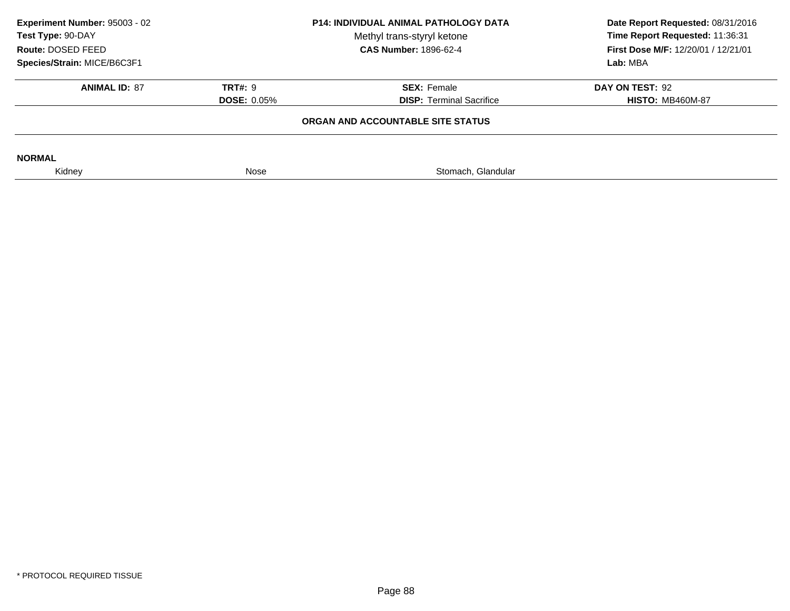| Experiment Number: 95003 - 02<br>P14: INDIVIDUAL ANIMAL PATHOLOGY DATA<br>Test Type: 90-DAY<br>Methyl trans-styryl ketone<br>Route: DOSED FEED |                    | <b>CAS Number: 1896-62-4</b>      | Date Report Requested: 08/31/2016<br>Time Report Requested: 11:36:31<br>First Dose M/F: 12/20/01 / 12/21/01 |
|------------------------------------------------------------------------------------------------------------------------------------------------|--------------------|-----------------------------------|-------------------------------------------------------------------------------------------------------------|
| Species/Strain: MICE/B6C3F1                                                                                                                    |                    |                                   | Lab: MBA                                                                                                    |
|                                                                                                                                                |                    |                                   |                                                                                                             |
| <b>ANIMAL ID: 87</b>                                                                                                                           | <b>TRT#: 9</b>     | <b>SEX: Female</b>                | DAY ON TEST: 92                                                                                             |
|                                                                                                                                                | <b>DOSE: 0.05%</b> | <b>DISP:</b> Terminal Sacrifice   | <b>HISTO: MB460M-87</b>                                                                                     |
|                                                                                                                                                |                    | ORGAN AND ACCOUNTABLE SITE STATUS |                                                                                                             |
| <b>NORMAL</b>                                                                                                                                  |                    |                                   |                                                                                                             |
| Kidney                                                                                                                                         | Nose               | Stomach, Glandular                |                                                                                                             |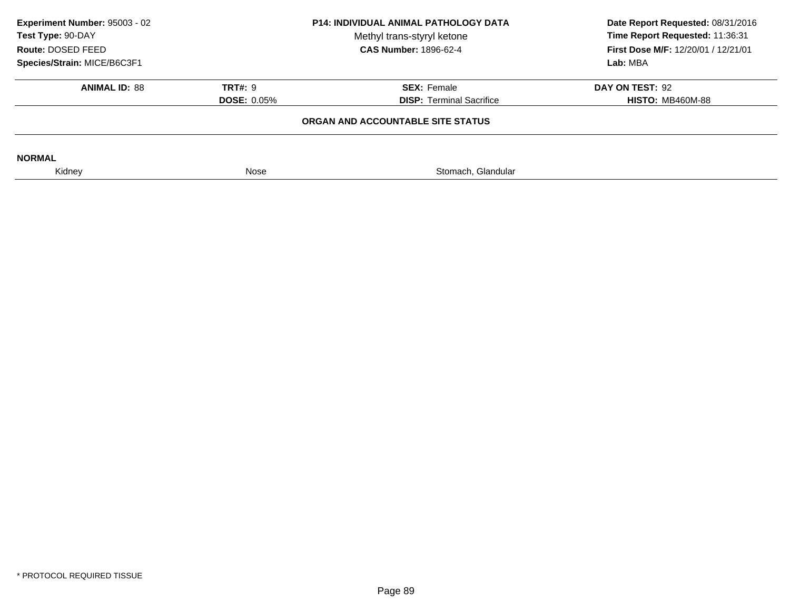|                    | Methyl trans-styryl ketone      | Date Report Requested: 08/31/2016<br>Time Report Requested: 11:36:31<br>First Dose M/F: 12/20/01 / 12/21/01       |
|--------------------|---------------------------------|-------------------------------------------------------------------------------------------------------------------|
|                    |                                 | Lab: MBA                                                                                                          |
| <b>TRT#: 9</b>     | <b>SEX: Female</b>              | DAY ON TEST: 92                                                                                                   |
| <b>DOSE: 0.05%</b> | <b>DISP: Terminal Sacrifice</b> | <b>HISTO: MB460M-88</b>                                                                                           |
|                    |                                 |                                                                                                                   |
|                    |                                 |                                                                                                                   |
| Nose               | Stomach, Glandular              |                                                                                                                   |
|                    |                                 | <b>P14: INDIVIDUAL ANIMAL PATHOLOGY DATA</b><br><b>CAS Number: 1896-62-4</b><br>ORGAN AND ACCOUNTABLE SITE STATUS |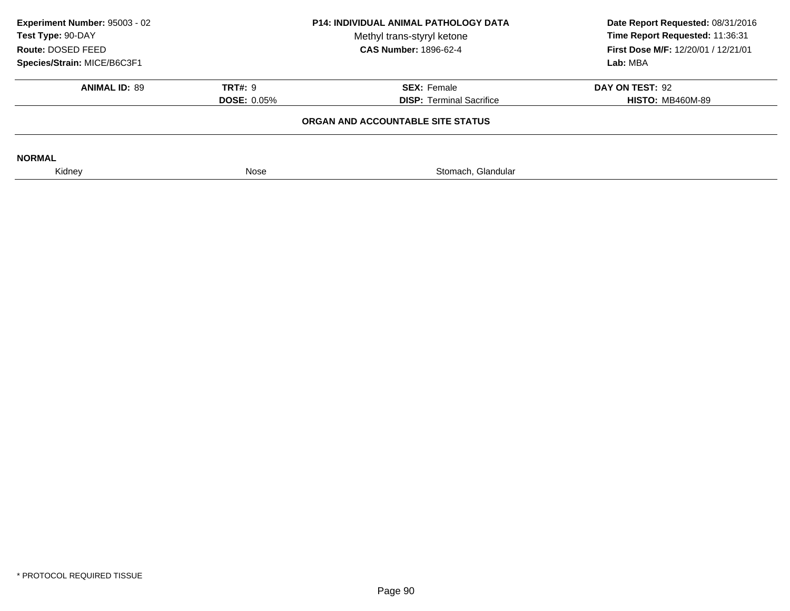| Experiment Number: 95003 - 02<br>Test Type: 90-DAY<br>Route: DOSED FEED |                    | <b>P14: INDIVIDUAL ANIMAL PATHOLOGY DATA</b><br>Methyl trans-styryl ketone<br><b>CAS Number: 1896-62-4</b> | Date Report Requested: 08/31/2016<br>Time Report Requested: 11:36:31<br>First Dose M/F: 12/20/01 / 12/21/01 |
|-------------------------------------------------------------------------|--------------------|------------------------------------------------------------------------------------------------------------|-------------------------------------------------------------------------------------------------------------|
| Species/Strain: MICE/B6C3F1                                             |                    |                                                                                                            | Lab: MBA                                                                                                    |
| <b>ANIMAL ID: 89</b>                                                    | <b>TRT#: 9</b>     | <b>SEX: Female</b>                                                                                         | DAY ON TEST: 92                                                                                             |
|                                                                         | <b>DOSE: 0.05%</b> | <b>DISP:</b> Terminal Sacrifice                                                                            | <b>HISTO: MB460M-89</b>                                                                                     |
|                                                                         |                    | ORGAN AND ACCOUNTABLE SITE STATUS                                                                          |                                                                                                             |
| <b>NORMAL</b>                                                           |                    |                                                                                                            |                                                                                                             |
| Kidney                                                                  | Nose               | Stomach, Glandular                                                                                         |                                                                                                             |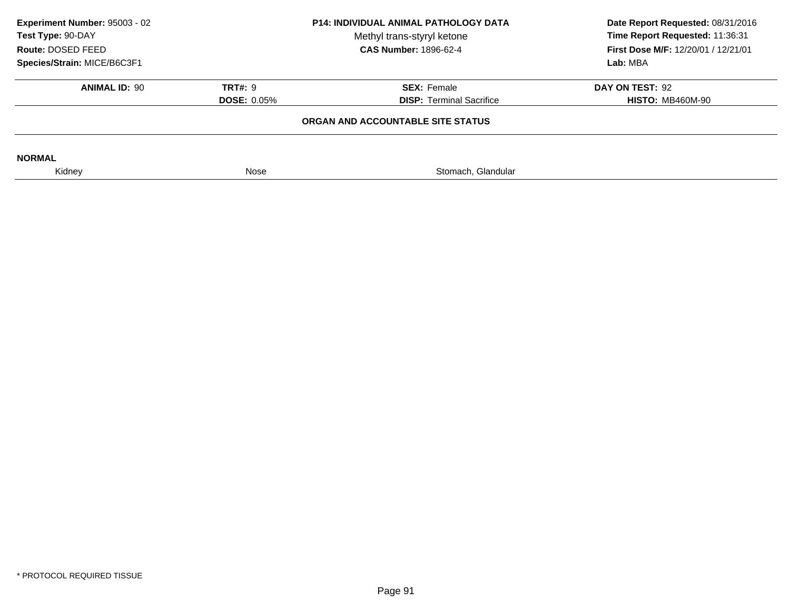|                    | Methyl trans-styryl ketone<br><b>CAS Number: 1896-62-4</b> | Date Report Requested: 08/31/2016<br>Time Report Requested: 11:36:31<br>First Dose M/F: 12/20/01 / 12/21/01 |
|--------------------|------------------------------------------------------------|-------------------------------------------------------------------------------------------------------------|
|                    |                                                            | Lab: MBA                                                                                                    |
| <b>TRT#: 9</b>     | <b>SEX: Female</b>                                         | DAY ON TEST: 92                                                                                             |
| <b>DOSE: 0.05%</b> | <b>DISP:</b> Terminal Sacrifice                            | <b>HISTO: MB460M-90</b>                                                                                     |
|                    |                                                            |                                                                                                             |
|                    |                                                            |                                                                                                             |
| Nose               | Stomach, Glandular                                         |                                                                                                             |
|                    |                                                            | <b>P14: INDIVIDUAL ANIMAL PATHOLOGY DATA</b><br>ORGAN AND ACCOUNTABLE SITE STATUS                           |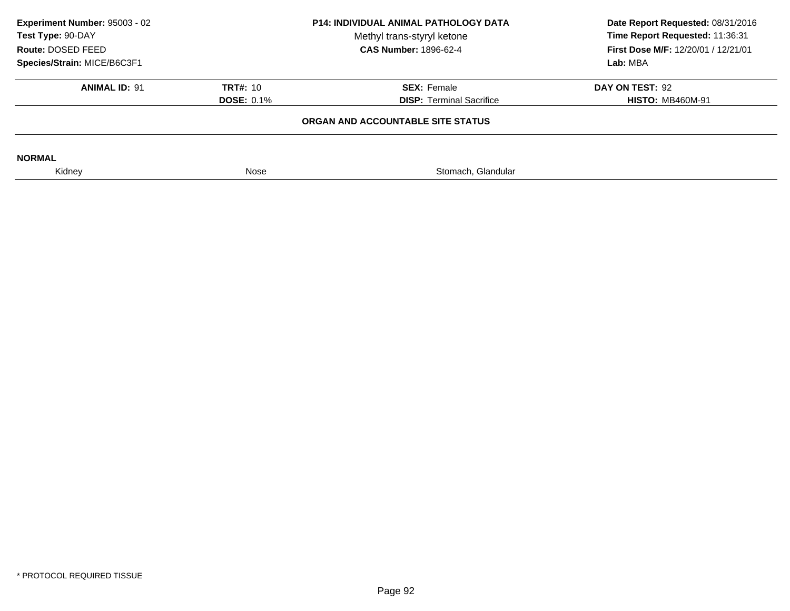| Experiment Number: 95003 - 02<br>Test Type: 90-DAY<br>Route: DOSED FEED<br>Species/Strain: MICE/B6C3F1 |                                      | <b>P14: INDIVIDUAL ANIMAL PATHOLOGY DATA</b><br>Methyl trans-styryl ketone<br><b>CAS Number: 1896-62-4</b> | Date Report Requested: 08/31/2016<br>Time Report Requested: 11:36:31<br>First Dose M/F: 12/20/01 / 12/21/01<br>Lab: MBA |
|--------------------------------------------------------------------------------------------------------|--------------------------------------|------------------------------------------------------------------------------------------------------------|-------------------------------------------------------------------------------------------------------------------------|
| <b>ANIMAL ID: 91</b>                                                                                   | <b>TRT#: 10</b><br><b>DOSE: 0.1%</b> | <b>SEX: Female</b><br><b>DISP: Terminal Sacrifice</b>                                                      | DAY ON TEST: 92<br><b>HISTO: MB460M-91</b>                                                                              |
|                                                                                                        |                                      | ORGAN AND ACCOUNTABLE SITE STATUS                                                                          |                                                                                                                         |
| <b>NORMAL</b>                                                                                          |                                      |                                                                                                            |                                                                                                                         |
| Kidney                                                                                                 | Nose                                 | Stomach, Glandular                                                                                         |                                                                                                                         |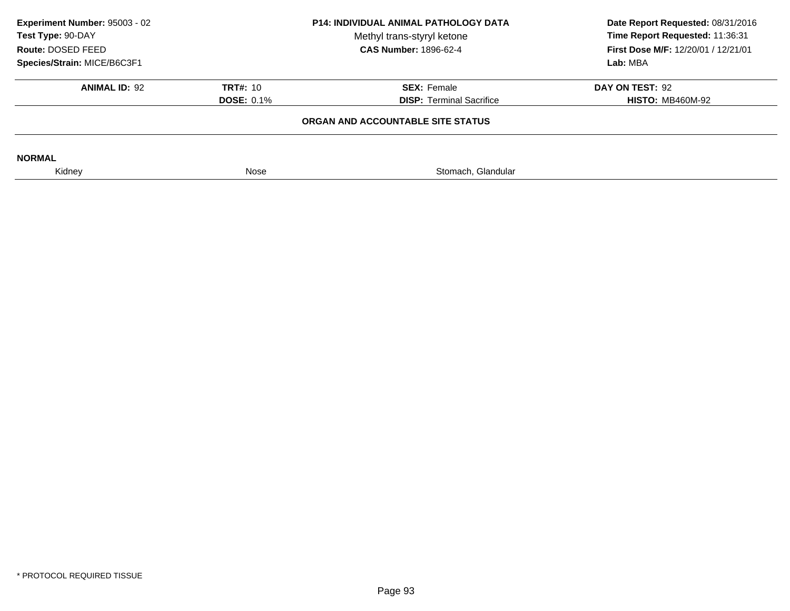| Experiment Number: 95003 - 02<br>Test Type: 90-DAY<br>Route: DOSED FEED<br>Species/Strain: MICE/B6C3F1 |                                      | <b>P14: INDIVIDUAL ANIMAL PATHOLOGY DATA</b><br>Methyl trans-styryl ketone<br><b>CAS Number: 1896-62-4</b> | Date Report Requested: 08/31/2016<br>Time Report Requested: 11:36:31<br>First Dose M/F: 12/20/01 / 12/21/01<br>Lab: MBA |
|--------------------------------------------------------------------------------------------------------|--------------------------------------|------------------------------------------------------------------------------------------------------------|-------------------------------------------------------------------------------------------------------------------------|
| <b>ANIMAL ID: 92</b>                                                                                   | <b>TRT#: 10</b><br><b>DOSE: 0.1%</b> | <b>SEX: Female</b><br><b>DISP: Terminal Sacrifice</b>                                                      | DAY ON TEST: 92<br><b>HISTO: MB460M-92</b>                                                                              |
|                                                                                                        |                                      | ORGAN AND ACCOUNTABLE SITE STATUS                                                                          |                                                                                                                         |
| <b>NORMAL</b>                                                                                          |                                      |                                                                                                            |                                                                                                                         |
| Kidney                                                                                                 | Nose                                 | Stomach, Glandular                                                                                         |                                                                                                                         |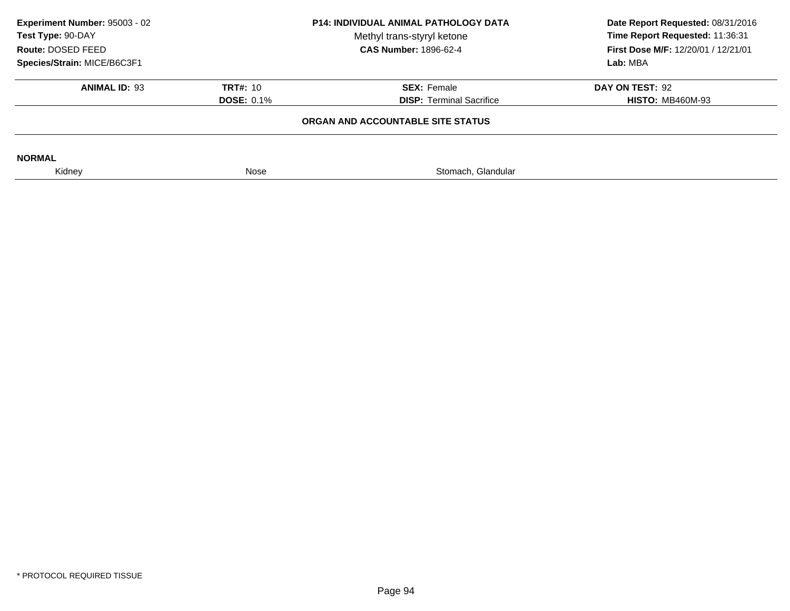| Experiment Number: 95003 - 02<br>Test Type: 90-DAY<br>Route: DOSED FEED<br>Species/Strain: MICE/B6C3F1 |                                      | <b>P14: INDIVIDUAL ANIMAL PATHOLOGY DATA</b><br>Methyl trans-styryl ketone<br><b>CAS Number: 1896-62-4</b> | Date Report Requested: 08/31/2016<br>Time Report Requested: 11:36:31<br>First Dose M/F: 12/20/01 / 12/21/01<br>Lab: MBA |
|--------------------------------------------------------------------------------------------------------|--------------------------------------|------------------------------------------------------------------------------------------------------------|-------------------------------------------------------------------------------------------------------------------------|
| <b>ANIMAL ID: 93</b>                                                                                   | <b>TRT#: 10</b><br><b>DOSE: 0.1%</b> | <b>SEX: Female</b><br><b>DISP: Terminal Sacrifice</b>                                                      | DAY ON TEST: 92<br><b>HISTO: MB460M-93</b>                                                                              |
|                                                                                                        |                                      | ORGAN AND ACCOUNTABLE SITE STATUS                                                                          |                                                                                                                         |
| <b>NORMAL</b>                                                                                          |                                      |                                                                                                            |                                                                                                                         |
| Kidney                                                                                                 | Nose                                 | Stomach, Glandular                                                                                         |                                                                                                                         |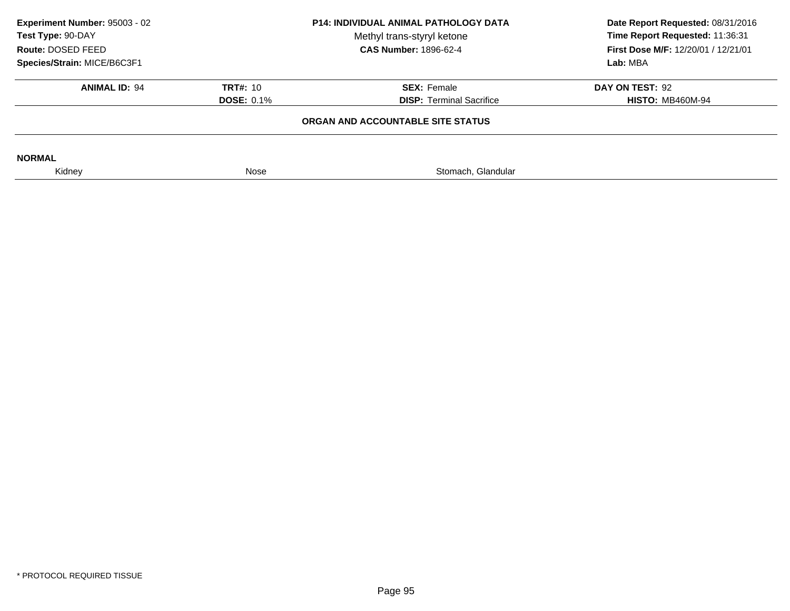| Experiment Number: 95003 - 02<br>Test Type: 90-DAY<br>Route: DOSED FEED<br>Species/Strain: MICE/B6C3F1 |                                      | <b>P14: INDIVIDUAL ANIMAL PATHOLOGY DATA</b><br>Methyl trans-styryl ketone<br><b>CAS Number: 1896-62-4</b> | Date Report Requested: 08/31/2016<br>Time Report Requested: 11:36:31<br><b>First Dose M/F: 12/20/01 / 12/21/01</b><br>Lab: MBA |
|--------------------------------------------------------------------------------------------------------|--------------------------------------|------------------------------------------------------------------------------------------------------------|--------------------------------------------------------------------------------------------------------------------------------|
| <b>ANIMAL ID: 94</b>                                                                                   | <b>TRT#: 10</b><br><b>DOSE: 0.1%</b> | <b>SEX: Female</b><br><b>DISP:</b> Terminal Sacrifice                                                      | DAY ON TEST: 92<br><b>HISTO: MB460M-94</b>                                                                                     |
|                                                                                                        |                                      | ORGAN AND ACCOUNTABLE SITE STATUS                                                                          |                                                                                                                                |
| <b>NORMAL</b>                                                                                          |                                      |                                                                                                            |                                                                                                                                |
| Kidney                                                                                                 | Nose                                 | Stomach, Glandular                                                                                         |                                                                                                                                |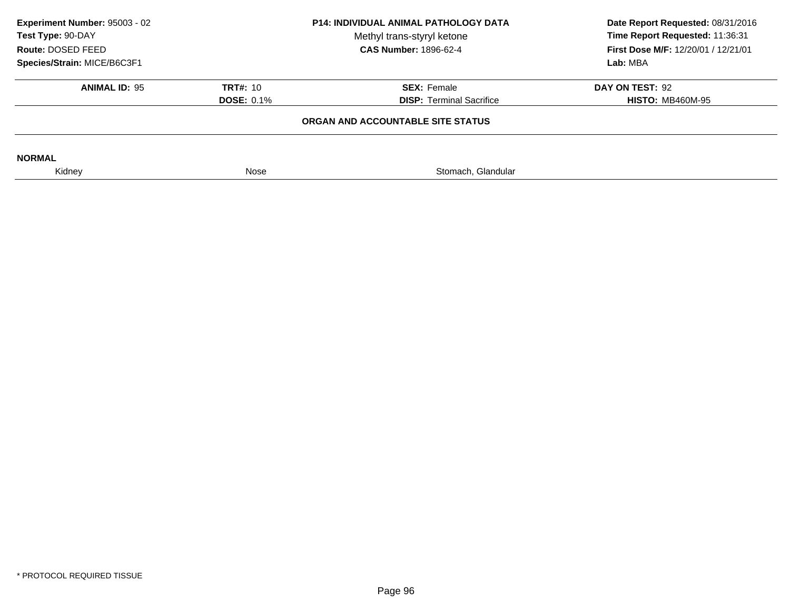| Experiment Number: 95003 - 02<br>Test Type: 90-DAY<br>Route: DOSED FEED<br>Species/Strain: MICE/B6C3F1 |                                      | <b>P14: INDIVIDUAL ANIMAL PATHOLOGY DATA</b><br>Methyl trans-styryl ketone<br><b>CAS Number: 1896-62-4</b> | Date Report Requested: 08/31/2016<br>Time Report Requested: 11:36:31<br>First Dose M/F: 12/20/01 / 12/21/01<br>Lab: MBA |
|--------------------------------------------------------------------------------------------------------|--------------------------------------|------------------------------------------------------------------------------------------------------------|-------------------------------------------------------------------------------------------------------------------------|
| <b>ANIMAL ID: 95</b>                                                                                   | <b>TRT#: 10</b><br><b>DOSE: 0.1%</b> | <b>SEX: Female</b><br><b>DISP:</b> Terminal Sacrifice                                                      | DAY ON TEST: 92<br><b>HISTO: MB460M-95</b>                                                                              |
|                                                                                                        |                                      | ORGAN AND ACCOUNTABLE SITE STATUS                                                                          |                                                                                                                         |
| <b>NORMAL</b>                                                                                          |                                      |                                                                                                            |                                                                                                                         |
| Kidney                                                                                                 | Nose                                 | Stomach, Glandular                                                                                         |                                                                                                                         |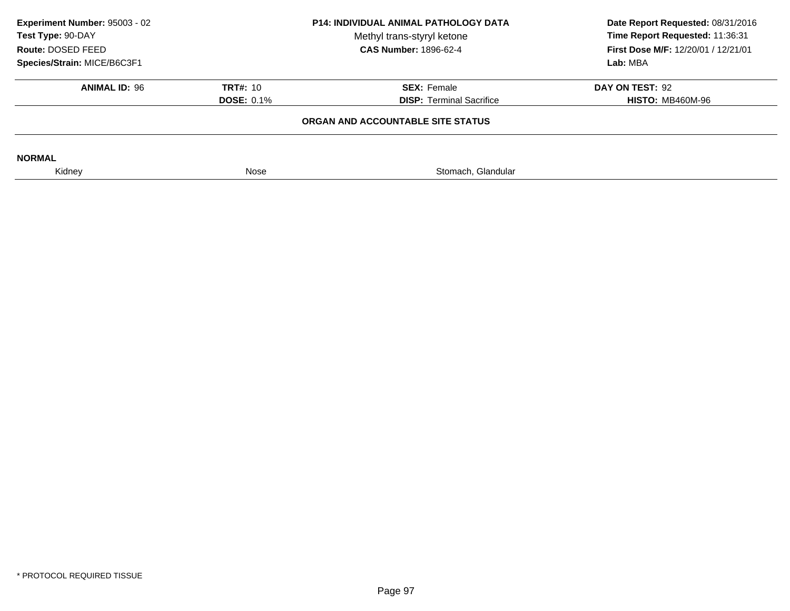| Experiment Number: 95003 - 02<br>Test Type: 90-DAY<br>Route: DOSED FEED<br>Species/Strain: MICE/B6C3F1 | <b>P14: INDIVIDUAL ANIMAL PATHOLOGY DATA</b><br>Methyl trans-styryl ketone<br><b>CAS Number: 1896-62-4</b> |                                                       | Date Report Requested: 08/31/2016<br>Time Report Requested: 11:36:31<br>First Dose M/F: 12/20/01 / 12/21/01<br>Lab: MBA |
|--------------------------------------------------------------------------------------------------------|------------------------------------------------------------------------------------------------------------|-------------------------------------------------------|-------------------------------------------------------------------------------------------------------------------------|
| <b>ANIMAL ID: 96</b>                                                                                   | <b>TRT#: 10</b><br><b>DOSE: 0.1%</b>                                                                       | <b>SEX: Female</b><br><b>DISP: Terminal Sacrifice</b> | DAY ON TEST: 92<br><b>HISTO: MB460M-96</b>                                                                              |
|                                                                                                        |                                                                                                            | ORGAN AND ACCOUNTABLE SITE STATUS                     |                                                                                                                         |
| <b>NORMAL</b>                                                                                          |                                                                                                            |                                                       |                                                                                                                         |
| Kidney                                                                                                 | Nose                                                                                                       | Stomach, Glandular                                    |                                                                                                                         |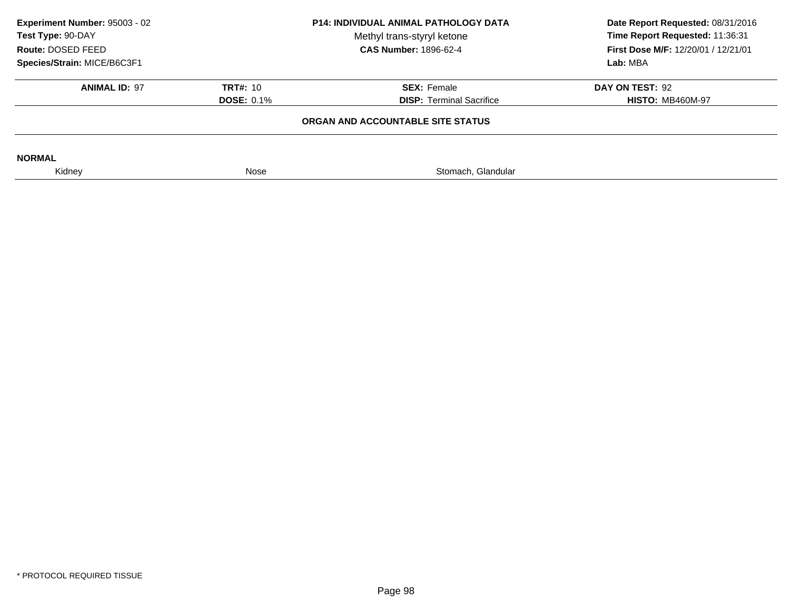| <b>P14: INDIVIDUAL ANIMAL PATHOLOGY DATA</b><br>Methyl trans-styryl ketone<br><b>CAS Number: 1896-62-4</b> |                                 | Date Report Requested: 08/31/2016<br>Time Report Requested: 11:36:31<br><b>First Dose M/F: 12/20/01 / 12/21/01</b><br>Lab: MBA |
|------------------------------------------------------------------------------------------------------------|---------------------------------|--------------------------------------------------------------------------------------------------------------------------------|
| <b>TRT#: 10</b>                                                                                            | <b>SEX: Female</b>              | DAY ON TEST: 92                                                                                                                |
| <b>DOSE: 0.1%</b>                                                                                          | <b>DISP: Terminal Sacrifice</b> | <b>HISTO: MB460M-97</b>                                                                                                        |
|                                                                                                            |                                 |                                                                                                                                |
|                                                                                                            |                                 |                                                                                                                                |
| Nose                                                                                                       | Stomach, Glandular              |                                                                                                                                |
|                                                                                                            |                                 | ORGAN AND ACCOUNTABLE SITE STATUS                                                                                              |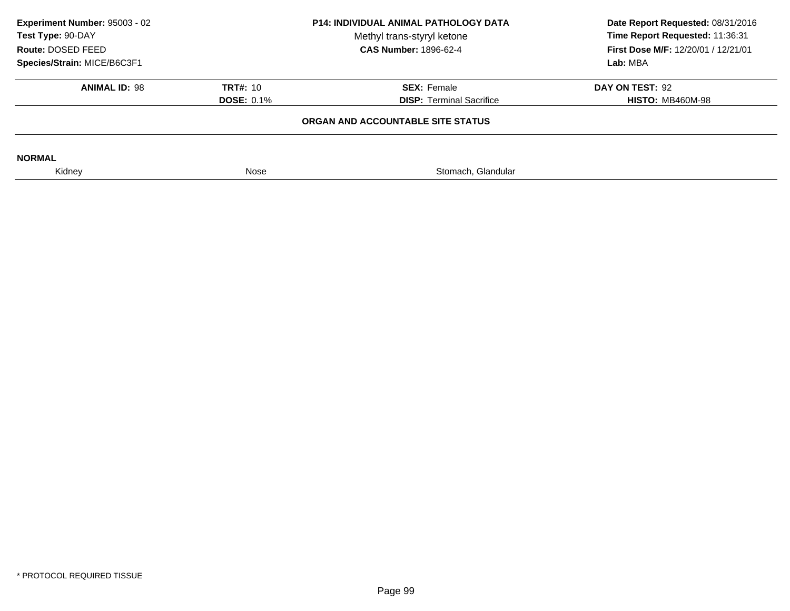| Experiment Number: 95003 - 02<br>Test Type: 90-DAY<br>Route: DOSED FEED<br>Species/Strain: MICE/B6C3F1 | <b>P14: INDIVIDUAL ANIMAL PATHOLOGY DATA</b><br>Methyl trans-styryl ketone<br><b>CAS Number: 1896-62-4</b> |                                                       | Date Report Requested: 08/31/2016<br>Time Report Requested: 11:36:31<br>First Dose M/F: 12/20/01 / 12/21/01<br>Lab: MBA |
|--------------------------------------------------------------------------------------------------------|------------------------------------------------------------------------------------------------------------|-------------------------------------------------------|-------------------------------------------------------------------------------------------------------------------------|
| <b>ANIMAL ID: 98</b>                                                                                   | <b>TRT#: 10</b><br><b>DOSE: 0.1%</b>                                                                       | <b>SEX: Female</b><br><b>DISP: Terminal Sacrifice</b> | DAY ON TEST: 92<br><b>HISTO: MB460M-98</b>                                                                              |
|                                                                                                        |                                                                                                            | ORGAN AND ACCOUNTABLE SITE STATUS                     |                                                                                                                         |
| <b>NORMAL</b>                                                                                          |                                                                                                            |                                                       |                                                                                                                         |
| Kidney                                                                                                 | Nose                                                                                                       | Stomach, Glandular                                    |                                                                                                                         |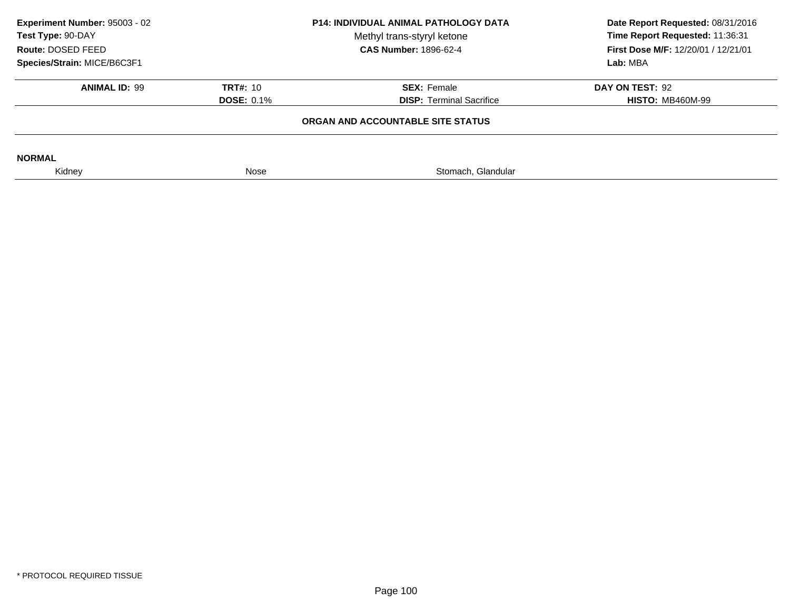| Experiment Number: 95003 - 02<br>Test Type: 90-DAY<br>Route: DOSED FEED<br>Species/Strain: MICE/B6C3F1 | <b>P14: INDIVIDUAL ANIMAL PATHOLOGY DATA</b><br>Methyl trans-styryl ketone<br><b>CAS Number: 1896-62-4</b> |                                                       | Date Report Requested: 08/31/2016<br>Time Report Requested: 11:36:31<br><b>First Dose M/F: 12/20/01 / 12/21/01</b><br>Lab: MBA |
|--------------------------------------------------------------------------------------------------------|------------------------------------------------------------------------------------------------------------|-------------------------------------------------------|--------------------------------------------------------------------------------------------------------------------------------|
| <b>ANIMAL ID: 99</b>                                                                                   | <b>TRT#: 10</b><br><b>DOSE: 0.1%</b>                                                                       | <b>SEX: Female</b><br><b>DISP:</b> Terminal Sacrifice | DAY ON TEST: 92<br><b>HISTO: MB460M-99</b>                                                                                     |
|                                                                                                        |                                                                                                            | ORGAN AND ACCOUNTABLE SITE STATUS                     |                                                                                                                                |
| <b>NORMAL</b>                                                                                          |                                                                                                            |                                                       |                                                                                                                                |
| Kidney                                                                                                 | Nose                                                                                                       | Stomach, Glandular                                    |                                                                                                                                |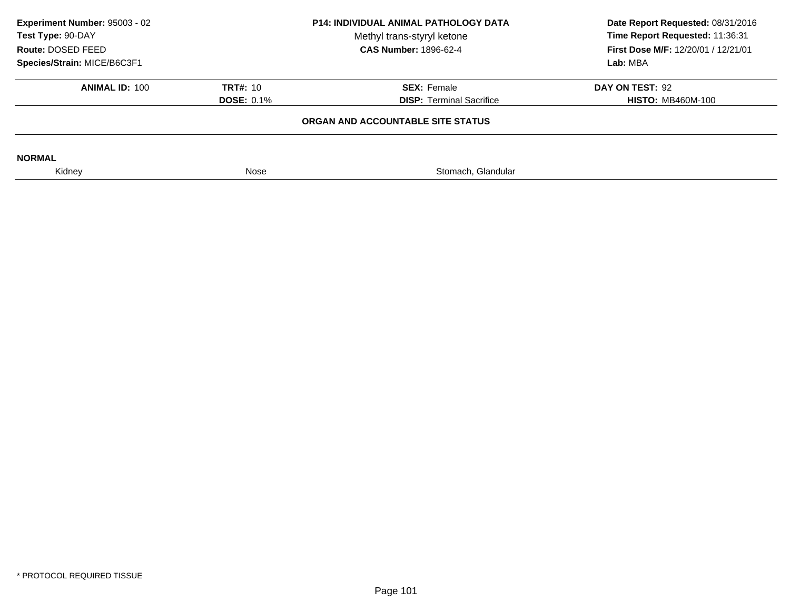| Experiment Number: 95003 - 02<br>Test Type: 90-DAY<br>Route: DOSED FEED<br>Species/Strain: MICE/B6C3F1 | <b>P14: INDIVIDUAL ANIMAL PATHOLOGY DATA</b><br>Methyl trans-styryl ketone<br><b>CAS Number: 1896-62-4</b> |                                                       | Date Report Requested: 08/31/2016<br>Time Report Requested: 11:36:31<br><b>First Dose M/F: 12/20/01 / 12/21/01</b><br>Lab: MBA |
|--------------------------------------------------------------------------------------------------------|------------------------------------------------------------------------------------------------------------|-------------------------------------------------------|--------------------------------------------------------------------------------------------------------------------------------|
| <b>ANIMAL ID: 100</b>                                                                                  | <b>TRT#: 10</b><br><b>DOSE: 0.1%</b>                                                                       | <b>SEX: Female</b><br><b>DISP:</b> Terminal Sacrifice | DAY ON TEST: 92<br><b>HISTO: MB460M-100</b>                                                                                    |
|                                                                                                        | ORGAN AND ACCOUNTABLE SITE STATUS                                                                          |                                                       |                                                                                                                                |
| <b>NORMAL</b>                                                                                          |                                                                                                            |                                                       |                                                                                                                                |
| Kidney                                                                                                 | Nose                                                                                                       | Stomach, Glandular                                    |                                                                                                                                |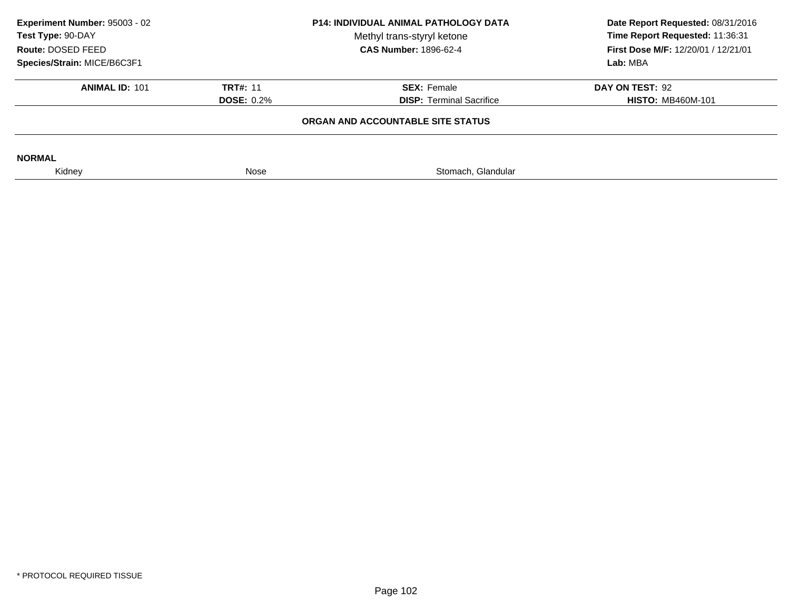| Experiment Number: 95003 - 02<br><b>P14: INDIVIDUAL ANIMAL PATHOLOGY DATA</b><br>Test Type: 90-DAY<br>Methyl trans-styryl ketone<br><b>CAS Number: 1896-62-4</b><br>Route: DOSED FEED |                                   | Date Report Requested: 08/31/2016<br>Time Report Requested: 11:36:31<br><b>First Dose M/F: 12/20/01 / 12/21/01</b> |                          |  |
|---------------------------------------------------------------------------------------------------------------------------------------------------------------------------------------|-----------------------------------|--------------------------------------------------------------------------------------------------------------------|--------------------------|--|
| Species/Strain: MICE/B6C3F1                                                                                                                                                           |                                   |                                                                                                                    | Lab: MBA                 |  |
| <b>ANIMAL ID: 101</b>                                                                                                                                                                 | <b>TRT#: 11</b>                   | <b>SEX: Female</b>                                                                                                 | DAY ON TEST: 92          |  |
|                                                                                                                                                                                       | <b>DOSE: 0.2%</b>                 | <b>DISP: Terminal Sacrifice</b>                                                                                    | <b>HISTO: MB460M-101</b> |  |
|                                                                                                                                                                                       | ORGAN AND ACCOUNTABLE SITE STATUS |                                                                                                                    |                          |  |
| <b>NORMAL</b>                                                                                                                                                                         |                                   |                                                                                                                    |                          |  |
| Kidney                                                                                                                                                                                | Nose                              | Stomach, Glandular                                                                                                 |                          |  |
|                                                                                                                                                                                       |                                   |                                                                                                                    |                          |  |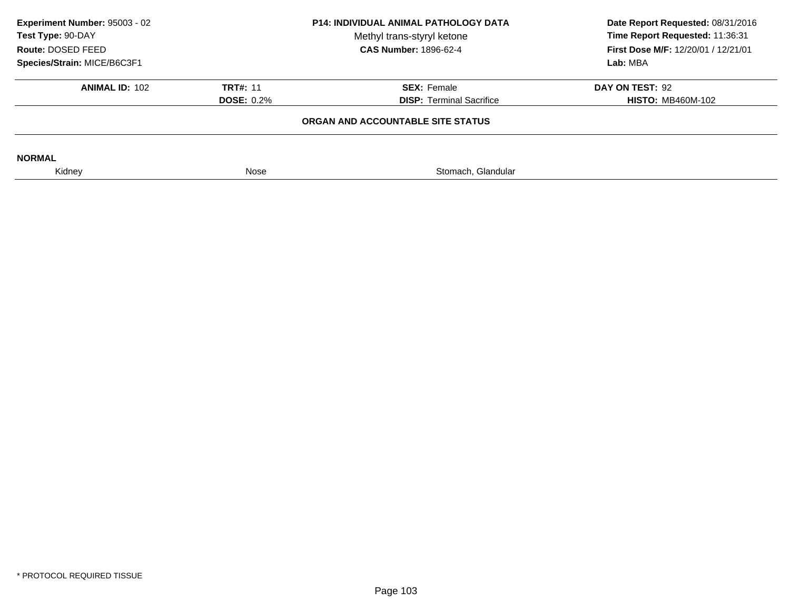| Experiment Number: 95003 - 02<br>Test Type: 90-DAY<br>Route: DOSED FEED<br>Species/Strain: MICE/B6C3F1 | <b>P14: INDIVIDUAL ANIMAL PATHOLOGY DATA</b><br>Methyl trans-styryl ketone<br><b>CAS Number: 1896-62-4</b> |                                                                                            | Date Report Requested: 08/31/2016<br>Time Report Requested: 11:36:31<br><b>First Dose M/F: 12/20/01 / 12/21/01</b><br>Lab: MBA |
|--------------------------------------------------------------------------------------------------------|------------------------------------------------------------------------------------------------------------|--------------------------------------------------------------------------------------------|--------------------------------------------------------------------------------------------------------------------------------|
| <b>ANIMAL ID: 102</b>                                                                                  | <b>TRT#: 11</b><br><b>DOSE: 0.2%</b>                                                                       | <b>SEX: Female</b><br><b>DISP: Terminal Sacrifice</b><br>ORGAN AND ACCOUNTABLE SITE STATUS | DAY ON TEST: 92<br><b>HISTO: MB460M-102</b>                                                                                    |
|                                                                                                        |                                                                                                            |                                                                                            |                                                                                                                                |
| <b>NORMAL</b>                                                                                          |                                                                                                            |                                                                                            |                                                                                                                                |
| Kidney                                                                                                 | Nose                                                                                                       | Stomach, Glandular                                                                         |                                                                                                                                |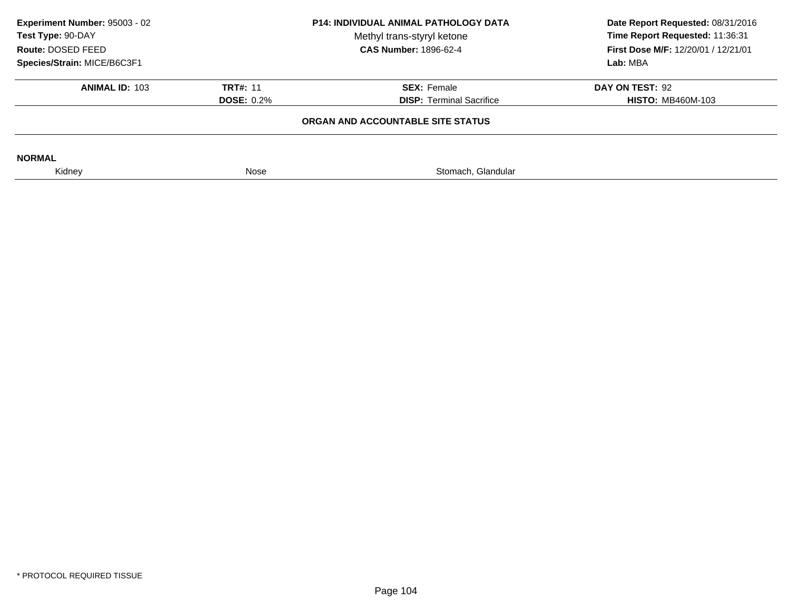| Experiment Number: 95003 - 02<br>Test Type: 90-DAY<br>Route: DOSED FEED<br>Species/Strain: MICE/B6C3F1 | <b>P14: INDIVIDUAL ANIMAL PATHOLOGY DATA</b><br>Methyl trans-styryl ketone<br><b>CAS Number: 1896-62-4</b> |                                                       | Date Report Requested: 08/31/2016<br>Time Report Requested: 11:36:31<br><b>First Dose M/F: 12/20/01 / 12/21/01</b><br>Lab: MBA |
|--------------------------------------------------------------------------------------------------------|------------------------------------------------------------------------------------------------------------|-------------------------------------------------------|--------------------------------------------------------------------------------------------------------------------------------|
| <b>ANIMAL ID: 103</b>                                                                                  | <b>TRT#: 11</b><br><b>DOSE: 0.2%</b>                                                                       | <b>SEX: Female</b><br><b>DISP: Terminal Sacrifice</b> | DAY ON TEST: 92<br><b>HISTO: MB460M-103</b>                                                                                    |
|                                                                                                        |                                                                                                            | ORGAN AND ACCOUNTABLE SITE STATUS                     |                                                                                                                                |
| <b>NORMAL</b>                                                                                          |                                                                                                            |                                                       |                                                                                                                                |
| Kidney                                                                                                 | Nose                                                                                                       | Stomach, Glandular                                    |                                                                                                                                |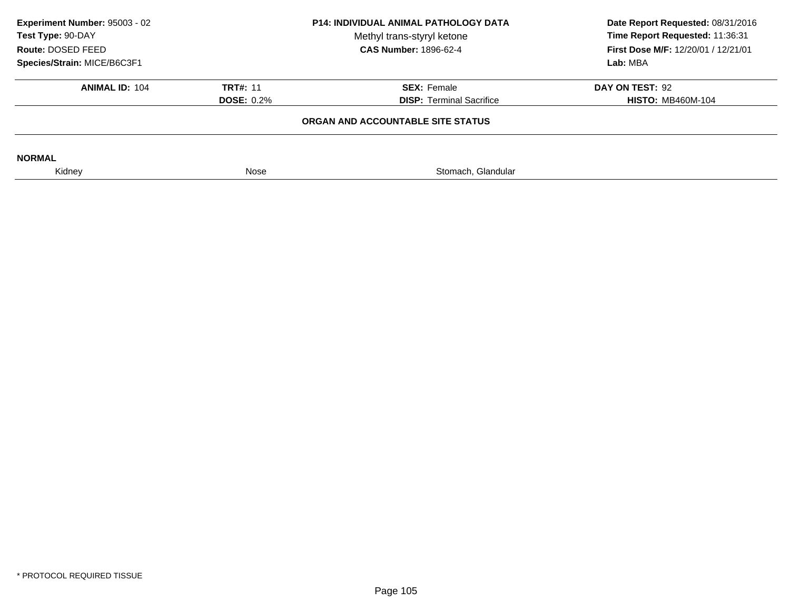| Experiment Number: 95003 - 02<br>Test Type: 90-DAY<br>Route: DOSED FEED<br>Species/Strain: MICE/B6C3F1 | <b>P14: INDIVIDUAL ANIMAL PATHOLOGY DATA</b><br>Methyl trans-styryl ketone<br><b>CAS Number: 1896-62-4</b> |                                                       |                                             |  | Date Report Requested: 08/31/2016<br>Time Report Requested: 11:36:31<br><b>First Dose M/F: 12/20/01 / 12/21/01</b><br>Lab: MBA |
|--------------------------------------------------------------------------------------------------------|------------------------------------------------------------------------------------------------------------|-------------------------------------------------------|---------------------------------------------|--|--------------------------------------------------------------------------------------------------------------------------------|
| <b>ANIMAL ID: 104</b>                                                                                  | <b>TRT#: 11</b><br><b>DOSE: 0.2%</b>                                                                       | <b>SEX: Female</b><br><b>DISP: Terminal Sacrifice</b> | DAY ON TEST: 92<br><b>HISTO: MB460M-104</b> |  |                                                                                                                                |
|                                                                                                        |                                                                                                            | ORGAN AND ACCOUNTABLE SITE STATUS                     |                                             |  |                                                                                                                                |
| <b>NORMAL</b>                                                                                          |                                                                                                            |                                                       |                                             |  |                                                                                                                                |
| Kidney                                                                                                 | Nose                                                                                                       | Stomach, Glandular                                    |                                             |  |                                                                                                                                |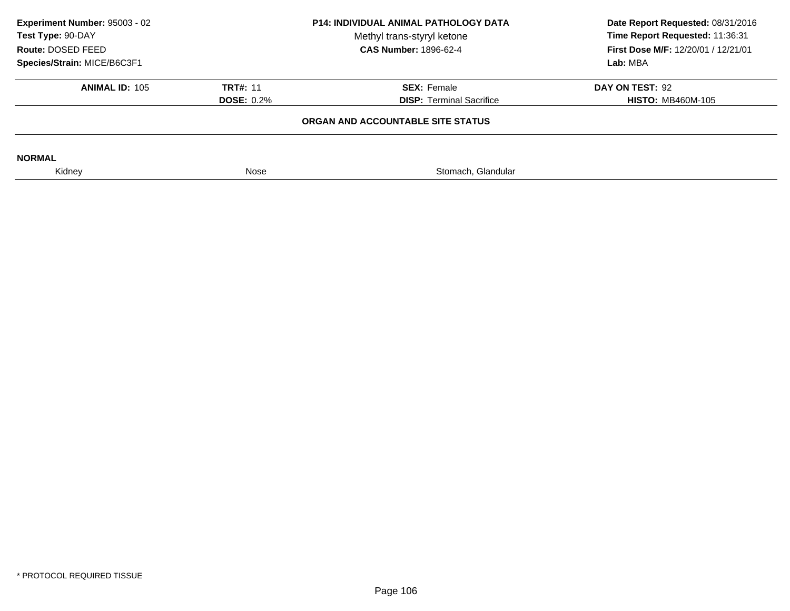| Experiment Number: 95003 - 02<br>Test Type: 90-DAY<br>Route: DOSED FEED<br>Species/Strain: MICE/B6C3F1 | <b>P14: INDIVIDUAL ANIMAL PATHOLOGY DATA</b><br>Methyl trans-styryl ketone<br><b>CAS Number: 1896-62-4</b> |                                                       | Date Report Requested: 08/31/2016<br>Time Report Requested: 11:36:31<br><b>First Dose M/F: 12/20/01 / 12/21/01</b><br>Lab: MBA |
|--------------------------------------------------------------------------------------------------------|------------------------------------------------------------------------------------------------------------|-------------------------------------------------------|--------------------------------------------------------------------------------------------------------------------------------|
| <b>ANIMAL ID: 105</b>                                                                                  | <b>TRT#: 11</b><br><b>DOSE: 0.2%</b>                                                                       | <b>SEX: Female</b><br><b>DISP: Terminal Sacrifice</b> | DAY ON TEST: 92<br><b>HISTO: MB460M-105</b>                                                                                    |
|                                                                                                        |                                                                                                            | ORGAN AND ACCOUNTABLE SITE STATUS                     |                                                                                                                                |
| <b>NORMAL</b>                                                                                          |                                                                                                            |                                                       |                                                                                                                                |
| Kidney                                                                                                 | Nose                                                                                                       | Stomach, Glandular                                    |                                                                                                                                |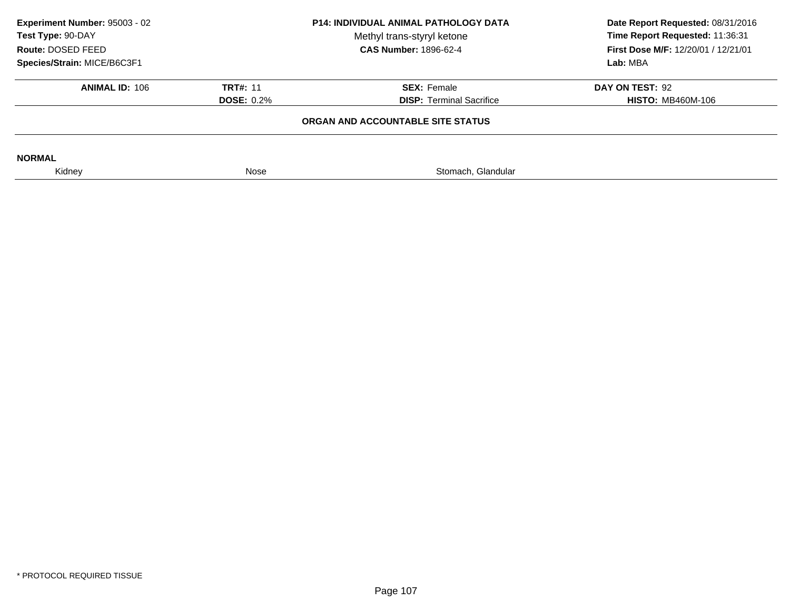| Experiment Number: 95003 - 02<br>Test Type: 90-DAY<br>Route: DOSED FEED<br>Species/Strain: MICE/B6C3F1 | <b>P14: INDIVIDUAL ANIMAL PATHOLOGY DATA</b><br>Methyl trans-styryl ketone<br><b>CAS Number: 1896-62-4</b> |                                                       |                                             |  | Date Report Requested: 08/31/2016<br>Time Report Requested: 11:36:31<br><b>First Dose M/F: 12/20/01 / 12/21/01</b><br>Lab: MBA |
|--------------------------------------------------------------------------------------------------------|------------------------------------------------------------------------------------------------------------|-------------------------------------------------------|---------------------------------------------|--|--------------------------------------------------------------------------------------------------------------------------------|
| <b>ANIMAL ID: 106</b>                                                                                  | <b>TRT#: 11</b><br><b>DOSE: 0.2%</b>                                                                       | <b>SEX: Female</b><br><b>DISP:</b> Terminal Sacrifice | DAY ON TEST: 92<br><b>HISTO: MB460M-106</b> |  |                                                                                                                                |
|                                                                                                        | ORGAN AND ACCOUNTABLE SITE STATUS                                                                          |                                                       |                                             |  |                                                                                                                                |
| <b>NORMAL</b>                                                                                          |                                                                                                            |                                                       |                                             |  |                                                                                                                                |
| Kidney                                                                                                 | Nose                                                                                                       | Stomach, Glandular                                    |                                             |  |                                                                                                                                |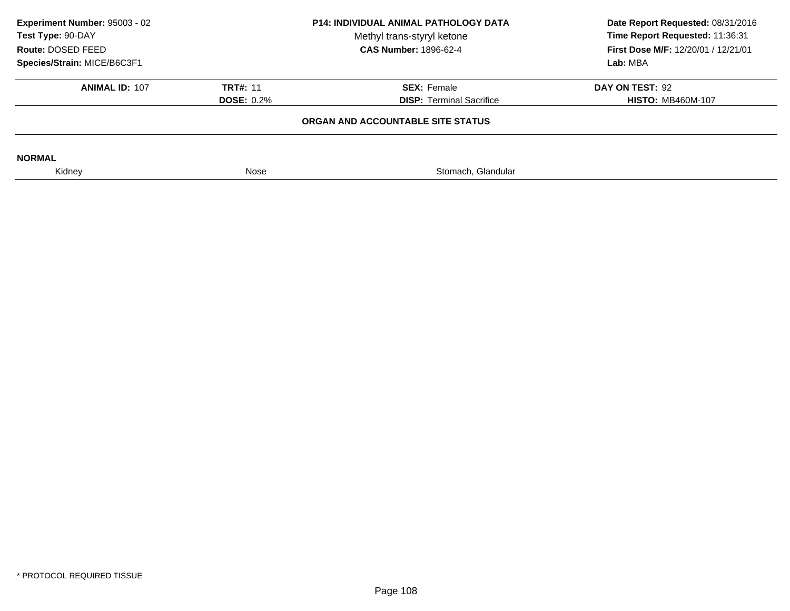| Experiment Number: 95003 - 02<br><b>P14: INDIVIDUAL ANIMAL PATHOLOGY DATA</b><br>Test Type: 90-DAY<br>Methyl trans-styryl ketone<br><b>CAS Number: 1896-62-4</b><br>Route: DOSED FEED |                                   | Date Report Requested: 08/31/2016<br>Time Report Requested: 11:36:31<br><b>First Dose M/F: 12/20/01 / 12/21/01</b> |                          |  |
|---------------------------------------------------------------------------------------------------------------------------------------------------------------------------------------|-----------------------------------|--------------------------------------------------------------------------------------------------------------------|--------------------------|--|
| Species/Strain: MICE/B6C3F1                                                                                                                                                           |                                   |                                                                                                                    | Lab: MBA                 |  |
| <b>ANIMAL ID: 107</b>                                                                                                                                                                 | <b>TRT#: 11</b>                   | <b>SEX: Female</b>                                                                                                 | DAY ON TEST: 92          |  |
|                                                                                                                                                                                       | <b>DOSE: 0.2%</b>                 | <b>DISP: Terminal Sacrifice</b>                                                                                    | <b>HISTO: MB460M-107</b> |  |
|                                                                                                                                                                                       | ORGAN AND ACCOUNTABLE SITE STATUS |                                                                                                                    |                          |  |
| <b>NORMAL</b>                                                                                                                                                                         |                                   |                                                                                                                    |                          |  |
| Kidney                                                                                                                                                                                | Nose                              | Stomach, Glandular                                                                                                 |                          |  |
|                                                                                                                                                                                       |                                   |                                                                                                                    |                          |  |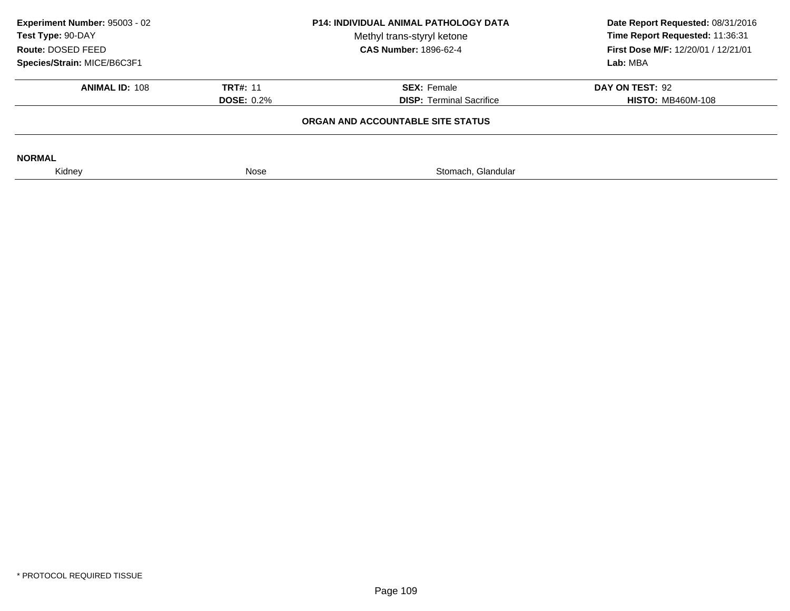| Experiment Number: 95003 - 02<br>Test Type: 90-DAY<br>Route: DOSED FEED | <b>P14: INDIVIDUAL ANIMAL PATHOLOGY DATA</b><br>Methyl trans-styryl ketone<br><b>CAS Number: 1896-62-4</b> |                                   |                          |  | Date Report Requested: 08/31/2016<br>Time Report Requested: 11:36:31<br><b>First Dose M/F: 12/20/01 / 12/21/01</b> |
|-------------------------------------------------------------------------|------------------------------------------------------------------------------------------------------------|-----------------------------------|--------------------------|--|--------------------------------------------------------------------------------------------------------------------|
| Species/Strain: MICE/B6C3F1                                             |                                                                                                            |                                   | Lab: MBA                 |  |                                                                                                                    |
| <b>ANIMAL ID: 108</b>                                                   | <b>TRT#: 11</b>                                                                                            | <b>SEX: Female</b>                | DAY ON TEST: 92          |  |                                                                                                                    |
|                                                                         | <b>DOSE: 0.2%</b>                                                                                          | <b>DISP: Terminal Sacrifice</b>   | <b>HISTO: MB460M-108</b> |  |                                                                                                                    |
|                                                                         |                                                                                                            | ORGAN AND ACCOUNTABLE SITE STATUS |                          |  |                                                                                                                    |
| <b>NORMAL</b>                                                           |                                                                                                            |                                   |                          |  |                                                                                                                    |
| Kidney                                                                  | Nose                                                                                                       | Stomach, Glandular                |                          |  |                                                                                                                    |
|                                                                         |                                                                                                            |                                   |                          |  |                                                                                                                    |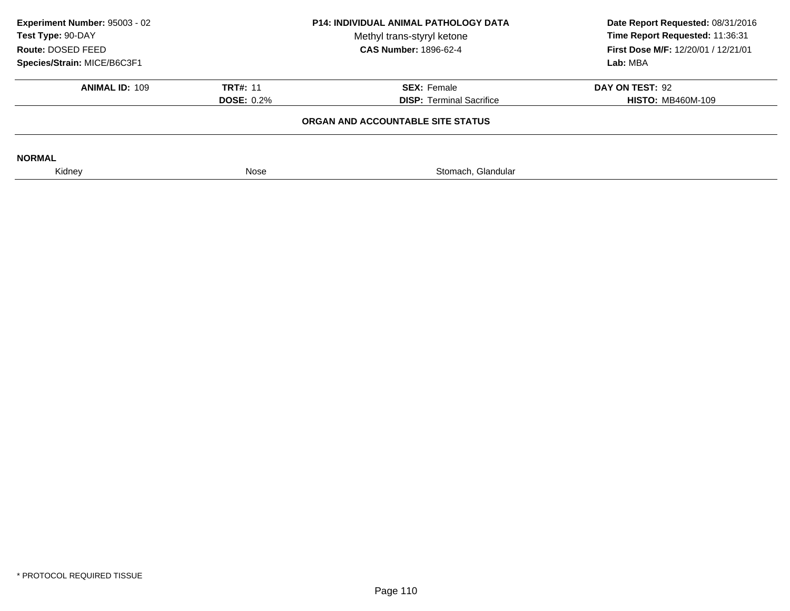| Experiment Number: 95003 - 02<br>Test Type: 90-DAY<br>Route: DOSED FEED<br>Species/Strain: MICE/B6C3F1 | <b>P14: INDIVIDUAL ANIMAL PATHOLOGY DATA</b><br>Methyl trans-styryl ketone<br><b>CAS Number: 1896-62-4</b><br><b>TRT#: 11</b><br><b>SEX: Female</b><br><b>DISP: Terminal Sacrifice</b><br><b>DOSE: 0.2%</b> |                                   |                                             |  | Date Report Requested: 08/31/2016<br>Time Report Requested: 11:36:31<br><b>First Dose M/F: 12/20/01 / 12/21/01</b><br>Lab: MBA |
|--------------------------------------------------------------------------------------------------------|-------------------------------------------------------------------------------------------------------------------------------------------------------------------------------------------------------------|-----------------------------------|---------------------------------------------|--|--------------------------------------------------------------------------------------------------------------------------------|
| <b>ANIMAL ID: 109</b>                                                                                  |                                                                                                                                                                                                             |                                   | DAY ON TEST: 92<br><b>HISTO: MB460M-109</b> |  |                                                                                                                                |
|                                                                                                        |                                                                                                                                                                                                             | ORGAN AND ACCOUNTABLE SITE STATUS |                                             |  |                                                                                                                                |
| <b>NORMAL</b>                                                                                          |                                                                                                                                                                                                             |                                   |                                             |  |                                                                                                                                |
| Kidney                                                                                                 | Nose                                                                                                                                                                                                        | Stomach, Glandular                |                                             |  |                                                                                                                                |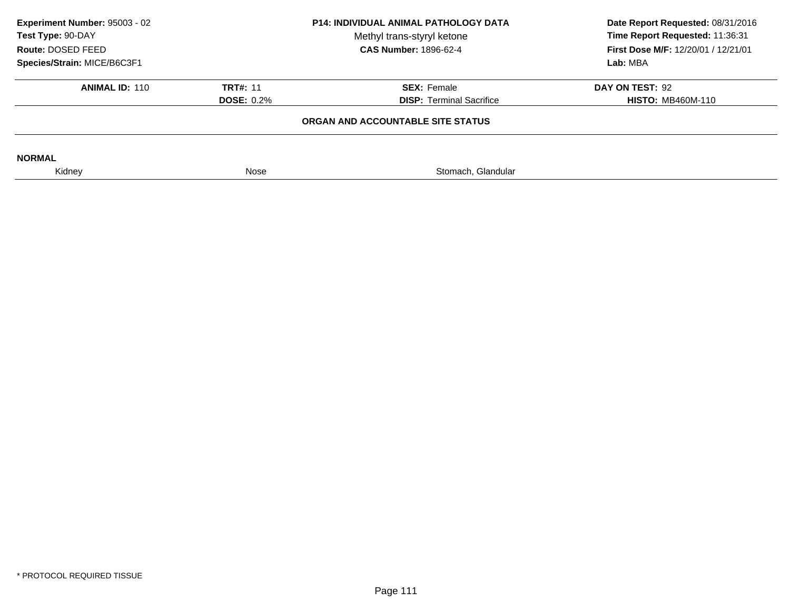| Experiment Number: 95003 - 02<br>Test Type: 90-DAY<br>Route: DOSED FEED<br>Species/Strain: MICE/B6C3F1 | <b>P14: INDIVIDUAL ANIMAL PATHOLOGY DATA</b><br>Methyl trans-styryl ketone<br><b>CAS Number: 1896-62-4</b> |                    | Date Report Requested: 08/31/2016<br>Time Report Requested: 11:36:31<br><b>First Dose M/F: 12/20/01 / 12/21/01</b><br>Lab: MBA |
|--------------------------------------------------------------------------------------------------------|------------------------------------------------------------------------------------------------------------|--------------------|--------------------------------------------------------------------------------------------------------------------------------|
| <b>ANIMAL ID: 110</b>                                                                                  | <b>TRT#: 11</b><br><b>SEX: Female</b><br><b>DISP: Terminal Sacrifice</b><br><b>DOSE: 0.2%</b>              |                    | DAY ON TEST: 92<br><b>HISTO: MB460M-110</b>                                                                                    |
|                                                                                                        |                                                                                                            |                    |                                                                                                                                |
| <b>NORMAL</b>                                                                                          |                                                                                                            |                    |                                                                                                                                |
| Kidney                                                                                                 | Nose                                                                                                       | Stomach, Glandular |                                                                                                                                |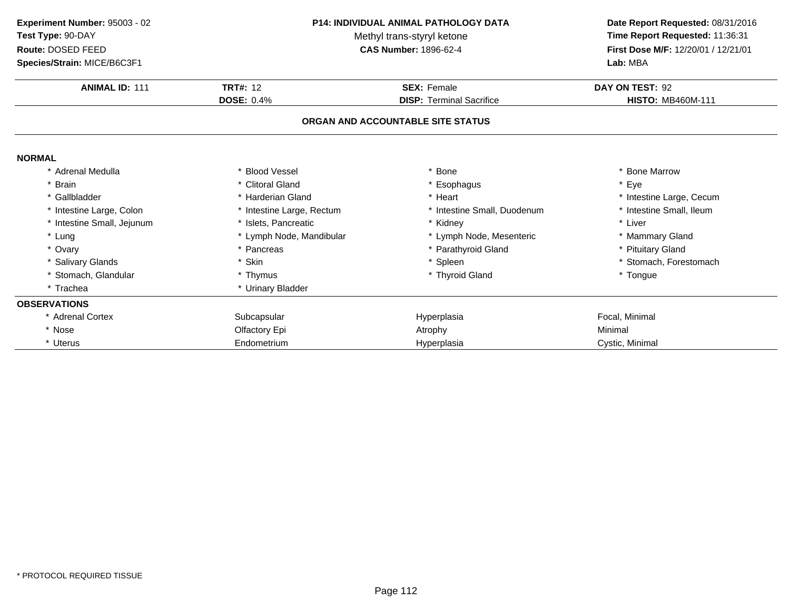| <b>P14: INDIVIDUAL ANIMAL PATHOLOGY DATA</b><br>Experiment Number: 95003 - 02<br>Test Type: 90-DAY<br>Methyl trans-styryl ketone<br>Route: DOSED FEED<br><b>CAS Number: 1896-62-4</b><br>Species/Strain: MICE/B6C3F1 |                                      | Date Report Requested: 08/31/2016<br>Time Report Requested: 11:36:31<br>First Dose M/F: 12/20/01 / 12/21/01<br>Lab: MBA |                                             |
|----------------------------------------------------------------------------------------------------------------------------------------------------------------------------------------------------------------------|--------------------------------------|-------------------------------------------------------------------------------------------------------------------------|---------------------------------------------|
| <b>ANIMAL ID: 111</b>                                                                                                                                                                                                | <b>TRT#: 12</b><br><b>DOSE: 0.4%</b> | <b>SEX: Female</b><br><b>DISP: Terminal Sacrifice</b>                                                                   | DAY ON TEST: 92<br><b>HISTO: MB460M-111</b> |
|                                                                                                                                                                                                                      |                                      | ORGAN AND ACCOUNTABLE SITE STATUS                                                                                       |                                             |
| <b>NORMAL</b>                                                                                                                                                                                                        |                                      |                                                                                                                         |                                             |
| * Adrenal Medulla                                                                                                                                                                                                    | * Blood Vessel                       | <b>Bone</b>                                                                                                             | * Bone Marrow                               |
| * Brain                                                                                                                                                                                                              | * Clitoral Gland                     | * Esophagus                                                                                                             | * Eye                                       |
| * Gallbladder                                                                                                                                                                                                        | * Harderian Gland                    | * Heart                                                                                                                 | * Intestine Large, Cecum                    |
| * Intestine Large, Colon                                                                                                                                                                                             | * Intestine Large, Rectum            | Intestine Small, Duodenum                                                                                               | * Intestine Small, Ileum                    |
| * Intestine Small, Jejunum                                                                                                                                                                                           | * Islets, Pancreatic                 | * Kidney                                                                                                                | * Liver                                     |
| * Lung                                                                                                                                                                                                               | * Lymph Node, Mandibular             | * Lymph Node, Mesenteric                                                                                                | * Mammary Gland                             |
| * Ovary                                                                                                                                                                                                              | * Pancreas                           | Parathyroid Gland                                                                                                       | * Pituitary Gland                           |
| * Salivary Glands                                                                                                                                                                                                    | * Skin                               | * Spleen                                                                                                                | * Stomach, Forestomach                      |
| * Stomach, Glandular                                                                                                                                                                                                 | * Thymus                             | * Thyroid Gland                                                                                                         | * Tongue                                    |
| * Trachea                                                                                                                                                                                                            | * Urinary Bladder                    |                                                                                                                         |                                             |
| <b>OBSERVATIONS</b>                                                                                                                                                                                                  |                                      |                                                                                                                         |                                             |
| * Adrenal Cortex                                                                                                                                                                                                     | Subcapsular                          | Hyperplasia                                                                                                             | Focal, Minimal                              |
| * Nose                                                                                                                                                                                                               | Olfactory Epi                        | Atrophy                                                                                                                 | Minimal                                     |
| * Uterus                                                                                                                                                                                                             | Endometrium                          | Hyperplasia                                                                                                             | Cystic, Minimal                             |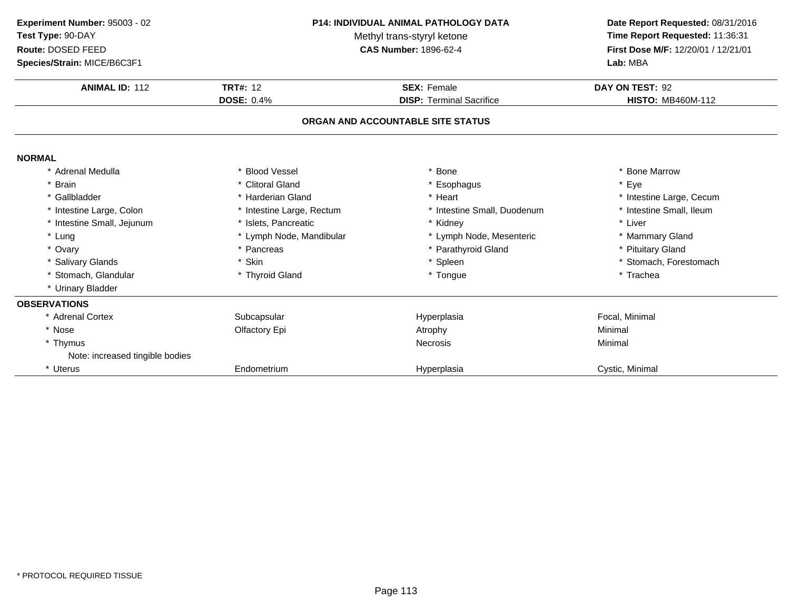| Experiment Number: 95003 - 02<br>Test Type: 90-DAY<br>Route: DOSED FEED<br>Species/Strain: MICE/B6C3F1 | <b>P14: INDIVIDUAL ANIMAL PATHOLOGY DATA</b><br>Methyl trans-styryl ketone<br><b>CAS Number: 1896-62-4</b> |                                   | Date Report Requested: 08/31/2016<br>Time Report Requested: 11:36:31<br>First Dose M/F: 12/20/01 / 12/21/01<br>Lab: MBA |  |
|--------------------------------------------------------------------------------------------------------|------------------------------------------------------------------------------------------------------------|-----------------------------------|-------------------------------------------------------------------------------------------------------------------------|--|
| <b>ANIMAL ID: 112</b>                                                                                  | <b>TRT#: 12</b>                                                                                            | <b>SEX: Female</b>                | DAY ON TEST: 92                                                                                                         |  |
|                                                                                                        | <b>DOSE: 0.4%</b>                                                                                          | <b>DISP: Terminal Sacrifice</b>   | <b>HISTO: MB460M-112</b>                                                                                                |  |
|                                                                                                        |                                                                                                            | ORGAN AND ACCOUNTABLE SITE STATUS |                                                                                                                         |  |
| <b>NORMAL</b>                                                                                          |                                                                                                            |                                   |                                                                                                                         |  |
| * Adrenal Medulla                                                                                      | <b>Blood Vessel</b>                                                                                        | * Bone                            | * Bone Marrow                                                                                                           |  |
| * Brain                                                                                                | * Clitoral Gland                                                                                           | * Esophagus                       | * Eye                                                                                                                   |  |
| * Gallbladder                                                                                          | * Harderian Gland                                                                                          | * Heart                           | * Intestine Large, Cecum                                                                                                |  |
| * Intestine Large, Colon                                                                               | * Intestine Large, Rectum                                                                                  | * Intestine Small, Duodenum       | * Intestine Small, Ileum                                                                                                |  |
| * Intestine Small, Jejunum                                                                             | * Islets, Pancreatic                                                                                       | * Kidney                          | * Liver                                                                                                                 |  |
| * Lung                                                                                                 | * Lymph Node, Mandibular                                                                                   | * Lymph Node, Mesenteric          | * Mammary Gland                                                                                                         |  |
| * Ovary                                                                                                | * Pancreas                                                                                                 | * Parathyroid Gland               | * Pituitary Gland                                                                                                       |  |
| * Salivary Glands                                                                                      | * Skin                                                                                                     | * Spleen                          | * Stomach, Forestomach                                                                                                  |  |
| * Stomach, Glandular                                                                                   | * Thyroid Gland                                                                                            | * Tongue                          | * Trachea                                                                                                               |  |
| * Urinary Bladder                                                                                      |                                                                                                            |                                   |                                                                                                                         |  |
| <b>OBSERVATIONS</b>                                                                                    |                                                                                                            |                                   |                                                                                                                         |  |
| * Adrenal Cortex                                                                                       | Subcapsular                                                                                                | Hyperplasia                       | Focal, Minimal                                                                                                          |  |
| * Nose                                                                                                 | Olfactory Epi                                                                                              | Atrophy                           | Minimal                                                                                                                 |  |
| * Thymus                                                                                               |                                                                                                            | <b>Necrosis</b>                   | Minimal                                                                                                                 |  |
| Note: increased tingible bodies                                                                        |                                                                                                            |                                   |                                                                                                                         |  |
| * Uterus                                                                                               | Endometrium                                                                                                | Hyperplasia                       | Cystic, Minimal                                                                                                         |  |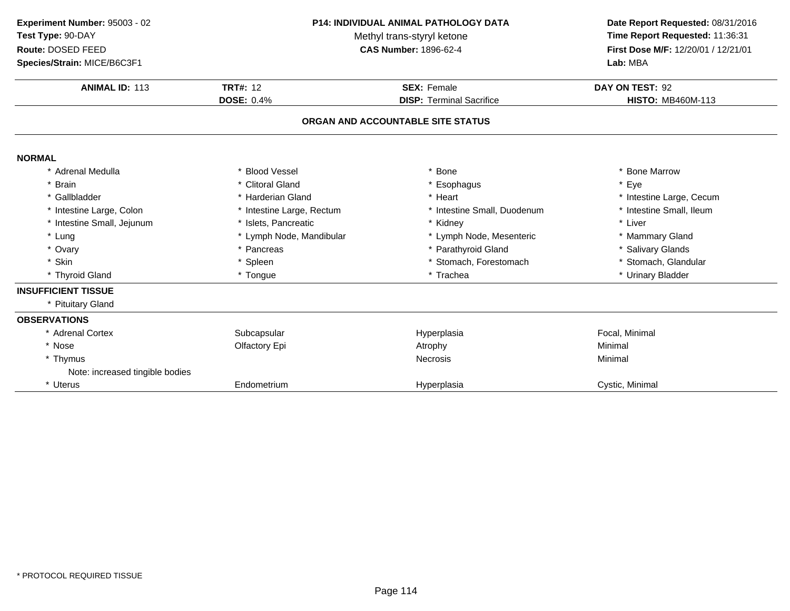| P14: INDIVIDUAL ANIMAL PATHOLOGY DATA<br>Experiment Number: 95003 - 02<br>Test Type: 90-DAY<br>Methyl trans-styryl ketone<br>Route: DOSED FEED<br><b>CAS Number: 1896-62-4</b><br>Species/Strain: MICE/B6C3F1 |                                                                                               | Date Report Requested: 08/31/2016<br>Time Report Requested: 11:36:31<br>First Dose M/F: 12/20/01 / 12/21/01<br>Lab: MBA |                                             |
|---------------------------------------------------------------------------------------------------------------------------------------------------------------------------------------------------------------|-----------------------------------------------------------------------------------------------|-------------------------------------------------------------------------------------------------------------------------|---------------------------------------------|
| <b>ANIMAL ID: 113</b>                                                                                                                                                                                         | <b>TRT#: 12</b><br><b>SEX: Female</b><br><b>DOSE: 0.4%</b><br><b>DISP: Terminal Sacrifice</b> |                                                                                                                         | DAY ON TEST: 92<br><b>HISTO: MB460M-113</b> |
|                                                                                                                                                                                                               |                                                                                               | ORGAN AND ACCOUNTABLE SITE STATUS                                                                                       |                                             |
| <b>NORMAL</b>                                                                                                                                                                                                 |                                                                                               |                                                                                                                         |                                             |
| * Adrenal Medulla                                                                                                                                                                                             | <b>Blood Vessel</b>                                                                           | <b>Bone</b>                                                                                                             | * Bone Marrow                               |
| * Brain                                                                                                                                                                                                       | * Clitoral Gland                                                                              | * Esophagus                                                                                                             | * Eye                                       |
| * Gallbladder                                                                                                                                                                                                 | * Harderian Gland                                                                             | * Heart                                                                                                                 | * Intestine Large, Cecum                    |
| * Intestine Large, Colon                                                                                                                                                                                      | * Intestine Large, Rectum                                                                     | * Intestine Small, Duodenum                                                                                             | * Intestine Small, Ileum                    |
| * Intestine Small, Jejunum                                                                                                                                                                                    | * Islets, Pancreatic                                                                          | * Kidney                                                                                                                | * Liver                                     |
| * Lung                                                                                                                                                                                                        | * Lymph Node, Mandibular                                                                      | * Lymph Node, Mesenteric                                                                                                | * Mammary Gland                             |
| * Ovary                                                                                                                                                                                                       | * Pancreas                                                                                    | * Parathyroid Gland                                                                                                     | * Salivary Glands                           |
| * Skin                                                                                                                                                                                                        | * Spleen                                                                                      | * Stomach, Forestomach                                                                                                  | * Stomach, Glandular                        |
| * Thyroid Gland                                                                                                                                                                                               | * Tongue                                                                                      | * Trachea                                                                                                               | * Urinary Bladder                           |
| <b>INSUFFICIENT TISSUE</b>                                                                                                                                                                                    |                                                                                               |                                                                                                                         |                                             |
| * Pituitary Gland                                                                                                                                                                                             |                                                                                               |                                                                                                                         |                                             |
| <b>OBSERVATIONS</b>                                                                                                                                                                                           |                                                                                               |                                                                                                                         |                                             |
| * Adrenal Cortex                                                                                                                                                                                              | Subcapsular                                                                                   | Hyperplasia                                                                                                             | Focal, Minimal                              |
| * Nose                                                                                                                                                                                                        | Olfactory Epi                                                                                 | Atrophy                                                                                                                 | Minimal                                     |
| * Thymus                                                                                                                                                                                                      |                                                                                               | <b>Necrosis</b>                                                                                                         | Minimal                                     |
| Note: increased tingible bodies                                                                                                                                                                               |                                                                                               |                                                                                                                         |                                             |
| * Uterus                                                                                                                                                                                                      | Endometrium                                                                                   | Hyperplasia                                                                                                             | Cystic, Minimal                             |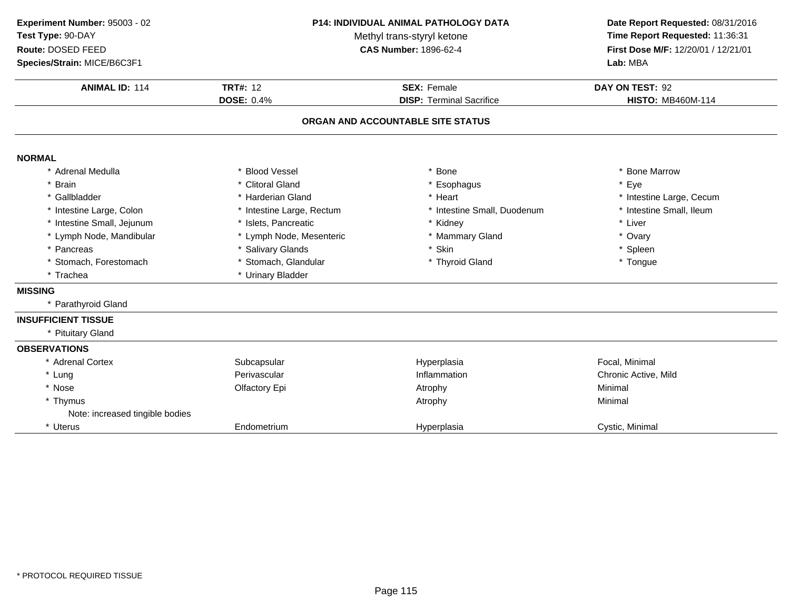| Experiment Number: 95003 - 02<br><b>P14: INDIVIDUAL ANIMAL PATHOLOGY DATA</b><br>Test Type: 90-DAY<br>Methyl trans-styryl ketone<br>Route: DOSED FEED<br><b>CAS Number: 1896-62-4</b><br>Species/Strain: MICE/B6C3F1 |                                      | Date Report Requested: 08/31/2016<br>Time Report Requested: 11:36:31<br>First Dose M/F: 12/20/01 / 12/21/01<br>Lab: MBA |                                             |
|----------------------------------------------------------------------------------------------------------------------------------------------------------------------------------------------------------------------|--------------------------------------|-------------------------------------------------------------------------------------------------------------------------|---------------------------------------------|
| <b>ANIMAL ID: 114</b>                                                                                                                                                                                                | <b>TRT#: 12</b><br><b>DOSE: 0.4%</b> | <b>SEX: Female</b><br><b>DISP: Terminal Sacrifice</b>                                                                   | DAY ON TEST: 92<br><b>HISTO: MB460M-114</b> |
|                                                                                                                                                                                                                      |                                      | ORGAN AND ACCOUNTABLE SITE STATUS                                                                                       |                                             |
| <b>NORMAL</b>                                                                                                                                                                                                        |                                      |                                                                                                                         |                                             |
| * Adrenal Medulla                                                                                                                                                                                                    | * Blood Vessel                       | Bone                                                                                                                    | * Bone Marrow                               |
| * Brain                                                                                                                                                                                                              | * Clitoral Gland                     | * Esophagus                                                                                                             | * Eye                                       |
| * Gallbladder                                                                                                                                                                                                        | * Harderian Gland                    | * Heart                                                                                                                 | * Intestine Large, Cecum                    |
| * Intestine Large, Colon                                                                                                                                                                                             | * Intestine Large, Rectum            | * Intestine Small, Duodenum                                                                                             | * Intestine Small, Ileum                    |
| * Intestine Small, Jejunum                                                                                                                                                                                           | * Islets, Pancreatic                 | * Kidney                                                                                                                | * Liver                                     |
| * Lymph Node, Mandibular                                                                                                                                                                                             | * Lymph Node, Mesenteric             | * Mammary Gland                                                                                                         | * Ovary                                     |
| * Pancreas                                                                                                                                                                                                           | * Salivary Glands                    | * Skin                                                                                                                  | * Spleen                                    |
| * Stomach, Forestomach                                                                                                                                                                                               | * Stomach, Glandular                 | * Thyroid Gland                                                                                                         | * Tongue                                    |
| * Trachea                                                                                                                                                                                                            | * Urinary Bladder                    |                                                                                                                         |                                             |
| <b>MISSING</b>                                                                                                                                                                                                       |                                      |                                                                                                                         |                                             |
| * Parathyroid Gland                                                                                                                                                                                                  |                                      |                                                                                                                         |                                             |
| <b>INSUFFICIENT TISSUE</b>                                                                                                                                                                                           |                                      |                                                                                                                         |                                             |
| * Pituitary Gland                                                                                                                                                                                                    |                                      |                                                                                                                         |                                             |
| <b>OBSERVATIONS</b>                                                                                                                                                                                                  |                                      |                                                                                                                         |                                             |
| * Adrenal Cortex                                                                                                                                                                                                     | Subcapsular                          | Hyperplasia                                                                                                             | Focal, Minimal                              |
| * Lung                                                                                                                                                                                                               | Perivascular                         | Inflammation                                                                                                            | Chronic Active, Mild                        |
| * Nose                                                                                                                                                                                                               | Olfactory Epi                        | Atrophy                                                                                                                 | Minimal                                     |
| * Thymus                                                                                                                                                                                                             |                                      | Atrophy                                                                                                                 | Minimal                                     |
| Note: increased tingible bodies                                                                                                                                                                                      |                                      |                                                                                                                         |                                             |
| * Uterus                                                                                                                                                                                                             | Endometrium                          | Hyperplasia                                                                                                             | Cystic, Minimal                             |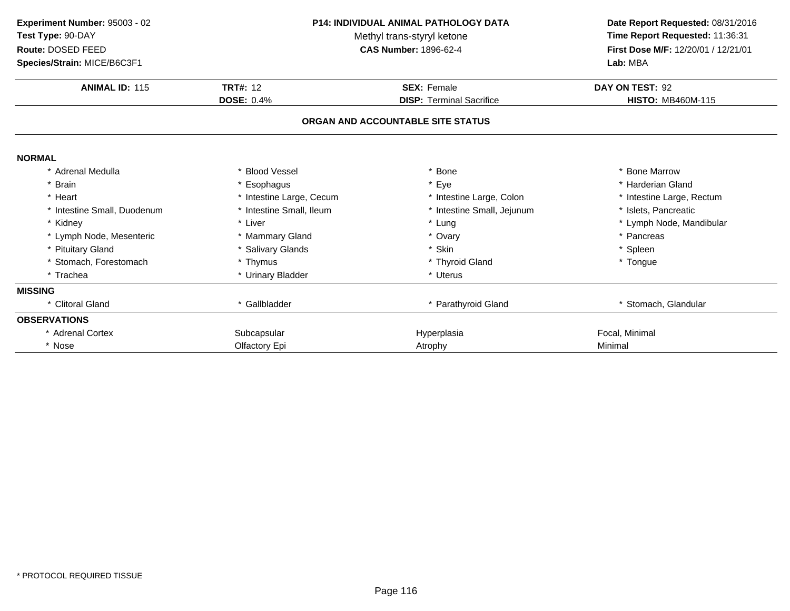| Experiment Number: 95003 - 02<br>Test Type: 90-DAY<br>Route: DOSED FEED<br>Species/Strain: MICE/B6C3F1 |                                      | <b>P14: INDIVIDUAL ANIMAL PATHOLOGY DATA</b><br>Methyl trans-styryl ketone<br><b>CAS Number: 1896-62-4</b> | Date Report Requested: 08/31/2016<br>Time Report Requested: 11:36:31<br>First Dose M/F: 12/20/01 / 12/21/01<br>Lab: MBA |
|--------------------------------------------------------------------------------------------------------|--------------------------------------|------------------------------------------------------------------------------------------------------------|-------------------------------------------------------------------------------------------------------------------------|
| <b>ANIMAL ID: 115</b>                                                                                  | <b>TRT#: 12</b><br><b>DOSE: 0.4%</b> | <b>SEX: Female</b><br><b>DISP: Terminal Sacrifice</b>                                                      | DAY ON TEST: 92<br><b>HISTO: MB460M-115</b>                                                                             |
|                                                                                                        |                                      | ORGAN AND ACCOUNTABLE SITE STATUS                                                                          |                                                                                                                         |
| <b>NORMAL</b>                                                                                          |                                      |                                                                                                            |                                                                                                                         |
| * Adrenal Medulla                                                                                      | <b>Blood Vessel</b>                  | <b>Bone</b>                                                                                                | * Bone Marrow                                                                                                           |
| * Brain                                                                                                | Esophagus                            | * Eye                                                                                                      | * Harderian Gland                                                                                                       |
| * Heart                                                                                                | * Intestine Large, Cecum             | * Intestine Large, Colon                                                                                   | * Intestine Large, Rectum                                                                                               |
| * Intestine Small, Duodenum                                                                            | * Intestine Small, Ileum             | * Intestine Small, Jejunum                                                                                 | * Islets, Pancreatic                                                                                                    |
| * Kidney                                                                                               | * Liver                              | * Lung                                                                                                     | * Lymph Node, Mandibular                                                                                                |
| * Lymph Node, Mesenteric                                                                               | * Mammary Gland                      | * Ovary                                                                                                    | * Pancreas                                                                                                              |
| * Pituitary Gland                                                                                      | * Salivary Glands                    | * Skin                                                                                                     | * Spleen                                                                                                                |
| * Stomach, Forestomach                                                                                 | * Thymus                             | * Thyroid Gland                                                                                            | * Tongue                                                                                                                |
| * Trachea                                                                                              | * Urinary Bladder                    | * Uterus                                                                                                   |                                                                                                                         |
| <b>MISSING</b>                                                                                         |                                      |                                                                                                            |                                                                                                                         |
| * Clitoral Gland                                                                                       | * Gallbladder                        | * Parathyroid Gland                                                                                        | * Stomach, Glandular                                                                                                    |
| <b>OBSERVATIONS</b>                                                                                    |                                      |                                                                                                            |                                                                                                                         |
| * Adrenal Cortex                                                                                       | Subcapsular                          | Hyperplasia                                                                                                | Focal, Minimal                                                                                                          |
| * Nose                                                                                                 | Olfactory Epi                        | Atrophy                                                                                                    | Minimal                                                                                                                 |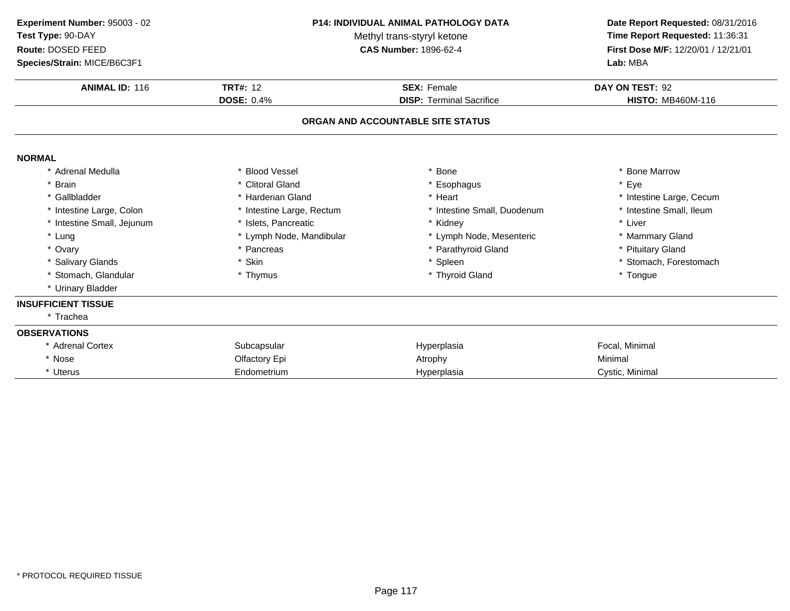| Experiment Number: 95003 - 02<br>Test Type: 90-DAY<br>Route: DOSED FEED<br>Species/Strain: MICE/B6C3F1 | <b>P14: INDIVIDUAL ANIMAL PATHOLOGY DATA</b><br>Methyl trans-styryl ketone<br><b>CAS Number: 1896-62-4</b> |                                   | Date Report Requested: 08/31/2016<br>Time Report Requested: 11:36:31<br>First Dose M/F: 12/20/01 / 12/21/01<br>Lab: MBA |  |
|--------------------------------------------------------------------------------------------------------|------------------------------------------------------------------------------------------------------------|-----------------------------------|-------------------------------------------------------------------------------------------------------------------------|--|
| <b>ANIMAL ID: 116</b>                                                                                  | <b>TRT#: 12</b>                                                                                            | <b>SEX: Female</b>                | DAY ON TEST: 92                                                                                                         |  |
|                                                                                                        | <b>DOSE: 0.4%</b>                                                                                          | <b>DISP: Terminal Sacrifice</b>   | <b>HISTO: MB460M-116</b>                                                                                                |  |
|                                                                                                        |                                                                                                            | ORGAN AND ACCOUNTABLE SITE STATUS |                                                                                                                         |  |
| <b>NORMAL</b>                                                                                          |                                                                                                            |                                   |                                                                                                                         |  |
| * Adrenal Medulla                                                                                      | * Blood Vessel                                                                                             | * Bone                            | * Bone Marrow                                                                                                           |  |
| * Brain                                                                                                | * Clitoral Gland                                                                                           | * Esophagus                       | * Eye                                                                                                                   |  |
| * Gallbladder                                                                                          | * Harderian Gland                                                                                          | * Heart                           | * Intestine Large, Cecum                                                                                                |  |
| * Intestine Large, Colon                                                                               | * Intestine Large, Rectum                                                                                  | * Intestine Small, Duodenum       | * Intestine Small, Ileum                                                                                                |  |
| * Intestine Small, Jejunum                                                                             | * Islets, Pancreatic                                                                                       | * Kidney                          | * Liver                                                                                                                 |  |
| * Lung                                                                                                 | * Lymph Node, Mandibular                                                                                   | * Lymph Node, Mesenteric          | * Mammary Gland                                                                                                         |  |
| * Ovary                                                                                                | * Pancreas                                                                                                 | * Parathyroid Gland               | * Pituitary Gland                                                                                                       |  |
| * Salivary Glands                                                                                      | * Skin                                                                                                     | * Spleen                          | * Stomach, Forestomach                                                                                                  |  |
| * Stomach, Glandular                                                                                   | * Thymus                                                                                                   | * Thyroid Gland                   | * Tongue                                                                                                                |  |
| * Urinary Bladder                                                                                      |                                                                                                            |                                   |                                                                                                                         |  |
| <b>INSUFFICIENT TISSUE</b>                                                                             |                                                                                                            |                                   |                                                                                                                         |  |
| * Trachea                                                                                              |                                                                                                            |                                   |                                                                                                                         |  |
| <b>OBSERVATIONS</b>                                                                                    |                                                                                                            |                                   |                                                                                                                         |  |
| * Adrenal Cortex                                                                                       | Subcapsular                                                                                                | Hyperplasia                       | Focal, Minimal                                                                                                          |  |
| * Nose                                                                                                 | Olfactory Epi                                                                                              | Atrophy                           | Minimal                                                                                                                 |  |
| * Uterus                                                                                               | Endometrium                                                                                                | Hyperplasia                       | Cystic, Minimal                                                                                                         |  |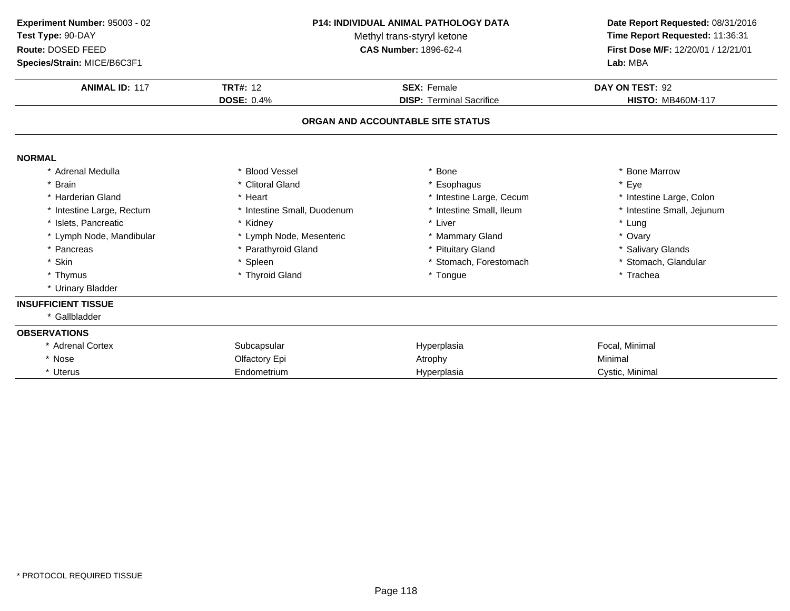| Experiment Number: 95003 - 02<br>Test Type: 90-DAY<br>Route: DOSED FEED<br>Species/Strain: MICE/B6C3F1<br><b>ANIMAL ID: 117</b> | <b>P14: INDIVIDUAL ANIMAL PATHOLOGY DATA</b><br>Methyl trans-styryl ketone<br><b>CAS Number: 1896-62-4</b> |                                                       | Date Report Requested: 08/31/2016<br>Time Report Requested: 11:36:31<br>First Dose M/F: 12/20/01 / 12/21/01<br>Lab: MBA |
|---------------------------------------------------------------------------------------------------------------------------------|------------------------------------------------------------------------------------------------------------|-------------------------------------------------------|-------------------------------------------------------------------------------------------------------------------------|
|                                                                                                                                 | <b>TRT#: 12</b><br><b>DOSE: 0.4%</b>                                                                       | <b>SEX: Female</b><br><b>DISP: Terminal Sacrifice</b> | DAY ON TEST: 92<br><b>HISTO: MB460M-117</b>                                                                             |
|                                                                                                                                 |                                                                                                            | ORGAN AND ACCOUNTABLE SITE STATUS                     |                                                                                                                         |
| <b>NORMAL</b>                                                                                                                   |                                                                                                            |                                                       |                                                                                                                         |
| * Adrenal Medulla                                                                                                               | * Blood Vessel                                                                                             | * Bone                                                | * Bone Marrow                                                                                                           |
| * Brain                                                                                                                         | * Clitoral Gland                                                                                           | * Esophagus                                           | * Eye                                                                                                                   |
| * Harderian Gland                                                                                                               | * Heart                                                                                                    | * Intestine Large, Cecum                              | * Intestine Large, Colon                                                                                                |
| * Intestine Large, Rectum                                                                                                       | * Intestine Small, Duodenum                                                                                | * Intestine Small, Ileum                              | * Intestine Small, Jejunum                                                                                              |
| * Islets. Pancreatic                                                                                                            | * Kidney                                                                                                   | * Liver                                               | * Lung                                                                                                                  |
| * Lymph Node, Mandibular                                                                                                        | * Lymph Node, Mesenteric                                                                                   | * Mammary Gland                                       | * Ovary                                                                                                                 |
| * Pancreas                                                                                                                      | * Parathyroid Gland                                                                                        | Pituitary Gland                                       | * Salivary Glands                                                                                                       |
| * Skin                                                                                                                          | * Spleen                                                                                                   | * Stomach, Forestomach                                | * Stomach, Glandular                                                                                                    |
| * Thymus                                                                                                                        | * Thyroid Gland                                                                                            | * Tongue                                              | * Trachea                                                                                                               |
| * Urinary Bladder                                                                                                               |                                                                                                            |                                                       |                                                                                                                         |
| <b>INSUFFICIENT TISSUE</b>                                                                                                      |                                                                                                            |                                                       |                                                                                                                         |
| * Gallbladder                                                                                                                   |                                                                                                            |                                                       |                                                                                                                         |
| <b>OBSERVATIONS</b>                                                                                                             |                                                                                                            |                                                       |                                                                                                                         |
| * Adrenal Cortex                                                                                                                | Subcapsular                                                                                                | Hyperplasia                                           | Focal, Minimal                                                                                                          |
| * Nose                                                                                                                          | Olfactory Epi                                                                                              | Atrophy                                               | Minimal                                                                                                                 |
| * Uterus                                                                                                                        | Endometrium                                                                                                | Hyperplasia                                           | Cystic, Minimal                                                                                                         |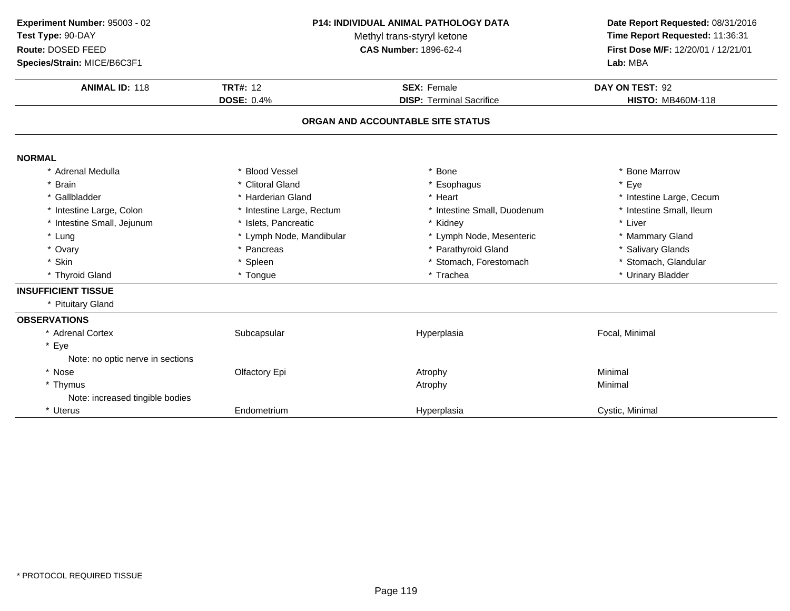| Experiment Number: 95003 - 02<br>Test Type: 90-DAY<br>Route: DOSED FEED |                           | P14: INDIVIDUAL ANIMAL PATHOLOGY DATA<br>Methyl trans-styryl ketone<br><b>CAS Number: 1896-62-4</b> | Date Report Requested: 08/31/2016<br>Time Report Requested: 11:36:31<br>First Dose M/F: 12/20/01 / 12/21/01 |
|-------------------------------------------------------------------------|---------------------------|-----------------------------------------------------------------------------------------------------|-------------------------------------------------------------------------------------------------------------|
| Species/Strain: MICE/B6C3F1                                             |                           |                                                                                                     | Lab: MBA                                                                                                    |
| <b>ANIMAL ID: 118</b>                                                   | <b>TRT#: 12</b>           | <b>SEX: Female</b>                                                                                  | DAY ON TEST: 92                                                                                             |
|                                                                         | <b>DOSE: 0.4%</b>         | <b>DISP: Terminal Sacrifice</b>                                                                     | <b>HISTO: MB460M-118</b>                                                                                    |
|                                                                         |                           | ORGAN AND ACCOUNTABLE SITE STATUS                                                                   |                                                                                                             |
| <b>NORMAL</b>                                                           |                           |                                                                                                     |                                                                                                             |
| * Adrenal Medulla                                                       | * Blood Vessel            | * Bone                                                                                              | <b>Bone Marrow</b>                                                                                          |
| * Brain                                                                 | * Clitoral Gland          | * Esophagus                                                                                         | Eye                                                                                                         |
| * Gallbladder                                                           | * Harderian Gland         | * Heart                                                                                             | * Intestine Large, Cecum                                                                                    |
| * Intestine Large, Colon                                                | * Intestine Large, Rectum | * Intestine Small, Duodenum                                                                         | * Intestine Small, Ileum                                                                                    |
| * Intestine Small, Jejunum                                              | * Islets, Pancreatic      | * Kidney                                                                                            | * Liver                                                                                                     |
| * Lung                                                                  | * Lymph Node, Mandibular  | * Lymph Node, Mesenteric                                                                            | * Mammary Gland                                                                                             |
| * Ovary                                                                 | * Pancreas                | * Parathyroid Gland                                                                                 | * Salivary Glands                                                                                           |
| * Skin                                                                  | * Spleen                  | * Stomach, Forestomach                                                                              | * Stomach, Glandular                                                                                        |
| * Thyroid Gland                                                         | * Tongue                  | * Trachea                                                                                           | * Urinary Bladder                                                                                           |
| <b>INSUFFICIENT TISSUE</b>                                              |                           |                                                                                                     |                                                                                                             |
| * Pituitary Gland                                                       |                           |                                                                                                     |                                                                                                             |
| <b>OBSERVATIONS</b>                                                     |                           |                                                                                                     |                                                                                                             |
| * Adrenal Cortex                                                        | Subcapsular               | Hyperplasia                                                                                         | Focal, Minimal                                                                                              |
| * Eye                                                                   |                           |                                                                                                     |                                                                                                             |
| Note: no optic nerve in sections                                        |                           |                                                                                                     |                                                                                                             |
| * Nose                                                                  | Olfactory Epi             | Atrophy                                                                                             | Minimal                                                                                                     |
| * Thymus                                                                |                           | Atrophy                                                                                             | Minimal                                                                                                     |
| Note: increased tingible bodies                                         |                           |                                                                                                     |                                                                                                             |
| * Uterus                                                                | Endometrium               | Hyperplasia                                                                                         | Cystic, Minimal                                                                                             |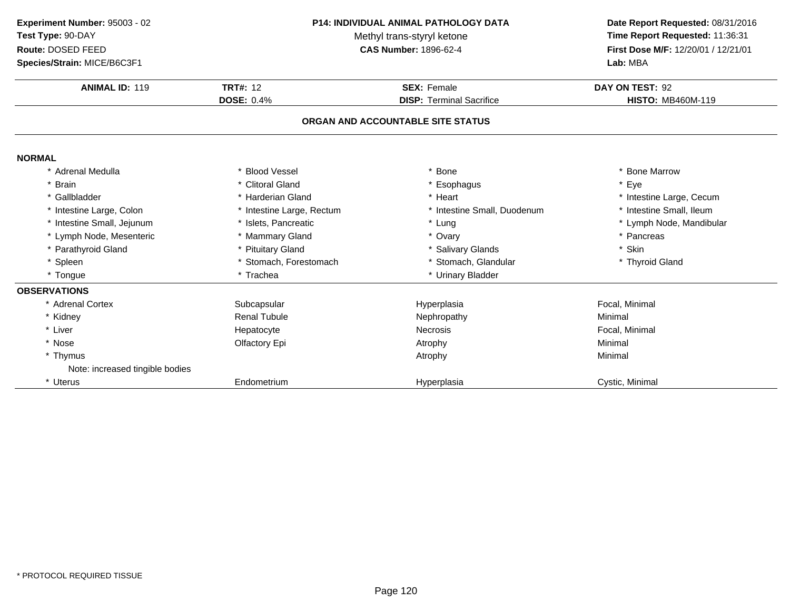| Experiment Number: 95003 - 02<br>Test Type: 90-DAY<br>Route: DOSED FEED<br>Species/Strain: MICE/B6C3F1 | <b>P14: INDIVIDUAL ANIMAL PATHOLOGY DATA</b><br>Methyl trans-styryl ketone<br><b>CAS Number: 1896-62-4</b> |                                                       | Date Report Requested: 08/31/2016<br>Time Report Requested: 11:36:31<br>First Dose M/F: 12/20/01 / 12/21/01<br>Lab: MBA |  |
|--------------------------------------------------------------------------------------------------------|------------------------------------------------------------------------------------------------------------|-------------------------------------------------------|-------------------------------------------------------------------------------------------------------------------------|--|
| <b>ANIMAL ID: 119</b>                                                                                  | <b>TRT#: 12</b><br><b>DOSE: 0.4%</b>                                                                       | <b>SEX: Female</b><br><b>DISP: Terminal Sacrifice</b> | DAY ON TEST: 92<br><b>HISTO: MB460M-119</b>                                                                             |  |
|                                                                                                        |                                                                                                            |                                                       |                                                                                                                         |  |
|                                                                                                        |                                                                                                            | ORGAN AND ACCOUNTABLE SITE STATUS                     |                                                                                                                         |  |
| <b>NORMAL</b>                                                                                          |                                                                                                            |                                                       |                                                                                                                         |  |
| * Adrenal Medulla                                                                                      | * Blood Vessel                                                                                             | <b>Bone</b>                                           | <b>Bone Marrow</b>                                                                                                      |  |
| * Brain                                                                                                | * Clitoral Gland                                                                                           | Esophagus                                             | * Eye                                                                                                                   |  |
| * Gallbladder                                                                                          | * Harderian Gland                                                                                          | * Heart                                               | * Intestine Large, Cecum                                                                                                |  |
| * Intestine Large, Colon                                                                               | * Intestine Large, Rectum                                                                                  | * Intestine Small, Duodenum                           | * Intestine Small, Ileum                                                                                                |  |
| * Intestine Small, Jejunum                                                                             | * Islets, Pancreatic                                                                                       | * Lung                                                | * Lymph Node, Mandibular                                                                                                |  |
| * Lymph Node, Mesenteric                                                                               | * Mammary Gland                                                                                            | * Ovary                                               | * Pancreas                                                                                                              |  |
| * Parathyroid Gland                                                                                    | * Pituitary Gland                                                                                          | * Salivary Glands                                     | * Skin                                                                                                                  |  |
| * Spleen                                                                                               | * Stomach, Forestomach                                                                                     | * Stomach, Glandular                                  | * Thyroid Gland                                                                                                         |  |
| * Tongue                                                                                               | * Trachea                                                                                                  | * Urinary Bladder                                     |                                                                                                                         |  |
| <b>OBSERVATIONS</b>                                                                                    |                                                                                                            |                                                       |                                                                                                                         |  |
| * Adrenal Cortex                                                                                       | Subcapsular                                                                                                | Hyperplasia                                           | Focal, Minimal                                                                                                          |  |
| * Kidney                                                                                               | <b>Renal Tubule</b>                                                                                        | Nephropathy                                           | Minimal                                                                                                                 |  |
| * Liver                                                                                                | Hepatocyte                                                                                                 | Necrosis                                              | Focal, Minimal                                                                                                          |  |
| * Nose                                                                                                 | Olfactory Epi                                                                                              | Atrophy                                               | Minimal                                                                                                                 |  |
| * Thymus                                                                                               |                                                                                                            | Atrophy                                               | Minimal                                                                                                                 |  |
| Note: increased tingible bodies                                                                        |                                                                                                            |                                                       |                                                                                                                         |  |
| * Uterus                                                                                               | Endometrium                                                                                                | Hyperplasia                                           | Cystic, Minimal                                                                                                         |  |